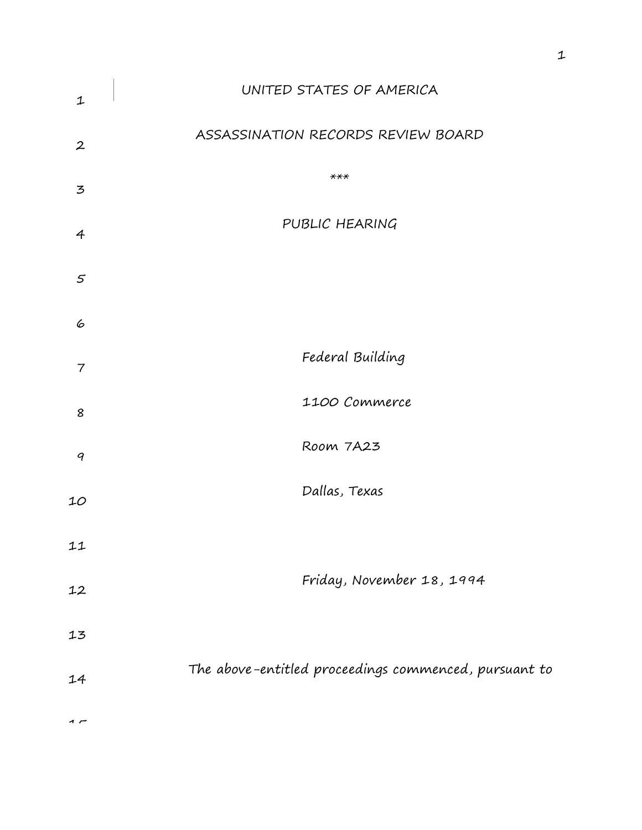| $\mathbf 1$      | UNITED STATES OF AMERICA                              |
|------------------|-------------------------------------------------------|
| $\boldsymbol{2}$ | ASSASSINATION RECORDS REVIEW BOARD                    |
| $\mathbf{z}$     | $***$                                                 |
| $\overline{4}$   | PUBLIC HEARING                                        |
| $\varsigma$      |                                                       |
| 6                |                                                       |
| 7                | Federal Building                                      |
| 8                | 1100 Commerce                                         |
| 9                | Room 7A23                                             |
| 10               | Dallas, Texas                                         |
| 11               |                                                       |
| 12               | Friday, November 18, 1994                             |
| 13               |                                                       |
| 14               | The above-entitled proceedings commenced, pursuant to |
|                  |                                                       |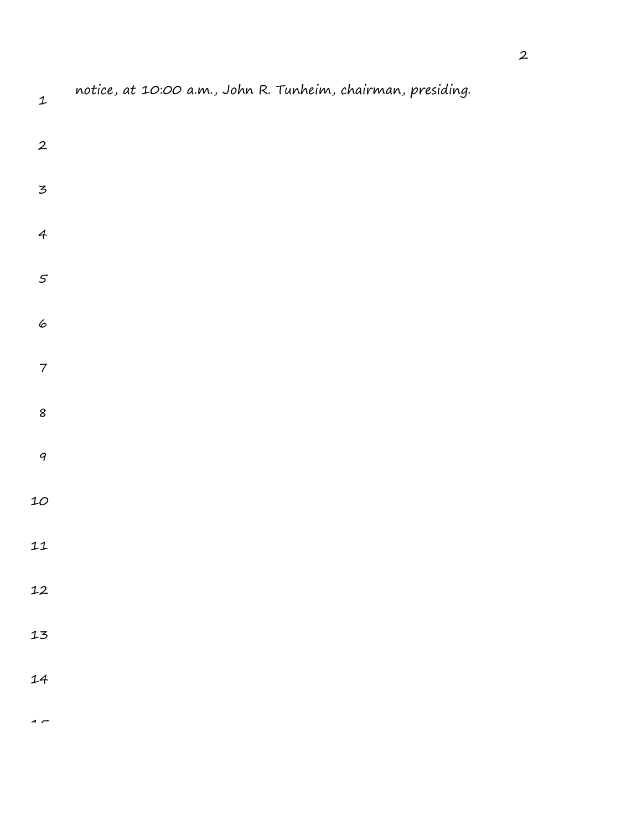| $\mathbf{1}$             | notice, at 10:00 a.m., John R. Tunheim, chairman, presiding. |
|--------------------------|--------------------------------------------------------------|
| $\boldsymbol{2}$         |                                                              |
| $\overline{5}$           |                                                              |
| $\overline{4}$           |                                                              |
| $\boldsymbol{5}$         |                                                              |
| 6                        |                                                              |
| $\overline{\mathcal{I}}$ |                                                              |
| $\pmb{8}$                |                                                              |
| $\boldsymbol{q}$         |                                                              |
| $10$                     |                                                              |
| 11                       |                                                              |

- 
- 
- 

 $\overline{1}$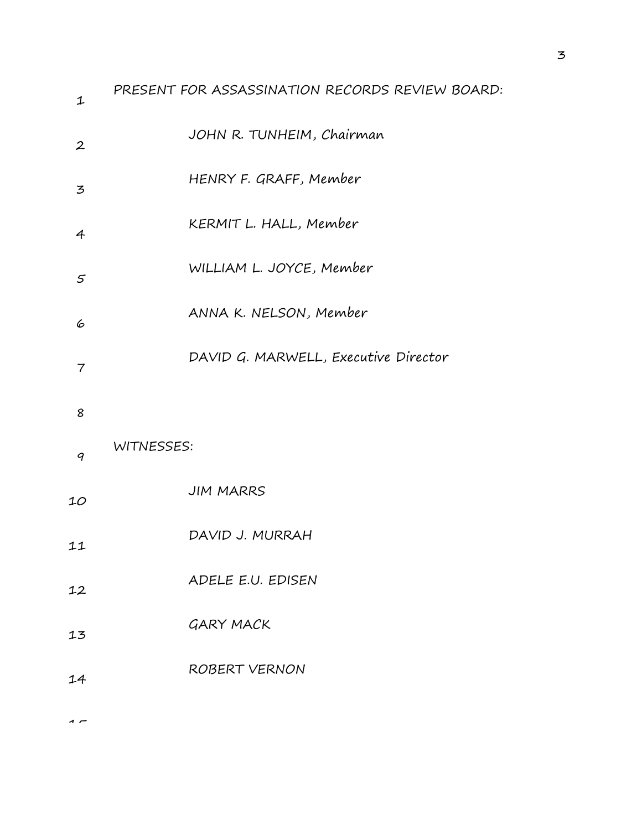| $\mathbf{1}$      | PRESENT FOR ASSASSINATION RECORDS REVIEW BOARD: |
|-------------------|-------------------------------------------------|
| $\boldsymbol{2}$  | JOHN R. TUNHEIM, Chairman                       |
| $\mathbf{z}$      | HENRY F. GRAFF, Member                          |
| $\overline{4}$    | KERMIT L. HALL, Member                          |
| $\mathcal{F}_{0}$ | WILLIAM L. JOYCE, Member                        |
| 6                 | ANNA K. NELSON, Member                          |
| $\overline{7}$    | DAVID G. MARWELL, Executive Director            |
| 8                 |                                                 |
| 9                 | WITNESSES:                                      |
| 10                | <b>JIM MARRS</b>                                |
| 11                | DAVID J. MURRAH                                 |
| 12                | ADELE E.U. EDISEN                               |
| 13                | <b>GARY MACK</b>                                |
| 14                | <b>ROBERT VERNON</b>                            |
|                   |                                                 |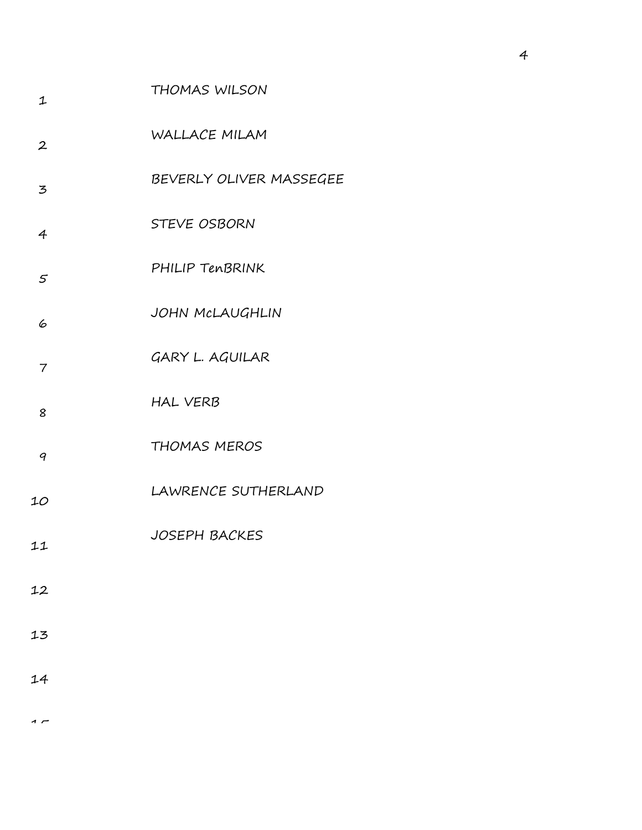| $\mathbf 1$       | <b>THOMAS WILSON</b>    |
|-------------------|-------------------------|
| $\boldsymbol{2}$  | WALLACE MILAM           |
| $\mathbf{z}$      | BEVERLY OLIVER MASSEGEE |
| $\overline{4}$    | <b>STEVE OSBORN</b>     |
| $\mathcal{F}_{0}$ | PHILIP TENBRINK         |
| 6                 | JOHN MCLAUGHLIN         |
| $\overline{7}$    | GARY L. AGUILAR         |
| 8                 | <b>HAL VERB</b>         |
| 9                 | <b>THOMAS MEROS</b>     |
| 10                | LAWRENCE SUTHERLAND     |
| 11                | <b>JOSEPH BACKES</b>    |
| 12                |                         |
| 13                |                         |
| 14                |                         |
|                   |                         |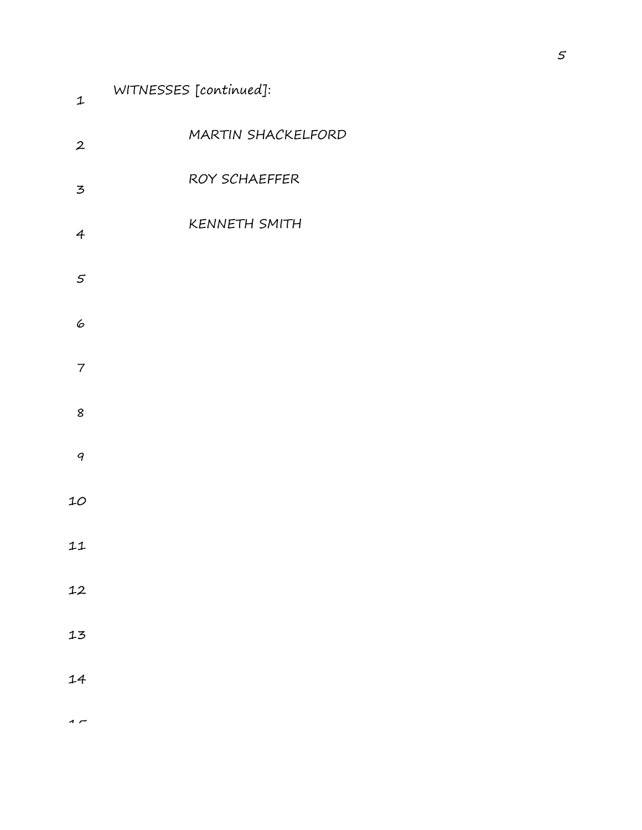| $\ensuremath{\mathbf{1}}$             | WITNESSES [continued]: |
|---------------------------------------|------------------------|
| $\boldsymbol{2}$                      | MARTIN SHACKELFORD     |
| $\mathfrak{Z}% _{C}=\mathfrak{Z}_{C}$ | ROY SCHAEFFER          |
| $\overline{4}$                        | <b>KENNETH SMITH</b>   |
| $\varsigma$                           |                        |
| 6                                     |                        |
| $\overline{7}$                        |                        |
| 8                                     |                        |
| $\boldsymbol{q}$                      |                        |
| $10$                                  |                        |
| 11                                    |                        |
| 12                                    |                        |
| 13                                    |                        |
| 14                                    |                        |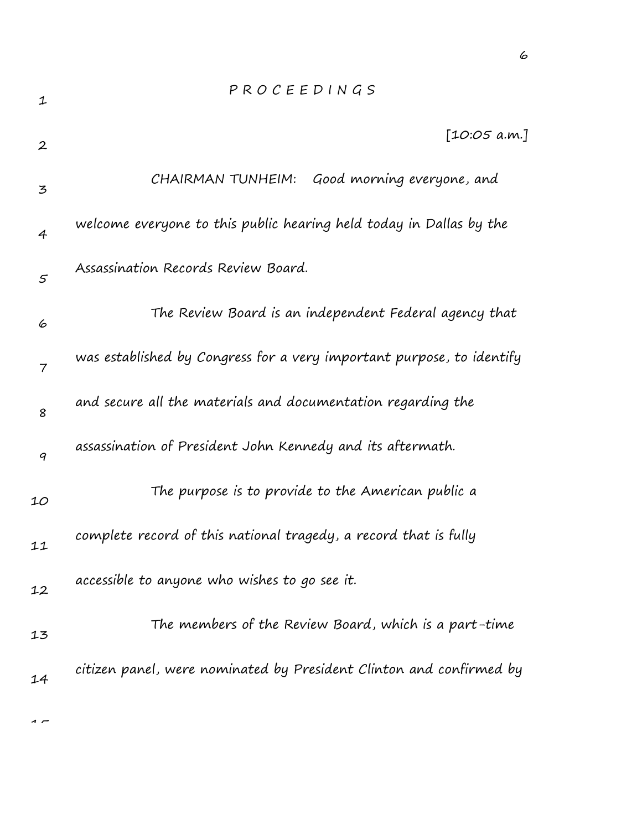| 1                | PROCEEDINGS                                                           |
|------------------|-----------------------------------------------------------------------|
| $\boldsymbol{2}$ | [10:05 a.m.]                                                          |
| 3                | CHAIRMAN TUNHEIM: Good morning everyone, and                          |
| $\overline{4}$   | welcome everyone to this public hearing held today in Dallas by the   |
| $\varsigma$      | Assassination Records Review Board.                                   |
| 6                | The Review Board is an independent Federal agency that                |
| 7                | was established by Congress for a very important purpose, to identify |
| 8                | and secure all the materials and documentation regarding the          |
| 9                | assassination of President John Kennedy and its aftermath.            |
| 10               | The purpose is to provide to the American public a                    |
| 11               | complete record of this national tragedy, a record that is fully      |
| 12               | accessible to anyone who wishes to go see it.                         |
| 13               | The members of the Review Board, which is a part-time                 |
| 14               | citizen panel, were nominated by President Clinton and confirmed by   |
|                  |                                                                       |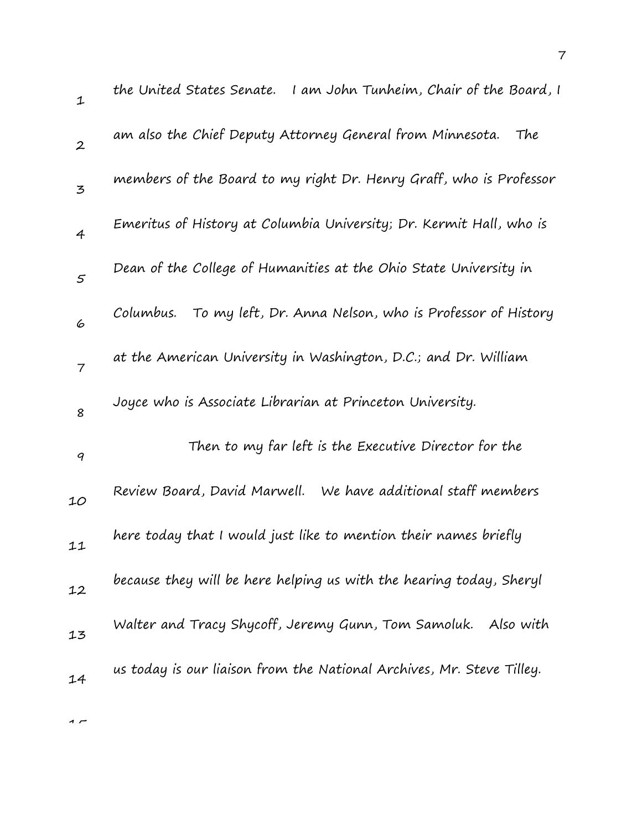| $\mathbf{1}$   | the United States Senate. I am John Tunheim, Chair of the Board, I    |
|----------------|-----------------------------------------------------------------------|
| $\overline{2}$ | am also the Chief Deputy Attorney General from Minnesota.<br>The      |
| 3              | members of the Board to my right Dr. Henry Graff, who is Professor    |
| $\overline{4}$ | Emeritus of History at Columbia University; Dr. Kermit Hall, who is   |
| 5              | Dean of the College of Humanities at the Ohio State University in     |
| 6              | To my left, Dr. Anna Nelson, who is Professor of History<br>Columbus. |
| $\overline{7}$ | at the American University in Washington, D.C.; and Dr. William       |
| 8              | Joyce who is Associate Librarian at Princeton University.             |
| 9              | Then to my far left is the Executive Director for the                 |
| 10             | Review Board, David Marwell. We have additional staff members         |
| 11             | here today that I would just like to mention their names briefly      |
| 12             | because they will be here helping us with the hearing today, Sheryl   |
| 13             | Walter and Tracy Shycoff, Jeremy Gunn, Tom Samoluk.<br>Also with      |
| 14             | us today is our liaison from the National Archives, Mr. Steve Tilley. |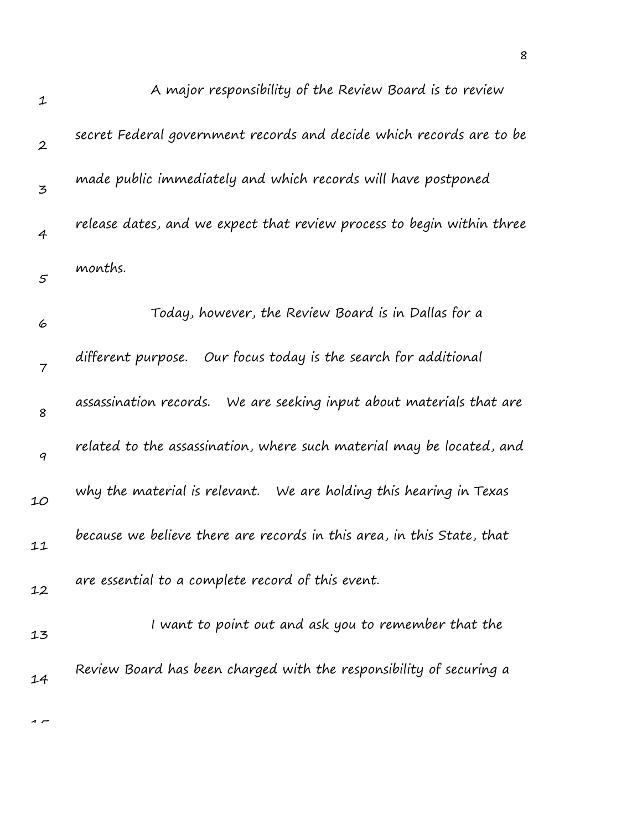| $\mathbf{1}$     | A major responsibility of the Review Board is to review                |
|------------------|------------------------------------------------------------------------|
| $\overline{2}$   | secret Federal government records and decide which records are to be   |
| 3                | made public immediately and which records will have postponed          |
| $\overline{4}$   | release dates, and we expect that review process to begin within three |
| $\varsigma$      | months.                                                                |
| 6                | Today, however, the Review Board is in Dallas for a                    |
| 7                | different purpose. Our focus today is the search for additional        |
| 8                | assassination records. We are seeking input about materials that are   |
| $\boldsymbol{q}$ | related to the assassination, where such material may be located, and  |
| 10               | why the material is relevant. We are holding this hearing in Texas     |
| 11               | because we believe there are records in this area, in this State, that |
| 12               | are essential to a complete record of this event.                      |
| 13               | I want to point out and ask you to remember that the                   |
| 14               | Review Board has been charged with the responsibility of securing a    |
|                  |                                                                        |

8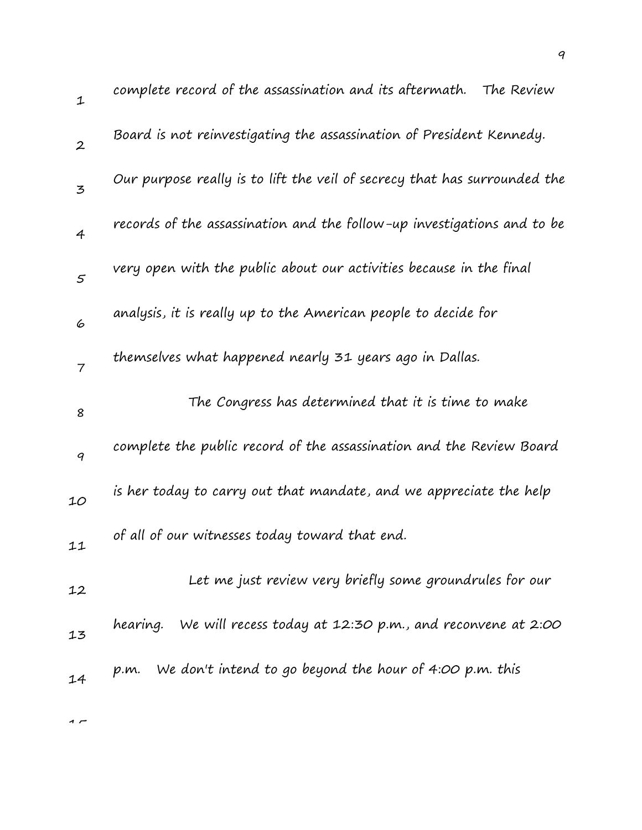| $\mathbf{1}$     | complete record of the assassination and its aftermath.<br>The Review     |
|------------------|---------------------------------------------------------------------------|
| $\overline{2}$   | Board is not reinvestigating the assassination of President Kennedy.      |
| $\mathfrak{Z}$   | Our purpose really is to lift the veil of secrecy that has surrounded the |
| $\overline{4}$   | records of the assassination and the follow-up investigations and to be   |
| $\mathcal{S}$    | very open with the public about our activities because in the final       |
| 6                | analysis, it is really up to the American people to decide for            |
| $\overline{7}$   | themselves what happened nearly 31 years ago in Dallas.                   |
| 8                | The Congress has determined that it is time to make                       |
| $\boldsymbol{q}$ | complete the public record of the assassination and the Review Board      |
| 10               | is her today to carry out that mandate, and we appreciate the help        |
| 11               | of all of our witnesses today toward that end.                            |
| 12               | Let me just review very briefly some groundrules for our                  |
| 13               | We will recess today at 12:30 p.m., and reconvene at 2:00<br>hearing.     |
| 14               | We don't intend to go beyond the hour of 4:00 p.m. this<br>p.m.           |
|                  |                                                                           |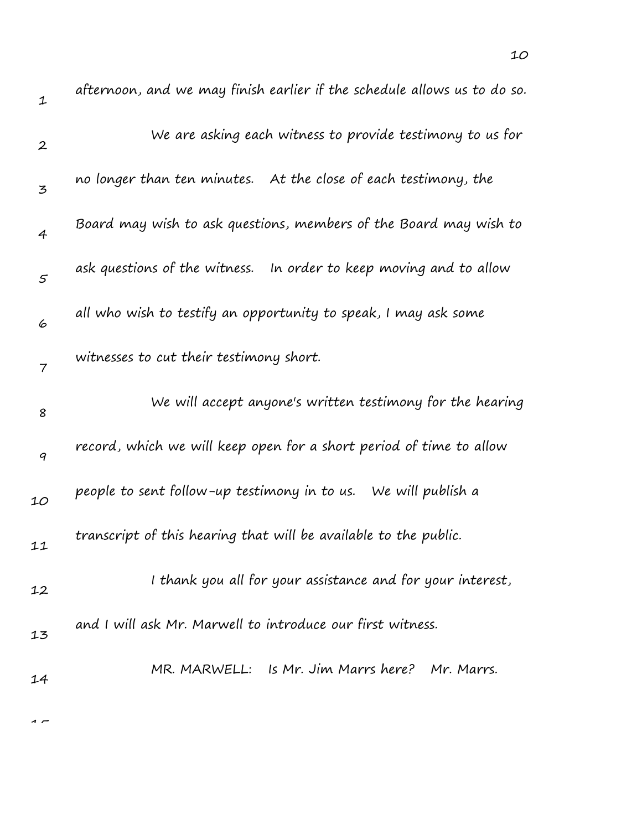| $\mathbf{1}$     | afternoon, and we may finish earlier if the schedule allows us to do so. |
|------------------|--------------------------------------------------------------------------|
| $\boldsymbol{2}$ | We are asking each witness to provide testimony to us for                |
| 3                | no longer than ten minutes. At the close of each testimony, the          |
| $\overline{4}$   | Board may wish to ask questions, members of the Board may wish to        |
| $\mathfrak{s}$   | ask questions of the witness. In order to keep moving and to allow       |
| 6                | all who wish to testify an opportunity to speak, I may ask some          |
| 7                | witnesses to cut their testimony short.                                  |
| 8                | We will accept anyone's written testimony for the hearing                |
| 9                | record, which we will keep open for a short period of time to allow      |
| 10               | people to sent follow-up testimony in to us. We will publish a           |
| 11               | transcript of this hearing that will be available to the public.         |
|                  |                                                                          |
| 12               | I thank you all for your assistance and for your interest,               |
| 13               | and I will ask Mr. Marwell to introduce our first witness.               |

10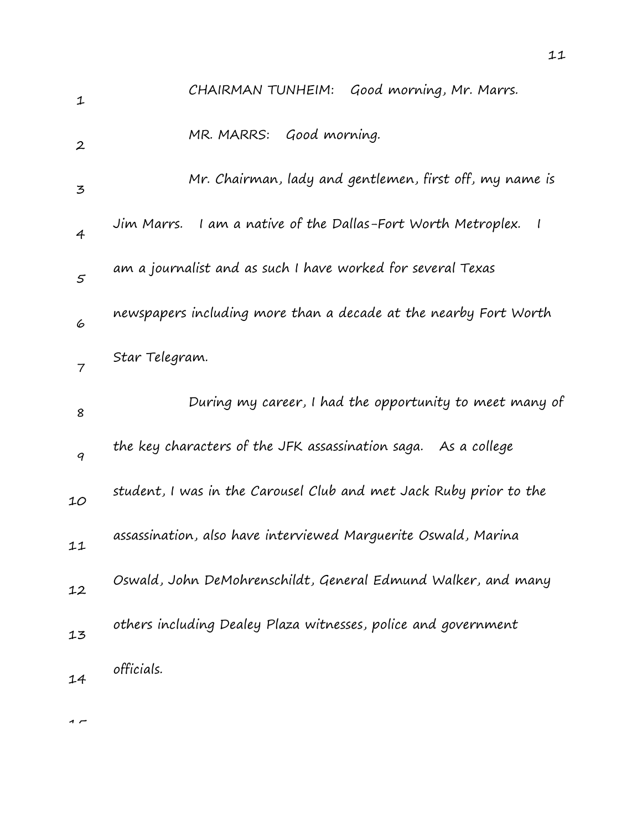| $\mathbf 1$      | CHAIRMAN TUNHEIM: Good morning, Mr. Marrs.                                               |
|------------------|------------------------------------------------------------------------------------------|
| $\boldsymbol{2}$ | Good morning.<br>MR. MARRS:                                                              |
| 3                | Mr. Chairman, lady and gentlemen, first off, my name is                                  |
| 4                | Jim Marrs. I am a native of the Dallas-Fort Worth Metroplex.<br>$\overline{\phantom{a}}$ |
| $\mathfrak{s}$   | am a journalist and as such I have worked for several Texas                              |
| 6                | newspapers including more than a decade at the nearby Fort Worth                         |
| 7                | Star Telegram.                                                                           |
|                  |                                                                                          |
| 8                | During my career, I had the opportunity to meet many of                                  |
| 9                | the key characters of the JFK assassination saga. As a college                           |
| 10               | student, I was in the Carousel Club and met Jack Ruby prior to the                       |
| 11               | assassination, also have interviewed Marguerite Oswald, Marina                           |
| 12               | Oswald, John DeMohrenschildt, General Edmund Walker, and many                            |
| 13               | others including Dealey Plaza witnesses, police and government                           |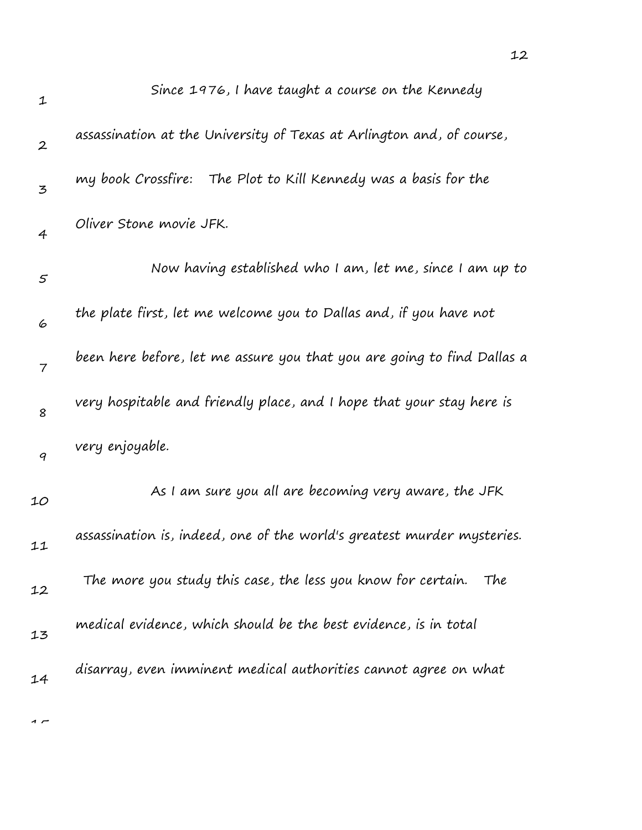| $\mathbf{1}$     | Since 1976, I have taught a course on the Kennedy                       |
|------------------|-------------------------------------------------------------------------|
| $\boldsymbol{2}$ | assassination at the University of Texas at Arlington and, of course,   |
| 3                | my book Crossfire: The Plot to Kill Kennedy was a basis for the         |
| 4                | Oliver Stone movie JFK.                                                 |
| 5                | Now having established who I am, let me, since I am up to               |
| 6                | the plate first, let me welcome you to Dallas and, if you have not      |
| $\overline{7}$   | been here before, let me assure you that you are going to find Dallas a |
| 8                | very hospitable and friendly place, and I hope that your stay here is   |
| 9                | very enjoyable.                                                         |
| 10               | As I am sure you all are becoming very aware, the JFK                   |
| 11               | assassination is, indeed, one of the world's greatest murder mysteries. |
| 12               | The more you study this case, the less you know for certain.<br>The     |
| 13               | medical evidence, which should be the best evidence, is in total        |
| 14               | disarray, even imminent medical authorities cannot agree on what        |
|                  |                                                                         |

12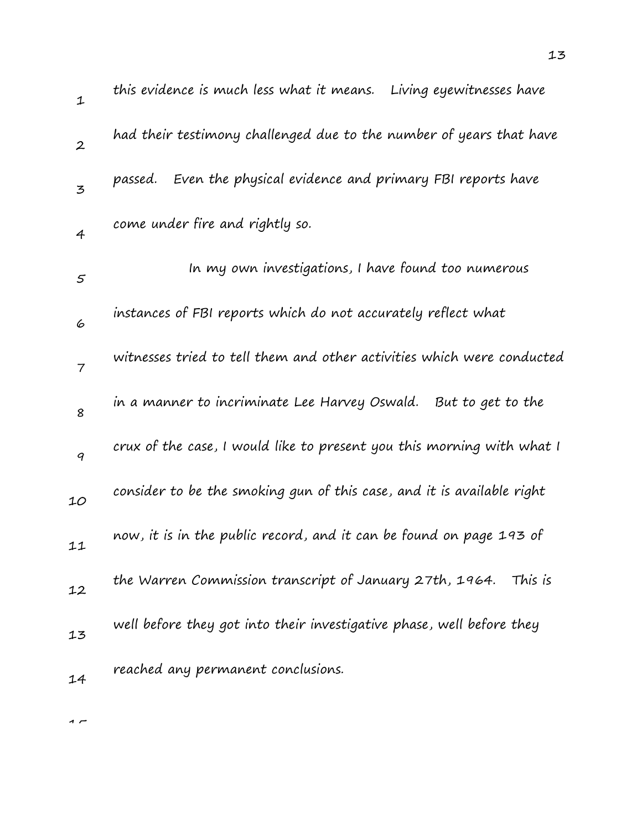| $\mathbf{1}$     | this evidence is much less what it means.<br>Living eyewitnesses have  |
|------------------|------------------------------------------------------------------------|
| $\boldsymbol{2}$ | had their testimony challenged due to the number of years that have    |
| $\mathbf{z}$     | passed. Even the physical evidence and primary FBI reports have        |
| $\overline{4}$   | come under fire and rightly so.                                        |
| $\varsigma$      | In my own investigations, I have found too numerous                    |
| 6                | instances of FBI reports which do not accurately reflect what          |
| $\overline{7}$   | witnesses tried to tell them and other activities which were conducted |
| 8                | in a manner to incriminate Lee Harvey Oswald. But to get to the        |
| 9                | crux of the case, I would like to present you this morning with what I |
| 10               | consider to be the smoking gun of this case, and it is available right |
| 11               | now, it is in the public record, and it can be found on page 193 of    |
| 12               | the Warren Commission transcript of January 27th, 1964. This is        |
| 13               | well before they got into their investigative phase, well before they  |
| 14               | reached any permanent conclusions.                                     |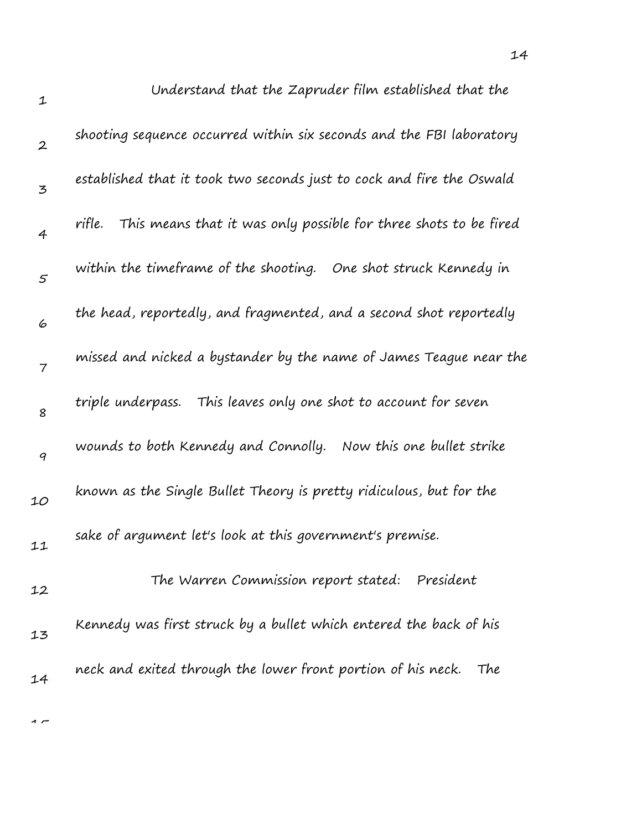| $\mathbf{1}$     | Understand that the Zapruder film established that the                     |
|------------------|----------------------------------------------------------------------------|
| $\boldsymbol{2}$ | shooting sequence occurred within six seconds and the FBI laboratory       |
| 3                | established that it took two seconds just to cock and fire the Oswald      |
| $\overline{4}$   | This means that it was only possible for three shots to be fired<br>rifle. |
| $\varsigma$      | within the timeframe of the shooting. One shot struck Kennedy in           |
| 6                | the head, reportedly, and fragmented, and a second shot reportedly         |
| $\overline{7}$   | missed and nicked a bystander by the name of James Teague near the         |
| 8                | This leaves only one shot to account for seven<br>triple underpass.        |
| 9                | wounds to both Kennedy and Connolly.<br>Now this one bullet strike         |
| 10               | known as the Single Bullet Theory is pretty ridiculous, but for the        |
| 11               | sake of argument let's look at this government's premise.                  |
| 12               | The Warren Commission report stated:<br>President                          |
| 13               | Kennedy was first struck by a bullet which entered the back of his         |
| 14               | neck and exited through the lower front portion of his neck.<br>The        |
|                  |                                                                            |

14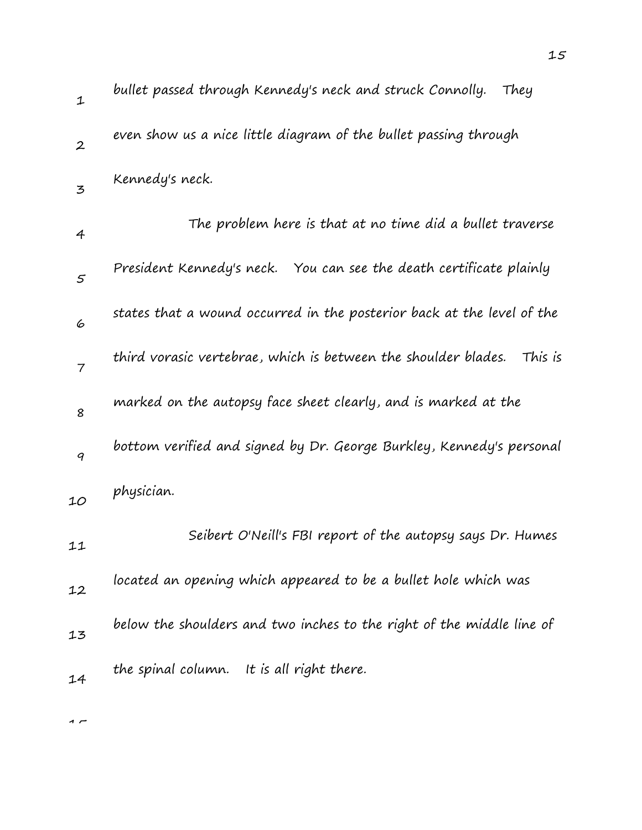| $\mathbf 1$      | bullet passed through Kennedy's neck and struck Connolly.<br>They         |
|------------------|---------------------------------------------------------------------------|
| $\boldsymbol{2}$ | even show us a nice little diagram of the bullet passing through          |
| 3                | Kennedy's neck.                                                           |
| $\overline{4}$   | The problem here is that at no time did a bullet traverse                 |
| 5                | President Kennedy's neck. You can see the death certificate plainly       |
| 6                | states that a wound occurred in the posterior back at the level of the    |
| $\overline{7}$   | third vorasic vertebrae, which is between the shoulder blades.<br>This is |
| 8                | marked on the autopsy face sheet clearly, and is marked at the            |
| 9                | bottom verified and signed by Dr. George Burkley, Kennedy's personal      |
| 10               | physician.                                                                |
| 11               | Seibert O'Neill's FBI report of the autopsy says Dr. Humes                |
| 12               | located an opening which appeared to be a bullet hole which was           |
| 13               | below the shoulders and two inches to the right of the middle line of     |
| 14               | the spinal column. It is all right there.                                 |
|                  |                                                                           |

15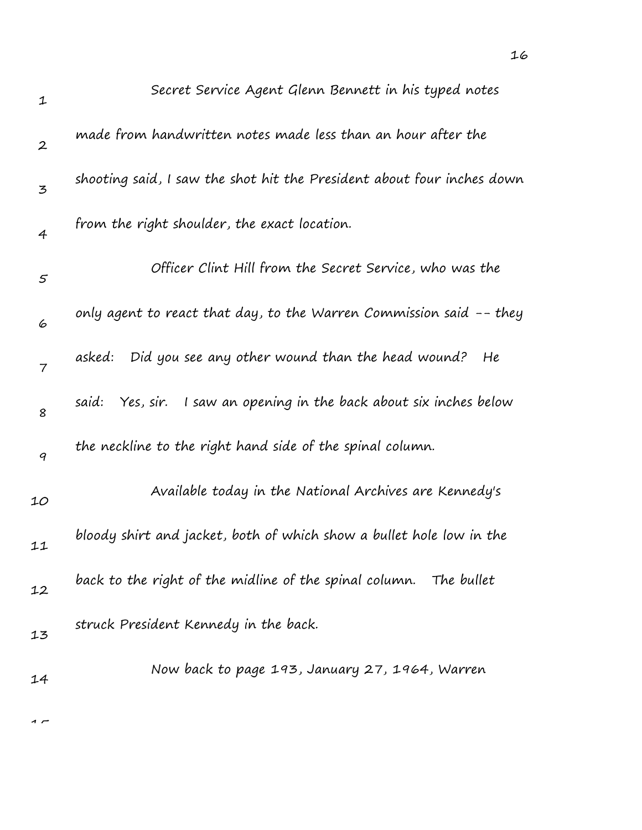| $\mathbf 1$      | Secret Service Agent Glenn Bennett in his typed notes                  |
|------------------|------------------------------------------------------------------------|
| $\boldsymbol{2}$ | made from handwritten notes made less than an hour after the           |
| 3                | shooting said, I saw the shot hit the President about four inches down |
| 4                | from the right shoulder, the exact location.                           |
| 5                | Officer Clint Hill from the Secret Service, who was the                |
| 6                | only agent to react that day, to the Warren Commission said -- they    |
| $\overline{7}$   | Did you see any other wound than the head wound?<br>asked:<br>He       |
| 8                | Yes, sir. I saw an opening in the back about six inches below<br>said: |
| 9                | the neckline to the right hand side of the spinal column.              |
| 10               | Available today in the National Archives are Kennedy's                 |
| 11               | bloody shirt and jacket, both of which show a bullet hole low in the   |
| 12               | back to the right of the midline of the spinal column. The bullet      |
| 13               | struck President Kennedy in the back.                                  |
| 14               | Now back to page 193, January 27, 1964, Warren                         |
|                  |                                                                        |

16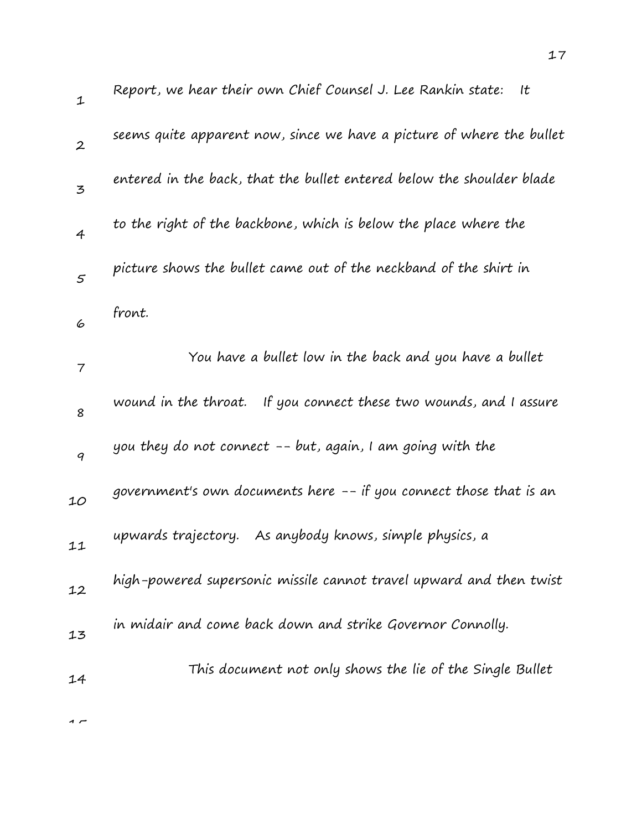| $\mathbf 1$      | Report, we hear their own Chief Counsel J. Lee Rankin state:<br>It    |
|------------------|-----------------------------------------------------------------------|
| $\boldsymbol{2}$ | seems quite apparent now, since we have a picture of where the bullet |
| 3                | entered in the back, that the bullet entered below the shoulder blade |
| $\overline{4}$   | to the right of the backbone, which is below the place where the      |
| $\mathfrak{s}$   | picture shows the bullet came out of the neckband of the shirt in     |
| 6                | front.                                                                |
| 7                | You have a bullet low in the back and you have a bullet               |
| 8                | wound in the throat. If you connect these two wounds, and I assure    |
| 9                | you they do not connect -- but, again, I am going with the            |
| 10               | government's own documents here -- if you connect those that is an    |
| 11               | As anybody knows, simple physics, a<br>upwards trajectory.            |
| 12               | high-powered supersonic missile cannot travel upward and then twist   |
| 13               | in midair and come back down and strike Governor Connolly.            |
| 14               | This document not only shows the lie of the Single Bullet             |
|                  |                                                                       |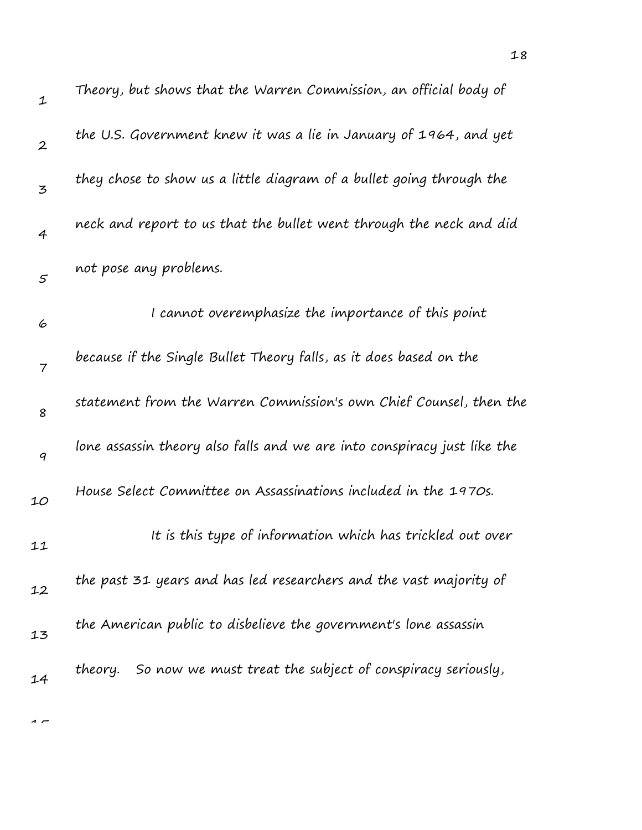| $\mathbf 1$      | Theory, but shows that the Warren Commission, an official body of        |
|------------------|--------------------------------------------------------------------------|
| $\boldsymbol{2}$ | the U.S. Government knew it was a lie in January of 1964, and yet        |
| 3                | they chose to show us a little diagram of a bullet going through the     |
| $\overline{4}$   | neck and report to us that the bullet went through the neck and did      |
| $\varsigma$      | not pose any problems.                                                   |
| 6                | I cannot overemphasize the importance of this point                      |
| $\overline{7}$   | because if the Single Bullet Theory falls, as it does based on the       |
| 8                | statement from the Warren Commission's own Chief Counsel, then the       |
| 9                | lone assassin theory also falls and we are into conspiracy just like the |
| 10               | House Select Committee on Assassinations included in the 1970s.          |
| 11               | It is this type of information which has trickled out over               |
| 12               | the past 31 years and has led researchers and the vast majority of       |
| 13               | the American public to disbelieve the government's lone assassin         |
| 14               | theory. So now we must treat the subject of conspiracy seriously,        |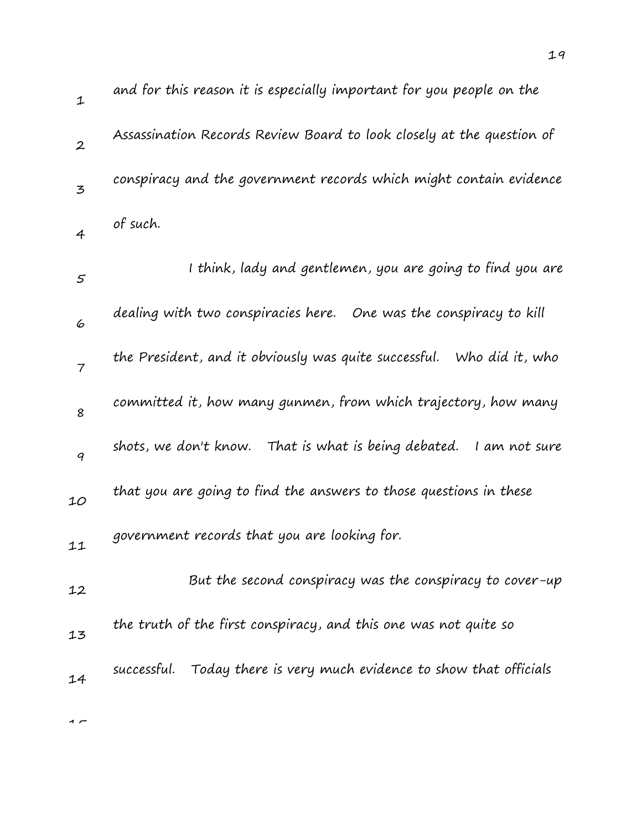| $\mathbf{1}$   | and for this reason it is especially important for you people on the     |
|----------------|--------------------------------------------------------------------------|
| $\overline{2}$ | Assassination Records Review Board to look closely at the question of    |
| 3              | conspiracy and the government records which might contain evidence       |
| $\overline{4}$ | of such.                                                                 |
| 5              | I think, lady and gentlemen, you are going to find you are               |
| 6              | dealing with two conspiracies here. One was the conspiracy to kill       |
| $\overline{7}$ | the President, and it obviously was quite successful.<br>Who did it, who |
| 8              | committed it, how many gunmen, from which trajectory, how many           |
| 9              | shots, we don't know. That is what is being debated.<br>I am not sure    |
| 10             | that you are going to find the answers to those questions in these       |
| 11             | government records that you are looking for.                             |
| 12             | But the second conspiracy was the conspiracy to cover-up                 |
| 13             | the truth of the first conspiracy, and this one was not quite so         |
| 14             | successful.<br>Today there is very much evidence to show that officials  |
|                |                                                                          |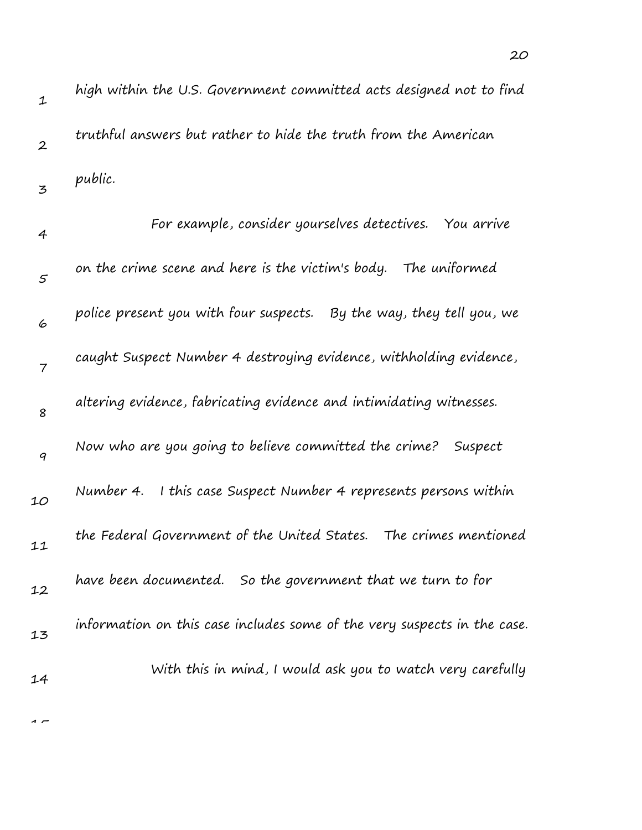| 1                | high within the U.S. Government committed acts designed not to find      |
|------------------|--------------------------------------------------------------------------|
| $\boldsymbol{2}$ | truthful answers but rather to hide the truth from the American          |
| 3                | public.                                                                  |
| 4                | For example, consider yourselves detectives. You arrive                  |
| 5                | on the crime scene and here is the victim's body.<br>The uniformed       |
| 6                | police present you with four suspects.  By the way, they tell you, we    |
| $\overline{7}$   | caught Suspect Number 4 destroying evidence, withholding evidence,       |
| 8                | altering evidence, fabricating evidence and intimidating witnesses.      |
| 9                | Now who are you going to believe committed the crime?<br>Suspect         |
| 10               | I this case Suspect Number 4 represents persons within<br>Number 4.      |
| 11               | the Federal Government of the United States. The crimes mentioned        |
| 12               | have been documented. So the government that we turn to for              |
| 13               | information on this case includes some of the very suspects in the case. |
| 14               | With this in mind, I would ask you to watch very carefully               |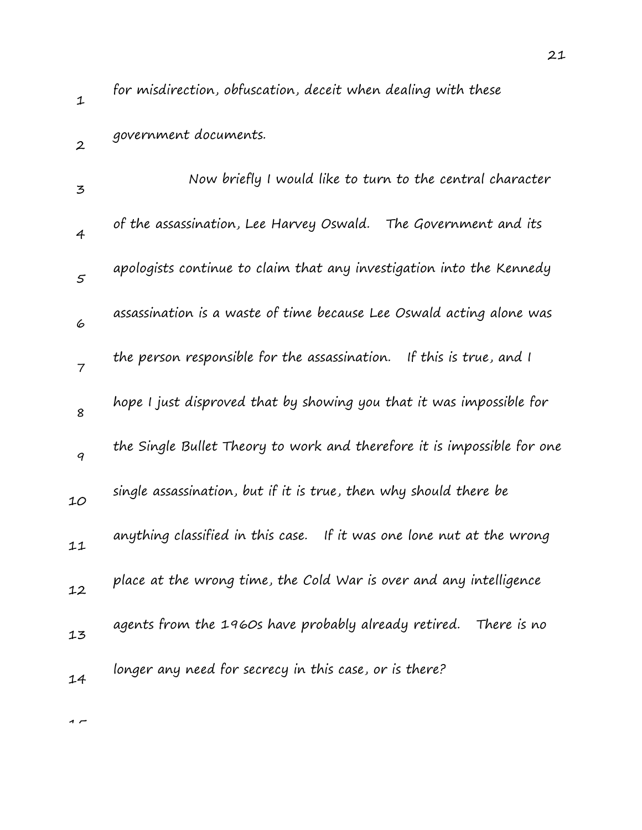2

for misdirection, obfuscation, deceit when dealing with these government documents.

| 3              | Now briefly I would like to turn to the central character               |
|----------------|-------------------------------------------------------------------------|
| $\overline{4}$ | of the assassination, Lee Harvey Oswald.<br>The Government and its      |
| 5              | apologists continue to claim that any investigation into the Kennedy    |
| 6              | assassination is a waste of time because Lee Oswald acting alone was    |
| $\overline{7}$ | the person responsible for the assassination. If this is true, and I    |
| 8              | hope I just disproved that by showing you that it was impossible for    |
| 9              | the Single Bullet Theory to work and therefore it is impossible for one |
| 10             | single assassination, but if it is true, then why should there be       |
| 11             | anything classified in this case. If it was one lone nut at the wrong   |
| 12             | place at the wrong time, the Cold War is over and any intelligence      |
| 13             | agents from the 1960s have probably already retired. There is no        |
| 14             | longer any need for secrecy in this case, or is there?                  |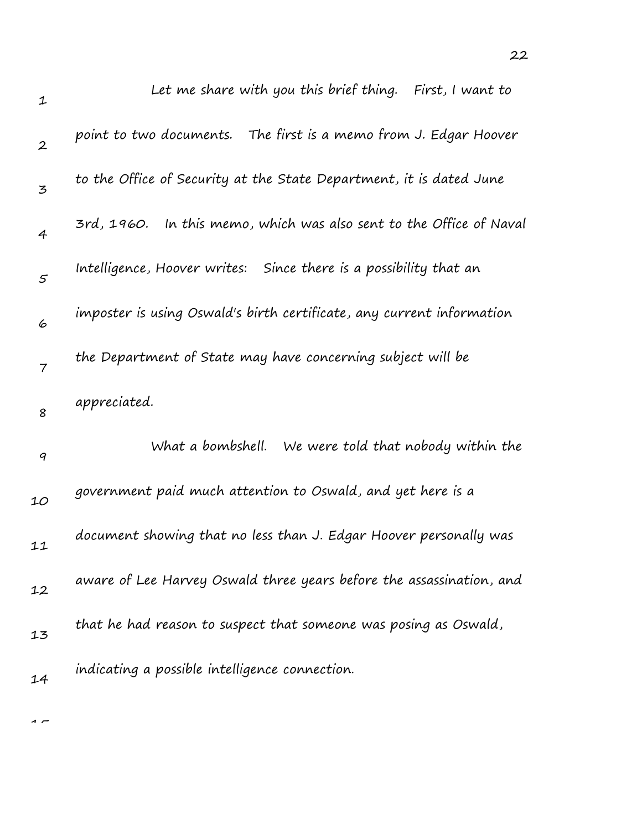| $\mathbf{1}$     | Let me share with you this brief thing. First, I want to               |
|------------------|------------------------------------------------------------------------|
| $\boldsymbol{2}$ | point to two documents.   The first is a memo from J. Edgar Hoover     |
| 3                | to the Office of Security at the State Department, it is dated June    |
| $\overline{4}$   | In this memo, which was also sent to the Office of Naval<br>3rd, 1960. |
| $\mathfrak{s}$   | Intelligence, Hoover writes: Since there is a possibility that an      |
| 6                | imposter is using Oswald's birth certificate, any current information  |
| 7                | the Department of State may have concerning subject will be            |
| 8                | appreciated.                                                           |
| $\boldsymbol{q}$ | What a bombshell. We were told that nobody within the                  |
| 10               | government paid much attention to Oswald, and yet here is a            |
| 11               | document showing that no less than J. Edgar Hoover personally was      |
| 12               | aware of Lee Harvey Oswald three years before the assassination, and   |
| 13               | that he had reason to suspect that someone was posing as Oswald,       |
| 14               | indicating a possible intelligence connection.                         |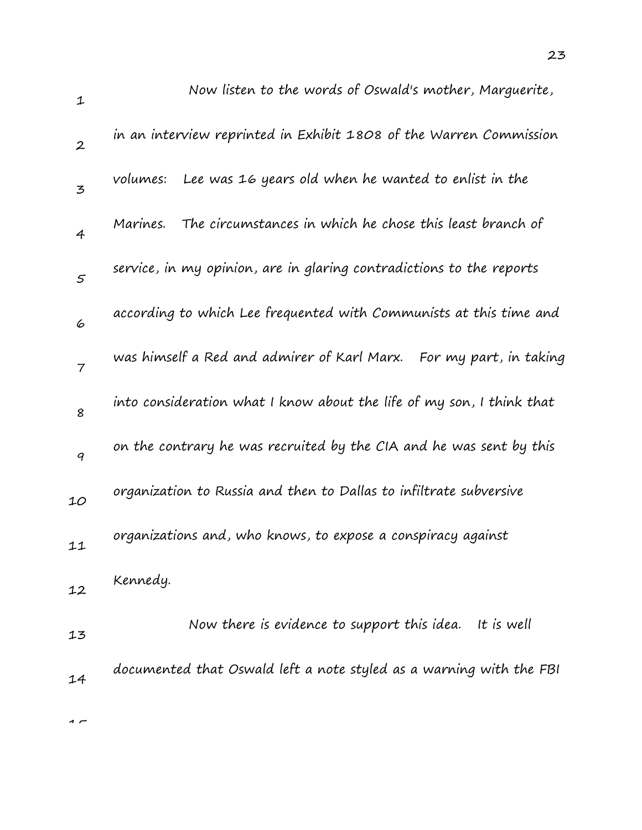| $\mathbf 1$      | Now listen to the words of Oswald's mother, Marguerite,               |
|------------------|-----------------------------------------------------------------------|
| $\boldsymbol{2}$ | in an interview reprinted in Exhibit 1808 of the Warren Commission    |
| 3                | Lee was 16 years old when he wanted to enlist in the<br>volumes:      |
| $\overline{4}$   | The circumstances in which he chose this least branch of<br>Marines.  |
| 5                | service, in my opinion, are in glaring contradictions to the reports  |
| 6                | according to which Lee frequented with Communists at this time and    |
| $\overline{7}$   | was himself a Red and admirer of Karl Marx. For my part, in taking    |
| 8                | into consideration what I know about the life of my son, I think that |
| 9                | on the contrary he was recruited by the CIA and he was sent by this   |
| 10               | organization to Russia and then to Dallas to infiltrate subversive    |
| 11               | organizations and, who knows, to expose a conspiracy against          |
| 12               | Kennedy.                                                              |
| 13               | Now there is evidence to support this idea.<br>It is well             |
| 14               | documented that Oswald left a note styled as a warning with the FBI   |
|                  |                                                                       |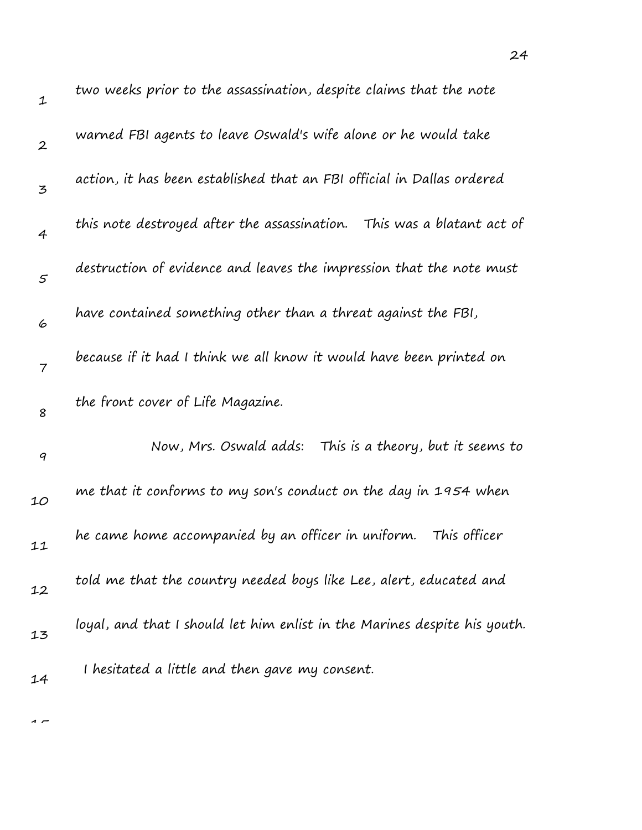| $\mathbf 1$      | two weeks prior to the assassination, despite claims that the note        |
|------------------|---------------------------------------------------------------------------|
| $\boldsymbol{2}$ | warned FBI agents to leave Oswald's wife alone or he would take           |
| 3                | action, it has been established that an FBI official in Dallas ordered    |
| $\overline{4}$   | this note destroyed after the assassination.<br>This was a blatant act of |
| $\varsigma$      | destruction of evidence and leaves the impression that the note must      |
| 6                | have contained something other than a threat against the FBI,             |
| $\overline{7}$   | because if it had I think we all know it would have been printed on       |
| 8                | the front cover of Life Magazine.                                         |
| $\boldsymbol{q}$ | Now, Mrs. Oswald adds:<br>This is a theory, but it seems to               |
| 10               | me that it conforms to my son's conduct on the day in 1954 when           |
| 11               | he came home accompanied by an officer in uniform.<br>This officer        |
| 12               | told me that the country needed boys like Lee, alert, educated and        |
| 13               | loyal, and that I should let him enlist in the Marines despite his youth. |
| 14               | I hesitated a little and then gave my consent.                            |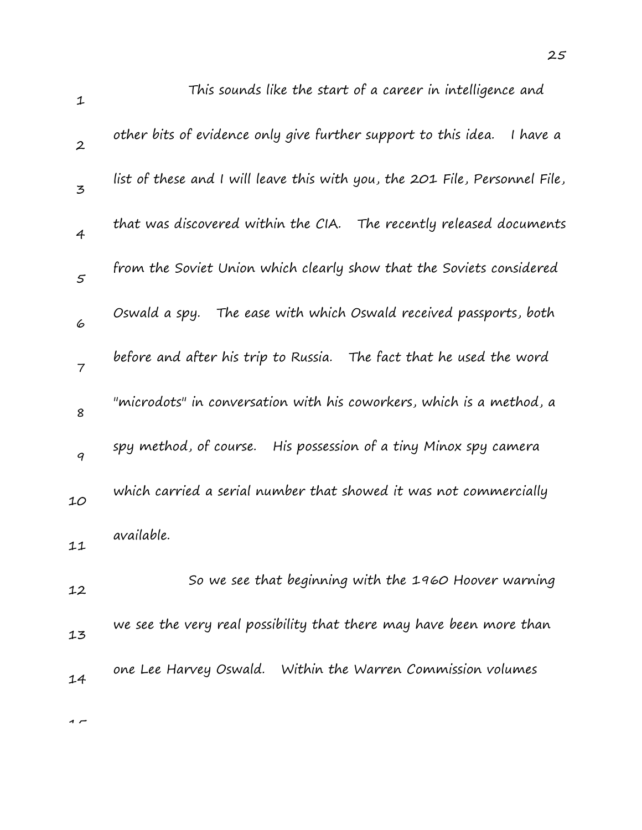| $\mathbf 1$      | This sounds like the start of a career in intelligence and                  |
|------------------|-----------------------------------------------------------------------------|
| $\boldsymbol{2}$ | other bits of evidence only give further support to this idea.<br>I have a  |
| 3                | list of these and I will leave this with you, the 201 File, Personnel File, |
| $\overline{4}$   | that was discovered within the CIA. The recently released documents         |
| 5                | from the Soviet Union which clearly show that the Soviets considered        |
| 6                | Oswald a spy. The ease with which Oswald received passports, both           |
| $\overline{7}$   | before and after his trip to Russia. The fact that he used the word         |
| 8                | "microdots" in conversation with his coworkers, which is a method, a        |
| 9                | spy method, of course.<br>His possession of a tiny Minox spy camera         |
| 10               | which carried a serial number that showed it was not commercially           |
| 11               | available.                                                                  |
|                  | So we see that beginning with the 1960 Hoover warning                       |
| 12               |                                                                             |
| 13               | we see the very real possibility that there may have been more than         |
| 14               | one Lee Harvey Oswald. Within the Warren Commission volumes                 |
|                  |                                                                             |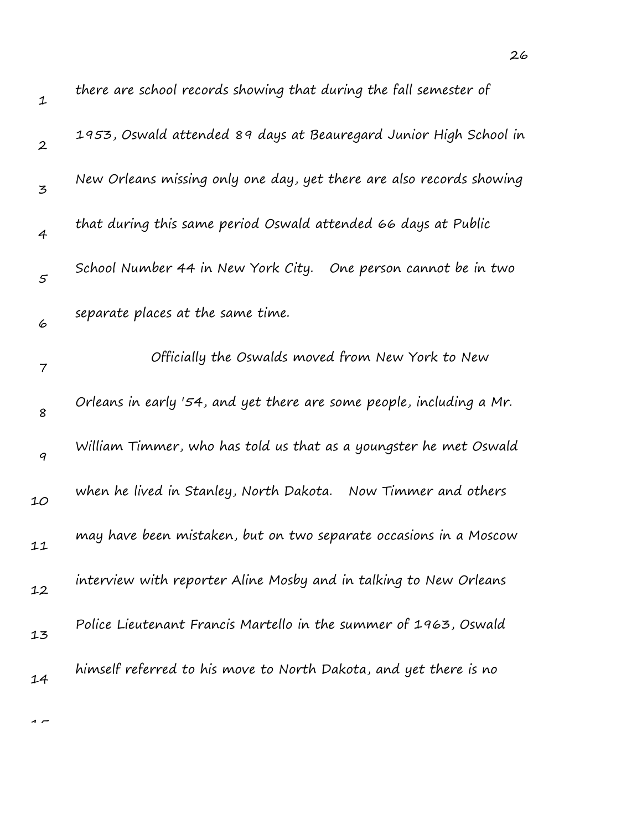| $\mathbf 1$      | there are school records showing that during the fall semester of    |
|------------------|----------------------------------------------------------------------|
| $\boldsymbol{2}$ | 1953, Oswald attended 89 days at Beauregard Junior High School in    |
| 3                | New Orleans missing only one day, yet there are also records showing |
| $\overline{4}$   | that during this same period Oswald attended 66 days at Public       |
| 5                | School Number 44 in New York City. One person cannot be in two       |
| 6                | separate places at the same time.                                    |
| 7                | Officially the Oswalds moved from New York to New                    |
| 8                | Orleans in early '54, and yet there are some people, including a Mr. |
| $\boldsymbol{q}$ | William Timmer, who has told us that as a youngster he met Oswald    |
| 10               | when he lived in Stanley, North Dakota. Now Timmer and others        |
| 11               | may have been mistaken, but on two separate occasions in a Moscow    |
| 12               | interview with reporter Aline Mosby and in talking to New Orleans    |
| 13               | Police Lieutenant Francis Martello in the summer of 1963, Oswald     |
| 14               | himself referred to his move to North Dakota, and yet there is no    |
|                  |                                                                      |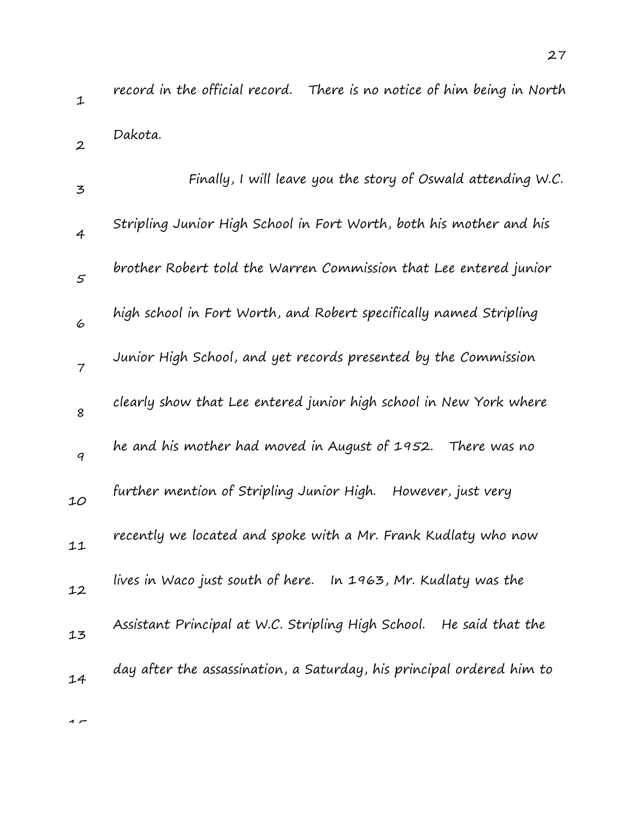| 3              | Finally, I will leave you the story of Oswald attending W.C.           |
|----------------|------------------------------------------------------------------------|
| $\overline{4}$ | Stripling Junior High School in Fort Worth, both his mother and his    |
| 5              | brother Robert told the Warren Commission that Lee entered junior      |
| 6              | high school in Fort Worth, and Robert specifically named Stripling     |
| $\overline{7}$ | Junior High School, and yet records presented by the Commission        |
| 8              | clearly show that Lee entered junior high school in New York where     |
| 9              | he and his mother had moved in August of 1952. There was no            |
| 10             | further mention of Stripling Junior High.<br>However, just very        |
| 11             | recently we located and spoke with a Mr. Frank Kudlaty who now         |
| 12             | lives in Waco just south of here.<br>In 1963, Mr. Kudlaty was the      |
| 13             | Assistant Principal at W.C. Stripling High School.<br>He said that the |
| 14             | day after the assassination, a Saturday, his principal ordered him to  |
|                |                                                                        |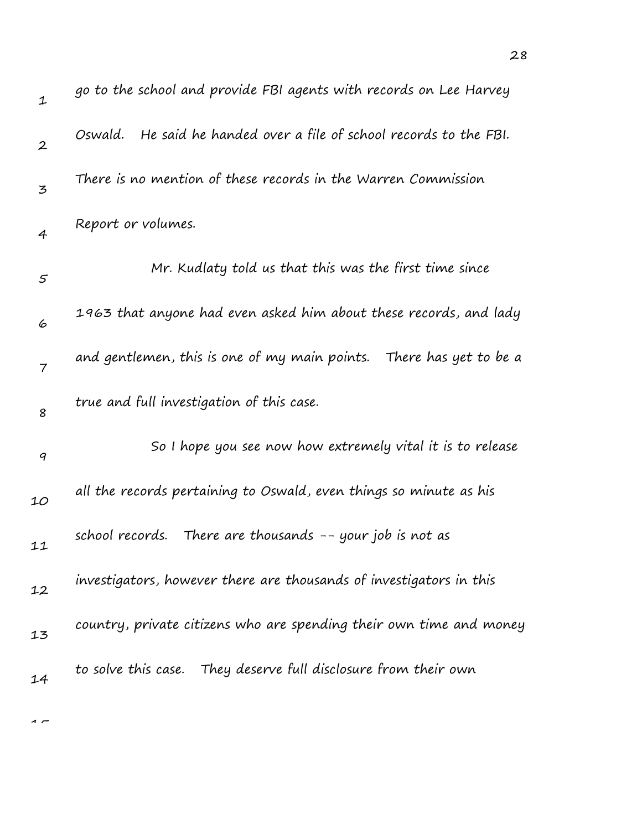| $\mathbf 1$      | go to the school and provide FBI agents with records on Lee Harvey     |
|------------------|------------------------------------------------------------------------|
| $\boldsymbol{2}$ | He said he handed over a file of school records to the FBI.<br>Oswald. |
| 3                | There is no mention of these records in the Warren Commission          |
| $\overline{4}$   | Report or volumes.                                                     |
| $\mathfrak{s}$   | Mr. Kudlaty told us that this was the first time since                 |
| 6                | 1963 that anyone had even asked him about these records, and lady      |
| 7                | and gentlemen, this is one of my main points. There has yet to be a    |
| 8                | true and full investigation of this case.                              |
| $\boldsymbol{q}$ | So I hope you see now how extremely vital it is to release             |
| 10               | all the records pertaining to Oswald, even things so minute as his     |
| 11               | school records. There are thousands -- your job is not as              |
| 12               | investigators, however there are thousands of investigators in this    |
| 13               | country, private citizens who are spending their own time and money    |
| 14               | to solve this case. They deserve full disclosure from their own        |

28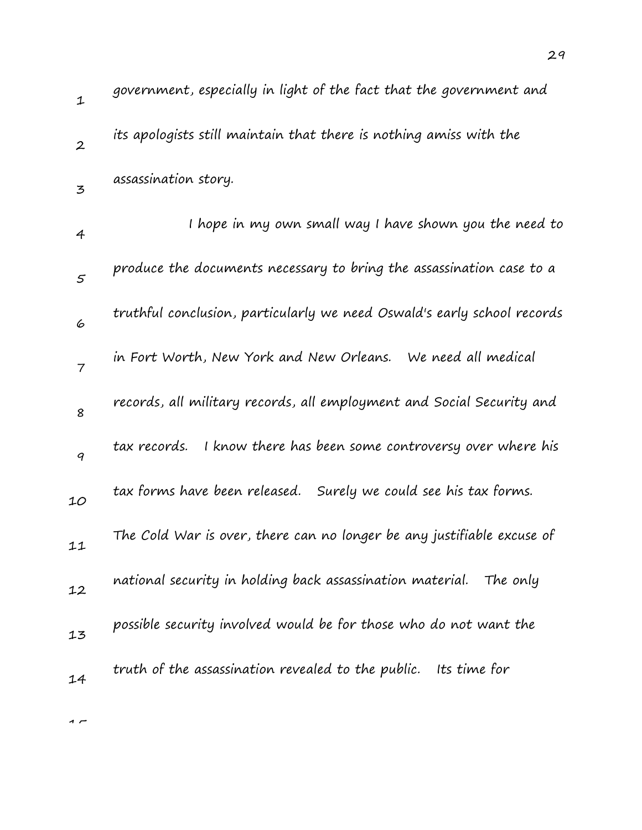| $\mathbf{1}$     | government, especially in light of the fact that the government and     |
|------------------|-------------------------------------------------------------------------|
| $\boldsymbol{2}$ | its apologists still maintain that there is nothing amiss with the      |
| $\overline{5}$   | assassination story.                                                    |
| 4                | I hope in my own small way I have shown you the need to                 |
| 5                | produce the documents necessary to bring the assassination case to a    |
| 6                | truthful conclusion, particularly we need Oswald's early school records |
| $\overline{7}$   | in Fort Worth, New York and New Orleans. We need all medical            |
| 8                | records, all military records, all employment and Social Security and   |
| 9                | I know there has been some controversy over where his<br>tax records.   |
| 10               | tax forms have been released. Surely we could see his tax forms.        |
| 11               | The Cold War is over, there can no longer be any justifiable excuse of  |
| 12               | national security in holding back assassination material. The only      |
| 13               | possible security involved would be for those who do not want the       |
| 14               | truth of the assassination revealed to the public. Its time for         |
|                  |                                                                         |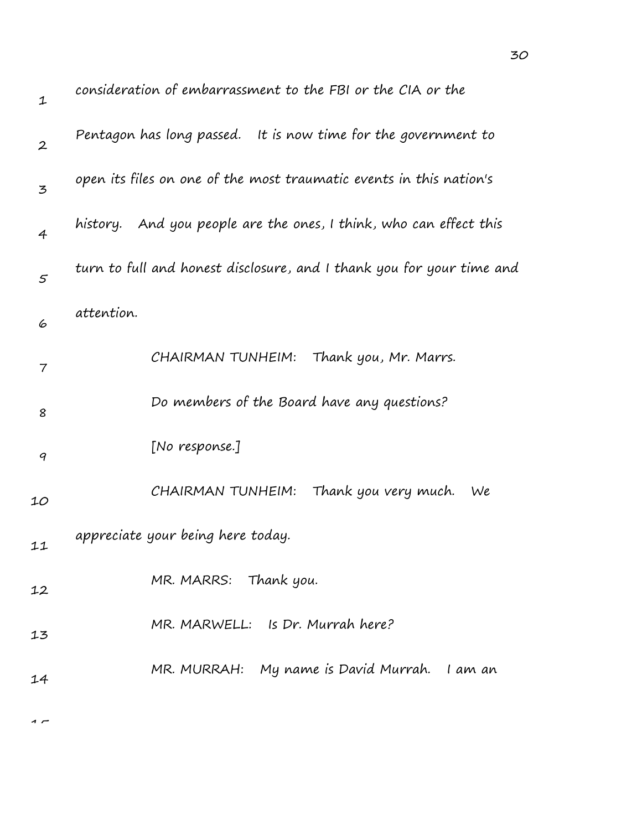| $\mathbf 1$              | consideration of embarrassment to the FBI or the CIA or the           |
|--------------------------|-----------------------------------------------------------------------|
| $\boldsymbol{2}$         | Pentagon has long passed. It is now time for the government to        |
| 3                        | open its files on one of the most traumatic events in this nation's   |
| $\overline{4}$           | history. And you people are the ones, I think, who can effect this    |
| $\varsigma$              | turn to full and honest disclosure, and I thank you for your time and |
| 6                        | attention.                                                            |
| $\overline{\phantom{a}}$ | CHAIRMAN TUNHEIM: Thank you, Mr. Marrs.                               |
| 8                        | Do members of the Board have any questions?                           |
| 9                        | [No response.]                                                        |
| 10                       | CHAIRMAN TUNHEIM:<br>Thank you very much.<br>We                       |
| 11                       | appreciate your being here today.                                     |
| 12                       | MR. MARRS: Thank you.                                                 |
| 13                       | MR. MARWELL: Is Dr. Murrah here?                                      |
| 14                       | MR. MURRAH: My name is David Murrah. I am an                          |
|                          |                                                                       |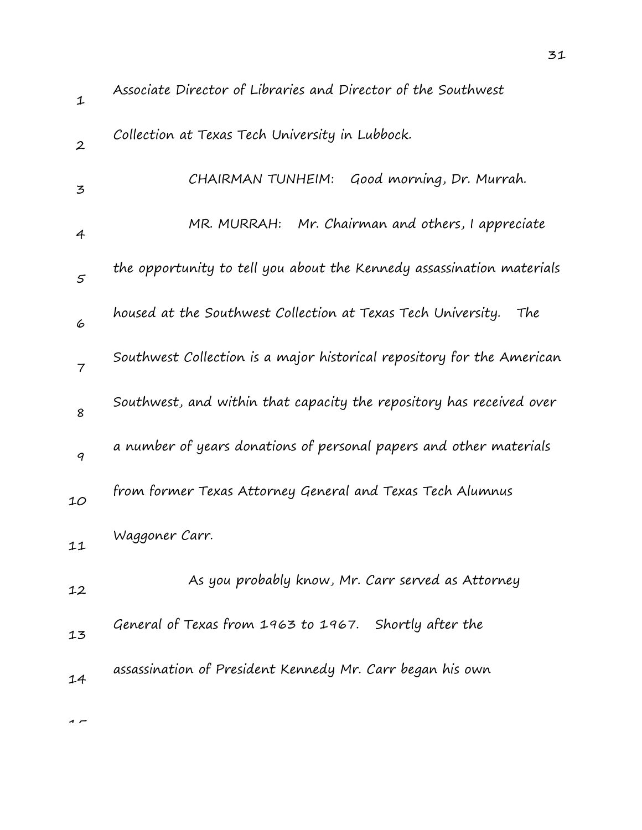| $\mathbf 1$    | Associate Director of Libraries and Director of the Southwest          |
|----------------|------------------------------------------------------------------------|
| $\overline{2}$ | Collection at Texas Tech University in Lubbock.                        |
| 3              | Good morning, Dr. Murrah.<br>CHAIRMAN TUNHEIM:                         |
| 4              | MR. MURRAH: Mr. Chairman and others, I appreciate                      |
| $\varsigma$    | the opportunity to tell you about the Kennedy assassination materials  |
| 6              | housed at the Southwest Collection at Texas Tech University.<br>The    |
| $\overline{7}$ | Southwest Collection is a major historical repository for the American |
| 8              | Southwest, and within that capacity the repository has received over   |
| 9              | a number of years donations of personal papers and other materials     |
| 10             | from former Texas Attorney General and Texas Tech Alumnus              |
| 11             | Waggoner Carr.                                                         |
| 12             | As you probably know, Mr. Carr served as Attorney                      |
| 13             | General of Texas from 1963 to 1967. Shortly after the                  |
| 14             | assassination of President Kennedy Mr. Carr began his own              |
|                |                                                                        |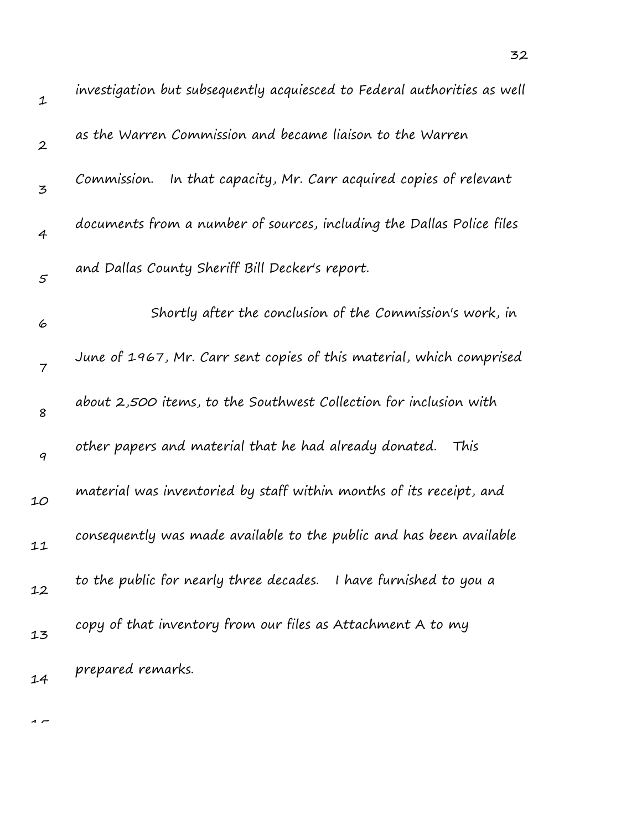| $\mathbf 1$      | investigation but subsequently acquiesced to Federal authorities as well |
|------------------|--------------------------------------------------------------------------|
| $\boldsymbol{2}$ | as the Warren Commission and became liaison to the Warren                |
| 3                | In that capacity, Mr. Carr acquired copies of relevant<br>Commission.    |
| $\overline{4}$   | documents from a number of sources, including the Dallas Police files    |
| $\varsigma$      | and Dallas County Sheriff Bill Decker's report.                          |
| 6                | Shortly after the conclusion of the Commission's work, in                |
| $\overline{7}$   | June of 1967, Mr. Carr sent copies of this material, which comprised     |
| 8                | about 2,500 items, to the Southwest Collection for inclusion with        |
| $\boldsymbol{q}$ | other papers and material that he had already donated.<br>This           |
| 10               | material was inventoried by staff within months of its receipt, and      |
| 11               | consequently was made available to the public and has been available     |
| 12               | to the public for nearly three decades. I have furnished to you a        |
| 13               | copy of that inventory from our files as Attachment A to my              |
| 14               | prepared remarks.                                                        |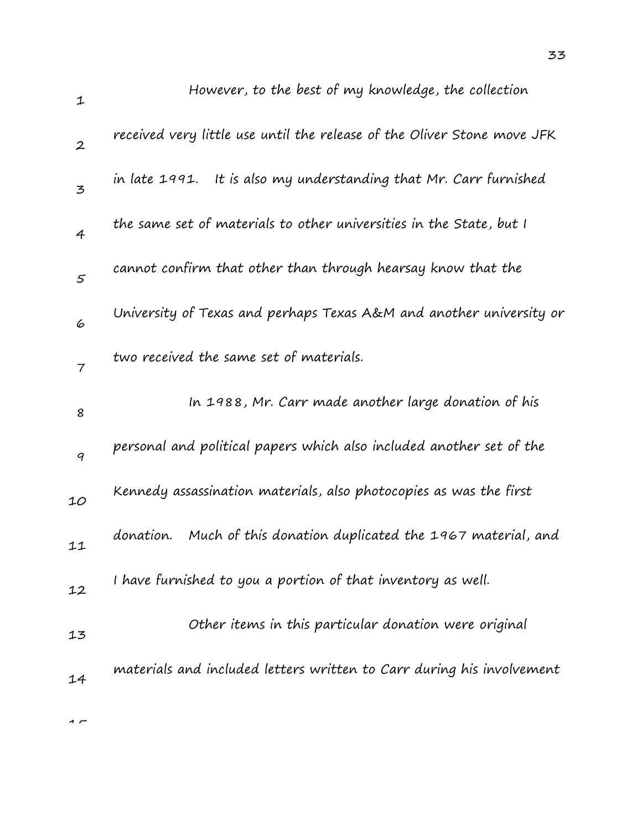| $\mathbf{1}$     | However, to the best of my knowledge, the collection                    |
|------------------|-------------------------------------------------------------------------|
| $\boldsymbol{2}$ | received very little use until the release of the Oliver Stone move JFK |
| 3                | in late 1991. It is also my understanding that Mr. Carr furnished       |
| $\overline{4}$   | the same set of materials to other universities in the State, but I     |
| $\mathfrak{s}$   | cannot confirm that other than through hearsay know that the            |
| 6                | University of Texas and perhaps Texas A&M and another university or     |
| $\overline{7}$   | two received the same set of materials.                                 |
| 8                | In 1988, Mr. Carr made another large donation of his                    |
| 9                | personal and political papers which also included another set of the    |
| 10               | Kennedy assassination materials, also photocopies as was the first      |
| 11               | Much of this donation duplicated the 1967 material, and<br>donation.    |
| 12               | I have furnished to you a portion of that inventory as well.            |
| 13               | Other items in this particular donation were original                   |
| 14               | materials and included letters written to Carr during his involvement   |
|                  |                                                                         |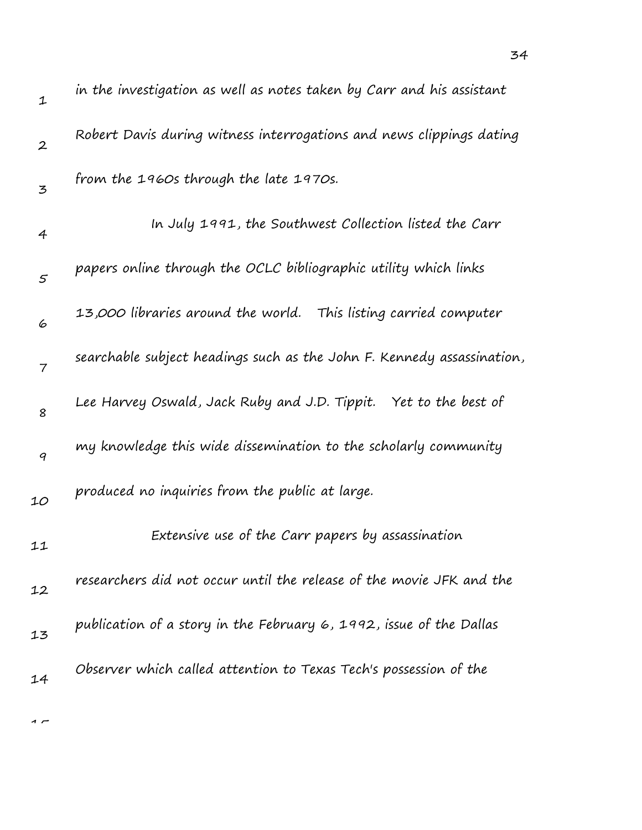| $\mathbf{1}$     | in the investigation as well as notes taken by Carr and his assistant  |
|------------------|------------------------------------------------------------------------|
| $\boldsymbol{2}$ | Robert Davis during witness interrogations and news clippings dating   |
| 3                | from the 1960s through the late 1970s.                                 |
| 4                | In July 1991, the Southwest Collection listed the Carr                 |
| 5                | papers online through the OCLC bibliographic utility which links       |
| 6                | 13,000 libraries around the world.   This listing carried computer     |
| $\overline{7}$   | searchable subject headings such as the John F. Kennedy assassination, |
| 8                | Lee Harvey Oswald, Jack Ruby and J.D. Tippit. Yet to the best of       |
| 9                | my knowledge this wide dissemination to the scholarly community        |
| 10               | produced no inquiries from the public at large.                        |
| 11               | Extensive use of the Carr papers by assassination                      |
| 12               | researchers did not occur until the release of the movie JFK and the   |
| 13               | publication of a story in the February 6, 1992, issue of the Dallas    |
| 14               | Observer which called attention to Texas Tech's possession of the      |
|                  |                                                                        |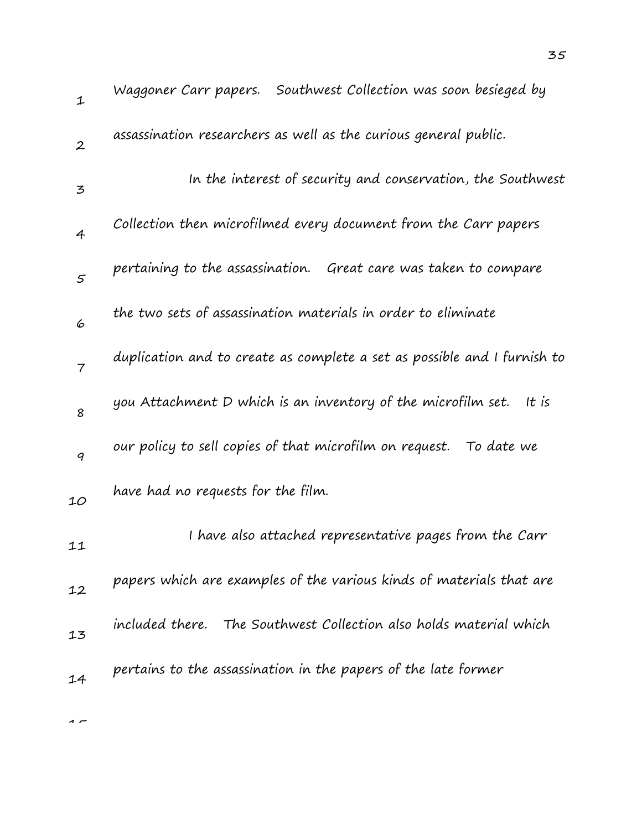| $\mathbf{1}$     | Waggoner Carr papers. Southwest Collection was soon besieged by          |
|------------------|--------------------------------------------------------------------------|
| $\boldsymbol{2}$ | assassination researchers as well as the curious general public.         |
| 3                | In the interest of security and conservation, the Southwest              |
| $\overline{4}$   | Collection then microfilmed every document from the Carr papers          |
| $\mathcal{S}$    | pertaining to the assassination. Great care was taken to compare         |
| 6                | the two sets of assassination materials in order to eliminate            |
| $\overline{7}$   | duplication and to create as complete a set as possible and I furnish to |
| 8                | you Attachment D which is an inventory of the microfilm set. It is       |
| 9                | our policy to sell copies of that microfilm on request. To date we       |
| 10               | have had no requests for the film.                                       |
| 11               | I have also attached representative pages from the Carr                  |
| 12               | papers which are examples of the various kinds of materials that are     |
| 13               | included there. The Southwest Collection also holds material which       |
| 14               | pertains to the assassination in the papers of the late former           |
|                  |                                                                          |

35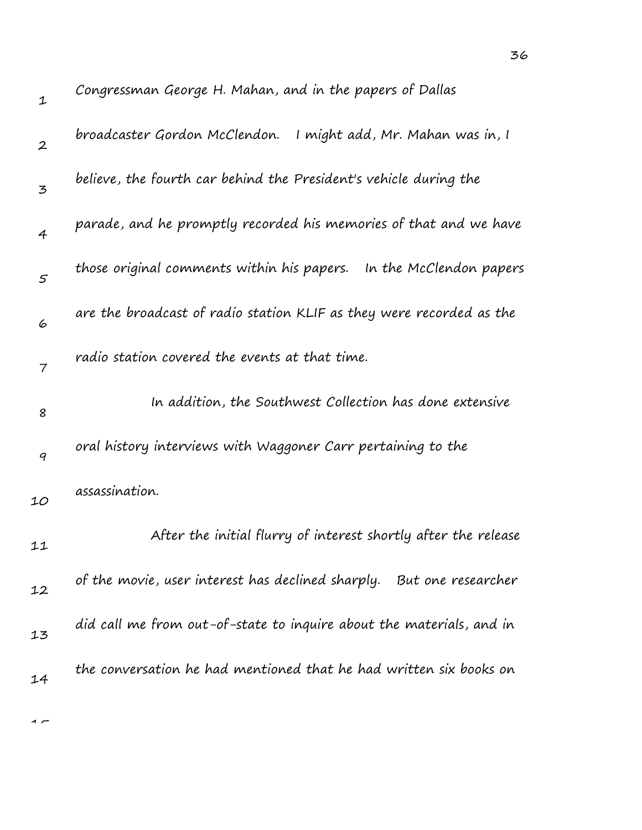| $\mathbf 1$      | Congressman George H. Mahan, and in the papers of Dallas                |
|------------------|-------------------------------------------------------------------------|
| $\boldsymbol{2}$ | broadcaster Gordon McClendon.<br>I might add, Mr. Mahan was in, I       |
| 3                | believe, the fourth car behind the President's vehicle during the       |
| 4                | parade, and he promptly recorded his memories of that and we have       |
| 5                | those original comments within his papers. In the McClendon papers      |
| 6                | are the broadcast of radio station KLIF as they were recorded as the    |
| 7                | radio station covered the events at that time.                          |
| 8                | In addition, the Southwest Collection has done extensive                |
| 9                | oral history interviews with Waggoner Carr pertaining to the            |
| 10               | assassination.                                                          |
| 11               | After the initial flurry of interest shortly after the release          |
| 12               | of the movie, user interest has declined sharply.<br>But one researcher |
| 13               | did call me from out-of-state to inquire about the materials, and in    |
| 14               | the conversation he had mentioned that he had written six books on      |
|                  |                                                                         |

 $\overline{1}$ 

36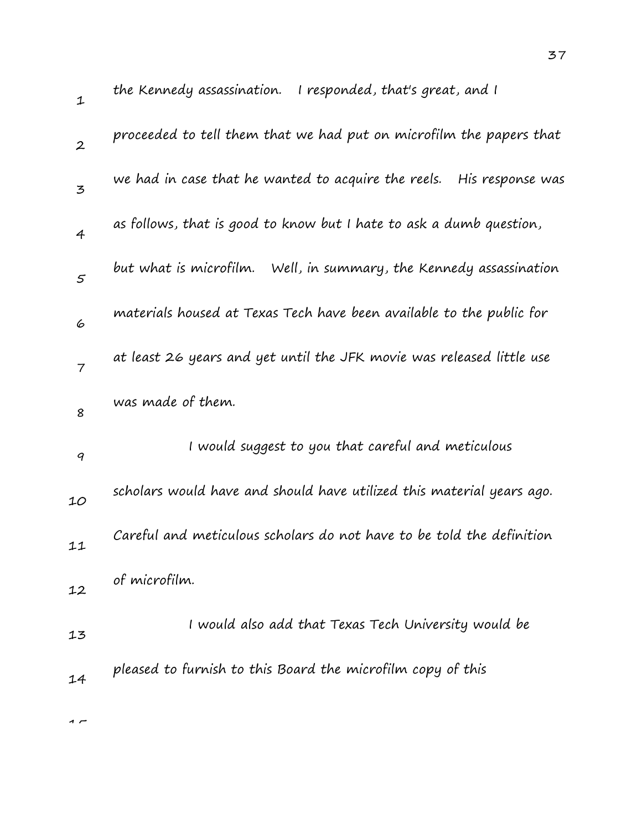| $\mathbf{1}$   | the Kennedy assassination. I responded, that's great, and I             |
|----------------|-------------------------------------------------------------------------|
| $\overline{2}$ | proceeded to tell them that we had put on microfilm the papers that     |
| 3              | we had in case that he wanted to acquire the reels.<br>His response was |
| $\overline{4}$ | as follows, that is good to know but I hate to ask a dumb question,     |
| 5              | but what is microfilm.<br>Well, in summary, the Kennedy assassination   |
| 6              | materials housed at Texas Tech have been available to the public for    |
| $\overline{7}$ | at least 26 years and yet until the JFK movie was released little use   |
| 8              | was made of them.                                                       |
| 9              | I would suggest to you that careful and meticulous                      |
| 10             | scholars would have and should have utilized this material years ago.   |
| 11             | Careful and meticulous scholars do not have to be told the definition   |
| 12             | of microfilm.                                                           |
| 13             | I would also add that Texas Tech University would be                    |
| 14             | pleased to furnish to this Board the microfilm copy of this             |
| $\sim$         |                                                                         |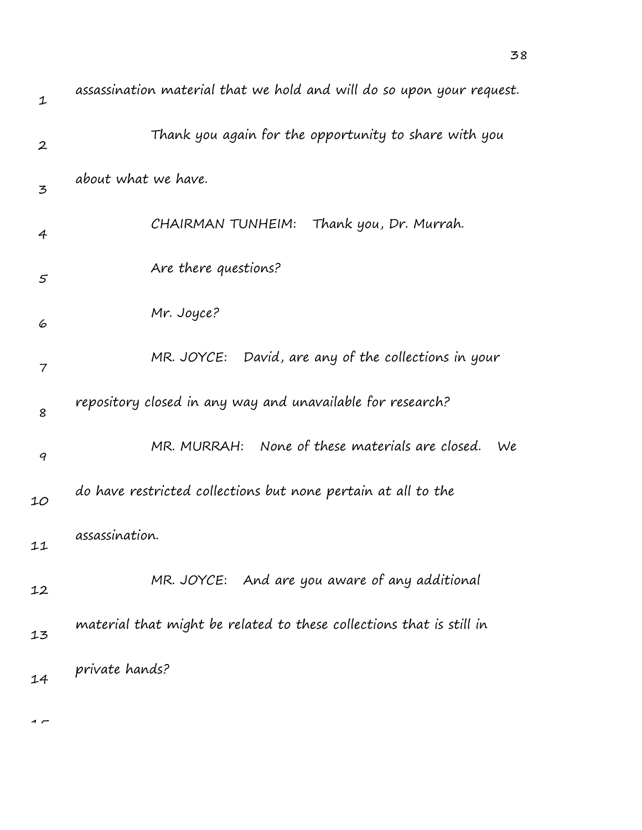| $\mathbf 1$      | assassination material that we hold and will do so upon your request. |
|------------------|-----------------------------------------------------------------------|
| $\boldsymbol{2}$ | Thank you again for the opportunity to share with you                 |
| 3                | about what we have.                                                   |
| $\overline{4}$   | CHAIRMAN TUNHEIM: Thank you, Dr. Murrah.                              |
| 5                | Are there questions?                                                  |
| 6                | Mr. Joyce?                                                            |
| 7                | MR. JOYCE: David, are any of the collections in your                  |
| 8                | repository closed in any way and unavailable for research?            |
| 9                | MR. MURRAH: None of these materials are closed.<br>We                 |
| 10               | do have restricted collections but none pertain at all to the         |
| 11               | assassination.                                                        |
| 12               | MR. JOYCE: And are you aware of any additional                        |
| 13               | material that might be related to these collections that is still in  |
| 14               | private hands?                                                        |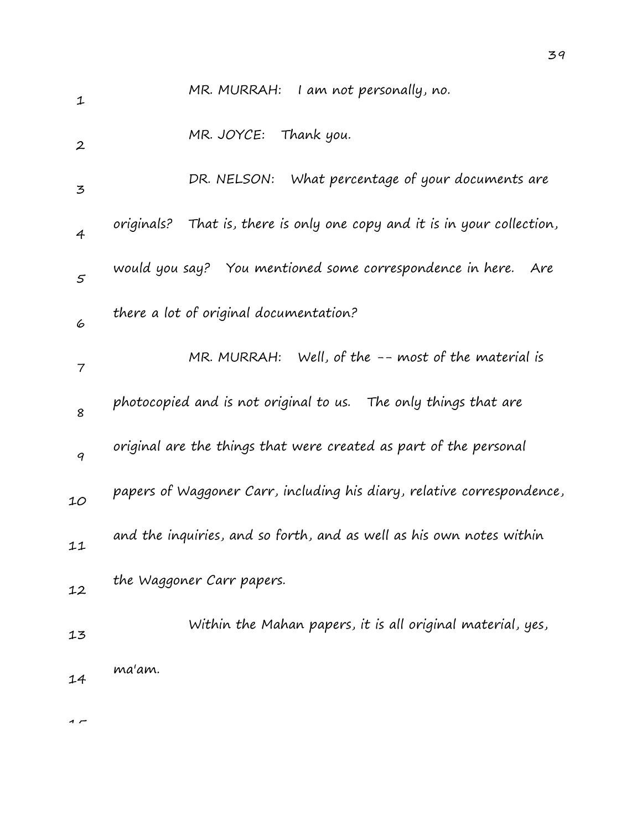| $\mathbf 1$      | MR. MURRAH: I am not personally, no.                                        |
|------------------|-----------------------------------------------------------------------------|
| $\boldsymbol{2}$ | MR. JOYCE: Thank you.                                                       |
| 3                | DR. NELSON: What percentage of your documents are                           |
| 4                | That is, there is only one copy and it is in your collection,<br>originals? |
| $\varsigma$      | would you say? You mentioned some correspondence in here.<br>Are            |
| 6                | there a lot of original documentation?                                      |
| 7                | MR. MURRAH: Well, of the $-$ - most of the material is                      |
| 8                | photocopied and is not original to us. The only things that are             |
| 9                | original are the things that were created as part of the personal           |
| 10               | papers of Waggoner Carr, including his diary, relative correspondence,      |
| 11               | and the inquiries, and so forth, and as well as his own notes within        |
| 12               | the Waggoner Carr papers.                                                   |
| 13               | Within the Mahan papers, it is all original material, yes,                  |
| 14               | ma'am.                                                                      |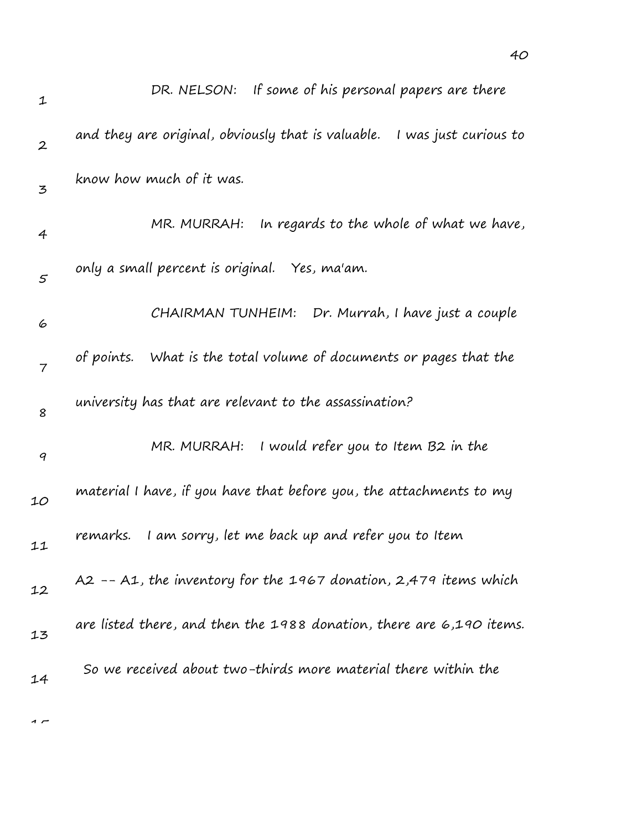| 1                | DR. NELSON: If some of his personal papers are there                        |
|------------------|-----------------------------------------------------------------------------|
| $\boldsymbol{2}$ | and they are original, obviously that is valuable.<br>I was just curious to |
| 3                | know how much of it was.                                                    |
| $\overline{4}$   | In regards to the whole of what we have,<br>MR. MURRAH:                     |
| $\mathfrak{s}$   | only a small percent is original. Yes, ma'am.                               |
| 6                | CHAIRMAN TUNHEIM:<br>Dr. Murrah, I have just a couple                       |
| 7                | What is the total volume of documents or pages that the<br>of points.       |
| 8                | university has that are relevant to the assassination?                      |
| 9                | I would refer you to Item B2 in the<br>MR. MURRAH:                          |
| 10               | material I have, if you have that before you, the attachments to my         |
| 11               | I am sorry, let me back up and refer you to Item<br>remarks.                |
| 12               | A2 -- A1, the inventory for the 1967 donation, 2,479 items which            |
| 13               | are listed there, and then the 1988 donation, there are 6,190 items.        |
| 14               | So we received about two-thirds more material there within the              |

40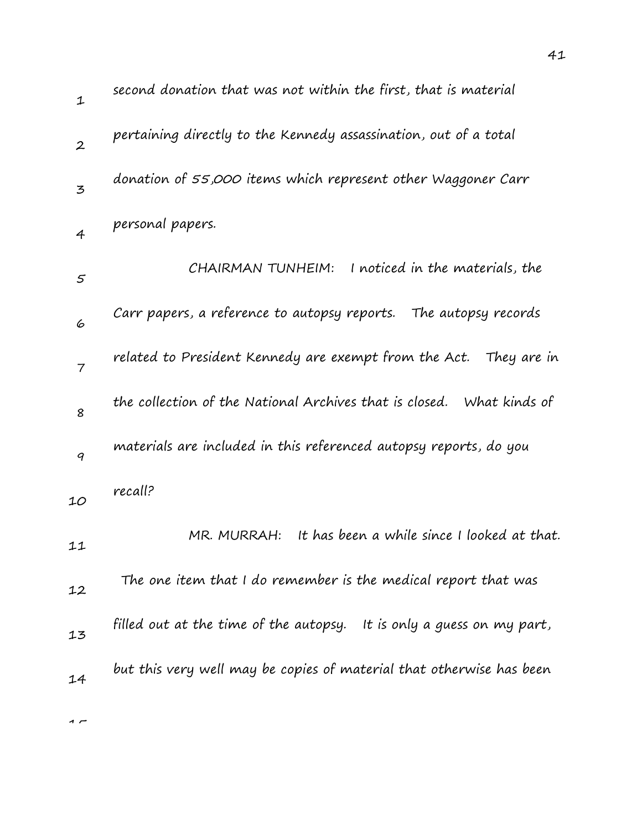| $\mathbf{1}$   | second donation that was not within the first, that is material       |
|----------------|-----------------------------------------------------------------------|
| $\overline{2}$ | pertaining directly to the Kennedy assassination, out of a total      |
| 3              | donation of 55,000 items which represent other Waggoner Carr          |
| $\overline{4}$ | personal papers.                                                      |
| $\varsigma$    | I noticed in the materials, the<br>CHAIRMAN TUNHEIM:                  |
| 6              | Carr papers, a reference to autopsy reports. The autopsy records      |
| $\overline{7}$ | related to President Kennedy are exempt from the Act. They are in     |
| 8              | the collection of the National Archives that is closed. What kinds of |
| 9              | materials are included in this referenced autopsy reports, do you     |
| 10             | recall?                                                               |
| 11             | It has been a while since I looked at that.<br>MR. MURRAH:            |
| 12             | The one item that I do remember is the medical report that was        |
| 13             | filled out at the time of the autopsy. It is only a guess on my part, |
| 14             | but this very well may be copies of material that otherwise has been  |
|                |                                                                       |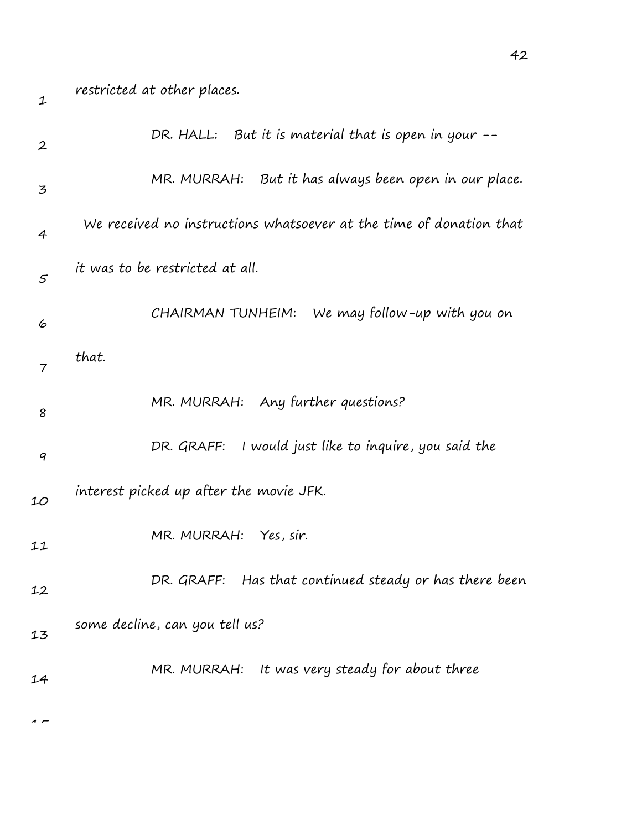| $\mathbf{2}$ | DR. HALL: But it is material that is open in your --                |
|--------------|---------------------------------------------------------------------|
| 3            | MR. MURRAH: But it has always been open in our place.               |
| 4            | We received no instructions whatsoever at the time of donation that |
| $\varsigma$  | it was to be restricted at all.                                     |
| 6            | CHAIRMAN TUNHEIM:<br>We may follow-up with you on                   |
| 7            | that.                                                               |
| 8            | MR. MURRAH: Any further questions?                                  |
| 9            | DR. GRAFF: I would just like to inquire, you said the               |
| 10           | interest picked up after the movie JFK.                             |
| 11           | MR. MURRAH:<br>Yes, sir.                                            |
| 12           | Has that continued steady or has there been<br>DR. GRAFF:           |
| 13           | some decline, can you tell us?                                      |
| 14           | MR. MURRAH: It was very steady for about three                      |
|              |                                                                     |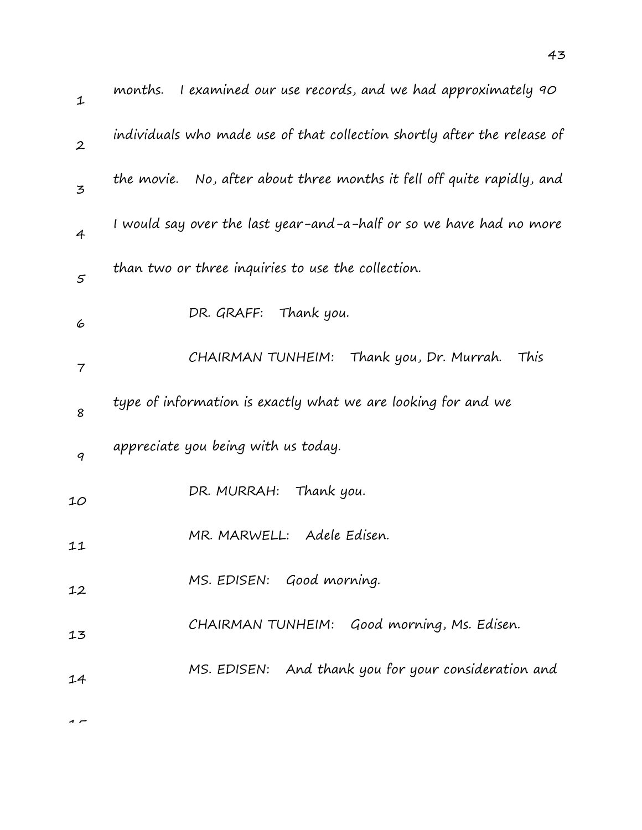| $\mathbf 1$    | I examined our use records, and we had approximately 90<br>months.        |
|----------------|---------------------------------------------------------------------------|
| $\overline{2}$ | individuals who made use of that collection shortly after the release of  |
| 3              | the movie.    No, after about three months it fell off quite rapidly, and |
| $\overline{4}$ | I would say over the last year-and-a-half or so we have had no more       |
| $\mathcal{S}$  | than two or three inquiries to use the collection.                        |
| 6              | DR. GRAFF: Thank you.                                                     |
| 7              | CHAIRMAN TUNHEIM: Thank you, Dr. Murrah.<br>This                          |
| 8              | type of information is exactly what we are looking for and we             |
| 9              | appreciate you being with us today.                                       |
| 10             | DR. MURRAH: Thank you.                                                    |
| 11             | MR. MARWELL: Adele Edisen.                                                |
| 12             | MS. EDISEN: Good morning.                                                 |
| 13             | CHAIRMAN TUNHEIM: Good morning, Ms. Edisen.                               |
| 14             | MS. EDISEN: And thank you for your consideration and                      |
|                |                                                                           |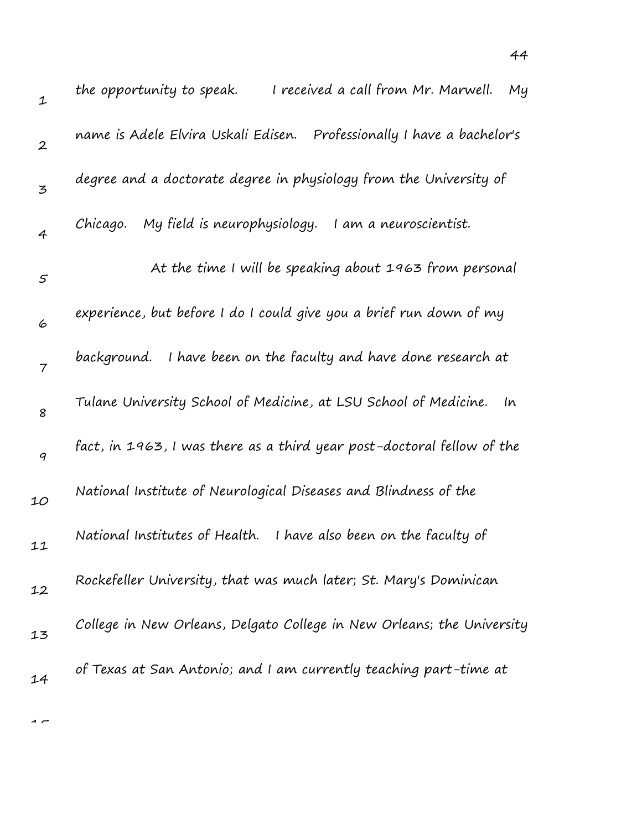| 1                | I received a call from Mr. Marwell. My<br>the opportunity to speak.     |
|------------------|-------------------------------------------------------------------------|
| $\boldsymbol{2}$ | name is Adele Elvira Uskali Edisen.  Professionally I have a bachelor's |
| $\mathbf{z}$     | degree and a doctorate degree in physiology from the University of      |
| $\overline{4}$   | My field is neurophysiology.<br>I am a neuroscientist.<br>Chicago.      |
| $\varsigma$      | At the time I will be speaking about 1963 from personal                 |
| 6                | experience, but before I do I could give you a brief run down of my     |
| $\overline{7}$   | background. I have been on the faculty and have done research at        |
| 8                | Tulane University School of Medicine, at LSU School of Medicine. In     |
| $\boldsymbol{q}$ | fact, in 1963, I was there as a third year post-doctoral fellow of the  |
| 10               | National Institute of Neurological Diseases and Blindness of the        |
| 11               | National Institutes of Health. I have also been on the faculty of       |
| 12               | Rockefeller University, that was much later; St. Mary's Dominican       |
| 13               | College in New Orleans, Delgato College in New Orleans; the University  |
| 14               | of Texas at San Antonio; and I am currently teaching part-time at       |
|                  |                                                                         |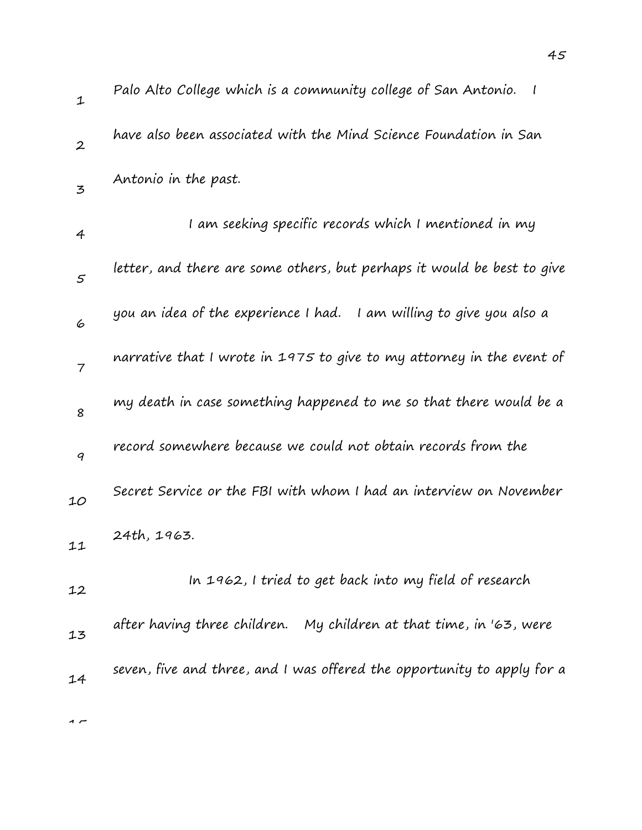| $\mathbf{1}$   | Palo Alto College which is a community college of San Antonio.          |
|----------------|-------------------------------------------------------------------------|
| $\overline{2}$ | have also been associated with the Mind Science Foundation in San       |
| $\mathbf{z}$   | Antonio in the past.                                                    |
| 4              | I am seeking specific records which I mentioned in my                   |
| 5              | letter, and there are some others, but perhaps it would be best to give |
| 6              | you an idea of the experience I had.<br>I am willing to give you also a |
| $\overline{7}$ | narrative that I wrote in 1975 to give to my attorney in the event of   |
| 8              | my death in case something happened to me so that there would be a      |
| 9              | record somewhere because we could not obtain records from the           |
| 10             | Secret Service or the FBI with whom I had an interview on November      |
| 11             | 24th, 1963.                                                             |
| 12             | In 1962, I tried to get back into my field of research                  |
| 13             | after having three children. My children at that time, in '63, were     |
| 14             | seven, five and three, and I was offered the opportunity to apply for a |
| ~ ∼            |                                                                         |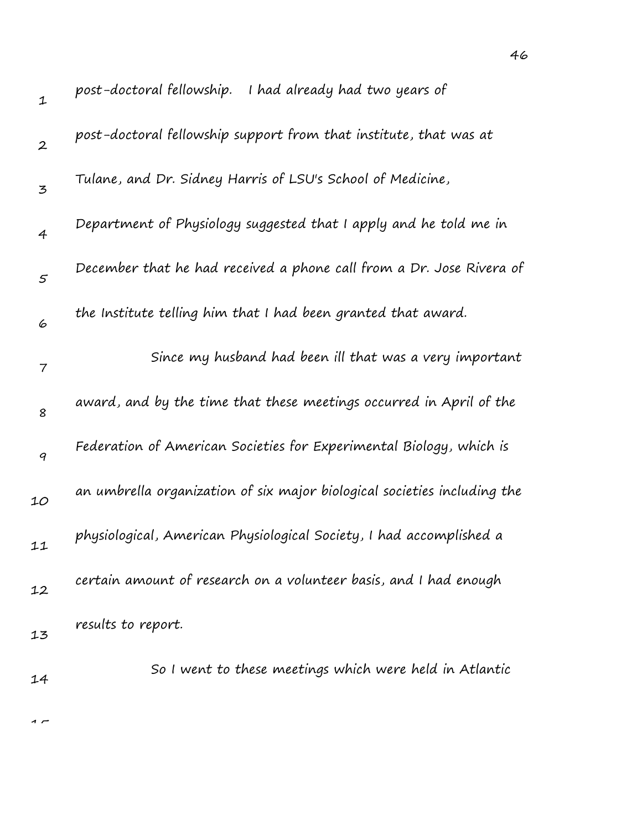| $\mathbf 1$      | post-doctoral fellowship.<br>I had already had two years of              |
|------------------|--------------------------------------------------------------------------|
| $\boldsymbol{2}$ | post-doctoral fellowship support from that institute, that was at        |
| 3                | Tulane, and Dr. Sidney Harris of LSU's School of Medicine,               |
| $\overline{4}$   | Department of Physiology suggested that I apply and he told me in        |
| 5                | December that he had received a phone call from a Dr. Jose Rivera of     |
| 6                | the Institute telling him that I had been granted that award.            |
| 7                | Since my husband had been ill that was a very important                  |
| 8                | award, and by the time that these meetings occurred in April of the      |
| 9                | Federation of American Societies for Experimental Biology, which is      |
| 10               | an umbrella organization of six major biological societies including the |
| 11               | physiological, American Physiological Society, I had accomplished a      |
| 12               | certain amount of research on a volunteer basis, and I had enough        |
| 13               | results to report.                                                       |
| 14               | So I went to these meetings which were held in Atlantic                  |
|                  |                                                                          |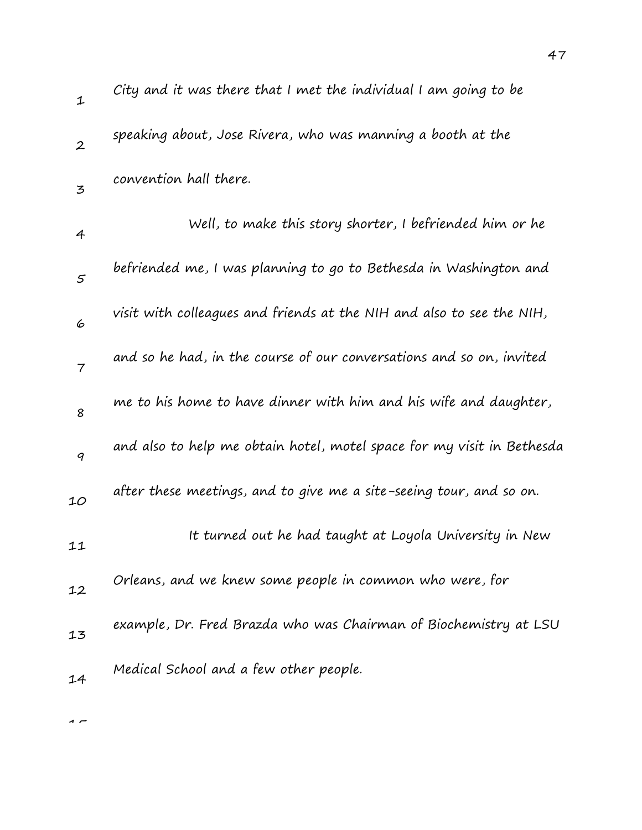| 1              | City and it was there that I met the individual I am going to be       |
|----------------|------------------------------------------------------------------------|
| $\overline{2}$ | speaking about, Jose Rivera, who was manning a booth at the            |
| $\mathbf{z}$   | convention hall there.                                                 |
| 4              | Well, to make this story shorter, I befriended him or he               |
| 5              | befriended me, I was planning to go to Bethesda in Washington and      |
| 6              | visit with colleagues and friends at the NIH and also to see the NIH,  |
| $\overline{7}$ | and so he had, in the course of our conversations and so on, invited   |
| 8              | me to his home to have dinner with him and his wife and daughter,      |
| 9              | and also to help me obtain hotel, motel space for my visit in Bethesda |
| 10             | after these meetings, and to give me a site-seeing tour, and so on.    |
| 11             | It turned out he had taught at Loyola University in New                |
| 12             | Orleans, and we knew some people in common who were, for               |
| 13             | example, Dr. Fred Brazda who was Chairman of Biochemistry at LSU       |
| 14             | Medical School and a few other people.                                 |
|                |                                                                        |

 $\overline{1}$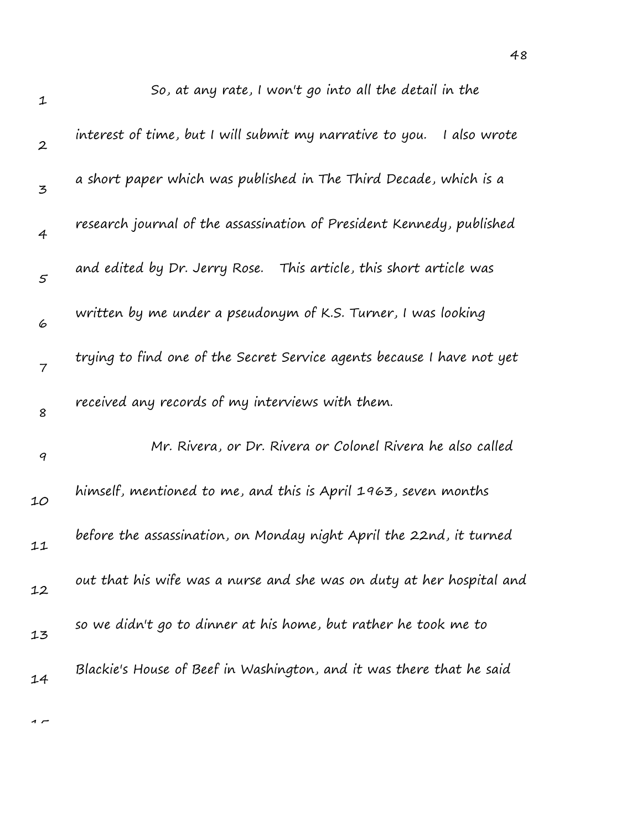| $\mathbf{1}$     | So, at any rate, I won't go into all the detail in the                   |
|------------------|--------------------------------------------------------------------------|
| $\boldsymbol{2}$ | interest of time, but I will submit my narrative to you.<br>I also wrote |
| 3                | a short paper which was published in The Third Decade, which is a        |
| 4                | research journal of the assassination of President Kennedy, published    |
| 5                | and edited by Dr. Jerry Rose. This article, this short article was       |
| 6                | written by me under a pseudonym of K.S. Turner, I was looking            |
| $\overline{7}$   | trying to find one of the Secret Service agents because I have not yet   |
| 8                | received any records of my interviews with them.                         |
| $\boldsymbol{q}$ | Mr. Rivera, or Dr. Rivera or Colonel Rivera he also called               |
| 10               | himself, mentioned to me, and this is April 1963, seven months           |
| 11               | before the assassination, on Monday night April the 22nd, it turned      |
| 12               | out that his wife was a nurse and she was on duty at her hospital and    |
| 13               | so we didn't go to dinner at his home, but rather he took me to          |
| 14               | Blackie's House of Beef in Washington, and it was there that he said     |
|                  |                                                                          |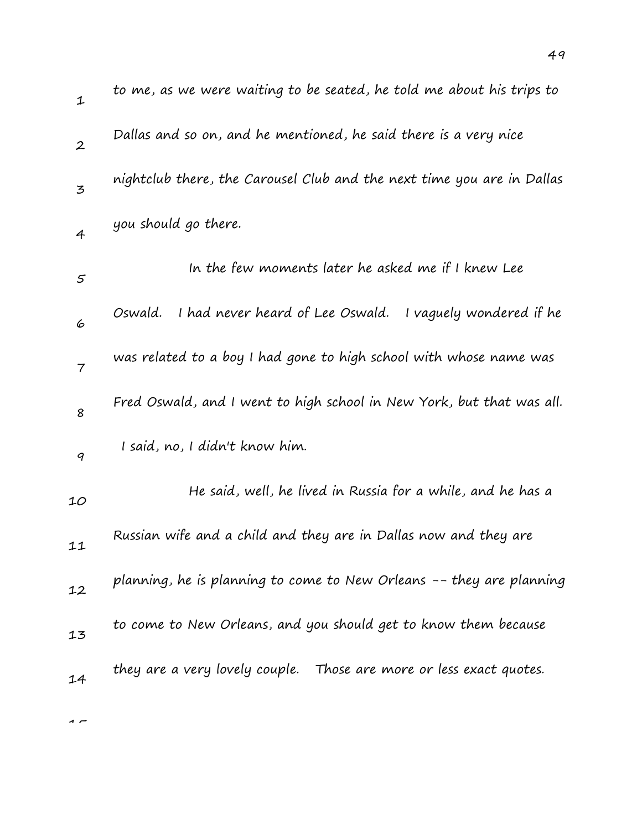| $\mathbf 1$      | to me, as we were waiting to be seated, he told me about his trips to   |
|------------------|-------------------------------------------------------------------------|
| $\boldsymbol{2}$ | Dallas and so on, and he mentioned, he said there is a very nice        |
| 3                | nightclub there, the Carousel Club and the next time you are in Dallas  |
| $\overline{4}$   | you should go there.                                                    |
| $\varsigma$      | In the few moments later he asked me if I knew Lee                      |
| 6                | I had never heard of Lee Oswald.<br>Oswald.<br>I vaguely wondered if he |
| 7                | was related to a boy I had gone to high school with whose name was      |
| 8                | Fred Oswald, and I went to high school in New York, but that was all.   |
| 9                | I said, no, I didn't know him.                                          |
| 10               | He said, well, he lived in Russia for a while, and he has a             |
| 11               | Russian wife and a child and they are in Dallas now and they are        |
| 12               | planning, he is planning to come to New Orleans -- they are planning    |
| 13               | to come to New Orleans, and you should get to know them because         |
| 14               | they are a very lovely couple. Those are more or less exact quotes.     |
|                  |                                                                         |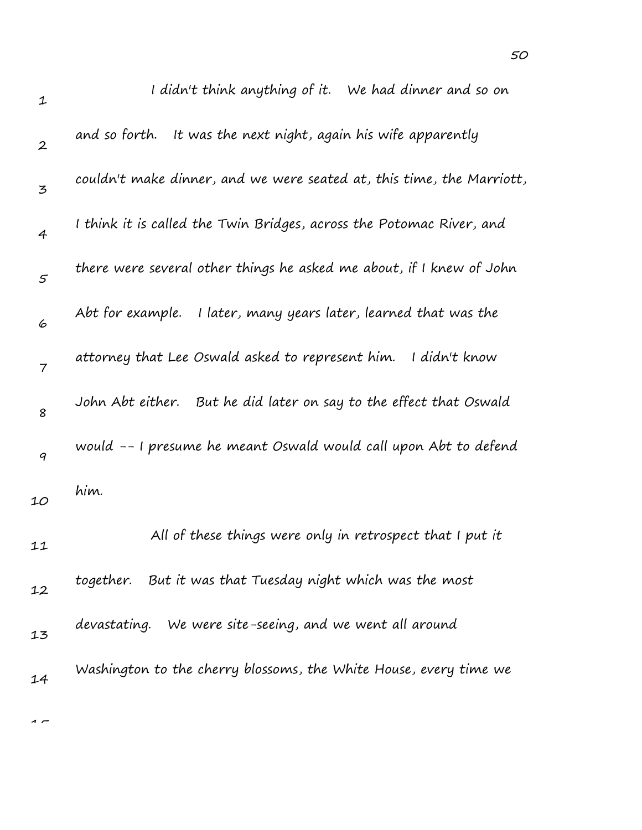| $\mathbf{1}$     | I didn't think anything of it. We had dinner and so on                |
|------------------|-----------------------------------------------------------------------|
| $\boldsymbol{2}$ | and so forth. It was the next night, again his wife apparently        |
| 3                | couldn't make dinner, and we were seated at, this time, the Marriott, |
| $\overline{4}$   | I think it is called the Twin Bridges, across the Potomac River, and  |
| $\varsigma$      | there were several other things he asked me about, if I knew of John  |
| 6                | Abt for example. I later, many years later, learned that was the      |
| $\overline{7}$   | attorney that Lee Oswald asked to represent him.<br>I didn't know     |
| 8                | But he did later on say to the effect that Oswald<br>John Abt either. |
| $\boldsymbol{q}$ | would -- I presume he meant Oswald would call upon Abt to defend      |
| 10               | him.                                                                  |
| 11               | All of these things were only in retrospect that I put it             |
| 12               | together. But it was that Tuesday night which was the most            |
| 13               | devastating. We were site-seeing, and we went all around              |
| 14               | Washington to the cherry blossoms, the White House, every time we     |
|                  |                                                                       |

50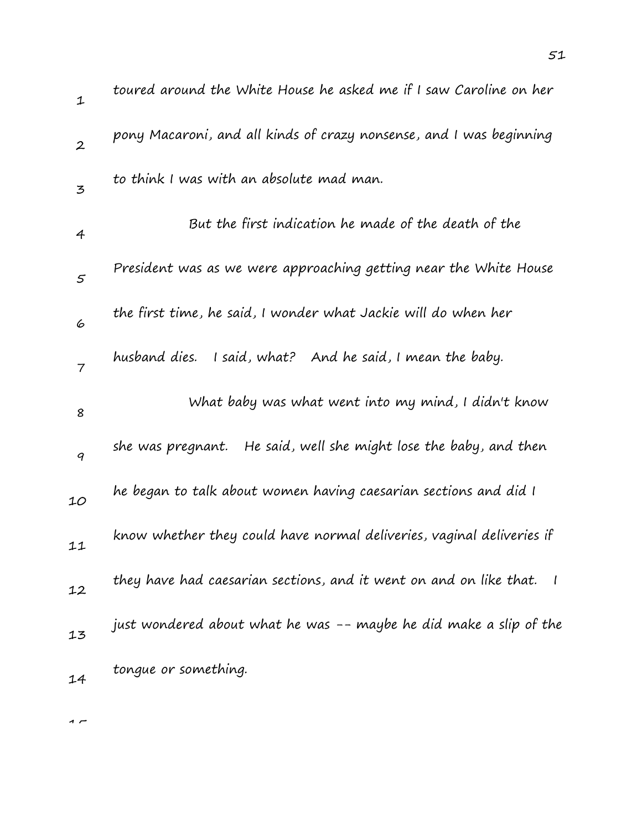| $\mathbf{1}$     | toured around the White House he asked me if I saw Caroline on her                             |
|------------------|------------------------------------------------------------------------------------------------|
| $\boldsymbol{2}$ | pony Macaroni, and all kinds of crazy nonsense, and I was beginning                            |
| $\mathbf{z}$     | to think I was with an absolute mad man.                                                       |
| 4                | But the first indication he made of the death of the                                           |
| 5                | President was as we were approaching getting near the White House                              |
| 6                | the first time, he said, I wonder what Jackie will do when her                                 |
| $\overline{7}$   | husband dies.<br>I said, what? And he said, I mean the baby.                                   |
| 8                | What baby was what went into my mind, I didn't know                                            |
|                  |                                                                                                |
| 9                | He said, well she might lose the baby, and then<br>she was pregnant.                           |
| 10               | he began to talk about women having caesarian sections and did I                               |
| 11               | know whether they could have normal deliveries, vaginal deliveries if                          |
| 12               | they have had caesarian sections, and it went on and on like that.<br>$\overline{\phantom{a}}$ |
| 13               | just wondered about what he was -- maybe he did make a slip of the                             |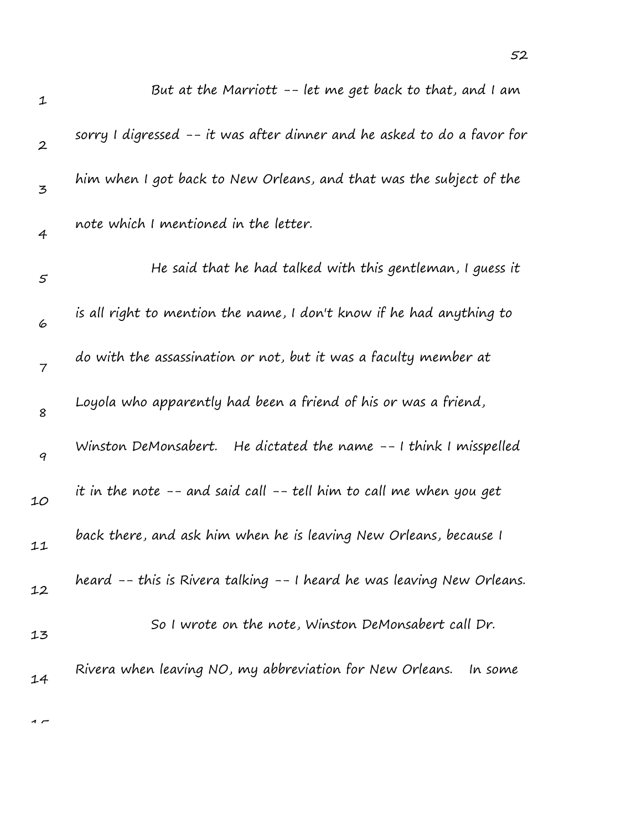| $\mathbf{1}$     | But at the Marriott -- let me get back to that, and I am                |
|------------------|-------------------------------------------------------------------------|
| $\boldsymbol{2}$ | sorry I digressed -- it was after dinner and he asked to do a favor for |
| 3                | him when I got back to New Orleans, and that was the subject of the     |
| 4                | note which I mentioned in the letter.                                   |
| 5                | He said that he had talked with this gentleman, I guess it              |
| 6                | is all right to mention the name, I don't know if he had anything to    |
| $\overline{7}$   | do with the assassination or not, but it was a faculty member at        |
| 8                | Loyola who apparently had been a friend of his or was a friend,         |
| $\boldsymbol{q}$ | Winston DeMonsabert. He dictated the name -- I think I misspelled       |
| 10               | it in the note -- and said call -- tell him to call me when you get     |
| 11               | back there, and ask him when he is leaving New Orleans, because I       |
| 12               | heard -- this is Rivera talking -- I heard he was leaving New Orleans.  |
| 13               | So I wrote on the note, Winston DeMonsabert call Dr.                    |
| 14               | Rivera when leaving NO, my abbreviation for New Orleans.<br>In some     |

52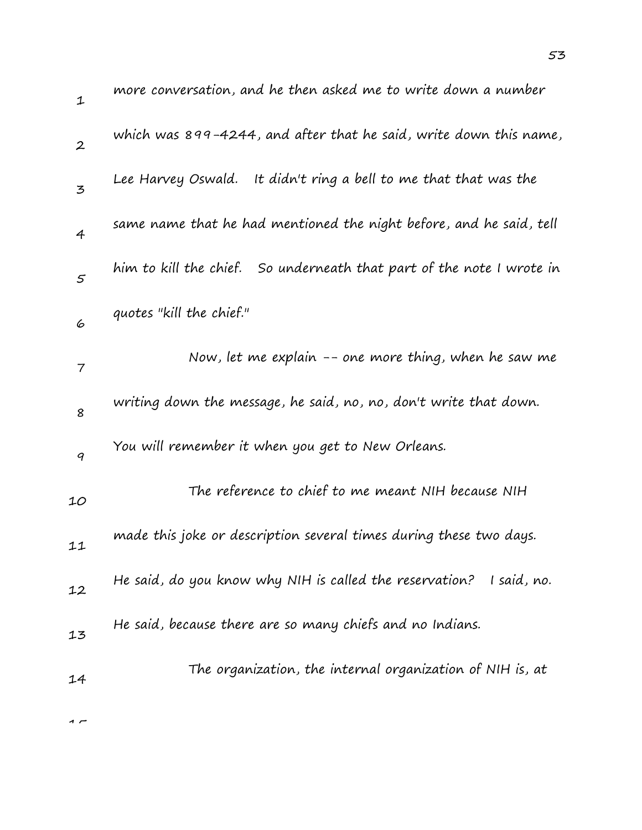| $\mathbf 1$      | more conversation, and he then asked me to write down a number           |
|------------------|--------------------------------------------------------------------------|
| $\boldsymbol{2}$ | which was 899-4244, and after that he said, write down this name,        |
| $\mathbf{z}$     | Lee Harvey Oswald. It didn't ring a bell to me that that was the         |
| 4                | same name that he had mentioned the night before, and he said, tell      |
| 5                | him to kill the chief.<br>So underneath that part of the note I wrote in |
| 6                | quotes "kill the chief."                                                 |
| 7                | Now, let me explain -- one more thing, when he saw me                    |
| 8                | writing down the message, he said, no, no, don't write that down.        |
| 9                | You will remember it when you get to New Orleans.                        |
| 10               | The reference to chief to me meant NIH because NIH                       |
| 11               | made this joke or description several times during these two days.       |
| 12               | He said, do you know why NIH is called the reservation?<br>I said, no.   |
| 13               | He said, because there are so many chiefs and no Indians.                |
| 14               | The organization, the internal organization of NIH is, at                |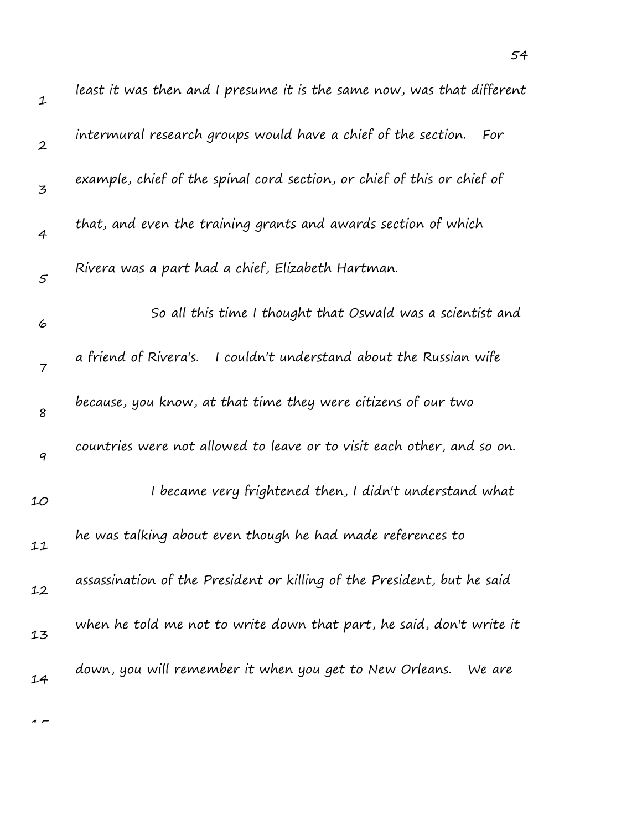| $\mathbf 1$      | least it was then and I presume it is the same now, was that different  |
|------------------|-------------------------------------------------------------------------|
| $\boldsymbol{2}$ | intermural research groups would have a chief of the section. For       |
| 3                | example, chief of the spinal cord section, or chief of this or chief of |
| $\overline{4}$   | that, and even the training grants and awards section of which          |
| $\varsigma$      | Rivera was a part had a chief, Elizabeth Hartman.                       |
| 6                | So all this time I thought that Oswald was a scientist and              |
| $\overline{7}$   | a friend of Rivera's.<br>I couldn't understand about the Russian wife   |
| 8                | because, you know, at that time they were citizens of our two           |
| 9                | countries were not allowed to leave or to visit each other, and so on.  |
| 10               | I became very frightened then, I didn't understand what                 |
| 11               | he was talking about even though he had made references to              |
| 12               | assassination of the President or killing of the President, but he said |
| 13               | when he told me not to write down that part, he said, don't write it    |
| 14               | down, you will remember it when you get to New Orleans.<br>We are       |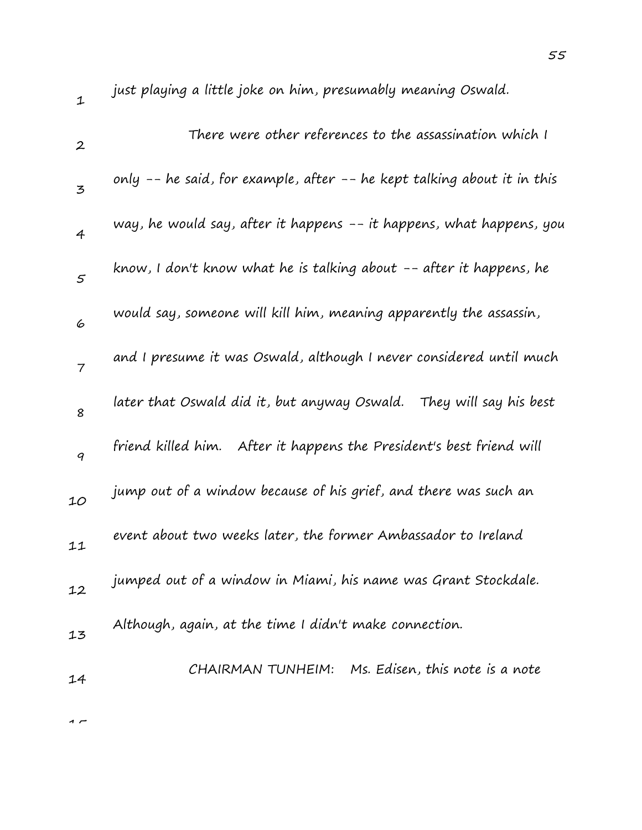| 1                | just playing a little joke on him, presumably meaning Oswald.           |
|------------------|-------------------------------------------------------------------------|
| $\boldsymbol{2}$ | There were other references to the assassination which I                |
| 3                | only -- he said, for example, after -- he kept talking about it in this |
| $\overline{4}$   | way, he would say, after it happens -- it happens, what happens, you    |
| 5                | know, I don't know what he is talking about -- after it happens, he     |
| 6                | would say, someone will kill him, meaning apparently the assassin,      |
| $\overline{7}$   | and I presume it was Oswald, although I never considered until much     |
| 8                | later that Oswald did it, but anyway Oswald.   They will say his best   |
| 9                | friend killed him. After it happens the President's best friend will    |
| 10               | jump out of a window because of his grief, and there was such an        |
| 11               | event about two weeks later, the former Ambassador to Ireland           |
| 12               | jumped out of a window in Miami, his name was Grant Stockdale.          |
| 13               | Although, again, at the time I didn't make connection.                  |
| 14               | CHAIRMAN TUNHEIM: Ms. Edisen, this note is a note                       |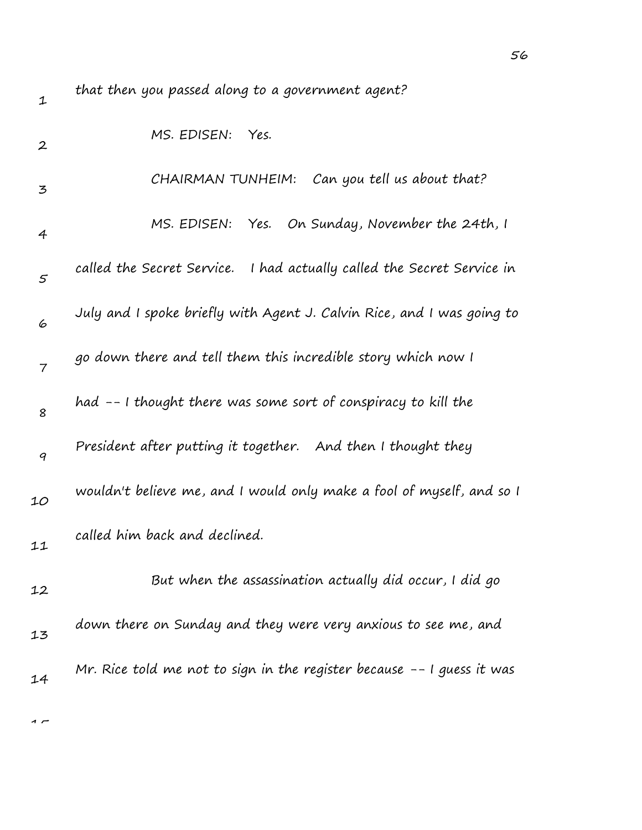| $\mathbf{1}$     | that then you passed along to a government agent?                       |
|------------------|-------------------------------------------------------------------------|
| $\boldsymbol{2}$ | MS. EDISEN:<br>Yes.                                                     |
| 3                | Can you tell us about that?<br>CHAIRMAN TUNHEIM:                        |
| 4                | Yes. On Sunday, November the 24th, I<br>MS. EDISEN:                     |
| $\varsigma$      | called the Secret Service. I had actually called the Secret Service in  |
| 6                | July and I spoke briefly with Agent J. Calvin Rice, and I was going to  |
| $\overline{7}$   | go down there and tell them this incredible story which now I           |
| 8                | had -- I thought there was some sort of conspiracy to kill the          |
| 9                | President after putting it together. And then I thought they            |
| 10               | wouldn't believe me, and I would only make a fool of myself, and so I   |
| 11               | called him back and declined.                                           |
| 12               | But when the assassination actually did occur, I did go                 |
| 13               | down there on Sunday and they were very anxious to see me, and          |
| 14               | Mr. Rice told me not to sign in the register because $-$ 1 guess it was |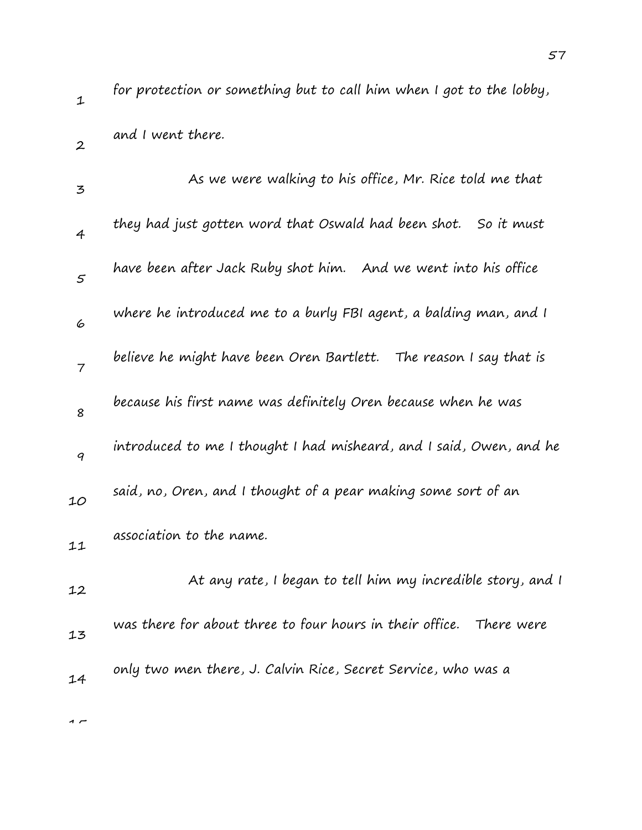2

for protection or something but to call him when I got to the lobby, and I went there.

| 3              | As we were walking to his office, Mr. Rice told me that             |
|----------------|---------------------------------------------------------------------|
| $\overline{4}$ | they had just gotten word that Oswald had been shot. So it must     |
| 5              | have been after Jack Ruby shot him. And we went into his office     |
| 6              | where he introduced me to a burly FBI agent, a balding man, and I   |
| $\overline{7}$ | believe he might have been Oren Bartlett. The reason I say that is  |
| 8              | because his first name was definitely Oren because when he was      |
| 9              | introduced to me I thought I had misheard, and I said, Owen, and he |
| 10             | said, no, Oren, and I thought of a pear making some sort of an      |
| 11             | association to the name.                                            |
| 12             | At any rate, I began to tell him my incredible story, and I         |
| 13             | was there for about three to four hours in their office. There were |
| 14             | only two men there, J. Calvin Rice, Secret Service, who was a       |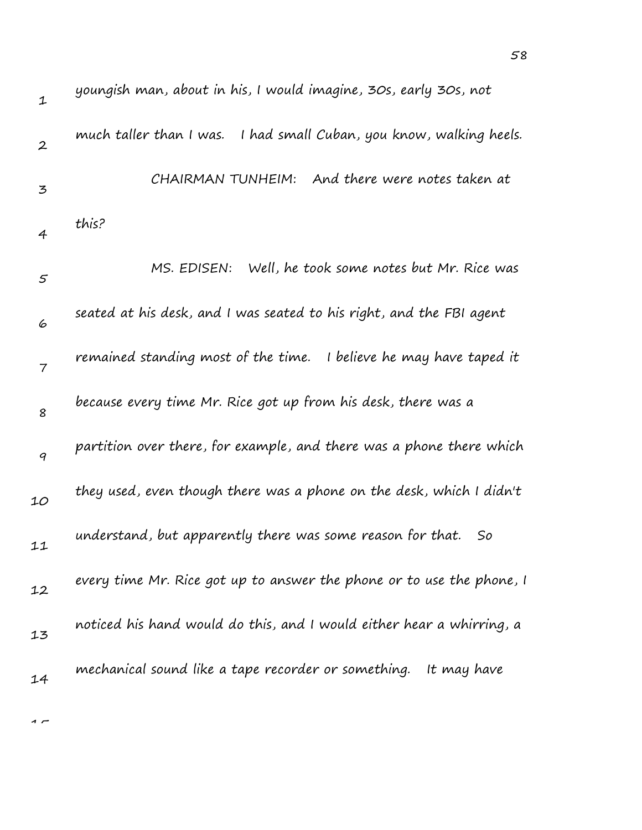| $\mathbf 1$      | youngish man, about in his, I would imagine, 30s, early 30s, not       |
|------------------|------------------------------------------------------------------------|
| $\boldsymbol{2}$ | much taller than I was.<br>I had small Cuban, you know, walking heels. |
| 3                | And there were notes taken at<br>CHAIRMAN TUNHEIM:                     |
| 4                | this?                                                                  |
| $\varsigma$      | Well, he took some notes but Mr. Rice was<br>MS. EDISEN:               |
| 6                | seated at his desk, and I was seated to his right, and the FBI agent   |
| $\overline{7}$   | remained standing most of the time.<br>I believe he may have taped it  |
| 8                | because every time Mr. Rice got up from his desk, there was a          |
| 9                | partition over there, for example, and there was a phone there which   |
| 10               | they used, even though there was a phone on the desk, which I didn't   |
| 11               | understand, but apparently there was some reason for that.<br>So       |
| 12               | every time Mr. Rice got up to answer the phone or to use the phone, I  |
| 13               | noticed his hand would do this, and I would either hear a whirring, a  |
| 14               | mechanical sound like a tape recorder or something.<br>It may have     |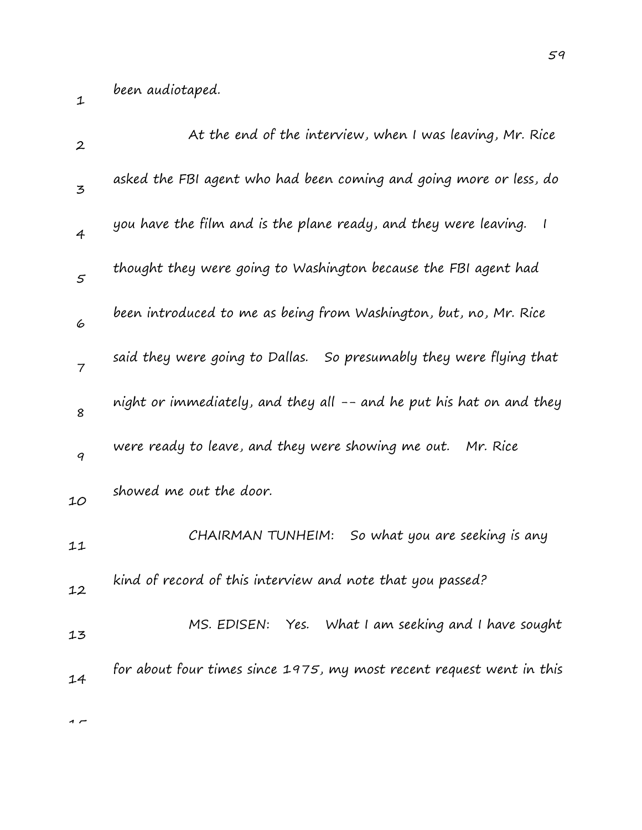1

| $\boldsymbol{2}$ | At the end of the interview, when I was leaving, Mr. Rice            |
|------------------|----------------------------------------------------------------------|
| 3                | asked the FBI agent who had been coming and going more or less, do   |
| $\overline{4}$   | you have the film and is the plane ready, and they were leaving. I   |
| 5                | thought they were going to Washington because the FBI agent had      |
| 6                | been introduced to me as being from Washington, but, no, Mr. Rice    |
| $\overline{7}$   | said they were going to Dallas. So presumably they were flying that  |
| 8                | night or immediately, and they all -- and he put his hat on and they |
| 9                | were ready to leave, and they were showing me out. Mr. Rice          |
| 10               | showed me out the door.                                              |
| 11               | So what you are seeking is any<br>CHAIRMAN TUNHEIM:                  |
| 12               | kind of record of this interview and note that you passed?           |
| 13               | MS. EDISEN: Yes. What I am seeking and I have sought                 |
| 14               | for about four times since 1975, my most recent request went in this |
|                  |                                                                      |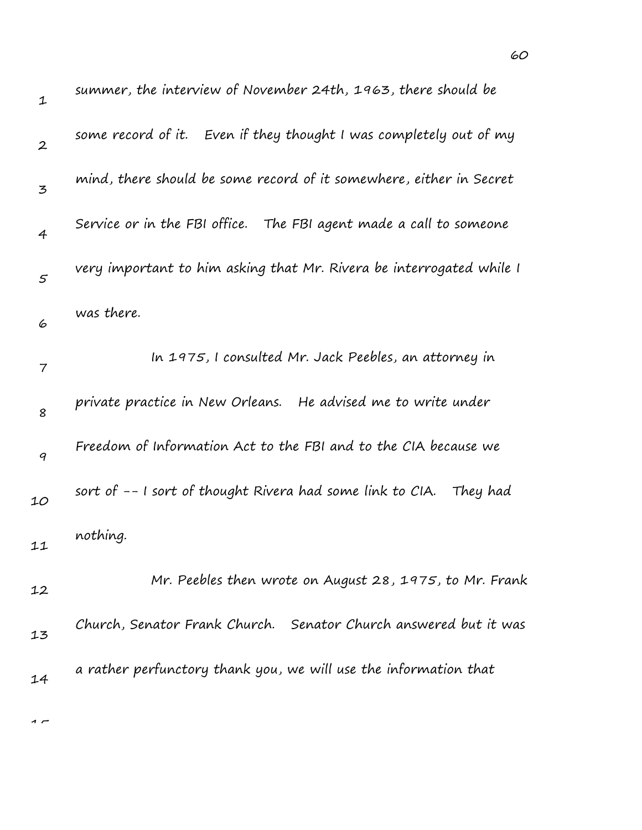| $\mathbf 1$      | summer, the interview of November 24th, 1963, there should be        |
|------------------|----------------------------------------------------------------------|
| $\boldsymbol{2}$ | some record of it. Even if they thought I was completely out of my   |
| 3                | mind, there should be some record of it somewhere, either in Secret  |
| $\overline{4}$   | Service or in the FBI office. The FBI agent made a call to someone   |
| $\varsigma$      | very important to him asking that Mr. Rivera be interrogated while I |
| 6                | was there.                                                           |
| 7                | In 1975, I consulted Mr. Jack Peebles, an attorney in                |
| 8                | private practice in New Orleans. He advised me to write under        |
| 9                | Freedom of Information Act to the FBI and to the CIA because we      |
| 10               | sort of -- I sort of thought Rivera had some link to CIA. They had   |
| 11               | nothing.                                                             |
| 12               | Mr. Peebles then wrote on August 28, 1975, to Mr. Frank              |
| 13               | Church, Senator Frank Church. Senator Church answered but it was     |
| 14               | a rather perfunctory thank you, we will use the information that     |
|                  |                                                                      |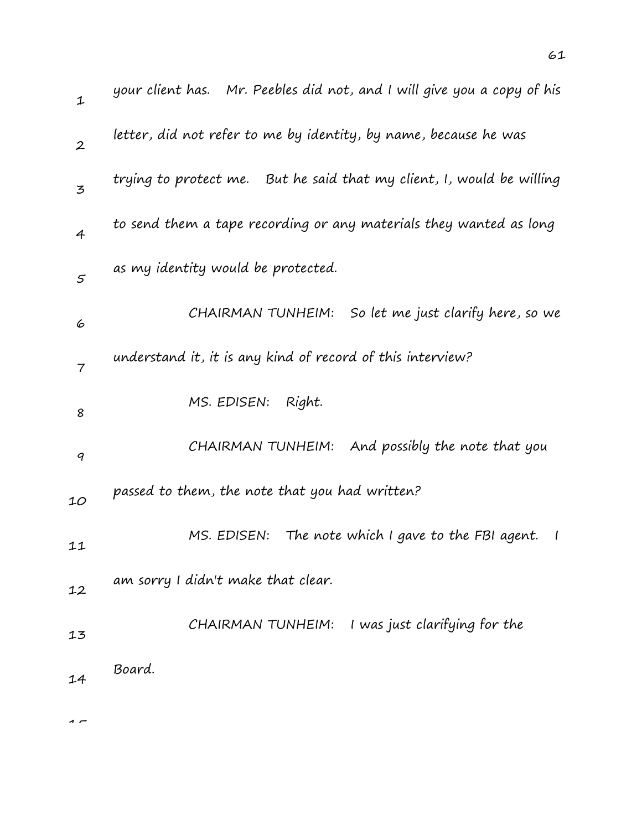| $\mathbf 1$      | your client has.    Mr. Peebles did not, and I will give you a copy of his |
|------------------|----------------------------------------------------------------------------|
| $\boldsymbol{2}$ | letter, did not refer to me by identity, by name, because he was           |
| 3                | trying to protect me. But he said that my client, I, would be willing      |
| 4                | to send them a tape recording or any materials they wanted as long         |
| 5                | as my identity would be protected.                                         |
| 6                | So let me just clarify here, so we<br>CHAIRMAN TUNHEIM:                    |
| 7                | understand it, it is any kind of record of this interview?                 |
| 8                | MS. EDISEN:<br>Right.                                                      |
| 9                | CHAIRMAN TUNHEIM: And possibly the note that you                           |
| 10               | passed to them, the note that you had written?                             |
| 11               | MS. EDISEN:<br>The note which I gave to the FBI agent.<br>$\mathcal{I}$    |
| 12               | am sorry I didn't make that clear.                                         |
| 13               | CHAIRMAN TUNHEIM: I was just clarifying for the                            |
| 14               | Board.                                                                     |
|                  |                                                                            |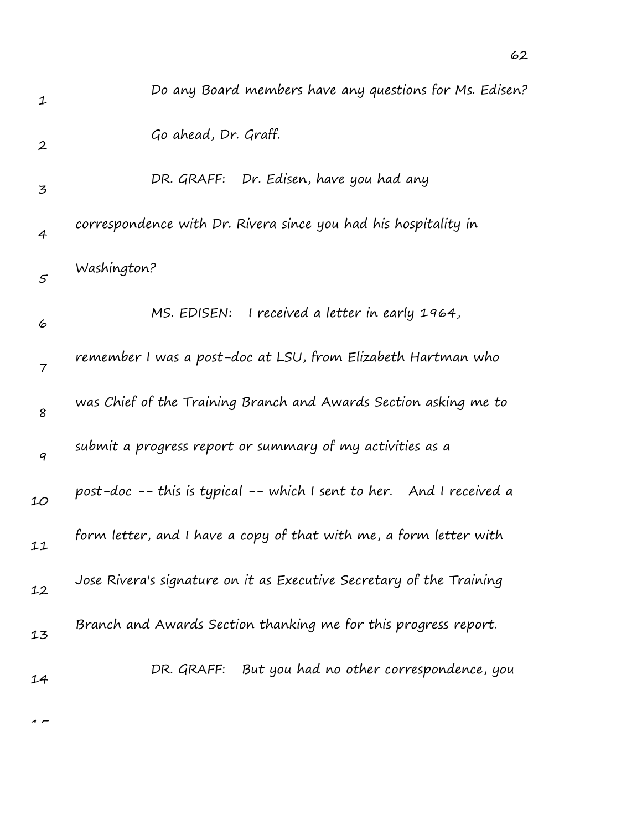| $\mathbf 1$      | Do any Board members have any questions for Ms. Edisen?              |
|------------------|----------------------------------------------------------------------|
| $\boldsymbol{2}$ | Go ahead, Dr. Graff.                                                 |
| 3                | DR. GRAFF: Dr. Edisen, have you had any                              |
| $\overline{4}$   | correspondence with Dr. Rivera since you had his hospitality in      |
| $\varsigma$      | Washington?                                                          |
| 6                | MS. EDISEN: I received a letter in early 1964,                       |
| 7                | remember I was a post-doc at LSU, from Elizabeth Hartman who         |
| 8                | was Chief of the Training Branch and Awards Section asking me to     |
| $\boldsymbol{q}$ | submit a progress report or summary of my activities as a            |
| 10               | post-doc -- this is typical -- which I sent to her. And I received a |
| 11               | form letter, and I have a copy of that with me, a form letter with   |
| 12               | Jose Rivera's signature on it as Executive Secretary of the Training |
| 13               | Branch and Awards Section thanking me for this progress report.      |
| 14               | DR. GRAFF: But you had no other correspondence, you                  |
|                  |                                                                      |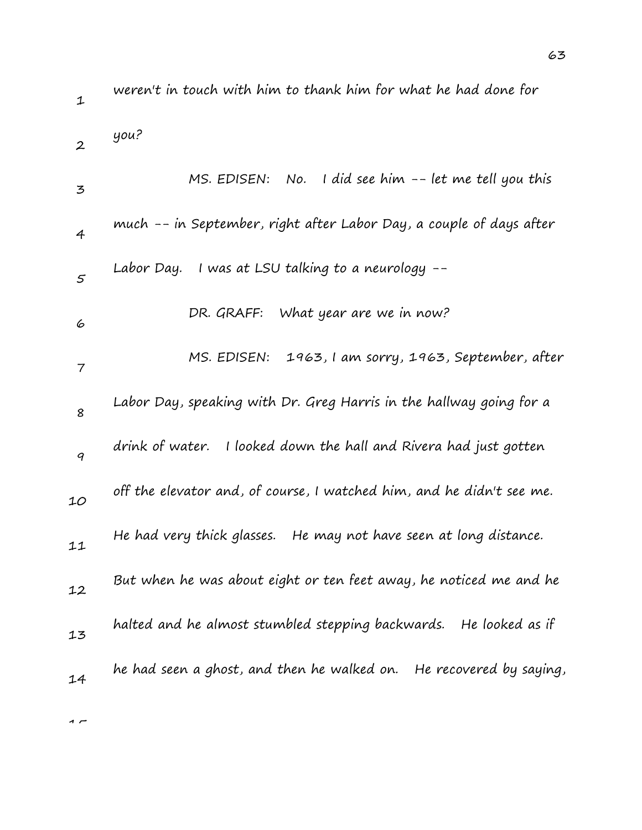weren't in touch with him to thank him for what he had done for

2 you?

| 3              | MS. EDISEN: No. I did see him $-$ - let me tell you this              |
|----------------|-----------------------------------------------------------------------|
| $\overline{4}$ | much -- in September, right after Labor Day, a couple of days after   |
| 5              | I was at LSU talking to a neurology --<br>Labor Day.                  |
| 6              | What year are we in now?<br>DR. GRAFF:                                |
| $\overline{7}$ | MS. EDISEN: 1963, I am sorry, 1963, September, after                  |
| 8              | Labor Day, speaking with Dr. Greg Harris in the hallway going for a   |
| 9              | drink of water.<br>I looked down the hall and Rivera had just gotten  |
| 10             | off the elevator and, of course, I watched him, and he didn't see me. |
| 11             | He had very thick glasses. He may not have seen at long distance.     |
| 12             | But when he was about eight or ten feet away, he noticed me and he    |
| 13             | halted and he almost stumbled stepping backwards. He looked as if     |
| 14             | he had seen a ghost, and then he walked on. He recovered by saying,   |
|                |                                                                       |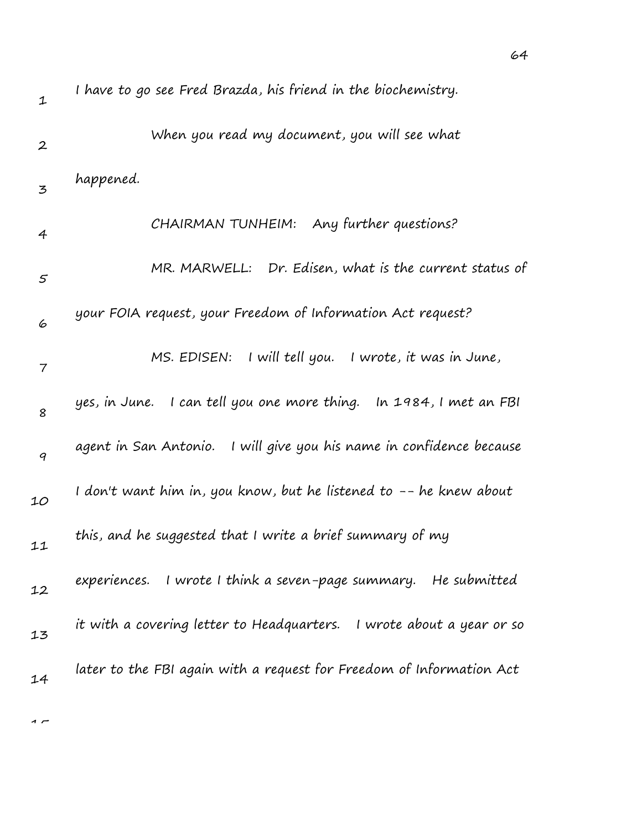| $\mathbf 1$      | I have to go see Fred Brazda, his friend in the biochemistry.         |
|------------------|-----------------------------------------------------------------------|
| $\boldsymbol{2}$ | When you read my document, you will see what                          |
| 3                | happened.                                                             |
| 4                | CHAIRMAN TUNHEIM: Any further questions?                              |
| 5                | MR. MARWELL: Dr. Edisen, what is the current status of                |
| 6                | your FOIA request, your Freedom of Information Act request?           |
| $\overline{7}$   | MS. EDISEN: I will tell you. I wrote, it was in June,                 |
| 8                | yes, in June. I can tell you one more thing. In 1984, I met an FBI    |
| $\boldsymbol{q}$ | agent in San Antonio. I will give you his name in confidence because  |
| 10               | I don't want him in, you know, but he listened to -- he knew about    |
| 11               | this, and he suggested that I write a brief summary of my             |
| 12               | experiences. I wrote I think a seven-page summary. He submitted       |
| 13               | it with a covering letter to Headquarters. I wrote about a year or so |
| 14               | later to the FBI again with a request for Freedom of Information Act  |
|                  |                                                                       |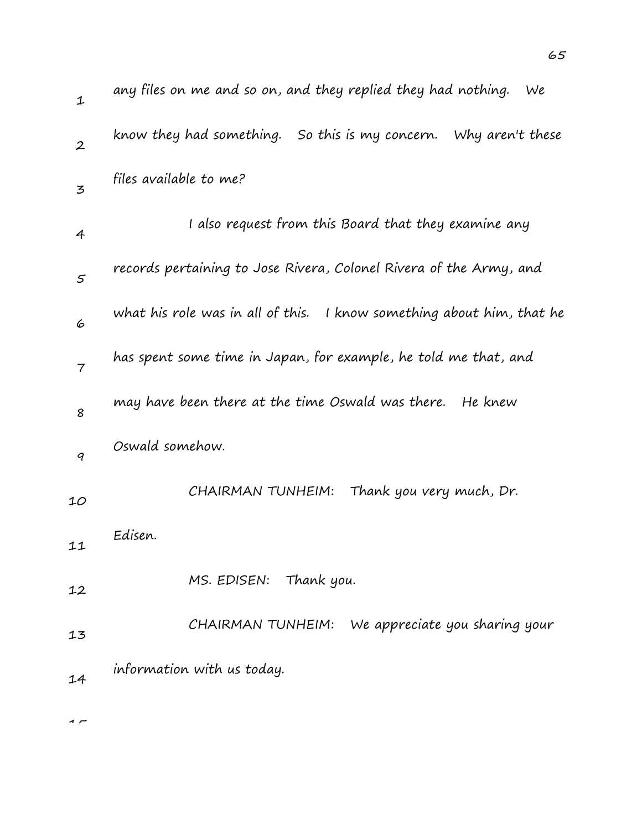| $\mathbf{1}$     | any files on me and so on, and they replied they had nothing.<br>We   |
|------------------|-----------------------------------------------------------------------|
| $\boldsymbol{2}$ | know they had something. So this is my concern. Why aren't these      |
| 3                | files available to me?                                                |
| 4                | I also request from this Board that they examine any                  |
| 5                | records pertaining to Jose Rivera, Colonel Rivera of the Army, and    |
| 6                | what his role was in all of this. I know something about him, that he |
| $\overline{7}$   | has spent some time in Japan, for example, he told me that, and       |
| 8                | may have been there at the time Oswald was there.<br>He knew          |
| 9                | Oswald somehow.                                                       |
| 10               | Thank you very much, Dr.<br>CHAIRMAN TUNHEIM:                         |
| 11               | Edisen.                                                               |
| 12               | Thank you.<br>MS. EDISEN:                                             |
| 13               | We appreciate you sharing your<br>CHAIRMAN TUNHEIM:                   |
| 14               | information with us today.                                            |
|                  |                                                                       |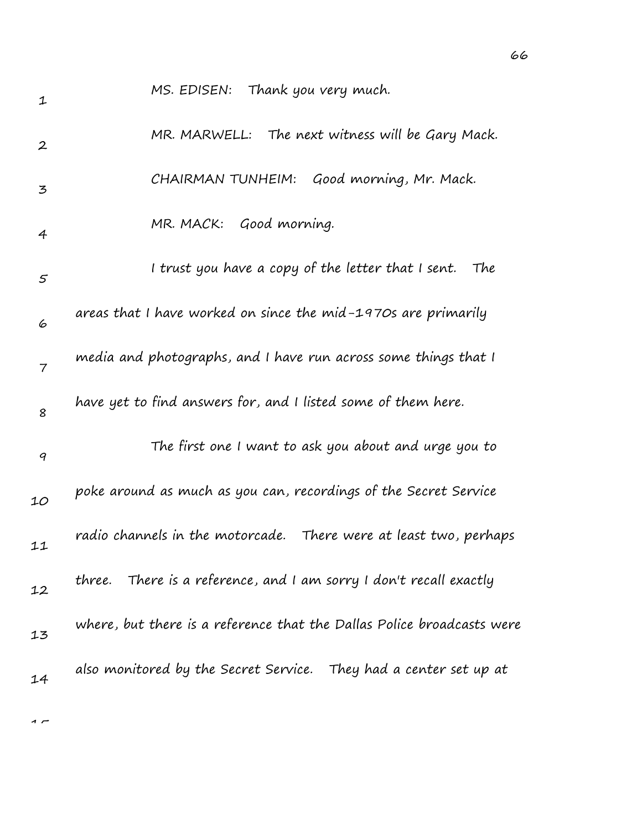| 1                | MS. EDISEN: Thank you very much.                                       |
|------------------|------------------------------------------------------------------------|
| $\boldsymbol{2}$ | MR. MARWELL: The next witness will be Gary Mack.                       |
| 3                | CHAIRMAN TUNHEIM: Good morning, Mr. Mack.                              |
| 4                | MR. MACK: Good morning.                                                |
| 5                | I trust you have a copy of the letter that I sent.<br>The              |
| 6                | areas that I have worked on since the mid-1970s are primarily          |
| 7                | media and photographs, and I have run across some things that I        |
| 8                | have yet to find answers for, and I listed some of them here.          |
| 9                | The first one I want to ask you about and urge you to                  |
| 10               | poke around as much as you can, recordings of the Secret Service       |
| 11               | radio channels in the motorcade. There were at least two, perhaps      |
| 12               | three. There is a reference, and I am sorry I don't recall exactly     |
| 13               | where, but there is a reference that the Dallas Police broadcasts were |
| 14               | also monitored by the Secret Service. They had a center set up at      |
|                  |                                                                        |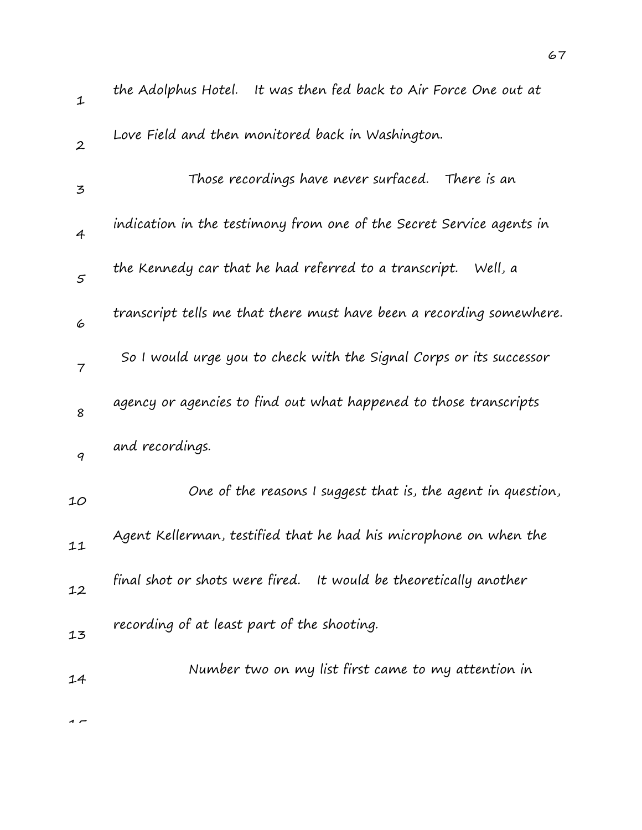| $\mathbf{1}$                                                                                                       | the Adolphus Hotel. It was then fed back to Air Force One out at     |
|--------------------------------------------------------------------------------------------------------------------|----------------------------------------------------------------------|
| $\boldsymbol{2}$                                                                                                   | Love Field and then monitored back in Washington.                    |
| $\mathfrak{Z}% _{T}=\mathfrak{Z}_{T}\!\left( a,b\right) ,\ \mathfrak{Z}_{T}=\mathfrak{Z}_{T}\!\left( a,b\right) ,$ | Those recordings have never surfaced.<br>There is an                 |
| $\overline{4}$                                                                                                     | indication in the testimony from one of the Secret Service agents in |
| 5                                                                                                                  | the Kennedy car that he had referred to a transcript. Well, a        |
| 6                                                                                                                  | transcript tells me that there must have been a recording somewhere. |
| $\overline{7}$                                                                                                     | So I would urge you to check with the Signal Corps or its successor  |
| 8                                                                                                                  | agency or agencies to find out what happened to those transcripts    |
| 9                                                                                                                  | and recordings.                                                      |
| 10                                                                                                                 | One of the reasons I suggest that is, the agent in question,         |
| 11                                                                                                                 | Agent Kellerman, testified that he had his microphone on when the    |
| 12                                                                                                                 | final shot or shots were fired. It would be theoretically another    |
| 13                                                                                                                 | recording of at least part of the shooting.                          |
| 14                                                                                                                 | Number two on my list first came to my attention in                  |
|                                                                                                                    |                                                                      |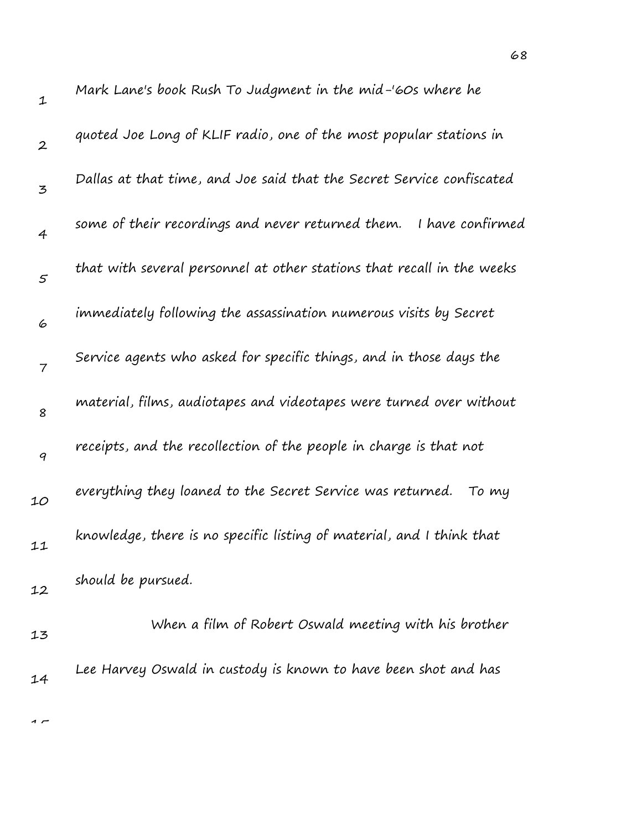| $\mathbf 1$    | Mark Lane's book Rush To Judgment in the mid-'60s where he             |
|----------------|------------------------------------------------------------------------|
| $\overline{2}$ | quoted Joe Long of KLIF radio, one of the most popular stations in     |
| 3              | Dallas at that time, and Joe said that the Secret Service confiscated  |
| $\overline{4}$ | some of their recordings and never returned them.<br>I have confirmed  |
| 5              | that with several personnel at other stations that recall in the weeks |
| 6              | immediately following the assassination numerous visits by Secret      |
| $\overline{7}$ | Service agents who asked for specific things, and in those days the    |
| 8              | material, films, audiotapes and videotapes were turned over without    |
| 9              | receipts, and the recollection of the people in charge is that not     |
| 10             | everything they loaned to the Secret Service was returned.<br>To my    |
| 11             | knowledge, there is no specific listing of material, and I think that  |
| 12             | should be pursued.                                                     |
| 13             | When a film of Robert Oswald meeting with his brother                  |
| 14             | Lee Harvey Oswald in custody is known to have been shot and has        |
|                |                                                                        |

68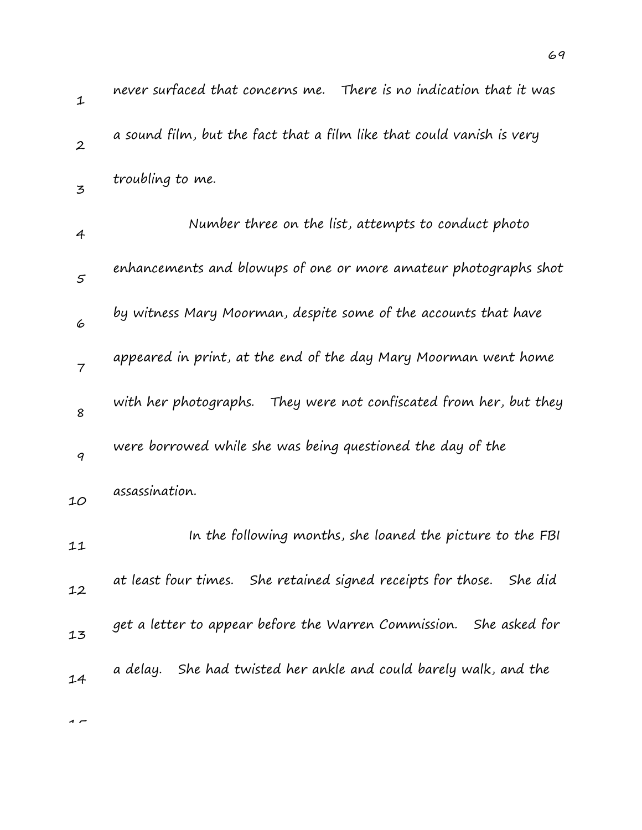| $\mathbf{1}$   | never surfaced that concerns me.   There is no indication that it was |
|----------------|-----------------------------------------------------------------------|
| $\overline{2}$ | a sound film, but the fact that a film like that could vanish is very |
| 3              | troubling to me.                                                      |
| $\overline{4}$ | Number three on the list, attempts to conduct photo                   |
| 5              | enhancements and blowups of one or more amateur photographs shot      |
| 6              | by witness Mary Moorman, despite some of the accounts that have       |
| $\overline{7}$ | appeared in print, at the end of the day Mary Moorman went home       |
| 8              | They were not confiscated from her, but they<br>with her photographs. |
| 9              | were borrowed while she was being questioned the day of the           |
| 10             | assassination.                                                        |
| 11             | In the following months, she loaned the picture to the FBI            |
| 12             | at least four times. She retained signed receipts for those. She did  |
| 13             | get a letter to appear before the Warren Commission. She asked for    |
| 14             | a delay. She had twisted her ankle and could barely walk, and the     |
|                |                                                                       |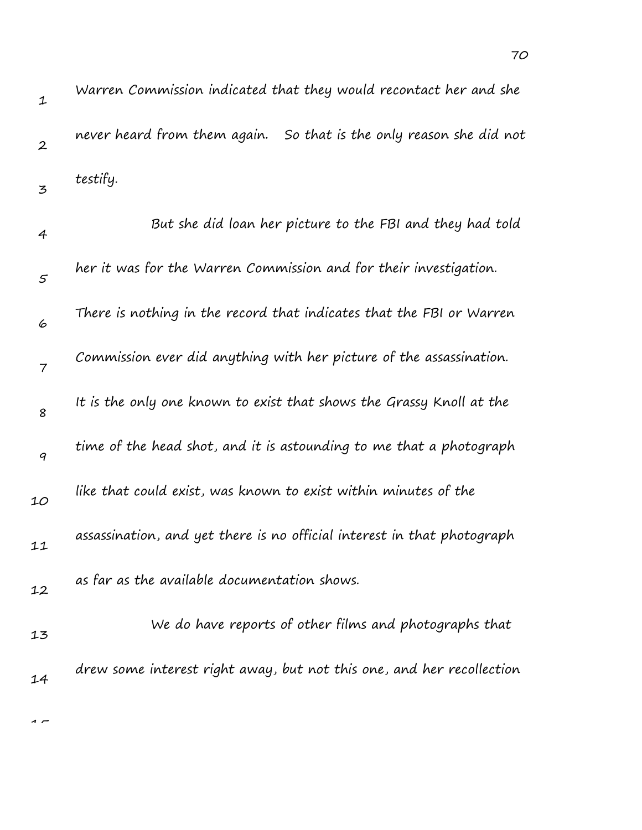| $\mathbf 1$      | Warren Commission indicated that they would recontact her and she       |
|------------------|-------------------------------------------------------------------------|
| $\boldsymbol{2}$ | never heard from them again. So that is the only reason she did not     |
| 3                | testify.                                                                |
| 4                | But she did loan her picture to the FBI and they had told               |
| $\mathfrak{s}$   | her it was for the Warren Commission and for their investigation.       |
| 6                | There is nothing in the record that indicates that the FBI or Warren    |
| $\overline{7}$   | Commission ever did anything with her picture of the assassination.     |
| 8                | It is the only one known to exist that shows the Grassy Knoll at the    |
| 9                | time of the head shot, and it is astounding to me that a photograph     |
| 10               | like that could exist, was known to exist within minutes of the         |
| 11               | assassination, and yet there is no official interest in that photograph |
| 12               | as far as the available documentation shows.                            |
| 13               | We do have reports of other films and photographs that                  |
| 14               | drew some interest right away, but not this one, and her recollection   |
|                  |                                                                         |

 $\overline{1}$ 

70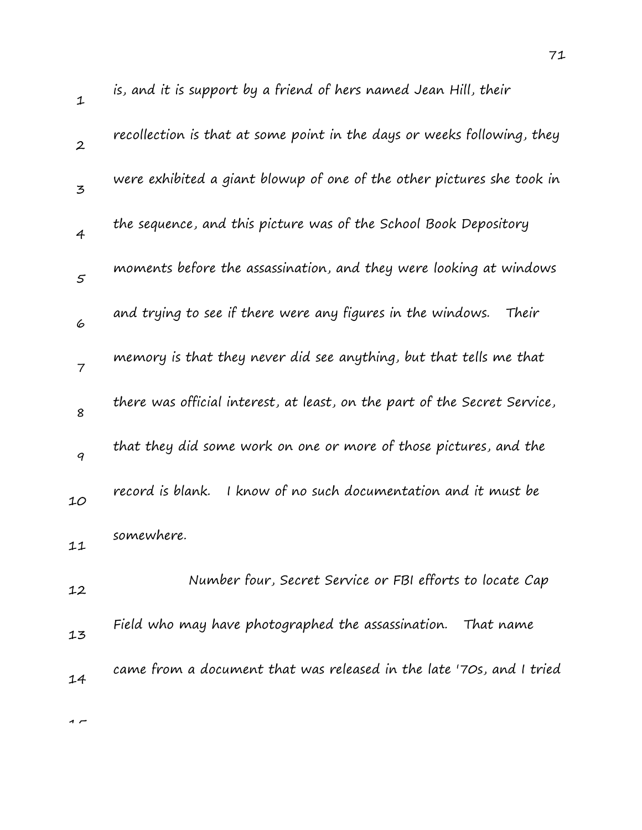| $\mathbf{1}$   | is, and it is support by a friend of hers named Jean Hill, their          |
|----------------|---------------------------------------------------------------------------|
| $\mathbf{2}$   | recollection is that at some point in the days or weeks following, they   |
| 3              | were exhibited a giant blowup of one of the other pictures she took in    |
| $\overline{4}$ | the sequence, and this picture was of the School Book Depository          |
| $\varsigma$    | moments before the assassination, and they were looking at windows        |
| 6              | and trying to see if there were any figures in the windows.<br>Their      |
| $\overline{7}$ | memory is that they never did see anything, but that tells me that        |
| 8              | there was official interest, at least, on the part of the Secret Service, |
| 9              | that they did some work on one or more of those pictures, and the         |
| 10             | record is blank.<br>I know of no such documentation and it must be        |
| 11             | somewhere.                                                                |
| 12             | Number four, Secret Service or FBI efforts to locate Cap                  |
| 13             | Field who may have photographed the assassination. That name              |
| 14             | came from a document that was released in the late '70s, and I tried      |
|                |                                                                           |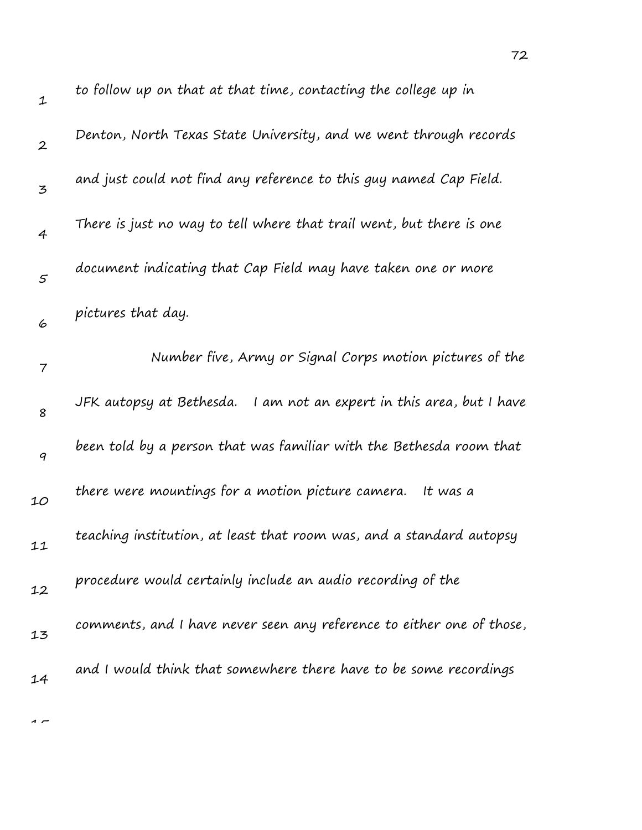| $\mathbf 1$      | to follow up on that at that time, contacting the college up in        |
|------------------|------------------------------------------------------------------------|
| $\boldsymbol{2}$ | Denton, North Texas State University, and we went through records      |
| 3                | and just could not find any reference to this guy named Cap Field.     |
| $\overline{4}$   | There is just no way to tell where that trail went, but there is one   |
| $\varsigma$      | document indicating that Cap Field may have taken one or more          |
| 6                | pictures that day.                                                     |
| 7                | Number five, Army or Signal Corps motion pictures of the               |
| 8                | JFK autopsy at Bethesda.   I am not an expert in this area, but I have |
| 9                | been told by a person that was familiar with the Bethesda room that    |
| 10               | there were mountings for a motion picture camera.<br>It was a          |
| 11               | teaching institution, at least that room was, and a standard autopsy   |
| 12               | procedure would certainly include an audio recording of the            |
| 13               | comments, and I have never seen any reference to either one of those,  |
| 14               | and I would think that somewhere there have to be some recordings      |
|                  |                                                                        |

72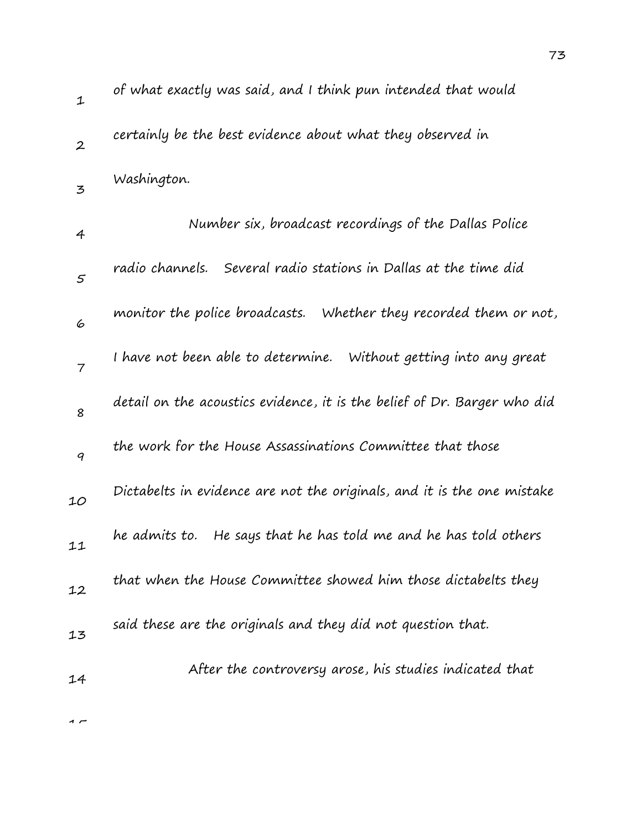| $\mathbf 1$      | of what exactly was said, and I think pun intended that would            |
|------------------|--------------------------------------------------------------------------|
| $\boldsymbol{2}$ | certainly be the best evidence about what they observed in               |
| 3                | Washington.                                                              |
| 4                | Number six, broadcast recordings of the Dallas Police                    |
| 5                | radio channels. Several radio stations in Dallas at the time did         |
| 6                | monitor the police broadcasts. Whether they recorded them or not,        |
| $\overline{7}$   | I have not been able to determine. Without getting into any great        |
| 8                | detail on the acoustics evidence, it is the belief of Dr. Barger who did |
| 9                | the work for the House Assassinations Committee that those               |
| 10               | Dictabelts in evidence are not the originals, and it is the one mistake  |
| 11               | He says that he has told me and he has told others<br>he admits to.      |
| 12               | that when the House Committee showed him those dictabelts they           |
| 13               | said these are the originals and they did not question that.             |
| 14               | After the controversy arose, his studies indicated that                  |
|                  |                                                                          |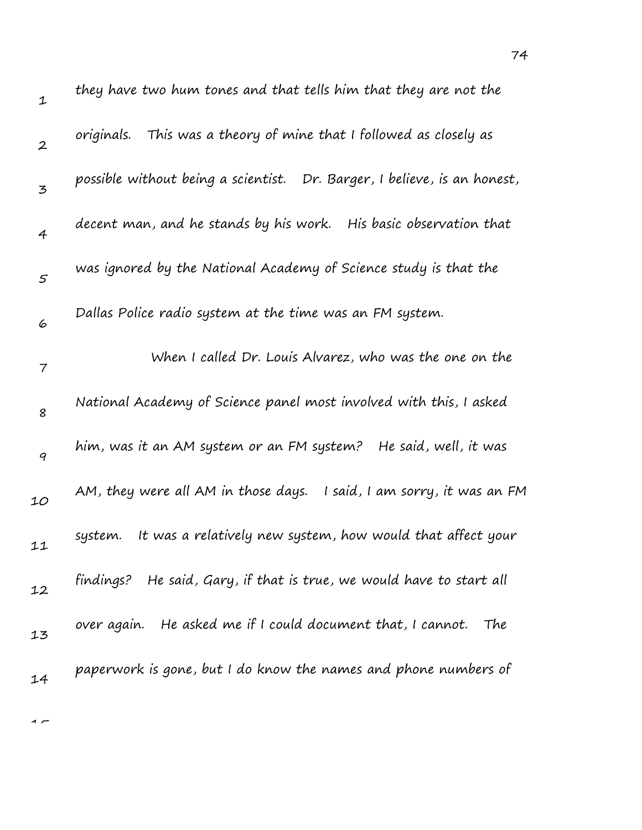| $\mathbf 1$    | they have two hum tones and that tells him that they are not the         |
|----------------|--------------------------------------------------------------------------|
| $\mathbf{2}$   | originals. This was a theory of mine that I followed as closely as       |
| $\mathbf{z}$   | possible without being a scientist. Dr. Barger, I believe, is an honest, |
| $\overline{4}$ | decent man, and he stands by his work. His basic observation that        |
| 5              | was ignored by the National Academy of Science study is that the         |
| 6              | Dallas Police radio system at the time was an FM system.                 |
| 7              | When I called Dr. Louis Alvarez, who was the one on the                  |
| 8              | National Academy of Science panel most involved with this, I asked       |
| 9              | He said, well, it was<br>him, was it an AM system or an FM system?       |
| 10             | AM, they were all AM in those days.<br>I said, I am sorry, it was an FM  |
| 11             | It was a relatively new system, how would that affect your<br>system.    |
| 12             | findings? He said, Gary, if that is true, we would have to start all     |
| 13             | over again. He asked me if I could document that, I cannot.<br>The       |
| 14             | paperwork is gone, but I do know the names and phone numbers of          |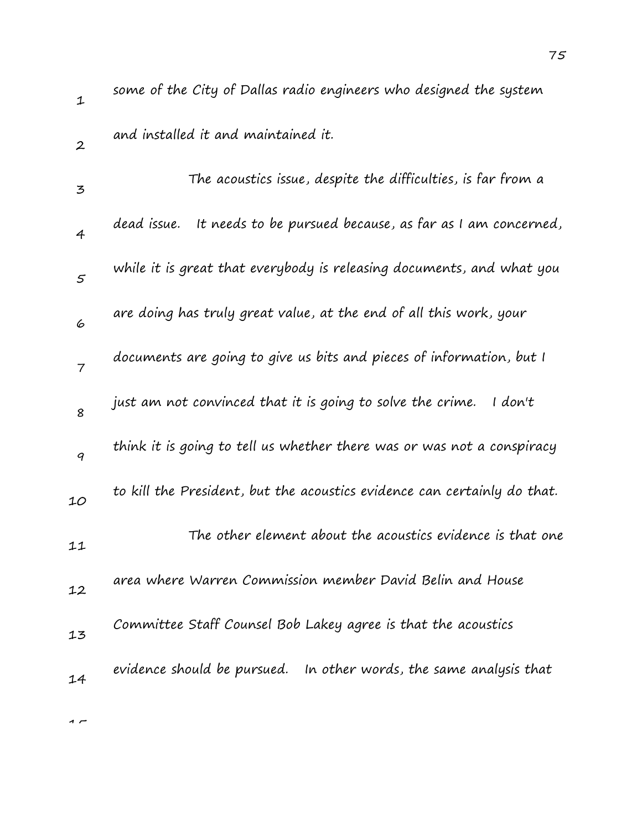| $\mathbf{1}$   | some of the City of Dallas radio engineers who designed the system       |
|----------------|--------------------------------------------------------------------------|
| $\mathbf{2}$   | and installed it and maintained it.                                      |
| 3              | The acoustics issue, despite the difficulties, is far from a             |
| $\overline{4}$ | It needs to be pursued because, as far as I am concerned,<br>dead issue. |
| $\mathfrak{s}$ | while it is great that everybody is releasing documents, and what you    |
| 6              | are doing has truly great value, at the end of all this work, your       |
| $\overline{7}$ | documents are going to give us bits and pieces of information, but I     |
| 8              | just am not convinced that it is going to solve the crime.<br>I don't    |
| 9              | think it is going to tell us whether there was or was not a conspiracy   |
| 10             | to kill the President, but the acoustics evidence can certainly do that. |
| 11             | The other element about the acoustics evidence is that one               |
| 12             | area where Warren Commission member David Belin and House                |
| 13             | Committee Staff Counsel Bob Lakey agree is that the acoustics            |
| 14             | evidence should be pursued. In other words, the same analysis that       |
|                |                                                                          |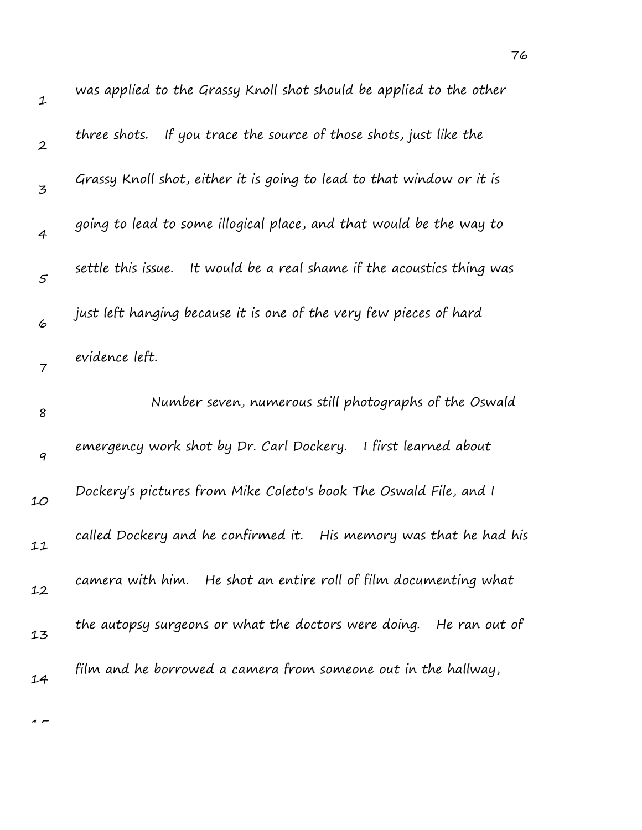| $\mathbf 1$      | was applied to the Grassy Knoll shot should be applied to the other    |
|------------------|------------------------------------------------------------------------|
| $\boldsymbol{2}$ | If you trace the source of those shots, just like the<br>three shots.  |
| 3                | Grassy Knoll shot, either it is going to lead to that window or it is  |
| $\overline{4}$   | going to lead to some illogical place, and that would be the way to    |
| $\varsigma$      | settle this issue. It would be a real shame if the acoustics thing was |
| 6                | just left hanging because it is one of the very few pieces of hard     |
| $\overline{7}$   | evidence left.                                                         |
| 8                | Number seven, numerous still photographs of the Oswald                 |
|                  |                                                                        |
| $\boldsymbol{q}$ | I first learned about<br>emergency work shot by Dr. Carl Dockery.      |
| 10               | Dockery's pictures from Mike Coleto's book The Oswald File, and I      |
| 11               | called Dockery and he confirmed it. His memory was that he had his     |
| 12               | camera with him. He shot an entire roll of film documenting what       |
| 13               | the autopsy surgeons or what the doctors were doing.<br>He ran out of  |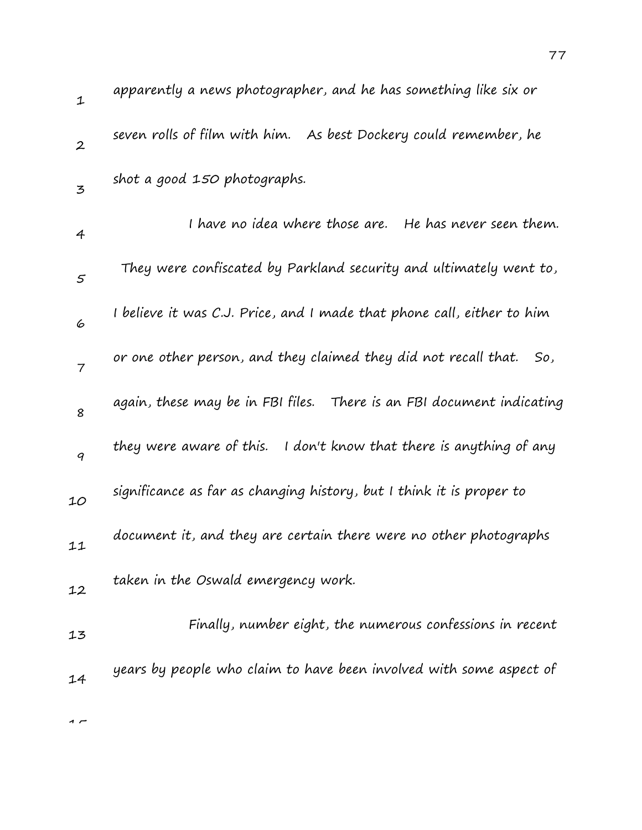| $\mathbf 1$      | apparently a news photographer, and he has something like six or       |
|------------------|------------------------------------------------------------------------|
| $\boldsymbol{2}$ | seven rolls of film with him.<br>As best Dockery could remember, he    |
| 3                | shot a good 150 photographs.                                           |
| 4                | I have no idea where those are.   He has never seen them.              |
| $\varsigma$      | They were confiscated by Parkland security and ultimately went to,     |
| 6                | I believe it was C.J. Price, and I made that phone call, either to him |
| 7                | or one other person, and they claimed they did not recall that.<br>So, |
| 8                | again, these may be in FBI files. There is an FBI document indicating  |
| 9                | they were aware of this. I don't know that there is anything of any    |
| 10               | significance as far as changing history, but I think it is proper to   |
| 11               | document it, and they are certain there were no other photographs      |
| 12               | taken in the Oswald emergency work.                                    |
| 13               | Finally, number eight, the numerous confessions in recent              |
| 14               | years by people who claim to have been involved with some aspect of    |
| $\sim$           |                                                                        |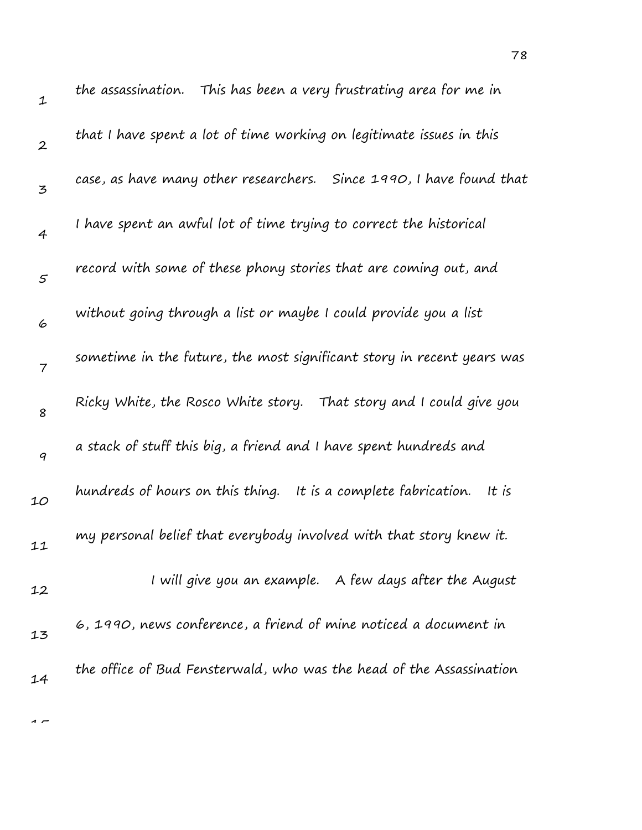| $\mathbf 1$      | the assassination. This has been a very frustrating area for me in      |
|------------------|-------------------------------------------------------------------------|
| $\boldsymbol{2}$ | that I have spent a lot of time working on legitimate issues in this    |
| 3                | case, as have many other researchers. Since 1990, I have found that     |
| $\overline{4}$   | I have spent an awful lot of time trying to correct the historical      |
| 5                | record with some of these phony stories that are coming out, and        |
| 6                | without going through a list or maybe I could provide you a list        |
| $\overline{7}$   | sometime in the future, the most significant story in recent years was  |
| 8                | Ricky White, the Rosco White story. That story and I could give you     |
| $\boldsymbol{q}$ | a stack of stuff this big, a friend and I have spent hundreds and       |
| 10               | hundreds of hours on this thing. It is a complete fabrication.<br>It is |
| 11               | my personal belief that everybody involved with that story knew it.     |
| 12               | I will give you an example. A few days after the August                 |
| 13               | 6, 1990, news conference, a friend of mine noticed a document in        |
| 14               | the office of Bud Fensterwald, who was the head of the Assassination    |
|                  |                                                                         |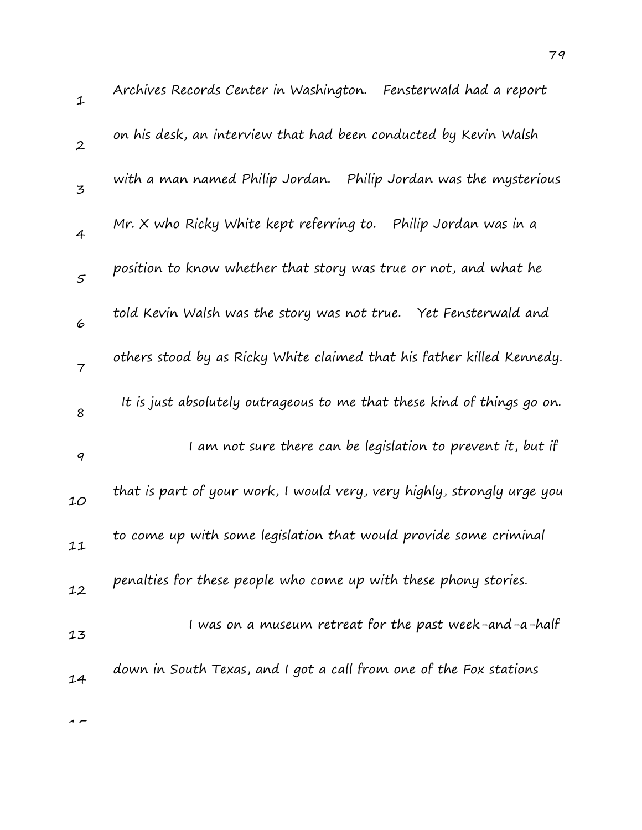| $\mathbf{1}$   | Archives Records Center in Washington. Fensterwald had a report         |
|----------------|-------------------------------------------------------------------------|
| $\overline{2}$ | on his desk, an interview that had been conducted by Kevin Walsh        |
| $\overline{5}$ | with a man named Philip Jordan.<br>Philip Jordan was the mysterious     |
| $\overline{4}$ | Mr. X who Ricky White kept referring to.<br>Philip Jordan was in a      |
| 5              | position to know whether that story was true or not, and what he        |
| 6              | told Kevin Walsh was the story was not true.<br>Yet Fensterwald and     |
| $\overline{7}$ | others stood by as Ricky White claimed that his father killed Kennedy.  |
| 8              | It is just absolutely outrageous to me that these kind of things go on. |
| 9              | I am not sure there can be legislation to prevent it, but if            |
| 10             | that is part of your work, I would very, very highly, strongly urge you |
| 11             | to come up with some legislation that would provide some criminal       |
| 12             | penalties for these people who come up with these phony stories.        |
| 13             | I was on a museum retreat for the past week-and-a-half                  |
| 14             | down in South Texas, and I got a call from one of the Fox stations      |
|                |                                                                         |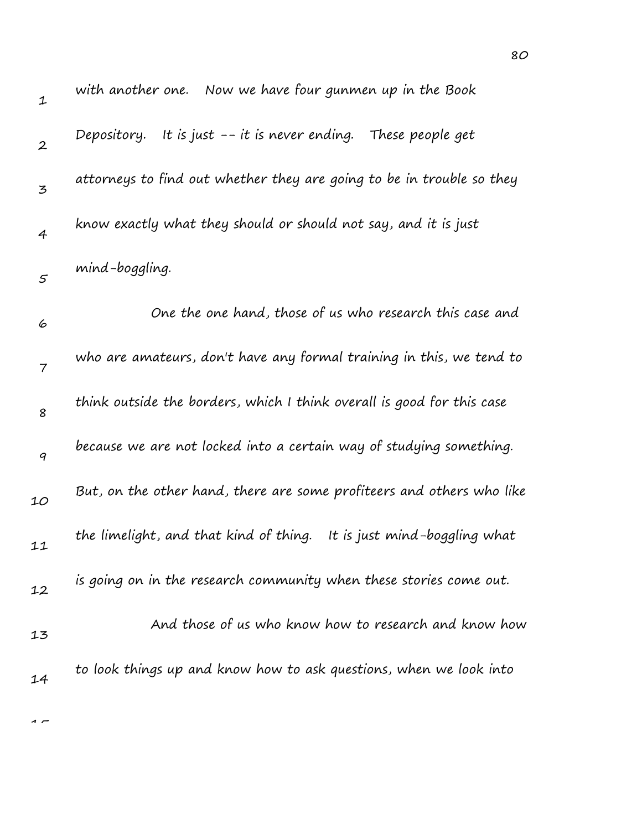| $\mathbf 1$      | with another one. Now we have four gunmen up in the Book                |
|------------------|-------------------------------------------------------------------------|
| $\boldsymbol{2}$ | Depository. It is just $-$ - it is never ending. These people get       |
| 3                | attorneys to find out whether they are going to be in trouble so they   |
| $\overline{4}$   | know exactly what they should or should not say, and it is just         |
| $\mathfrak{s}$   | mind-boggling.                                                          |
| 6                | One the one hand, those of us who research this case and                |
| 7                | who are amateurs, don't have any formal training in this, we tend to    |
| 8                | think outside the borders, which I think overall is good for this case  |
| 9                | because we are not locked into a certain way of studying something.     |
| 10               | But, on the other hand, there are some profiteers and others who like   |
| 11               | the limelight, and that kind of thing.<br>It is just mind-boggling what |
| 12               | is going on in the research community when these stories come out.      |
| 13               | And those of us who know how to research and know how                   |
| 14               | to look things up and know how to ask questions, when we look into      |
|                  |                                                                         |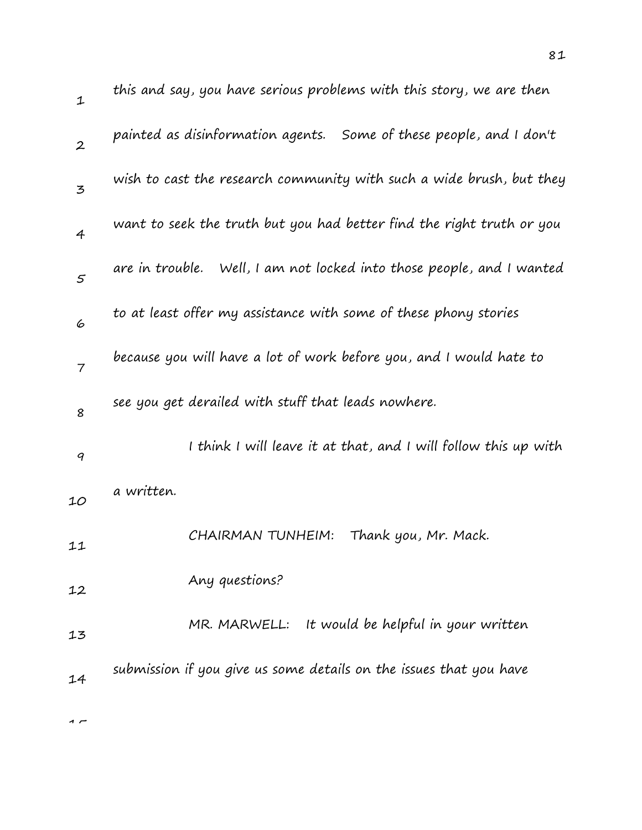| $\mathbf{1}$     | this and say, you have serious problems with this story, we are then  |
|------------------|-----------------------------------------------------------------------|
| $\overline{2}$   | painted as disinformation agents. Some of these people, and I don't   |
| $\mathbf{z}$     | wish to cast the research community with such a wide brush, but they  |
| $\overline{4}$   | want to seek the truth but you had better find the right truth or you |
| $\varsigma$      | are in trouble. Well, I am not locked into those people, and I wanted |
| 6                | to at least offer my assistance with some of these phony stories      |
| $\overline{7}$   | because you will have a lot of work before you, and I would hate to   |
| 8                | see you get derailed with stuff that leads nowhere.                   |
| $\boldsymbol{q}$ | I think I will leave it at that, and I will follow this up with       |
| 10               | a written.                                                            |
| 11               | CHAIRMAN TUNHEIM:<br>Thank you, Mr. Mack.                             |
| 12               | Any questions?                                                        |
| 13               | MR. MARWELL: It would be helpful in your written                      |
| 14               | submission if you give us some details on the issues that you have    |
|                  |                                                                       |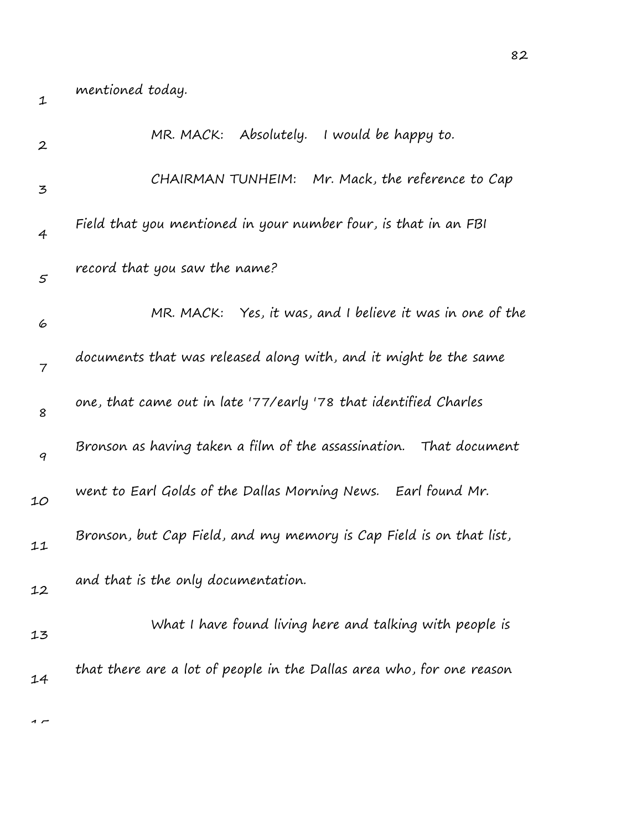| $\boldsymbol{2}$ | MR. MACK: Absolutely. I would be happy to.                            |
|------------------|-----------------------------------------------------------------------|
| 3                | CHAIRMAN TUNHEIM: Mr. Mack, the reference to Cap                      |
| $\overline{4}$   | Field that you mentioned in your number four, is that in an FBI       |
| $\mathcal{S}$    | record that you saw the name?                                         |
| 6                | MR. MACK: Yes, it was, and I believe it was in one of the             |
| $\overline{7}$   | documents that was released along with, and it might be the same      |
| 8                | one, that came out in late '77/early '78 that identified Charles      |
| 9                | Bronson as having taken a film of the assassination. That document    |
| 10               | went to Earl Golds of the Dallas Morning News. Earl found Mr.         |
| 11               | Bronson, but Cap Field, and my memory is Cap Field is on that list,   |
| 12               | and that is the only documentation.                                   |
| 13               | What I have found living here and talking with people is              |
| 14               | that there are a lot of people in the Dallas area who, for one reason |
|                  |                                                                       |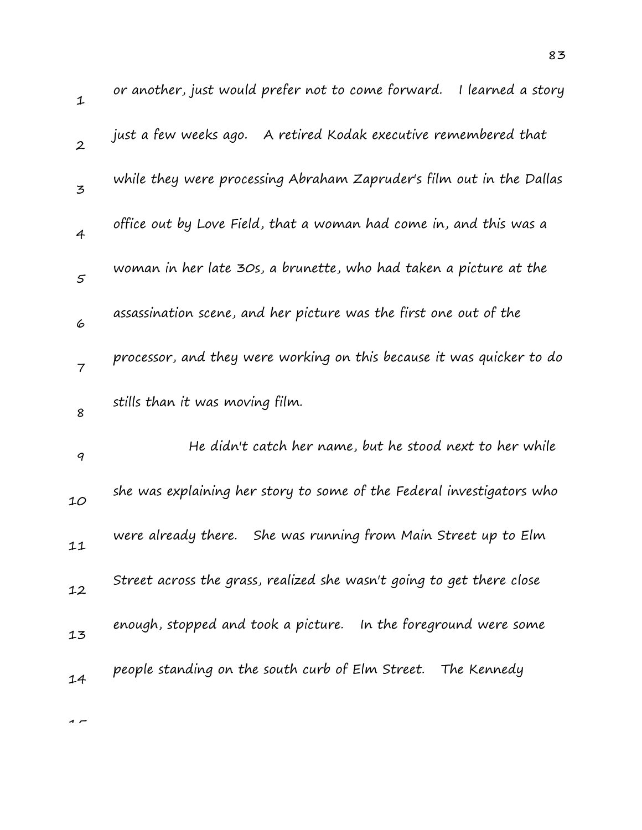| $\mathbf 1$    | or another, just would prefer not to come forward.<br>I learned a story |
|----------------|-------------------------------------------------------------------------|
| $\mathbf{2}$   | just a few weeks ago.<br>A retired Kodak executive remembered that      |
| $\mathbf{z}$   | while they were processing Abraham Zapruder's film out in the Dallas    |
| $\overline{4}$ | office out by Love Field, that a woman had come in, and this was a      |
| 5              | woman in her late 30s, a brunette, who had taken a picture at the       |
| 6              | assassination scene, and her picture was the first one out of the       |
| $\overline{7}$ | processor, and they were working on this because it was quicker to do   |
| 8              | stills than it was moving film.                                         |
| 9              | He didn't catch her name, but he stood next to her while                |
| 10             | she was explaining her story to some of the Federal investigators who   |
| 11             | She was running from Main Street up to Elm<br>were already there.       |
| 12             | Street across the grass, realized she wasn't going to get there close   |
| 13             | enough, stopped and took a picture. In the foreground were some         |
| 14             | people standing on the south curb of Elm Street. The Kennedy            |
|                |                                                                         |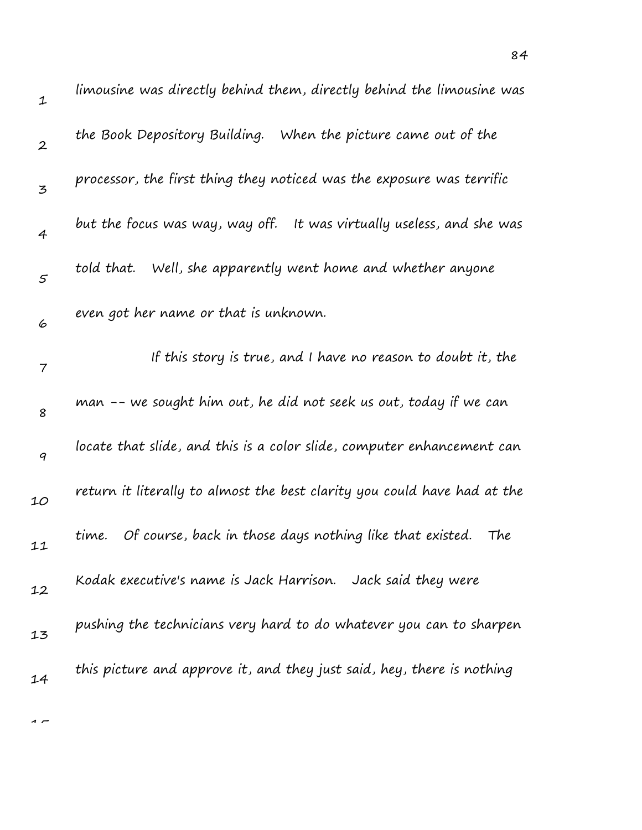| $\mathbf 1$      | limousine was directly behind them, directly behind the limousine was    |
|------------------|--------------------------------------------------------------------------|
| $\boldsymbol{2}$ | the Book Depository Building. When the picture came out of the           |
| 3                | processor, the first thing they noticed was the exposure was terrific    |
| $\overline{4}$   | but the focus was way, way off. It was virtually useless, and she was    |
| $\mathfrak{s}$   | Well, she apparently went home and whether anyone<br>told that.          |
| 6                | even got her name or that is unknown.                                    |
| $\overline{7}$   | If this story is true, and I have no reason to doubt it, the             |
| 8                | man -- we sought him out, he did not seek us out, today if we can        |
| 9                | locate that slide, and this is a color slide, computer enhancement can   |
| 10               | return it literally to almost the best clarity you could have had at the |
| 11               | time. Of course, back in those days nothing like that existed.<br>The    |
| 12               | Kodak executive's name is Jack Harrison. Jack said they were             |
| 13               | pushing the technicians very hard to do whatever you can to sharpen      |
| 14               | this picture and approve it, and they just said, hey, there is nothing   |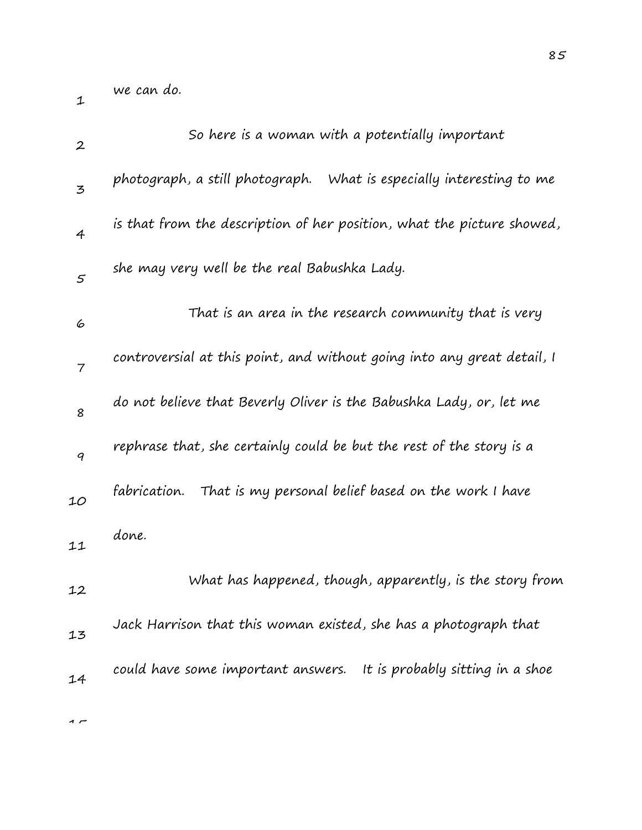we can do.

1

| $\boldsymbol{2}$                                                                                                   | So here is a woman with a potentially important                         |
|--------------------------------------------------------------------------------------------------------------------|-------------------------------------------------------------------------|
| $\mathfrak{Z}% _{T}=\mathfrak{Z}_{T}\!\left( a,b\right) ,\ \mathfrak{Z}_{T}=\mathfrak{Z}_{T}\!\left( a,b\right) ,$ | photograph, a still photograph. What is especially interesting to me    |
| $\overline{4}$                                                                                                     | is that from the description of her position, what the picture showed,  |
| 5                                                                                                                  | she may very well be the real Babushka Lady.                            |
| 6                                                                                                                  | That is an area in the research community that is very                  |
| $\overline{7}$                                                                                                     | controversial at this point, and without going into any great detail, I |
| 8                                                                                                                  | do not believe that Beverly Oliver is the Babushka Lady, or, let me     |
| 9                                                                                                                  | rephrase that, she certainly could be but the rest of the story is a    |
| 10                                                                                                                 | fabrication.<br>That is my personal belief based on the work I have     |
| 11                                                                                                                 | done.                                                                   |
| 12                                                                                                                 | What has happened, though, apparently, is the story from                |
| 13                                                                                                                 | Jack Harrison that this woman existed, she has a photograph that        |
| 14                                                                                                                 | could have some important answers. It is probably sitting in a shoe     |
|                                                                                                                    |                                                                         |

85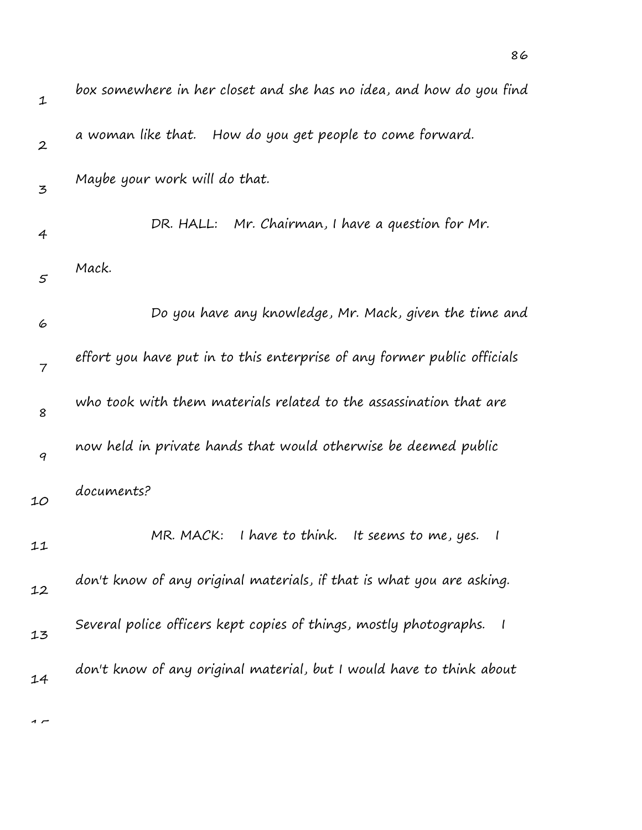| $\mathbf 1$      | box somewhere in her closet and she has no idea, and how do you find        |
|------------------|-----------------------------------------------------------------------------|
| $\boldsymbol{2}$ | a woman like that. How do you get people to come forward.                   |
| 3                | Maybe your work will do that.                                               |
| $\overline{4}$   | DR. HALL: Mr. Chairman, I have a question for Mr.                           |
| 5                | Mack.                                                                       |
| 6                | Do you have any knowledge, Mr. Mack, given the time and                     |
| $\overline{7}$   | effort you have put in to this enterprise of any former public officials    |
| 8                | who took with them materials related to the assassination that are          |
| 9                | now held in private hands that would otherwise be deemed public             |
| 10               | documents?                                                                  |
| 11               | MR. MACK: I have to think. It seems to me, yes.<br>$\overline{\phantom{a}}$ |
| 12               | don't know of any original materials, if that is what you are asking.       |
| 13               | Several police officers kept copies of things, mostly photographs.          |
| 14               | don't know of any original material, but I would have to think about        |
|                  |                                                                             |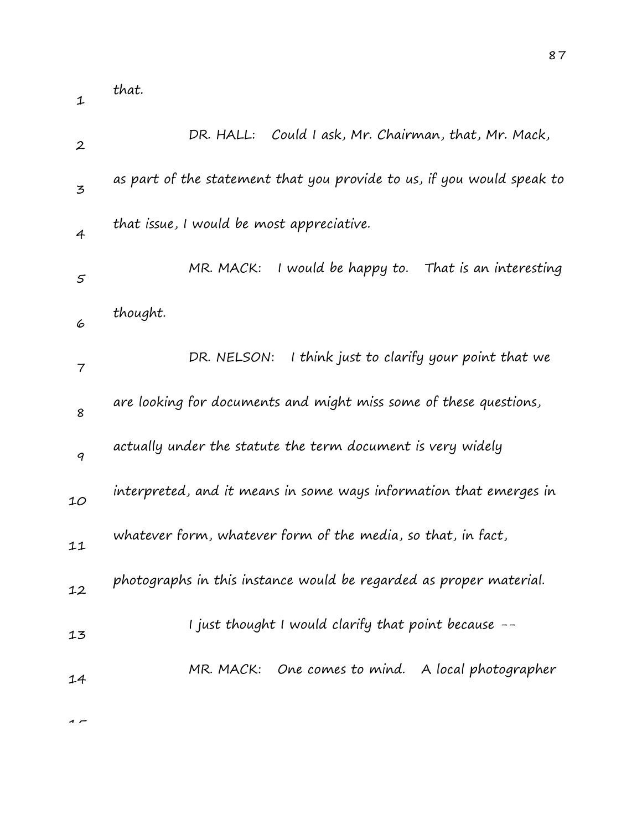| $\boldsymbol{2}$ | Could I ask, Mr. Chairman, that, Mr. Mack,<br>DR. HALL:                |
|------------------|------------------------------------------------------------------------|
| 3                | as part of the statement that you provide to us, if you would speak to |
| $\overline{4}$   | that issue, I would be most appreciative.                              |
| $\varsigma$      | I would be happy to.<br>MR. MACK:<br>That is an interesting            |
| 6                | thought.                                                               |
| 7                | I think just to clarify your point that we<br>DR. NELSON:              |
| 8                | are looking for documents and might miss some of these questions,      |
| 9                | actually under the statute the term document is very widely            |
| 10               | interpreted, and it means in some ways information that emerges in     |
| 11               | whatever form, whatever form of the media, so that, in fact,           |
| 12               | photographs in this instance would be regarded as proper material.     |
| 13               | I just thought I would clarify that point because --                   |
| 14               | MR. MACK: One comes to mind. A local photographer                      |
|                  |                                                                        |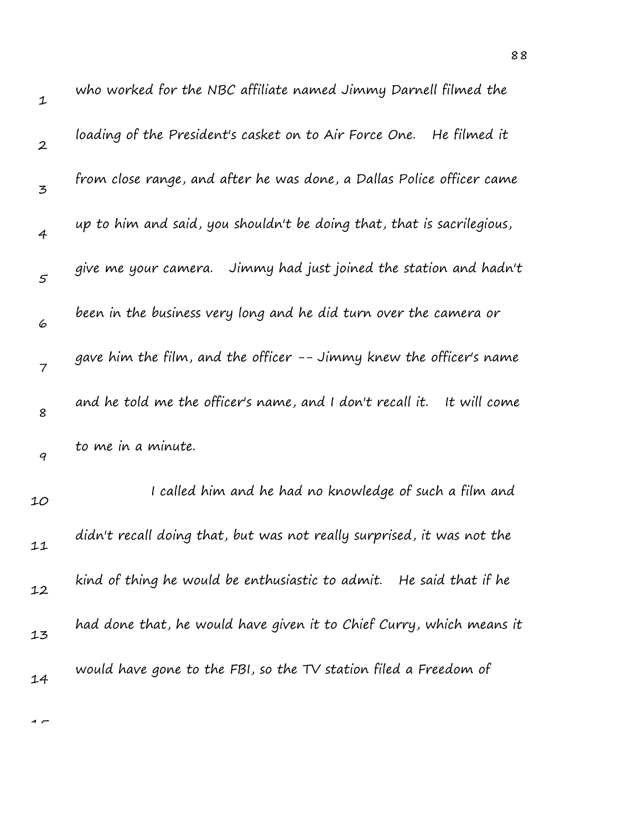| $\mathbf 1$      | who worked for the NBC affiliate named Jimmy Darnell filmed the           |
|------------------|---------------------------------------------------------------------------|
| $\boldsymbol{2}$ | loading of the President's casket on to Air Force One.   He filmed it     |
| 3                | from close range, and after he was done, a Dallas Police officer came     |
| $\overline{4}$   | up to him and said, you shouldn't be doing that, that is sacrilegious,    |
| $\mathfrak{s}$   | give me your camera. Jimmy had just joined the station and hadn't         |
| 6                | been in the business very long and he did turn over the camera or         |
| $\overline{7}$   | gave him the film, and the officer -- Jimmy knew the officer's name       |
| 8                | and he told me the officer's name, and I don't recall it.<br>It will come |
| 9                | to me in a minute.                                                        |
| 10               | I called him and he had no knowledge of such a film and                   |
| 11               | didn't recall doing that, but was not really surprised, it was not the    |
| 12               | kind of thing he would be enthusiastic to admit. He said that if he       |
| 13               | had done that, he would have given it to Chief Curry, which means it      |
| 14               | would have gone to the FBI, so the TV station filed a Freedom of          |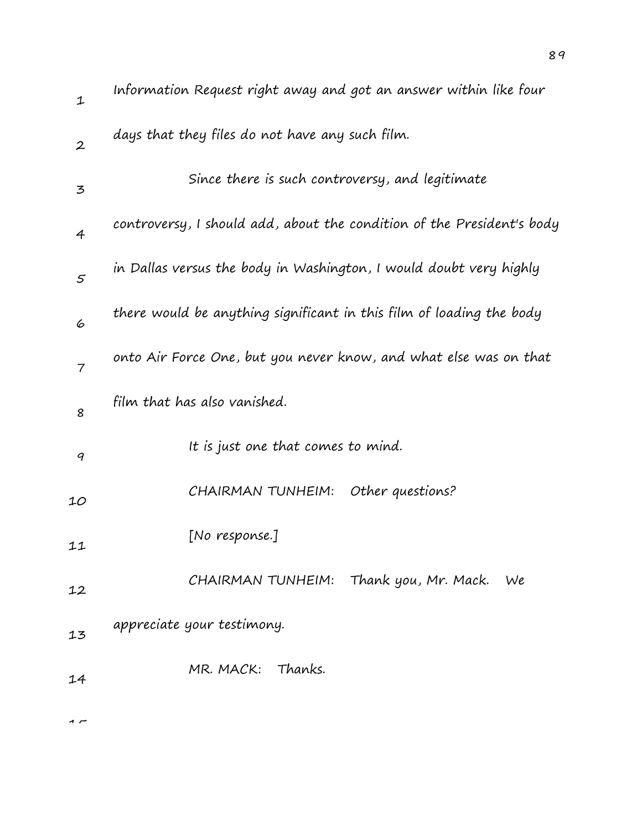| $\mathbf 1$      | Information Request right away and got an answer within like four      |
|------------------|------------------------------------------------------------------------|
| $\boldsymbol{2}$ | days that they files do not have any such film.                        |
| 3                | Since there is such controversy, and legitimate                        |
| $\overline{4}$   | controversy, I should add, about the condition of the President's body |
| 5                | in Dallas versus the body in Washington, I would doubt very highly     |
| 6                | there would be anything significant in this film of loading the body   |
| $\overline{7}$   | onto Air Force One, but you never know, and what else was on that      |
| 8                | film that has also vanished.                                           |
| 9                | It is just one that comes to mind.                                     |
| 10               | CHAIRMAN TUNHEIM:<br>Other questions?                                  |
| 11               | [No response.]                                                         |
| 12               | CHAIRMAN TUNHEIM: Thank you, Mr. Mack.<br>We                           |
| 13               | appreciate your testimony.                                             |
| 14               | MR. MACK:<br>Thanks.                                                   |
|                  |                                                                        |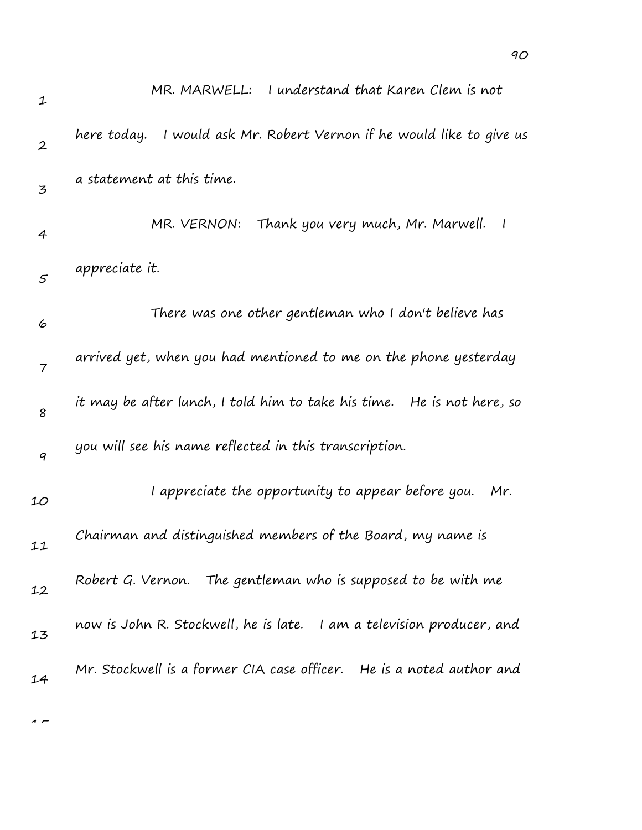| 1                | I understand that Karen Clem is not<br>MR. MARWELL:                      |
|------------------|--------------------------------------------------------------------------|
| $\boldsymbol{2}$ | I would ask Mr. Robert Vernon if he would like to give us<br>here today. |
| $\mathbf{z}$     | a statement at this time.                                                |
| 4                | MR. VERNON:<br>Thank you very much, Mr. Marwell.<br>$\sqrt{ }$           |
| $\mathfrak{s}$   | appreciate it.                                                           |
| 6                | There was one other gentleman who I don't believe has                    |
| $\overline{7}$   | arrived yet, when you had mentioned to me on the phone yesterday         |
| 8                | it may be after lunch, I told him to take his time.  He is not here, so  |
| 9                | you will see his name reflected in this transcription.                   |
| 10               | I appreciate the opportunity to appear before you.<br>Mr.                |
| 11               | Chairman and distinguished members of the Board, my name is              |
| 12               | Robert G. Vernon. The gentleman who is supposed to be with me            |
| 13               | I am a television producer, and<br>now is John R. Stockwell, he is late. |
| 14               | Mr. Stockwell is a former CIA case officer. He is a noted author and     |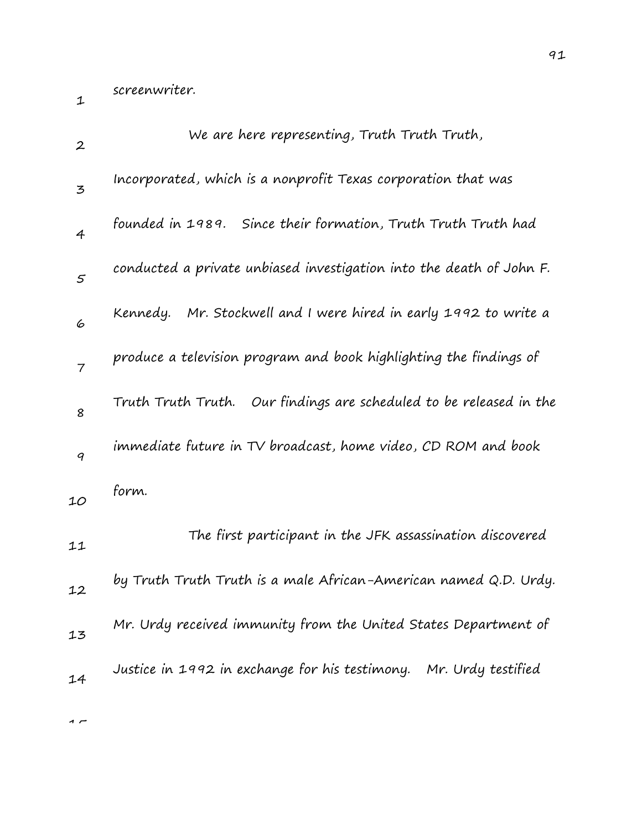screenwriter.

1

| $\boldsymbol{2}$ | We are here representing, Truth Truth Truth,                         |
|------------------|----------------------------------------------------------------------|
| 3                | Incorporated, which is a nonprofit Texas corporation that was        |
| $\overline{4}$   | founded in 1989. Since their formation, Truth Truth Truth had        |
| $\varsigma$      | conducted a private unbiased investigation into the death of John F. |
| 6                | Kennedy. Mr. Stockwell and I were hired in early 1992 to write a     |
| $\overline{7}$   | produce a television program and book highlighting the findings of   |
| 8                | Truth Truth Truth. Our findings are scheduled to be released in the  |
| 9                | immediate future in TV broadcast, home video, CD ROM and book        |
| 10               | form.                                                                |
| 11               | The first participant in the JFK assassination discovered            |
| 12               | by Truth Truth Truth is a male African-American named Q.D. Urdy.     |
| 13               | Mr. Urdy received immunity from the United States Department of      |
| 14               | Justice in 1992 in exchange for his testimony. Mr. Urdy testified    |
|                  |                                                                      |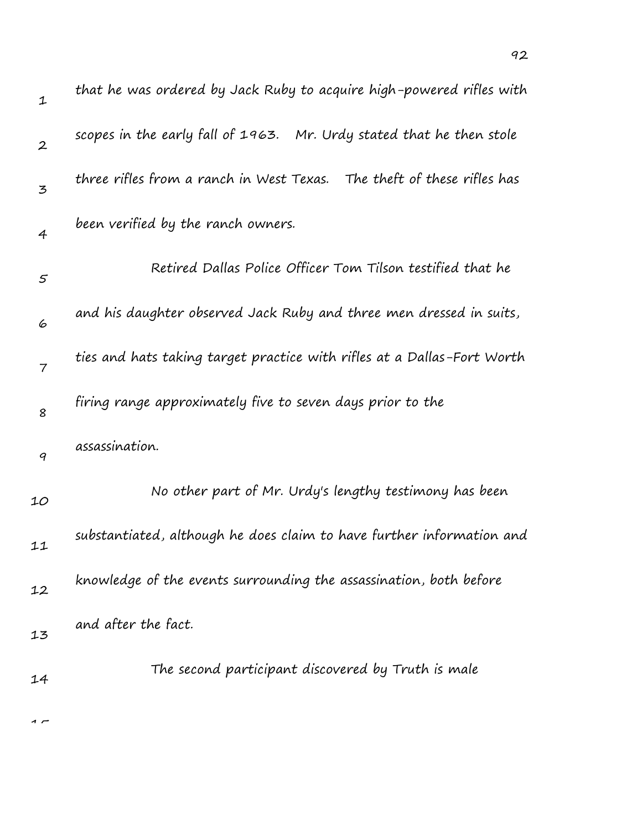| $\mathbf 1$      | that he was ordered by Jack Ruby to acquire high-powered rifles with    |
|------------------|-------------------------------------------------------------------------|
| $\boldsymbol{2}$ | scopes in the early fall of 1963. Mr. Urdy stated that he then stole    |
| 3                | three rifles from a ranch in West Texas. The theft of these rifles has  |
| $\overline{4}$   | been verified by the ranch owners.                                      |
| 5                | Retired Dallas Police Officer Tom Tilson testified that he              |
| 6                | and his daughter observed Jack Ruby and three men dressed in suits,     |
| $\overline{7}$   | ties and hats taking target practice with rifles at a Dallas-Fort Worth |
| 8                | firing range approximately five to seven days prior to the              |
| 9                | assassination.                                                          |
| 10               | No other part of Mr. Urdy's lengthy testimony has been                  |
| 11               | substantiated, although he does claim to have further information and   |
| 12               | knowledge of the events surrounding the assassination, both before      |
| 13               | and after the fact.                                                     |
| 14               | The second participant discovered by Truth is male                      |
|                  |                                                                         |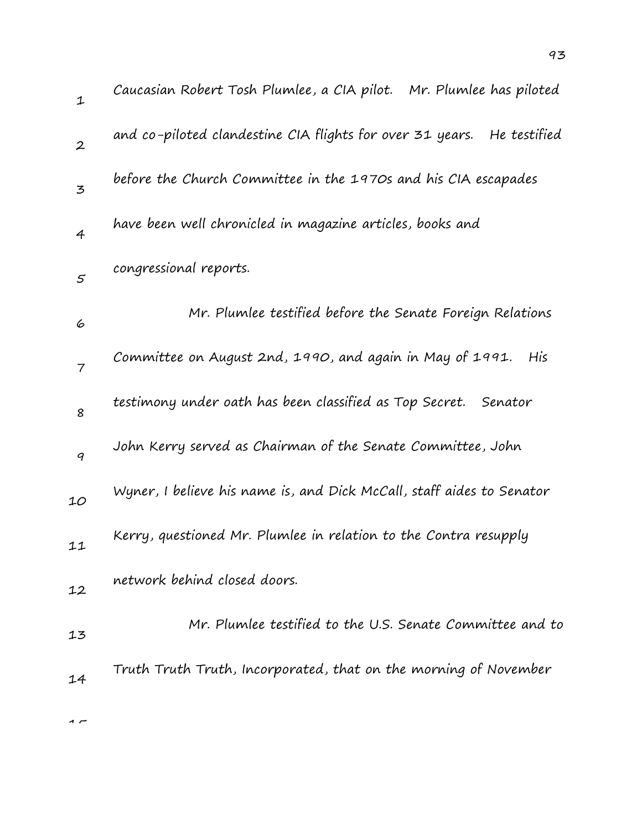| $\mathbf{1}$     | Caucasian Robert Tosh Plumlee, a CIA pilot. Mr. Plumlee has piloted     |
|------------------|-------------------------------------------------------------------------|
| $\boldsymbol{2}$ | and co-piloted clandestine CIA flights for over 31 years.  He testified |
| $\overline{5}$   | before the Church Committee in the 1970s and his CIA escapades          |
| $\overline{4}$   | have been well chronicled in magazine articles, books and               |
| $\mathfrak{s}$   | congressional reports.                                                  |
| 6                | Mr. Plumlee testified before the Senate Foreign Relations               |
| $\overline{7}$   | Committee on August 2nd, 1990, and again in May of 1991.<br>His         |
| 8                | testimony under oath has been classified as Top Secret.<br>Senator      |
| 9                | John Kerry served as Chairman of the Senate Committee, John             |
| 10               | Wyner, I believe his name is, and Dick McCall, staff aides to Senator   |
| 11               | Kerry, questioned Mr. Plumlee in relation to the Contra resupply        |
| 12               | network behind closed doors.                                            |
| 13               | Mr. Plumlee testified to the U.S. Senate Committee and to               |
| 14               | Truth Truth Truth, Incorporated, that on the morning of November        |
|                  |                                                                         |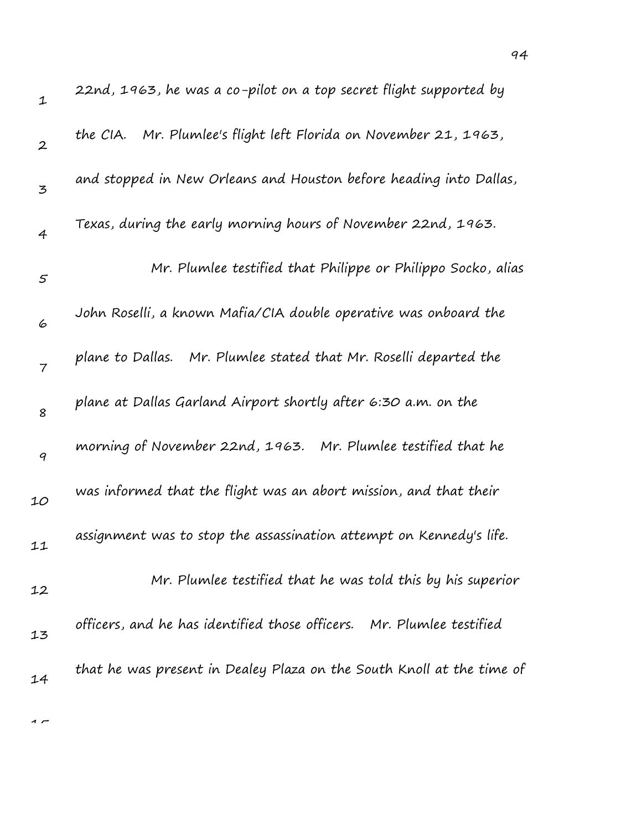| $\mathbf 1$      | 22nd, 1963, he was a co-pilot on a top secret flight supported by     |
|------------------|-----------------------------------------------------------------------|
| $\boldsymbol{2}$ | the CIA. Mr. Plumlee's flight left Florida on November 21, 1963,      |
| 3                | and stopped in New Orleans and Houston before heading into Dallas,    |
| 4                | Texas, during the early morning hours of November 22nd, 1963.         |
| $\varsigma$      | Mr. Plumlee testified that Philippe or Philippo Socko, alias          |
| 6                | John Roselli, a known Mafia/CIA double operative was onboard the      |
| $\overline{7}$   | plane to Dallas. Mr. Plumlee stated that Mr. Roselli departed the     |
| 8                | plane at Dallas Garland Airport shortly after 6:30 a.m. on the        |
| $\boldsymbol{q}$ | morning of November 22nd, 1963. Mr. Plumlee testified that he         |
| 10               | was informed that the flight was an abort mission, and that their     |
| 11               | assignment was to stop the assassination attempt on Kennedy's life.   |
| 12               | Mr. Plumlee testified that he was told this by his superior           |
| 13               | officers, and he has identified those officers. Mr. Plumlee testified |
| 14               | that he was present in Dealey Plaza on the South Knoll at the time of |
|                  |                                                                       |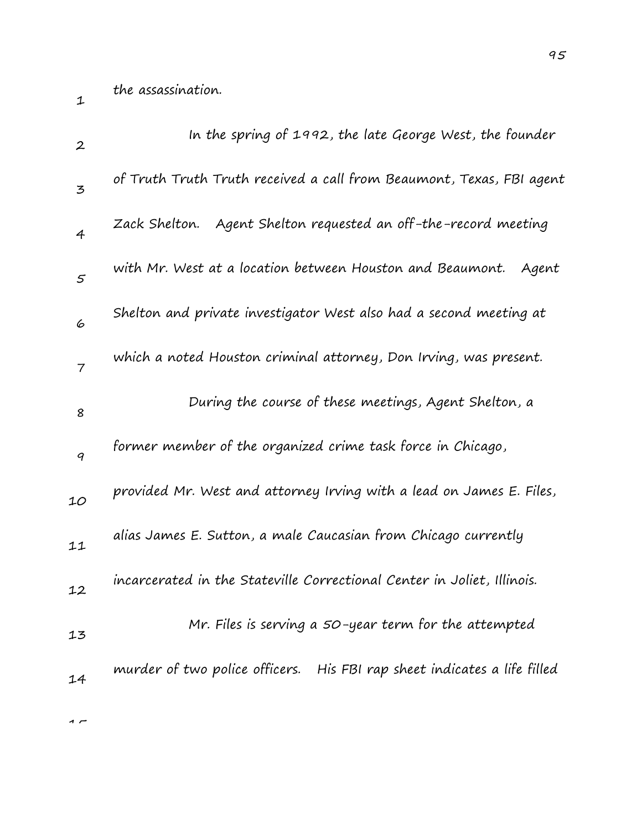| $\boldsymbol{2}$         | In the spring of 1992, the late George West, the founder                 |
|--------------------------|--------------------------------------------------------------------------|
| 3                        | of Truth Truth Truth received a call from Beaumont, Texas, FBI agent     |
| $\overline{4}$           | Agent Shelton requested an off-the-record meeting<br>Zack Shelton.       |
| $\varsigma$              | with Mr. West at a location between Houston and Beaumont.<br>Agent       |
| 6                        | Shelton and private investigator West also had a second meeting at       |
| $\overline{\phantom{a}}$ | which a noted Houston criminal attorney, Don Irving, was present.        |
| 8                        | During the course of these meetings, Agent Shelton, a                    |
| 9                        | former member of the organized crime task force in Chicago,              |
| 10                       | provided Mr. West and attorney Irving with a lead on James E. Files,     |
| 11                       | alias James E. Sutton, a male Caucasian from Chicago currently           |
| 12                       | incarcerated in the Stateville Correctional Center in Joliet, Illinois.  |
| 13                       | Mr. Files is serving a 50-year term for the attempted                    |
| 14                       | murder of two police officers. His FBI rap sheet indicates a life filled |
|                          |                                                                          |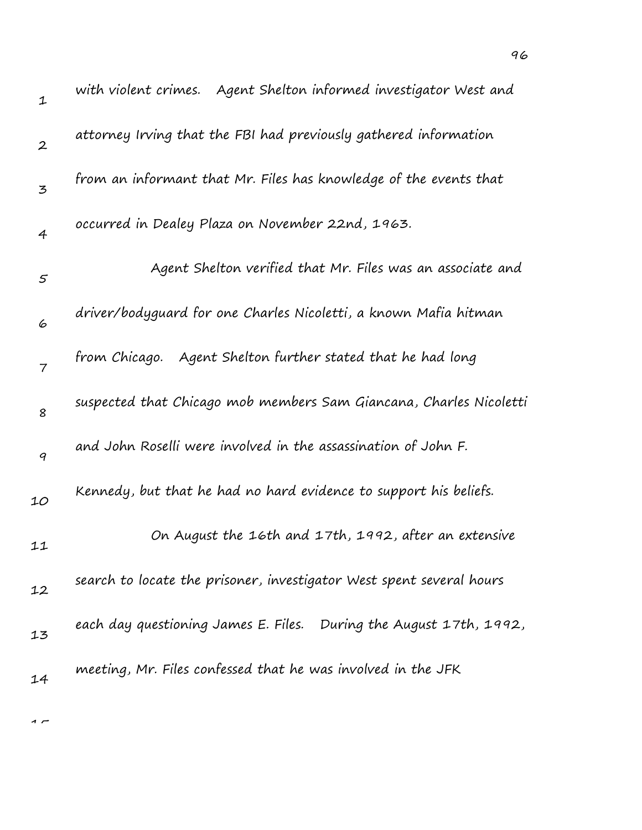| $\mathbf 1$      | with violent crimes. Agent Shelton informed investigator West and    |
|------------------|----------------------------------------------------------------------|
| $\boldsymbol{2}$ | attorney Irving that the FBI had previously gathered information     |
| 3                | from an informant that Mr. Files has knowledge of the events that    |
| 4                | occurred in Dealey Plaza on November 22nd, 1963.                     |
| 5                | Agent Shelton verified that Mr. Files was an associate and           |
| 6                | driver/bodyguard for one Charles Nicoletti, a known Mafia hitman     |
| $\overline{7}$   | from Chicago. Agent Shelton further stated that he had long          |
| 8                | suspected that Chicago mob members Sam Giancana, Charles Nicoletti   |
| $\boldsymbol{q}$ | and John Roselli were involved in the assassination of John F.       |
| 10               | Kennedy, but that he had no hard evidence to support his beliefs.    |
| 11               | On August the 16th and 17th, 1992, after an extensive                |
| 12               | search to locate the prisoner, investigator West spent several hours |
| 13               | each day questioning James E. Files. During the August 17th, 1992,   |
| 14               | meeting, Mr. Files confessed that he was involved in the JFK         |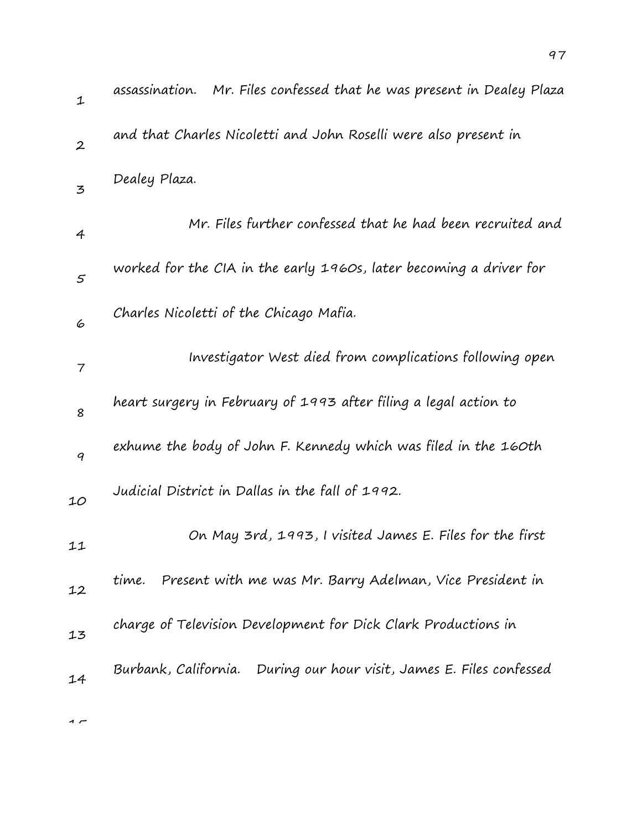| $\mathbf{1}$   | Mr. Files confessed that he was present in Dealey Plaza<br>assassination. |
|----------------|---------------------------------------------------------------------------|
| $\overline{2}$ | and that Charles Nicoletti and John Roselli were also present in          |
| $\mathbf{z}$   | Dealey Plaza.                                                             |
| 4              | Mr. Files further confessed that he had been recruited and                |
| 5              | worked for the CIA in the early 1960s, later becoming a driver for        |
| 6              | Charles Nicoletti of the Chicago Mafia.                                   |
| 7              | Investigator West died from complications following open                  |
| 8              | heart surgery in February of 1993 after filing a legal action to          |
| 9              | exhume the body of John F. Kennedy which was filed in the 160th           |
| 10             | Judicial District in Dallas in the fall of 1992.                          |
| 11             | On May 3rd, 1993, I visited James E. Files for the first                  |
| 12             | Present with me was Mr. Barry Adelman, Vice President in<br>time.         |
| 13             | charge of Television Development for Dick Clark Productions in            |
| 14             | Burbank, California. During our hour visit, James E. Files confessed      |
|                |                                                                           |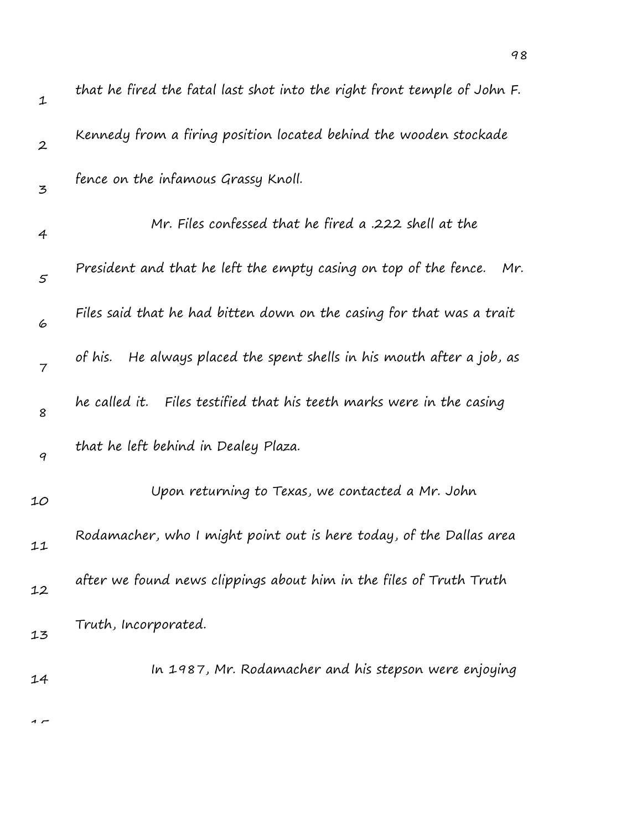| $\mathbf 1$      | that he fired the fatal last shot into the right front temple of John F.  |
|------------------|---------------------------------------------------------------------------|
| $\boldsymbol{2}$ | Kennedy from a firing position located behind the wooden stockade         |
| 3                | fence on the infamous Grassy Knoll.                                       |
| 4                | Mr. Files confessed that he fired a .222 shell at the                     |
| 5                | President and that he left the empty casing on top of the fence.<br>Mr.   |
| 6                | Files said that he had bitten down on the casing for that was a trait     |
| $\overline{7}$   | He always placed the spent shells in his mouth after a job, as<br>of his. |
| 8                | he called it.   Files testified that his teeth marks were in the casing   |
| 9                | that he left behind in Dealey Plaza.                                      |
| 10               | Upon returning to Texas, we contacted a Mr. John                          |
| 11               | Rodamacher, who I might point out is here today, of the Dallas area       |
| 12               | after we found news clippings about him in the files of Truth Truth       |
| 13               | Truth, Incorporated.                                                      |
| 14               | In 1987, Mr. Rodamacher and his stepson were enjoying                     |
|                  |                                                                           |

 $\overline{1}$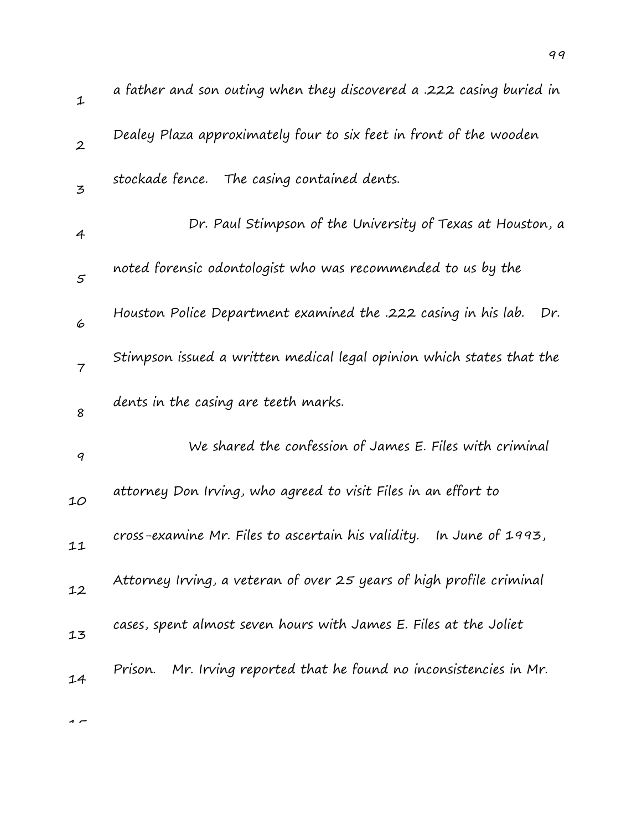| $\mathbf{1}$     | a father and son outing when they discovered a .222 casing buried in   |
|------------------|------------------------------------------------------------------------|
| $\boldsymbol{2}$ | Dealey Plaza approximately four to six feet in front of the wooden     |
| $\overline{5}$   | stockade fence. The casing contained dents.                            |
| 4                | Dr. Paul Stimpson of the University of Texas at Houston, a             |
| 5                | noted forensic odontologist who was recommended to us by the           |
| 6                | Houston Police Department examined the .222 casing in his lab.<br>Dr.  |
| $\overline{7}$   | Stimpson issued a written medical legal opinion which states that the  |
| 8                | dents in the casing are teeth marks.                                   |
| 9                | We shared the confession of James E. Files with criminal               |
| 10               | attorney Don Irving, who agreed to visit Files in an effort to         |
| 11               | In June of 1993,<br>cross-examine Mr. Files to ascertain his validity. |
| 12               | Attorney Irving, a veteran of over 25 years of high profile criminal   |
| 13               | cases, spent almost seven hours with James E. Files at the Joliet      |
| 14               | Mr. Irving reported that he found no inconsistencies in Mr.<br>Prison. |
|                  |                                                                        |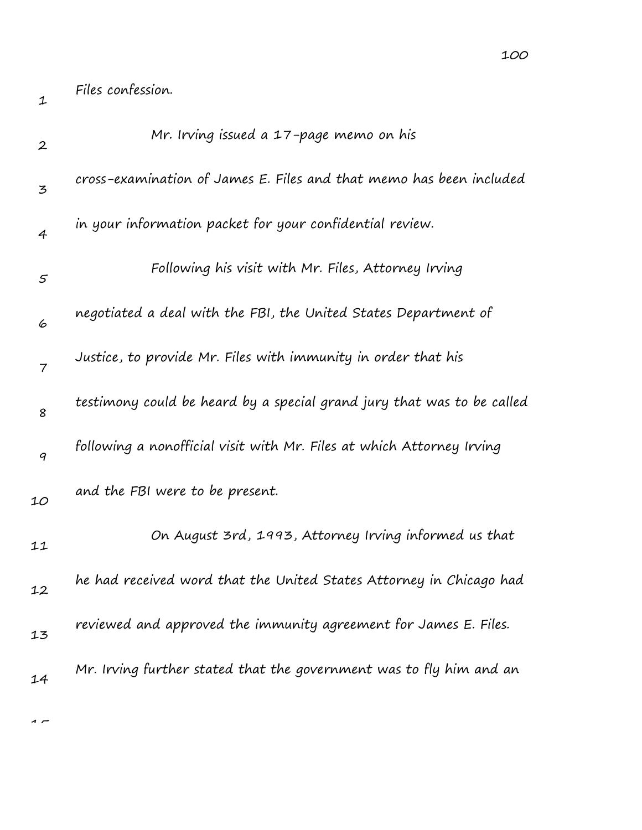| cross-examination of James E. Files and that memo has been included    |
|------------------------------------------------------------------------|
|                                                                        |
|                                                                        |
|                                                                        |
|                                                                        |
|                                                                        |
|                                                                        |
| testimony could be heard by a special grand jury that was to be called |
| following a nonofficial visit with Mr. Files at which Attorney Irving  |
|                                                                        |
| On August 3rd, 1993, Attorney Irving informed us that                  |
| he had received word that the United States Attorney in Chicago had    |
| reviewed and approved the immunity agreement for James E. Files.       |
| negotiated a deal with the FBI, the United States Department of        |

Mr. Irving further stated that the government was to fly him and an

 $\sim$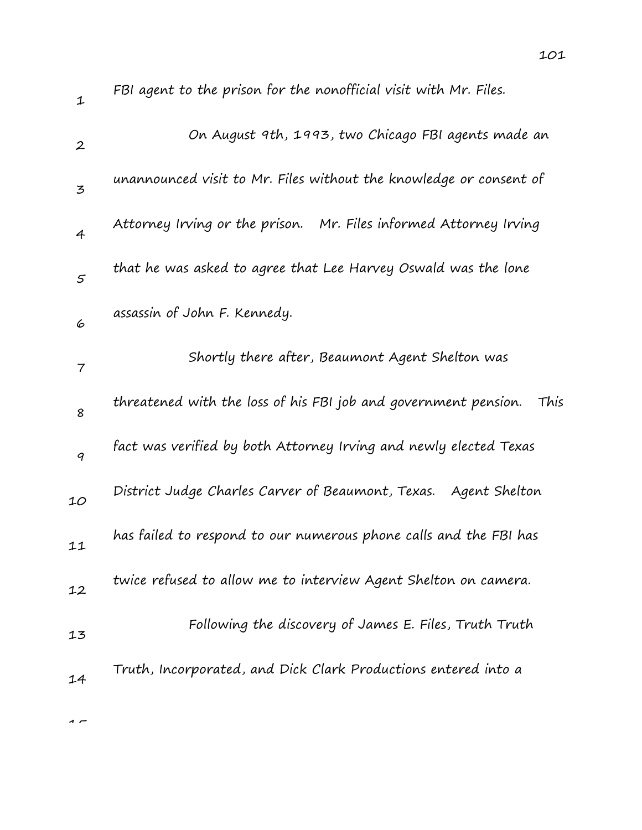| $\mathbf 1$      | FBI agent to the prison for the nonofficial visit with Mr. Files.       |
|------------------|-------------------------------------------------------------------------|
| $\boldsymbol{2}$ | On August 9th, 1993, two Chicago FBI agents made an                     |
| 3                | unannounced visit to Mr. Files without the knowledge or consent of      |
| 4                | Attorney Irving or the prison. Mr. Files informed Attorney Irving       |
| $\varsigma$      | that he was asked to agree that Lee Harvey Oswald was the lone          |
| 6                | assassin of John F. Kennedy.                                            |
| 7                | Shortly there after, Beaumont Agent Shelton was                         |
| 8                | threatened with the loss of his FBI job and government pension.<br>This |
| 9                | fact was verified by both Attorney Irving and newly elected Texas       |
| 10               | District Judge Charles Carver of Beaumont, Texas. Agent Shelton         |
| 11               | has failed to respond to our numerous phone calls and the FBI has       |
| 12               | twice refused to allow me to interview Agent Shelton on camera.         |
| 13               | Following the discovery of James E. Files, Truth Truth                  |
| 14               | Truth, Incorporated, and Dick Clark Productions entered into a          |
|                  |                                                                         |

 $\overline{1}$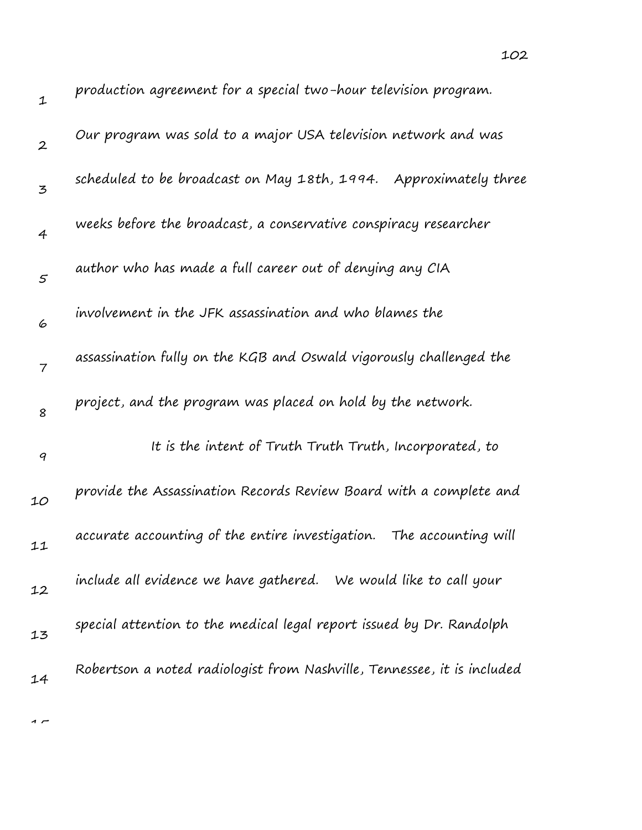| $\mathbf{1}$     | production agreement for a special two-hour television program.         |
|------------------|-------------------------------------------------------------------------|
| $\boldsymbol{2}$ | Our program was sold to a major USA television network and was          |
| 3                | scheduled to be broadcast on May 18th, 1994. Approximately three        |
| $\overline{4}$   | weeks before the broadcast, a conservative conspiracy researcher        |
| $\varsigma$      | author who has made a full career out of denying any CIA                |
| 6                | involvement in the JFK assassination and who blames the                 |
| $\overline{7}$   | assassination fully on the KGB and Oswald vigorously challenged the     |
| 8                | project, and the program was placed on hold by the network.             |
| $\boldsymbol{q}$ | It is the intent of Truth Truth Truth, Incorporated, to                 |
| 10               | provide the Assassination Records Review Board with a complete and      |
| 11               | accurate accounting of the entire investigation.<br>The accounting will |
| 12               | include all evidence we have gathered. We would like to call your       |
| 13               | special attention to the medical legal report issued by Dr. Randolph    |
| 14               | Robertson a noted radiologist from Nashville, Tennessee, it is included |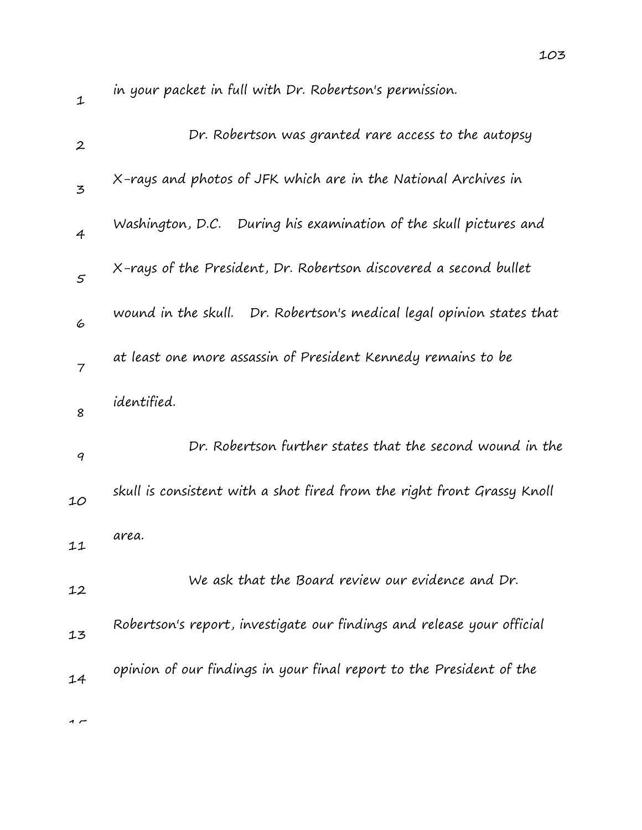| $\mathbf 1$      | in your packet in full with Dr. Robertson's permission.                 |
|------------------|-------------------------------------------------------------------------|
| $\boldsymbol{2}$ | Dr. Robertson was granted rare access to the autopsy                    |
| 3                | X-rays and photos of JFK which are in the National Archives in          |
| $\overline{4}$   | Washington, D.C. During his examination of the skull pictures and       |
| 5                | X-rays of the President, Dr. Robertson discovered a second bullet       |
| 6                | wound in the skull. Dr. Robertson's medical legal opinion states that   |
| 7                | at least one more assassin of President Kennedy remains to be           |
| 8                | identified.                                                             |
| 9                | Dr. Robertson further states that the second wound in the               |
| 10               | skull is consistent with a shot fired from the right front Grassy Knoll |
| 11               | area.                                                                   |
| 12               | We ask that the Board review our evidence and Dr.                       |
| 13               | Robertson's report, investigate our findings and release your official  |
| 14               | opinion of our findings in your final report to the President of the    |
|                  |                                                                         |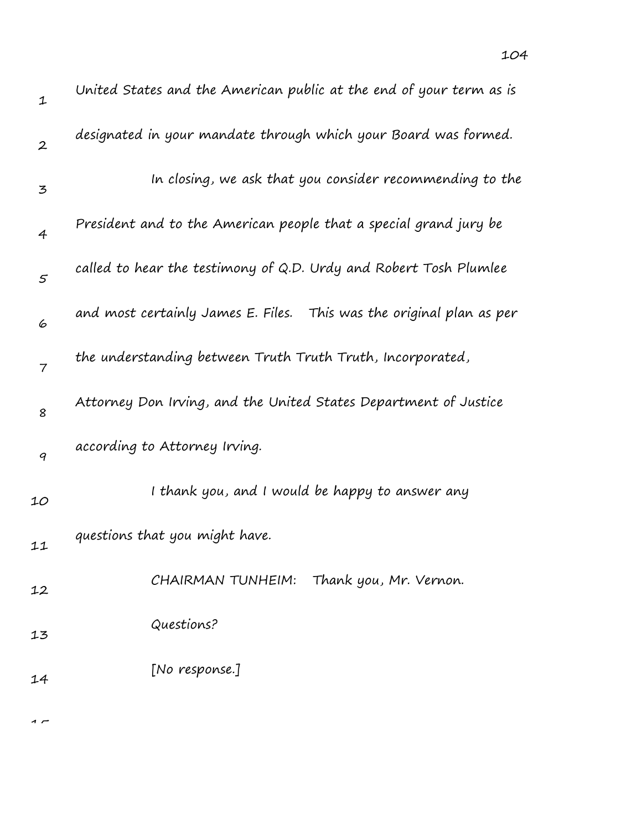| United States and the American public at the end of your term as is  |
|----------------------------------------------------------------------|
| designated in your mandate through which your Board was formed.      |
| In closing, we ask that you consider recommending to the             |
| President and to the American people that a special grand jury be    |
| called to hear the testimony of Q.D. Urdy and Robert Tosh Plumlee    |
| and most certainly James E. Files. This was the original plan as per |
| the understanding between Truth Truth Truth, Incorporated,           |
| Attorney Don Irving, and the United States Department of Justice     |
|                                                                      |

9 according to Attorney Irving.

10 11 12 13 I thank you, and I would be happy to answer any questions that you might have. CHAIRMAN TUNHEIM: Thank you, Mr. Vernon. Questions?

14 [No response.]

 $\sim$ 

1

2

3

4

5

6

7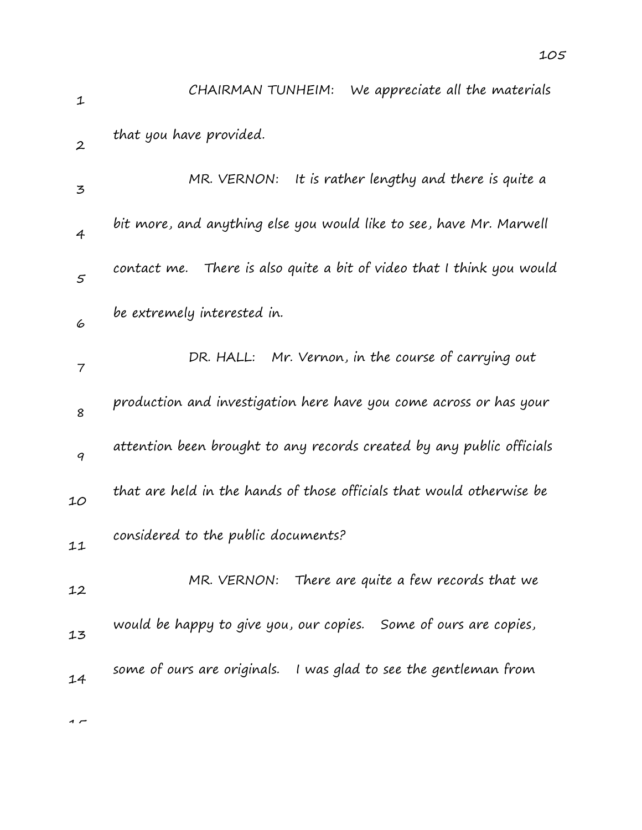| $\mathbf{1}$             | We appreciate all the materials<br>CHAIRMAN TUNHEIM:                     |
|--------------------------|--------------------------------------------------------------------------|
| $\boldsymbol{2}$         | that you have provided.                                                  |
| 3                        | MR. VERNON:<br>It is rather lengthy and there is quite a                 |
| $\overline{4}$           | bit more, and anything else you would like to see, have Mr. Marwell      |
| $\mathfrak{s}$           | There is also quite a bit of video that I think you would<br>contact me. |
| 6                        | be extremely interested in.                                              |
| $\overline{\phantom{a}}$ | DR. HALL: Mr. Vernon, in the course of carrying out                      |
| 8                        | production and investigation here have you come across or has your       |
| 9                        | attention been brought to any records created by any public officials    |
| 10                       | that are held in the hands of those officials that would otherwise be    |
| 11                       | considered to the public documents?                                      |
| 12                       | MR. VERNON: There are quite a few records that we                        |
| 13                       | would be happy to give you, our copies. Some of ours are copies,         |
| 14                       | some of ours are originals. I was glad to see the gentleman from         |
|                          |                                                                          |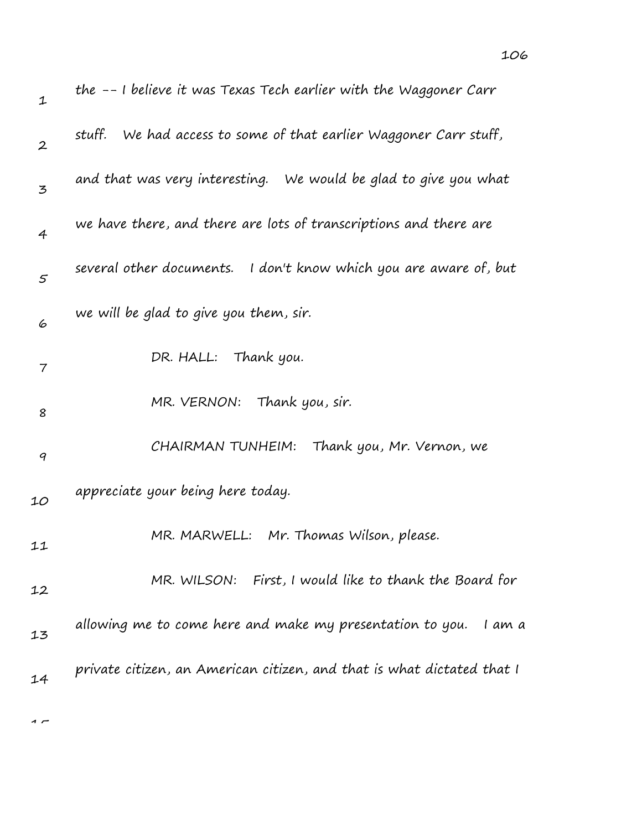| $\mathbf 1$      | the -- I believe it was Texas Tech earlier with the Waggoner Carr      |
|------------------|------------------------------------------------------------------------|
| $\boldsymbol{2}$ | stuff.<br>We had access to some of that earlier Waggoner Carr stuff,   |
| 3                | and that was very interesting. We would be glad to give you what       |
| $\overline{4}$   | we have there, and there are lots of transcriptions and there are      |
| $\varsigma$      | several other documents. I don't know which you are aware of, but      |
| 6                | we will be glad to give you them, sir.                                 |
| 7                | DR. HALL: Thank you.                                                   |
| 8                | MR. VERNON: Thank you, sir.                                            |
| 9                | CHAIRMAN TUNHEIM: Thank you, Mr. Vernon, we                            |
| 10               | appreciate your being here today.                                      |
| 11               | MR. MARWELL: Mr. Thomas Wilson, please.                                |
| 12               | MR. WILSON: First, I would like to thank the Board for                 |
| 13               | allowing me to come here and make my presentation to you.<br>I am a    |
| 14               | private citizen, an American citizen, and that is what dictated that I |
|                  |                                                                        |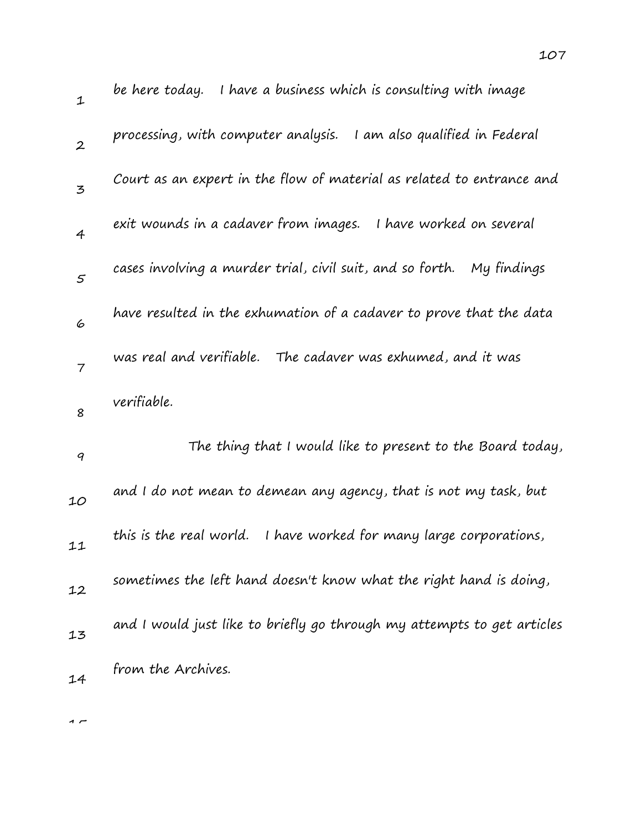| 1              | I have a business which is consulting with image<br>be here today.       |
|----------------|--------------------------------------------------------------------------|
| $\overline{2}$ | processing, with computer analysis. I am also qualified in Federal       |
| $\overline{5}$ | Court as an expert in the flow of material as related to entrance and    |
| $\overline{4}$ | exit wounds in a cadaver from images.<br>I have worked on several        |
| $\mathcal{S}$  | cases involving a murder trial, civil suit, and so forth.<br>My findings |
| 6              | have resulted in the exhumation of a cadaver to prove that the data      |
| $\overline{7}$ | was real and verifiable. The cadaver was exhumed, and it was             |
|                | verifiable.                                                              |
| 8              |                                                                          |
| 9              | The thing that I would like to present to the Board today,               |
| 10             | and I do not mean to demean any agency, that is not my task, but         |
| 11             | this is the real world.<br>I have worked for many large corporations,    |
| 12             | sometimes the left hand doesn't know what the right hand is doing,       |
| 13             | and I would just like to briefly go through my attempts to get articles  |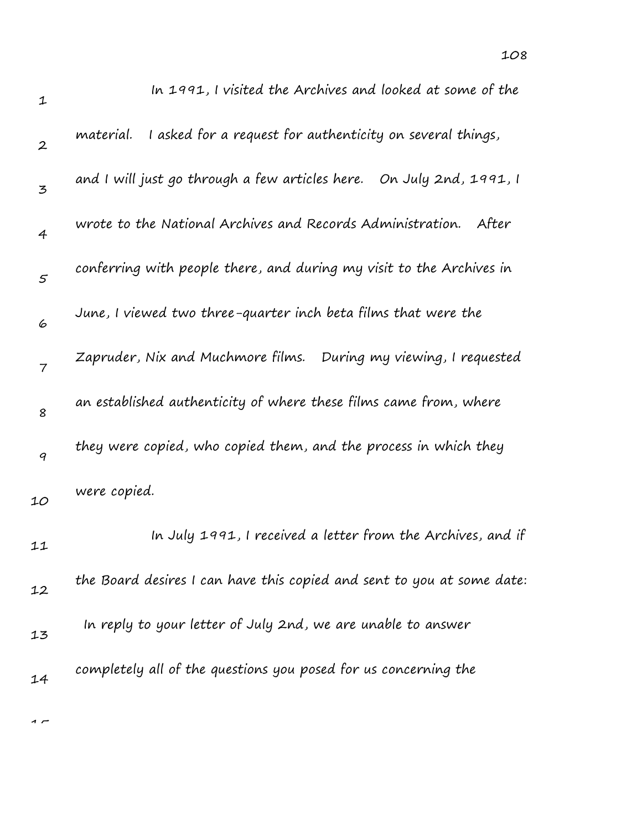| $\mathbf{1}$     | In 1991, I visited the Archives and looked at some of the               |
|------------------|-------------------------------------------------------------------------|
| $\boldsymbol{2}$ | I asked for a request for authenticity on several things,<br>material.  |
| 3                | and I will just go through a few articles here.    On July 2nd, 1991, I |
| 4                | wrote to the National Archives and Records Administration.<br>After     |
| $\varsigma$      | conferring with people there, and during my visit to the Archives in    |
| 6                | June, I viewed two three-quarter inch beta films that were the          |
| $\overline{7}$   | Zapruder, Nix and Muchmore films. During my viewing, I requested        |
| 8                | an established authenticity of where these films came from, where       |
| $\boldsymbol{q}$ | they were copied, who copied them, and the process in which they        |
| 10               | were copied.                                                            |
| 11               | In July 1991, I received a letter from the Archives, and if             |
| 12               | the Board desires I can have this copied and sent to you at some date:  |
| 13               | In reply to your letter of July 2nd, we are unable to answer            |
| 14               | completely all of the questions you posed for us concerning the         |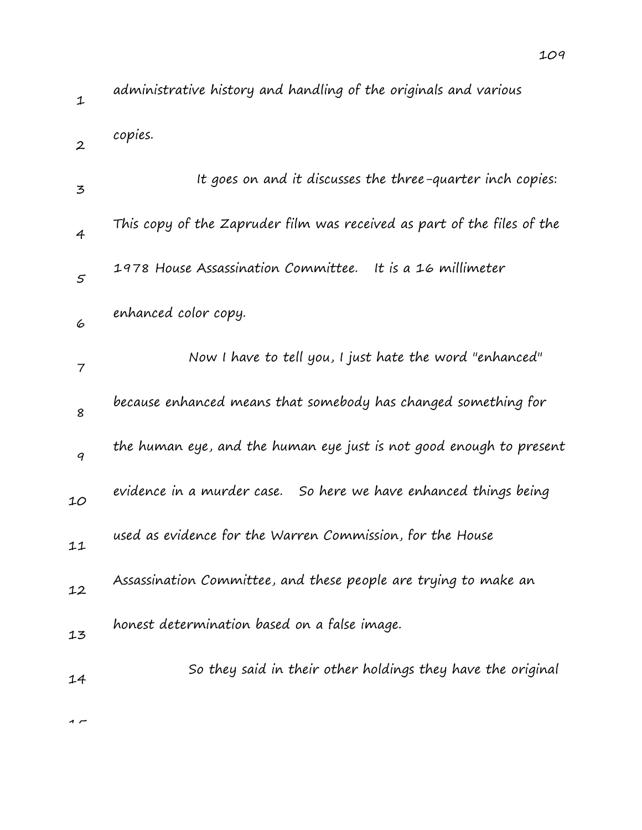| $\mathbf 1$       | administrative history and handling of the originals and various        |
|-------------------|-------------------------------------------------------------------------|
| $\boldsymbol{2}$  | copies.                                                                 |
| 3                 | It goes on and it discusses the three-quarter inch copies:              |
| 4                 | This copy of the Zapruder film was received as part of the files of the |
| $\mathcal{F}_{0}$ | 1978 House Assassination Committee.<br>It is a 16 millimeter            |
| 6                 | enhanced color copy.                                                    |
| 7                 | Now I have to tell you, I just hate the word "enhanced"                 |
| 8                 | because enhanced means that somebody has changed something for          |
| 9                 | the human eye, and the human eye just is not good enough to present     |
| 10                | evidence in a murder case. So here we have enhanced things being        |
| 11                | used as evidence for the Warren Commission, for the House               |
| 12                | Assassination Committee, and these people are trying to make an         |
| 13                | honest determination based on a false image.                            |
| 14                | So they said in their other holdings they have the original             |
|                   |                                                                         |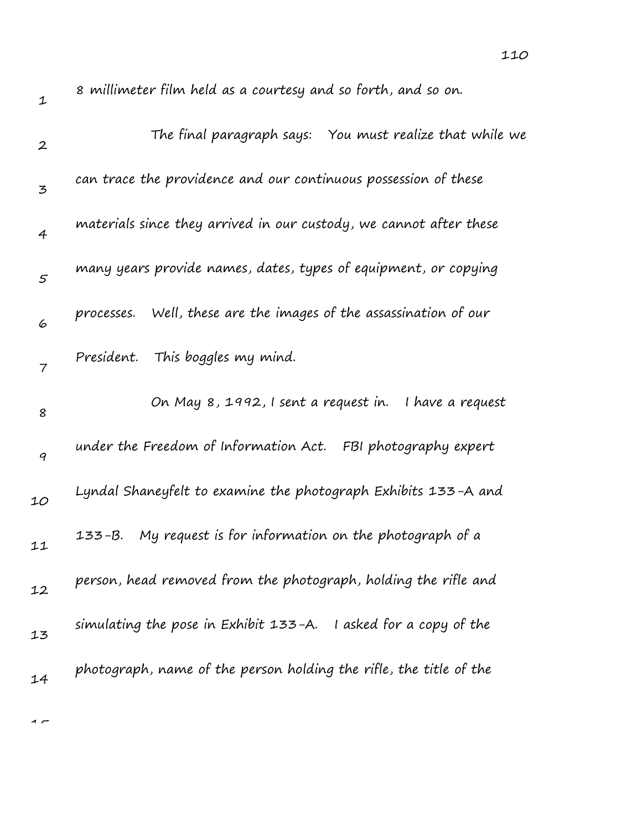| $\mathbf 1$      | 8 millimeter film held as a courtesy and so forth, and so on.        |
|------------------|----------------------------------------------------------------------|
| $\boldsymbol{2}$ | The final paragraph says: You must realize that while we             |
| 3                | can trace the providence and our continuous possession of these      |
| 4                | materials since they arrived in our custody, we cannot after these   |
| $\mathcal{S}$    | many years provide names, dates, types of equipment, or copying      |
| 6                | Well, these are the images of the assassination of our<br>processes. |
| $\overline{7}$   | President. This boggles my mind.                                     |
| 8                | On May 8, 1992, I sent a request in.<br>I have a request             |
| 9                | under the Freedom of Information Act. FBI photography expert         |
| 10               | Lyndal Shaneyfelt to examine the photograph Exhibits 133-A and       |
| 11               | My request is for information on the photograph of a<br>133-B.       |
| 12               | person, head removed from the photograph, holding the rifle and      |
| 13               | simulating the pose in Exhibit 133-A. I asked for a copy of the      |
| 14               | photograph, name of the person holding the rifle, the title of the   |
|                  |                                                                      |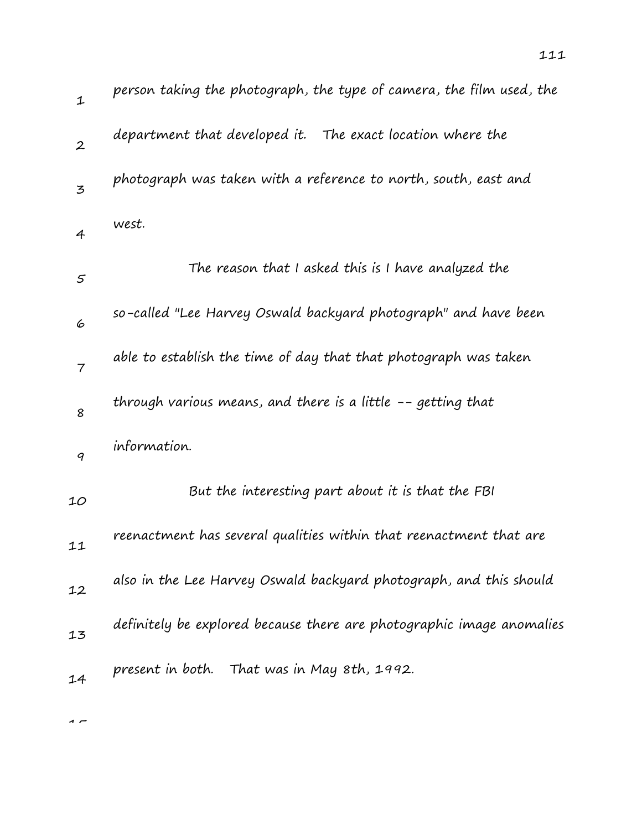| $\mathbf 1$      | person taking the photograph, the type of camera, the film used, the  |
|------------------|-----------------------------------------------------------------------|
| $\boldsymbol{2}$ | department that developed it. The exact location where the            |
| 3                | photograph was taken with a reference to north, south, east and       |
| 4                | west.                                                                 |
| 5                | The reason that I asked this is I have analyzed the                   |
| 6                | so-called "Lee Harvey Oswald backyard photograph" and have been       |
| $\overline{7}$   | able to establish the time of day that that photograph was taken      |
| 8                | through various means, and there is a little -- getting that          |
| 9                | information.                                                          |
| 10               | But the interesting part about it is that the FBI                     |
| 11               | reenactment has several qualities within that reenactment that are    |
| 12               | also in the Lee Harvey Oswald backyard photograph, and this should    |
| 13               | definitely be explored because there are photographic image anomalies |
| 14               | present in both. That was in May 8th, 1992.                           |
|                  |                                                                       |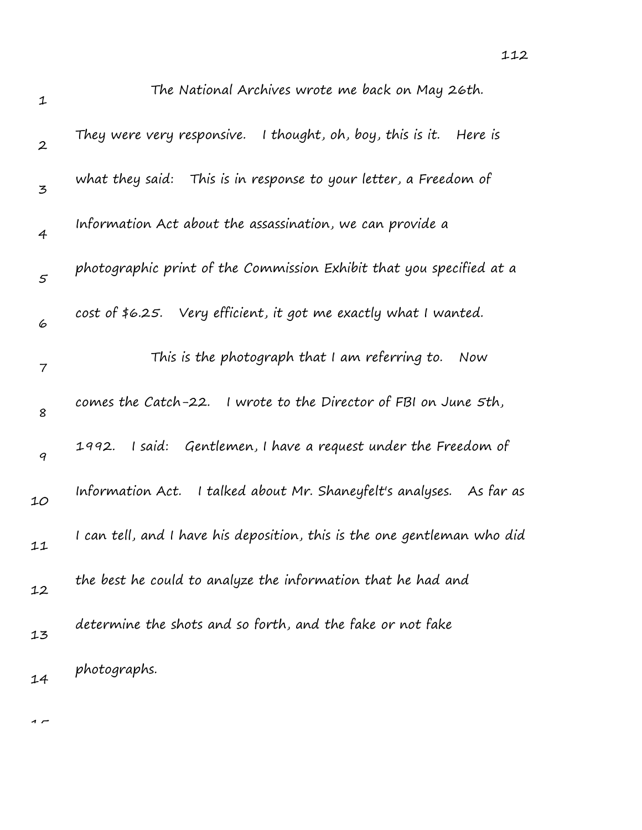| $\mathbf 1$      | The National Archives wrote me back on May 26th.                         |
|------------------|--------------------------------------------------------------------------|
| $\boldsymbol{2}$ | They were very responsive. I thought, oh, boy, this is it.<br>Here is    |
| 3                | what they said: This is in response to your letter, a Freedom of         |
| $\overline{4}$   | Information Act about the assassination, we can provide a                |
| 5                | photographic print of the Commission Exhibit that you specified at a     |
| 6                | cost of \$6.25. Very efficient, it got me exactly what I wanted.         |
| 7                | This is the photograph that I am referring to.<br>Now                    |
| 8                | comes the Catch-22. I wrote to the Director of FBI on June 5th,          |
| 9                | I said: Gentlemen, I have a request under the Freedom of<br>1992.        |
| 10               | Information Act. I talked about Mr. Shaneyfelt's analyses. As far as     |
| 11               | I can tell, and I have his deposition, this is the one gentleman who did |
| 12               | the best he could to analyze the information that he had and             |
| 13               | determine the shots and so forth, and the fake or not fake               |
| 14               | photographs.                                                             |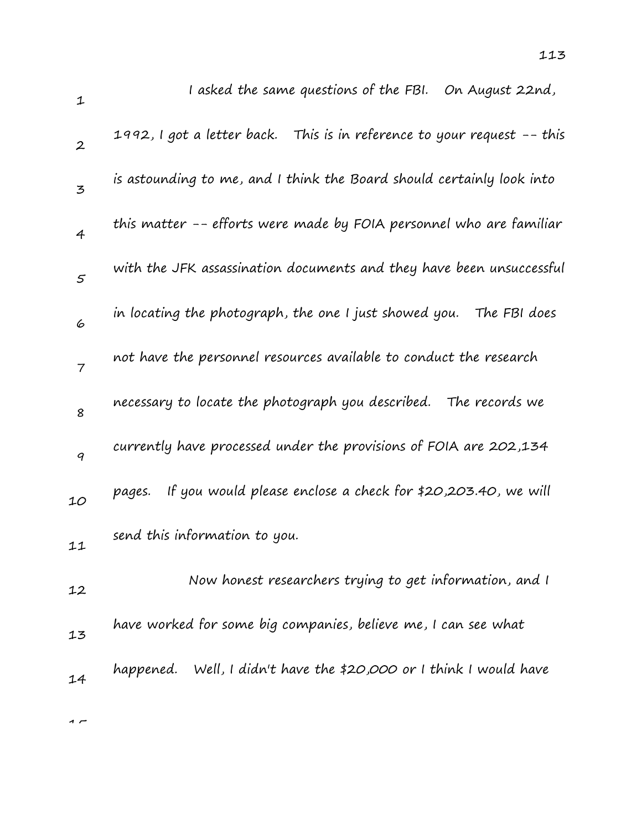| $\mathbf 1$      | I asked the same questions of the FBI. On August 22nd,                  |
|------------------|-------------------------------------------------------------------------|
| $\boldsymbol{2}$ | 1992, I got a letter back. This is in reference to your request -- this |
| $\overline{5}$   | is astounding to me, and I think the Board should certainly look into   |
| $\overline{4}$   | this matter -- efforts were made by FOIA personnel who are familiar     |
| $\mathfrak{s}$   | with the JFK assassination documents and they have been unsuccessful    |
| 6                | in locating the photograph, the one I just showed you.<br>The FBI does  |
| $\overline{7}$   | not have the personnel resources available to conduct the research      |
| 8                | necessary to locate the photograph you described. The records we        |
| 9                | currently have processed under the provisions of FOIA are 202,134       |
| 10               | If you would please enclose a check for \$20,203.40, we will<br>pages.  |
| 11               | send this information to you.                                           |
| 12               | Now honest researchers trying to get information, and I                 |
| 13               | have worked for some big companies, believe me, I can see what          |
| 14               | happened. Well, I didn't have the \$20,000 or I think I would have      |
|                  |                                                                         |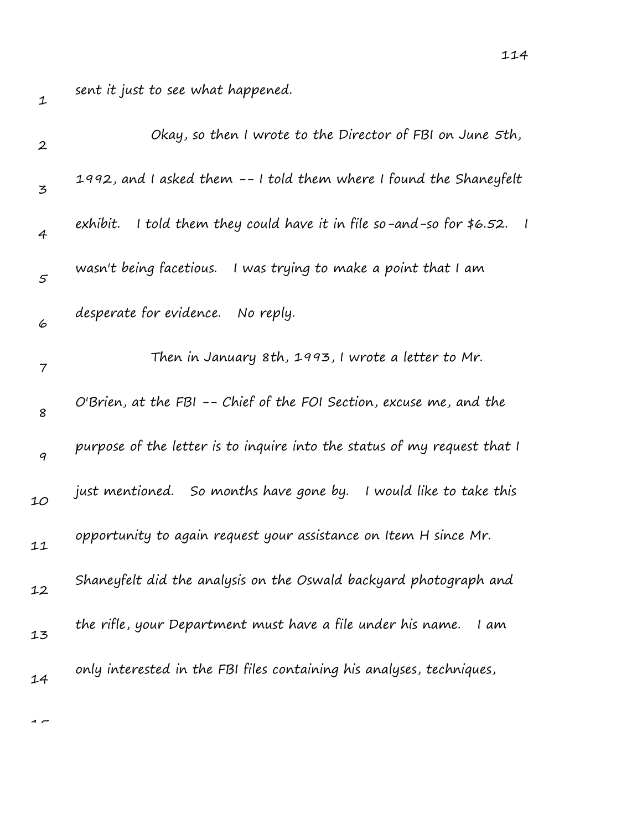sent it just to see what happened.

| $\mathbf{2}$   | Okay, so then I wrote to the Director of FBI on June 5th,                  |
|----------------|----------------------------------------------------------------------------|
| 3              | 1992, and I asked them -- I told them where I found the Shaneyfelt         |
| 4              | I told them they could have it in file so-and-so for $$6.52$ .<br>exhibit. |
| $\mathfrak{s}$ | wasn't being facetious. I was trying to make a point that I am             |
| 6              | desperate for evidence. No reply.                                          |
| 7              | Then in January 8th, 1993, I wrote a letter to Mr.                         |
| 8              | O'Brien, at the FBI -- Chief of the FOI Section, excuse me, and the        |
| 9              | purpose of the letter is to inquire into the status of my request that I   |
| 10             | just mentioned. So months have gone by. I would like to take this          |
| 11             | opportunity to again request your assistance on Item H since Mr.           |
| 12             | Shaneyfelt did the analysis on the Oswald backyard photograph and          |
| 13             | the rifle, your Department must have a file under his name.<br>I am        |
| 14             | only interested in the FBI files containing his analyses, techniques,      |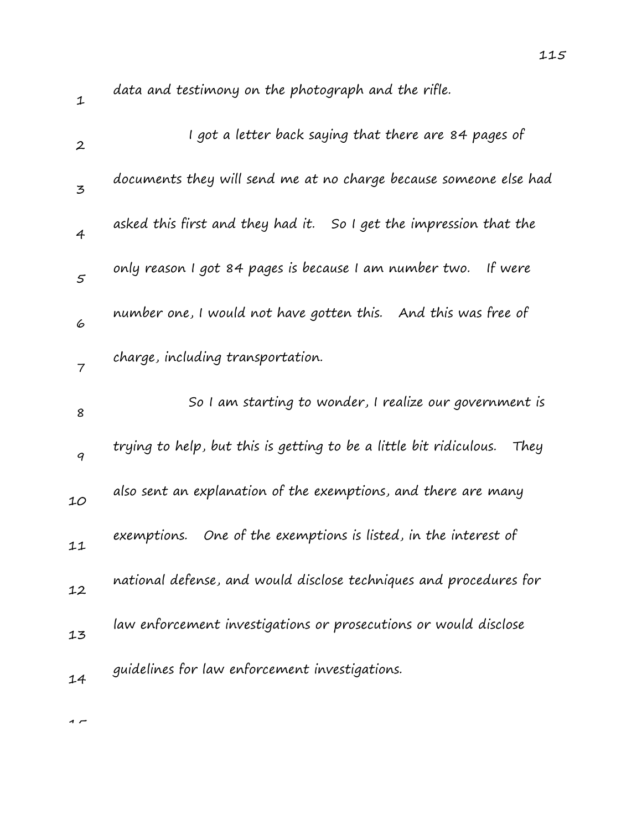data and testimony on the photograph and the rifle.

| $\boldsymbol{2}$ | I got a letter back saying that there are 84 pages of                      |
|------------------|----------------------------------------------------------------------------|
| 3                | documents they will send me at no charge because someone else had          |
| $\overline{4}$   | asked this first and they had it. So I get the impression that the         |
| $\mathfrak{s}$   | only reason I got 84 pages is because I am number two.<br>If were          |
| 6                | number one, I would not have gotten this.    And this was free of          |
| $\overline{7}$   | charge, including transportation.                                          |
| 8                | So I am starting to wonder, I realize our government is                    |
| 9                | trying to help, but this is getting to be a little bit ridiculous.<br>They |
| 10               | also sent an explanation of the exemptions, and there are many             |
| 11               | exemptions. One of the exemptions is listed, in the interest of            |
| 12               | national defense, and would disclose techniques and procedures for         |
| 13               | law enforcement investigations or prosecutions or would disclose           |
| 14               | guidelines for law enforcement investigations.                             |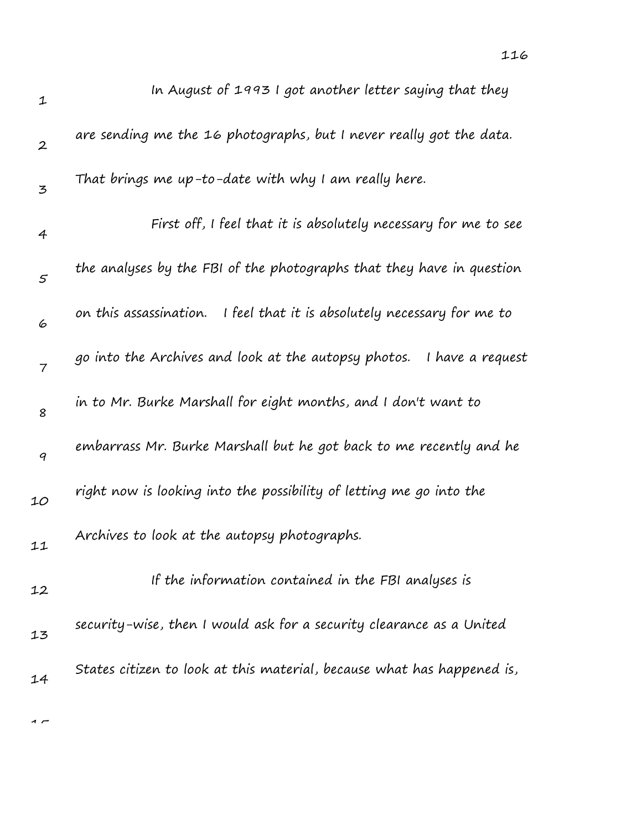| $\mathbf 1$      | In August of 1993 I got another letter saying that they                  |
|------------------|--------------------------------------------------------------------------|
| $\boldsymbol{2}$ | are sending me the 16 photographs, but I never really got the data.      |
| 3                | That brings me up-to-date with why I am really here.                     |
| 4                | First off, I feel that it is absolutely necessary for me to see          |
| $\varsigma$      | the analyses by the FBI of the photographs that they have in question    |
| 6                | on this assassination. I feel that it is absolutely necessary for me to  |
| $\overline{7}$   | go into the Archives and look at the autopsy photos.<br>I have a request |
| 8                | in to Mr. Burke Marshall for eight months, and I don't want to           |
| $\boldsymbol{q}$ | embarrass Mr. Burke Marshall but he got back to me recently and he       |
| 10               | right now is looking into the possibility of letting me go into the      |
| 11               | Archives to look at the autopsy photographs.                             |
| 12               | If the information contained in the FBI analyses is                      |
| 13               | security-wise, then I would ask for a security clearance as a United     |
| 14               | States citizen to look at this material, because what has happened is,   |
|                  |                                                                          |

116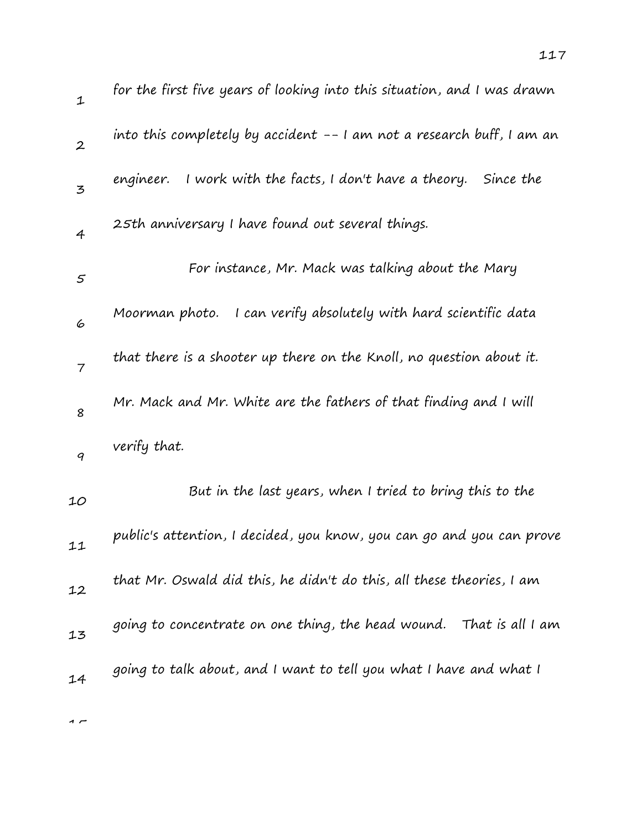| 1                | for the first five years of looking into this situation, and I was drawn |
|------------------|--------------------------------------------------------------------------|
| $\boldsymbol{2}$ | into this completely by accident -- I am not a research buff, I am an    |
| 3                | I work with the facts, I don't have a theory.<br>engineer.<br>Since the  |
| $\overline{4}$   | 25th anniversary I have found out several things.                        |
| 5                | For instance, Mr. Mack was talking about the Mary                        |
| 6                | Moorman photo. I can verify absolutely with hard scientific data         |
| $\overline{7}$   | that there is a shooter up there on the Knoll, no question about it.     |
| 8                | Mr. Mack and Mr. White are the fathers of that finding and I will        |
| $\boldsymbol{q}$ | verify that.                                                             |
| 10               | But in the last years, when I tried to bring this to the                 |
| 11               | public's attention, I decided, you know, you can go and you can prove    |
| 12               | that Mr. Oswald did this, he didn't do this, all these theories, I am    |
| 13               | going to concentrate on one thing, the head wound. That is all I am      |
| 14               | going to talk about, and I want to tell you what I have and what I       |
|                  |                                                                          |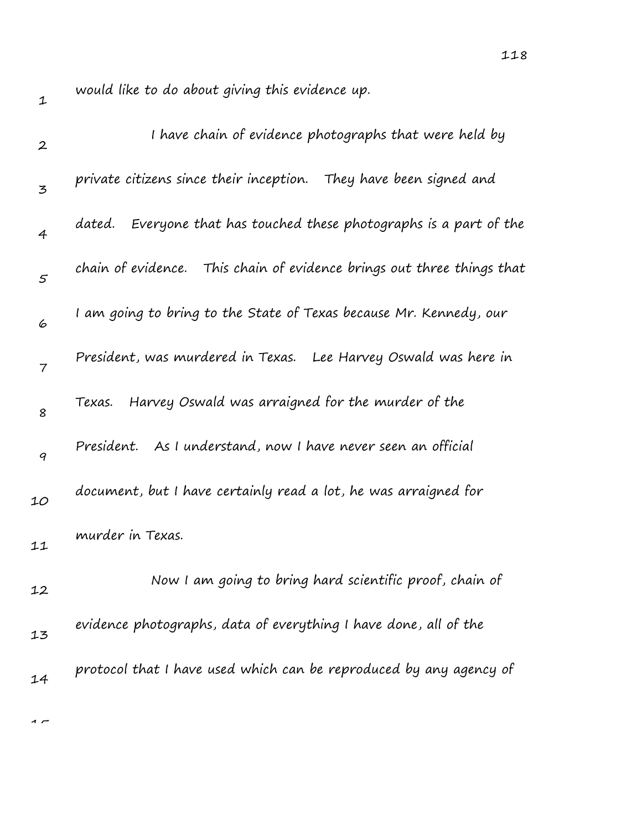would like to do about giving this evidence up.

| $\boldsymbol{2}$ | I have chain of evidence photographs that were held by                 |
|------------------|------------------------------------------------------------------------|
| 3                | private citizens since their inception. They have been signed and      |
| $\overline{4}$   | Everyone that has touched these photographs is a part of the<br>dated. |
| 5                | chain of evidence. This chain of evidence brings out three things that |
| 6                | I am going to bring to the State of Texas because Mr. Kennedy, our     |
| $\overline{7}$   | President, was murdered in Texas. Lee Harvey Oswald was here in        |
| 8                | Harvey Oswald was arraigned for the murder of the<br>Texas.            |
| 9                | President. As I understand, now I have never seen an official          |
| 10               | document, but I have certainly read a lot, he was arraigned for        |
| 11               | murder in Texas.                                                       |
| 12               | Now I am going to bring hard scientific proof, chain of                |
| 13               | evidence photographs, data of everything I have done, all of the       |
| 14               | protocol that I have used which can be reproduced by any agency of     |
|                  |                                                                        |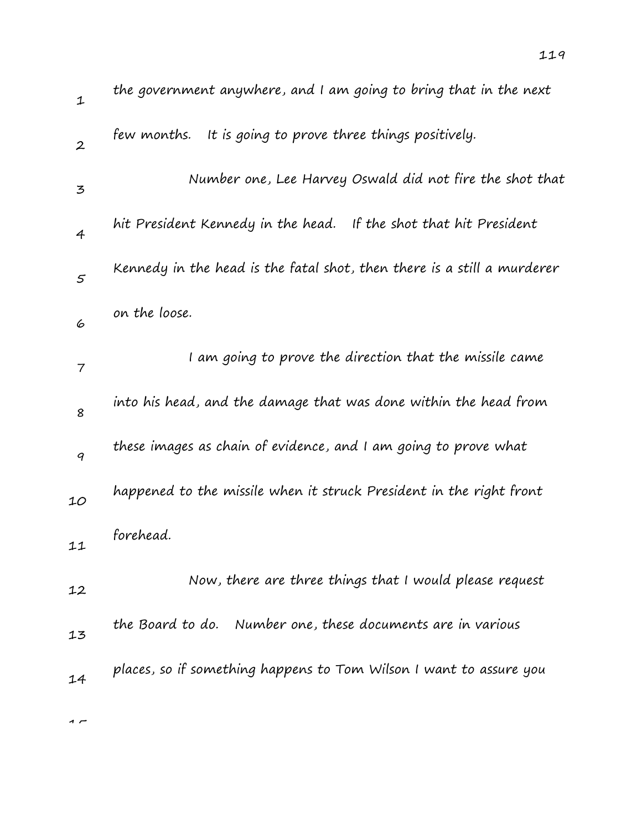| $\mathbf 1$      | the government anywhere, and I am going to bring that in the next       |
|------------------|-------------------------------------------------------------------------|
| $\boldsymbol{2}$ | few months.<br>It is going to prove three things positively.            |
| 3                | Number one, Lee Harvey Oswald did not fire the shot that                |
| $\overline{4}$   | hit President Kennedy in the head. If the shot that hit President       |
| 5                | Kennedy in the head is the fatal shot, then there is a still a murderer |
| 6                | on the loose.                                                           |
| 7                | I am going to prove the direction that the missile came                 |
| 8                | into his head, and the damage that was done within the head from        |
| 9                | these images as chain of evidence, and I am going to prove what         |
| 10               | happened to the missile when it struck President in the right front     |
| 11               | forehead.                                                               |
|                  | Now, there are three things that I would please request                 |
| 12               | the Board to do. Number one, these documents are in various             |
| 13               | places, so if something happens to Tom Wilson I want to assure you      |
| 14               |                                                                         |
| $\sim$           |                                                                         |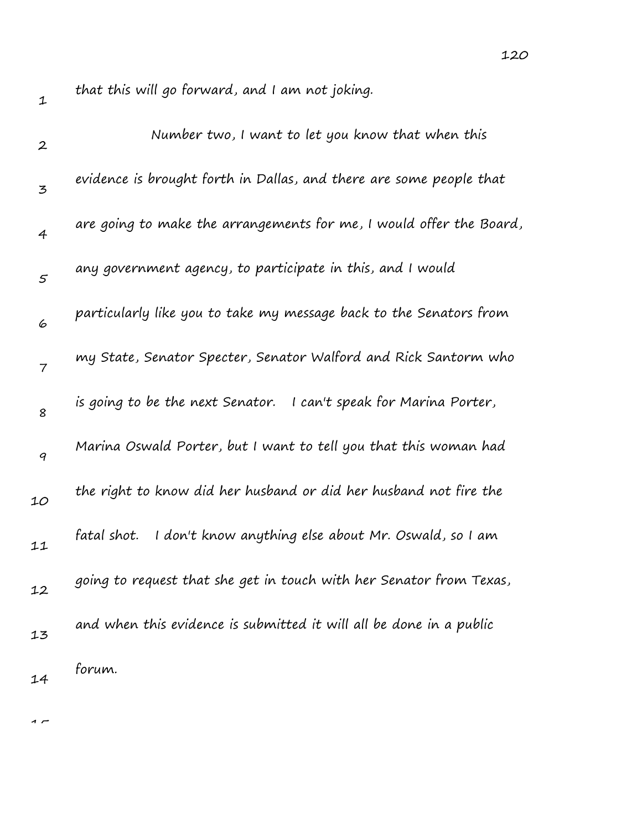$\sim$ 

that this will go forward, and I am not joking.

| $\boldsymbol{2}$ | Number two, I want to let you know that when this                   |
|------------------|---------------------------------------------------------------------|
| 3                | evidence is brought forth in Dallas, and there are some people that |
| 4                | are going to make the arrangements for me, I would offer the Board, |
| $\mathfrak s$    | any government agency, to participate in this, and I would          |
| 6                | particularly like you to take my message back to the Senators from  |
| $\overline{7}$   | my State, Senator Specter, Senator Walford and Rick Santorm who     |
| 8                | is going to be the next Senator. I can't speak for Marina Porter,   |
| 9                | Marina Oswald Porter, but I want to tell you that this woman had    |
| 10               | the right to know did her husband or did her husband not fire the   |
| 11               | I don't know anything else about Mr. Oswald, so I am<br>fatal shot. |
| 12               | going to request that she get in touch with her Senator from Texas, |
| 13               | and when this evidence is submitted it will all be done in a public |
| 14               | forum.                                                              |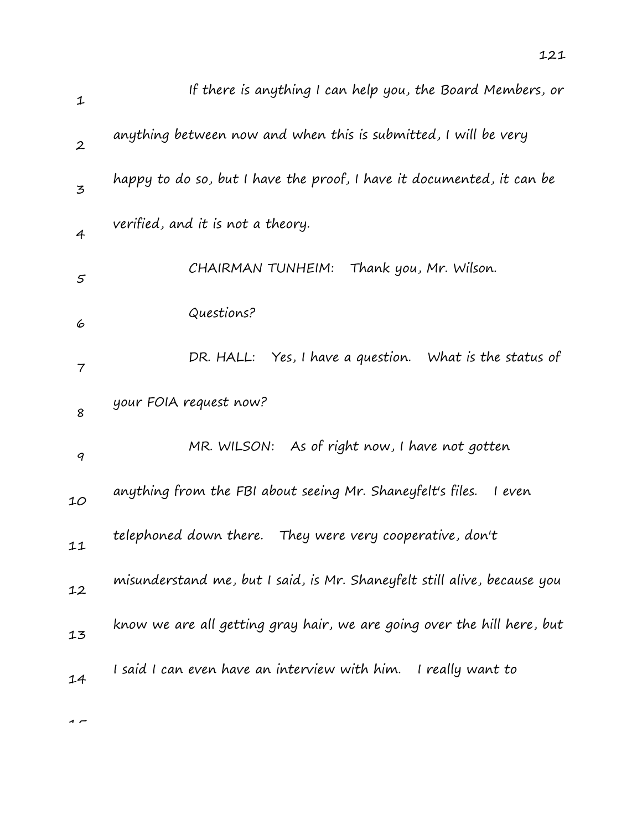| $\mathbf{1}$             | If there is anything I can help you, the Board Members, or               |
|--------------------------|--------------------------------------------------------------------------|
| $\boldsymbol{2}$         | anything between now and when this is submitted, I will be very          |
| $\mathbf{z}$             | happy to do so, but I have the proof, I have it documented, it can be    |
| 4                        | verified, and it is not a theory.                                        |
| $\varsigma$              | CHAIRMAN TUNHEIM: Thank you, Mr. Wilson.                                 |
| 6                        | Questions?                                                               |
| $\overline{\phantom{a}}$ | DR. HALL: Yes, I have a question. What is the status of                  |
| 8                        | your FOIA request now?                                                   |
| 9                        | MR. WILSON: As of right now, I have not gotten                           |
| 10                       | anything from the FBI about seeing Mr. Shaneyfelt's files.<br>I even     |
| 11                       | telephoned down there. They were very cooperative, don't                 |
| 12                       | misunderstand me, but I said, is Mr. Shaneyfelt still alive, because you |
| 13                       | know we are all getting gray hair, we are going over the hill here, but  |
| 14                       | I said I can even have an interview with him. I really want to           |
|                          |                                                                          |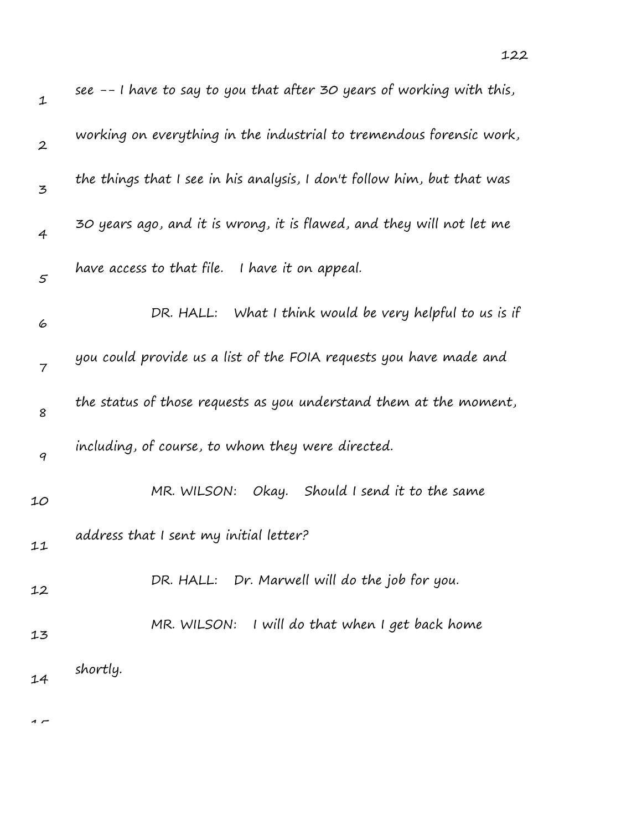| $\mathbf{1}$     | see $-$ - I have to say to you that after 30 years of working with this, |
|------------------|--------------------------------------------------------------------------|
| $\boldsymbol{2}$ | working on everything in the industrial to tremendous forensic work,     |
| $\mathbf{z}$     | the things that I see in his analysis, I don't follow him, but that was  |
| 4                | 30 years ago, and it is wrong, it is flawed, and they will not let me    |
| $\varsigma$      | have access to that file. I have it on appeal.                           |
| 6                | DR. HALL: What I think would be very helpful to us is if                 |
| $\overline{7}$   | you could provide us a list of the FOIA requests you have made and       |
| 8                | the status of those requests as you understand them at the moment,       |
| 9                | including, of course, to whom they were directed.                        |
| 10               | MR. WILSON: Okay. Should I send it to the same                           |
| 11               | address that I sent my initial letter?                                   |
| 12               | DR. HALL: Dr. Marwell will do the job for you.                           |
| 13               | MR. WILSON: I will do that when I get back home                          |
| 14               | shortly.                                                                 |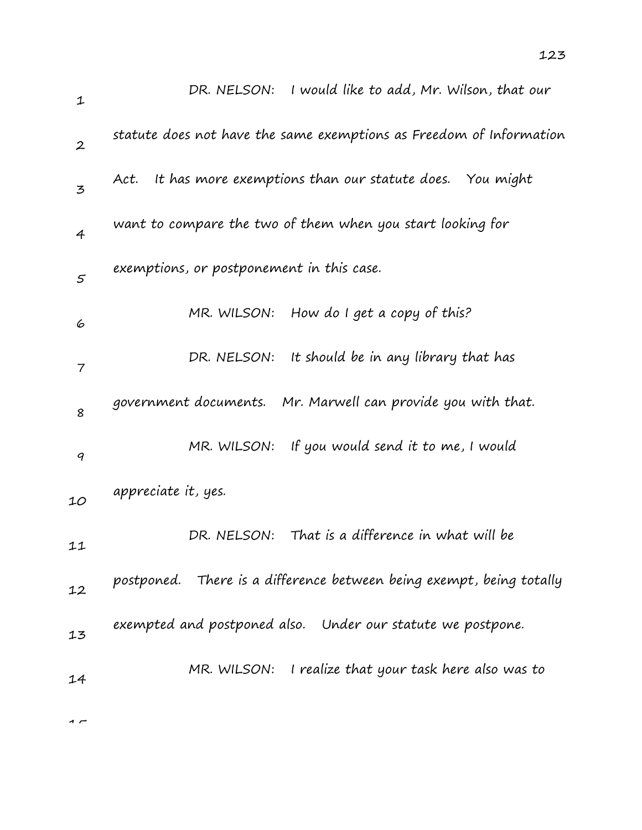| $\mathbf{1}$             | I would like to add, Mr. Wilson, that our<br>DR. NELSON:             |
|--------------------------|----------------------------------------------------------------------|
| $\overline{2}$           | statute does not have the same exemptions as Freedom of Information  |
| $\mathbf{z}$             | It has more exemptions than our statute does. You might<br>Act.      |
| $\overline{4}$           | want to compare the two of them when you start looking for           |
| $\mathcal{F}$            | exemptions, or postponement in this case.                            |
| 6                        | How do $I$ get a copy of this?<br>MR. WILSON:                        |
| $\overline{\phantom{a}}$ | DR. NELSON: It should be in any library that has                     |
| 8                        | government documents. Mr. Marwell can provide you with that.         |
| 9                        | If you would send it to me, I would<br>MR. WILSON:                   |
| 10                       | appreciate it, yes.                                                  |
| 11                       | That is a difference in what will be<br>DR. NELSON:                  |
| 12                       | postponed. There is a difference between being exempt, being totally |
| 13                       | exempted and postponed also. Under our statute we postpone.          |
| 14                       | I realize that your task here also was to<br>MR. WILSON:             |
|                          |                                                                      |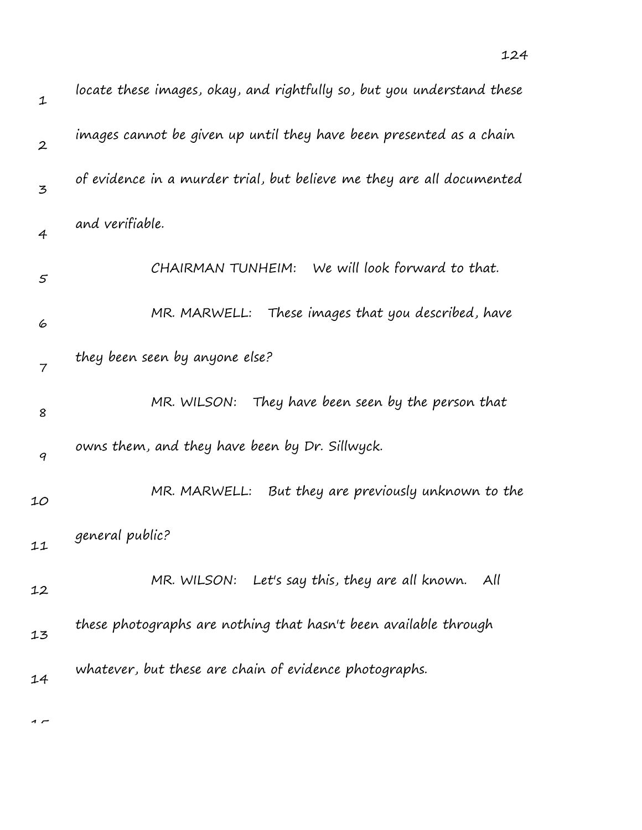| $\mathbf 1$      | locate these images, okay, and rightfully so, but you understand these |
|------------------|------------------------------------------------------------------------|
| $\boldsymbol{2}$ | images cannot be given up until they have been presented as a chain    |
| 3                | of evidence in a murder trial, but believe me they are all documented  |
| $\overline{4}$   | and verifiable.                                                        |
| 5                | CHAIRMAN TUNHEIM: We will look forward to that.                        |
| 6                | MR. MARWELL: These images that you described, have                     |
| $\overline{7}$   | they been seen by anyone else?                                         |
| 8                | MR. WILSON: They have been seen by the person that                     |
| 9                | owns them, and they have been by Dr. Sillwyck.                         |
| 10               | MR. MARWELL: But they are previously unknown to the                    |
| 11               | general public?                                                        |
| 12               | MR. WILSON: Let's say this, they are all known. All                    |
| 13               | these photographs are nothing that hasn't been available through       |
| 14               | whatever, but these are chain of evidence photographs.                 |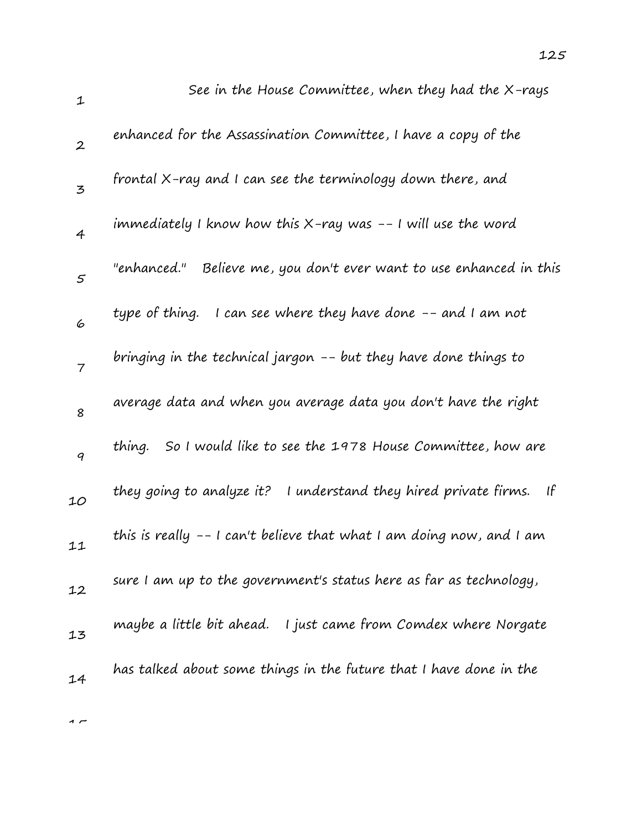| $\mathbf 1$      | See in the House Committee, when they had the X-rays                             |
|------------------|----------------------------------------------------------------------------------|
| $\boldsymbol{2}$ | enhanced for the Assassination Committee, I have a copy of the                   |
| 3                | frontal X-ray and I can see the terminology down there, and                      |
| $\overline{4}$   | immediately I know how this X-ray was -- I will use the word                     |
| 5                | "enhanced."<br>Believe me, you don't ever want to use enhanced in this           |
| 6                | type of thing. I can see where they have done -- and I am not                    |
| $\overline{7}$   | bringing in the technical jargon -- but they have done things to                 |
| 8                | average data and when you average data you don't have the right                  |
| 9                | thing. So I would like to see the 1978 House Committee, how are                  |
| 10               | they going to analyze it? I understand they hired private firms.<br>$\mathsf{H}$ |
| 11               | this is really -- I can't believe that what I am doing now, and I am             |
| 12               | sure I am up to the government's status here as far as technology,               |
| 13               | maybe a little bit ahead. I just came from Comdex where Norgate                  |
| 14               | has talked about some things in the future that I have done in the               |
|                  |                                                                                  |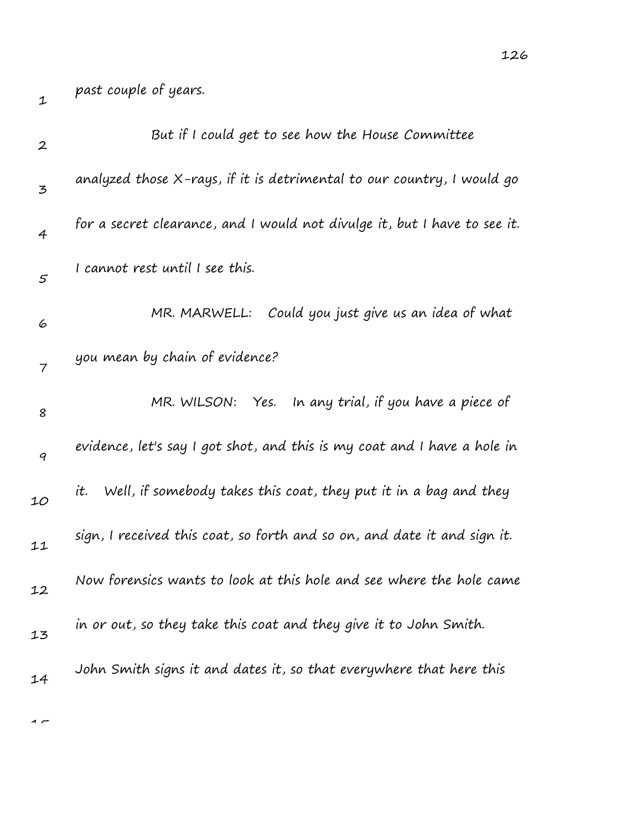| $\boldsymbol{2}$ | But if I could get to see how the House Committee                         |
|------------------|---------------------------------------------------------------------------|
| 3                | analyzed those X-rays, if it is detrimental to our country, I would go    |
| $\overline{4}$   | for a secret clearance, and I would not divulge it, but I have to see it. |
| $\varsigma$      | I cannot rest until I see this.                                           |
| 6                | Could you just give us an idea of what<br>MR. MARWELL:                    |
| 7                | you mean by chain of evidence?                                            |
| 8                | MR. WILSON: Yes.<br>In any trial, if you have a piece of                  |
| $\boldsymbol{q}$ | evidence, let's say I got shot, and this is my coat and I have a hole in  |
| 10               | it. Well, if somebody takes this coat, they put it in a bag and they      |
| 11               | sign, I received this coat, so forth and so on, and date it and sign it.  |
| 12               | Now forensics wants to look at this hole and see where the hole came      |
| 13               | in or out, so they take this coat and they give it to John Smith.         |
| 14               | John Smith signs it and dates it, so that everywhere that here this       |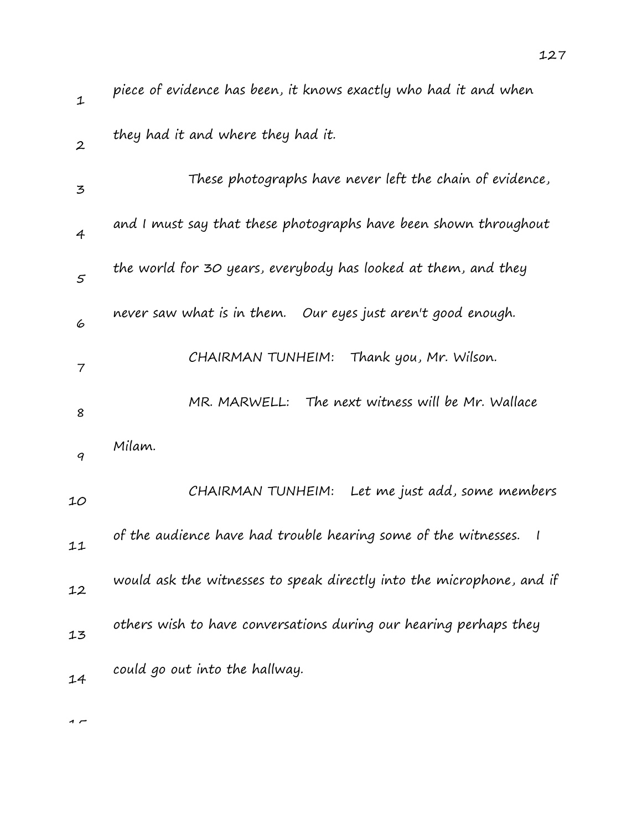| $\mathbf{1}$   | piece of evidence has been, it knows exactly who had it and when                |
|----------------|---------------------------------------------------------------------------------|
| $\overline{2}$ | they had it and where they had it.                                              |
| $\mathbf{z}$   | These photographs have never left the chain of evidence,                        |
| $\overline{4}$ | and I must say that these photographs have been shown throughout                |
| 5              | the world for 30 years, everybody has looked at them, and they                  |
| 6              | never saw what is in them.<br>Our eyes just aren't good enough.                 |
| $\overline{7}$ | CHAIRMAN TUNHEIM:<br>Thank you, Mr. Wilson.                                     |
| 8              | MR. MARWELL: The next witness will be Mr. Wallace                               |
| 9              | Milam.                                                                          |
| 10             | Let me just add, some members<br>CHAIRMAN TUNHEIM:                              |
| 11             | of the audience have had trouble hearing some of the witnesses.<br>$\mathbf{I}$ |
| 12             | would ask the witnesses to speak directly into the microphone, and if           |
| 13             | others wish to have conversations during our hearing perhaps they               |
| 14             | could go out into the hallway.                                                  |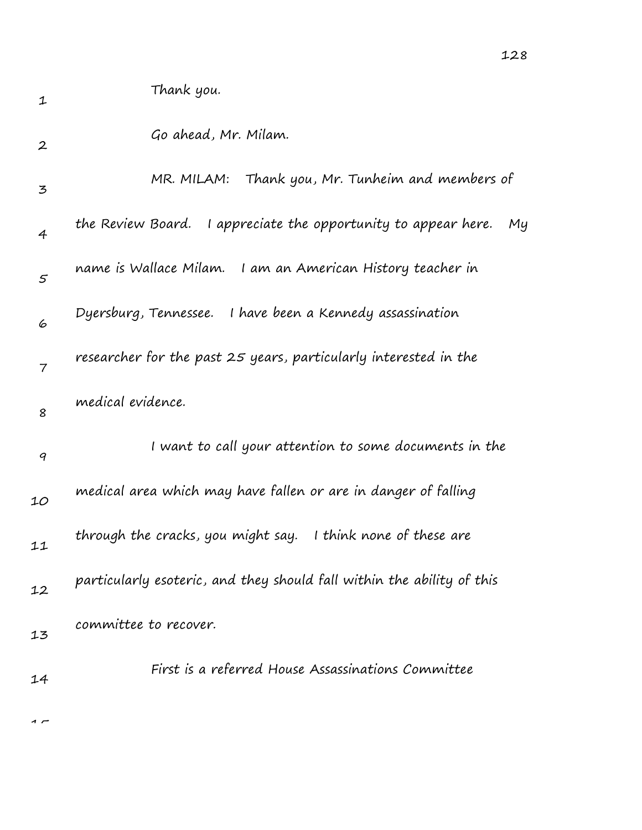| $\boldsymbol{2}$ | Go ahead, Mr. Milam. |  |
|------------------|----------------------|--|
|                  |                      |  |

| $\mathbf{z}$   | MR. MILAM: Thank you, Mr. Tunheim and members of                        |
|----------------|-------------------------------------------------------------------------|
| $\overline{4}$ | the Review Board.<br>I appreciate the opportunity to appear here.<br>My |
| $\mathcal{S}$  | name is Wallace Milam. I am an American History teacher in              |
| 6              | Dyersburg, Tennessee. I have been a Kennedy assassination               |
| $\overline{7}$ | researcher for the past 25 years, particularly interested in the        |
| 8              | medical evidence.                                                       |
| 9              | I want to call your attention to some documents in the                  |
| 10             | medical area which may have fallen or are in danger of falling          |
| 11             | through the cracks, you might say. I think none of these are            |
| 12             | particularly esoteric, and they should fall within the ability of this  |
| 13             | committee to recover.                                                   |
| 14             | First is a referred House Assassinations Committee                      |

 $\overline{1}$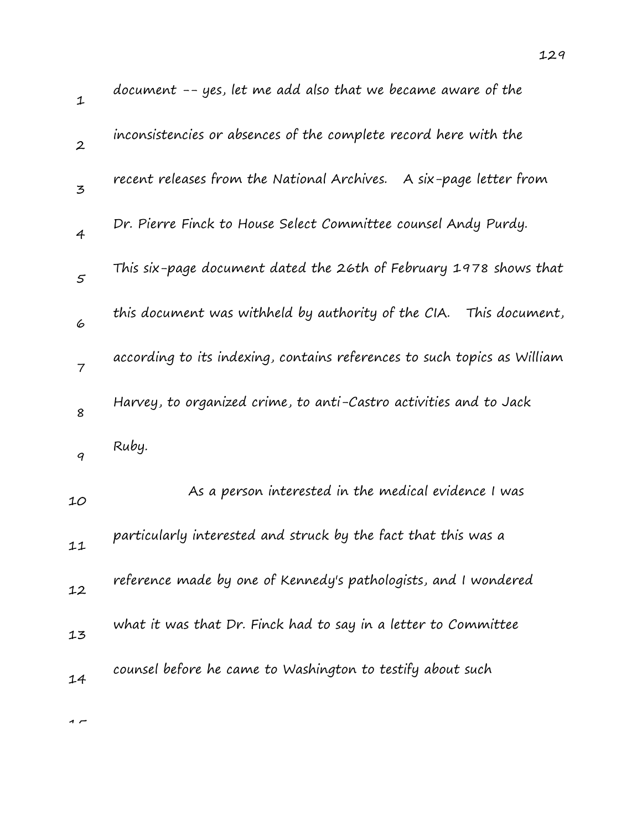| $\mathbf{1}$                                                                                                       | document -- yes, let me add also that we became aware of the             |
|--------------------------------------------------------------------------------------------------------------------|--------------------------------------------------------------------------|
| $\overline{2}$                                                                                                     | inconsistencies or absences of the complete record here with the         |
| $\mathfrak{Z}% _{T}=\mathfrak{Z}_{T}\!\left( a,b\right) ,\ \mathfrak{Z}_{T}=\mathfrak{Z}_{T}\!\left( a,b\right) ,$ | recent releases from the National Archives. A six-page letter from       |
| $\overline{4}$                                                                                                     | Dr. Pierre Finck to House Select Committee counsel Andy Purdy.           |
| $\mathfrak{s}$                                                                                                     | This six-page document dated the 26th of February 1978 shows that        |
| 6                                                                                                                  | this document was withheld by authority of the CIA.<br>This document,    |
| $\overline{7}$                                                                                                     | according to its indexing, contains references to such topics as William |
| 8                                                                                                                  | Harvey, to organized crime, to anti-Castro activities and to Jack        |
| 9                                                                                                                  | Ruby.                                                                    |
| 10                                                                                                                 | As a person interested in the medical evidence I was                     |
| 11                                                                                                                 | particularly interested and struck by the fact that this was a           |
| 12                                                                                                                 | reference made by one of Kennedy's pathologists, and I wondered          |
| 13                                                                                                                 | what it was that Dr. Finck had to say in a letter to Committee           |
| 14                                                                                                                 | counsel before he came to Washington to testify about such               |
|                                                                                                                    |                                                                          |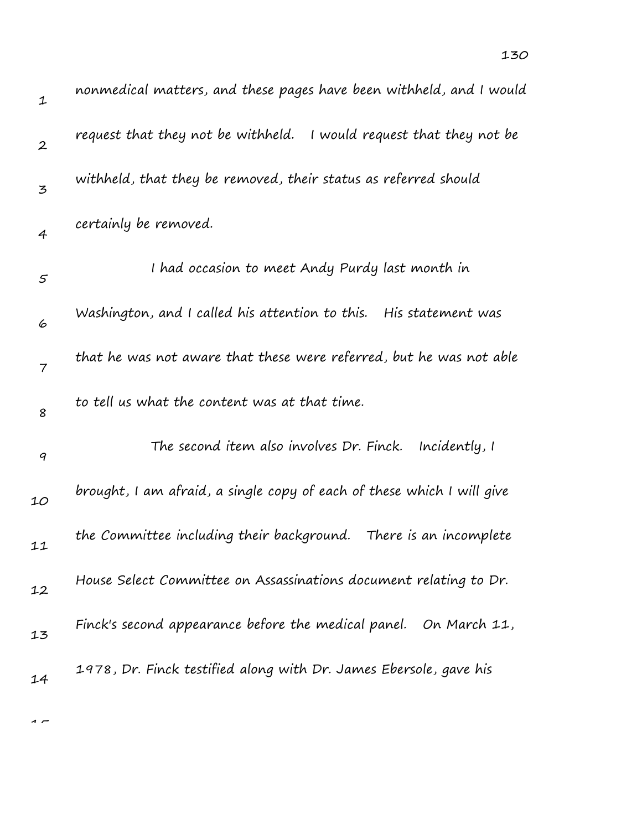| $\mathbf 1$      | nonmedical matters, and these pages have been withheld, and I would    |
|------------------|------------------------------------------------------------------------|
| $\boldsymbol{2}$ | request that they not be withheld.<br>I would request that they not be |
| 3                | withheld, that they be removed, their status as referred should        |
| $\overline{4}$   | certainly be removed.                                                  |
| $\varsigma$      | I had occasion to meet Andy Purdy last month in                        |
| 6                | Washington, and I called his attention to this. His statement was      |
| $\overline{7}$   | that he was not aware that these were referred, but he was not able    |
| 8                | to tell us what the content was at that time.                          |
| $\boldsymbol{q}$ | The second item also involves Dr. Finck.<br>Incidently, I              |
| 10               | brought, I am afraid, a single copy of each of these which I will give |
| 11               | the Committee including their background. There is an incomplete       |
| 12               | House Select Committee on Assassinations document relating to Dr.      |
| 13               | Finck's second appearance before the medical panel.<br>On March 11,    |
| 14               | 1978, Dr. Finck testified along with Dr. James Ebersole, gave his      |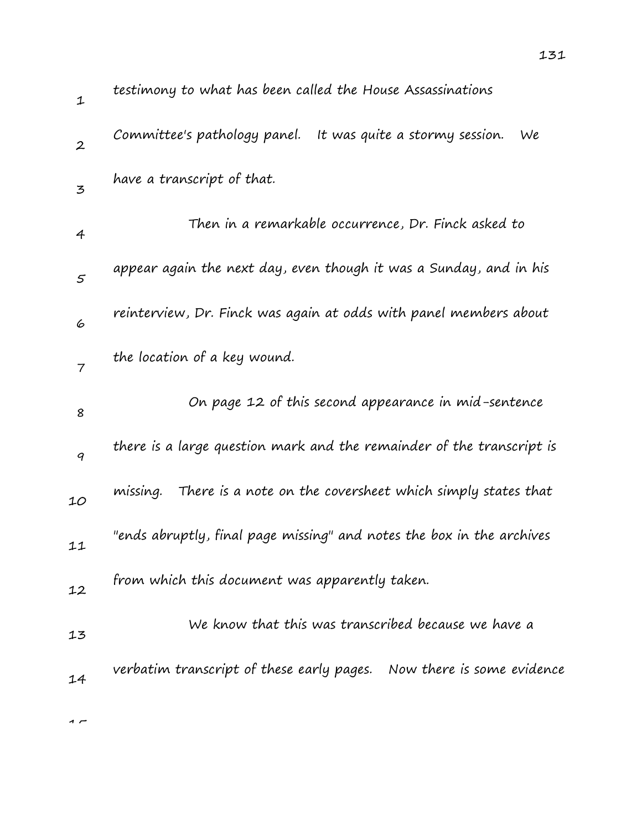| $\mathbf{1}$      | testimony to what has been called the House Assassinations             |
|-------------------|------------------------------------------------------------------------|
| $\boldsymbol{2}$  | It was quite a stormy session.<br>Committee's pathology panel.<br>We   |
| 3                 | have a transcript of that.                                             |
| 4                 | Then in a remarkable occurrence, Dr. Finck asked to                    |
| $\mathcal{F}_{0}$ | appear again the next day, even though it was a Sunday, and in his     |
| 6                 | reinterview, Dr. Finck was again at odds with panel members about      |
| $\overline{7}$    | the location of a key wound.                                           |
| 8                 | On page 12 of this second appearance in mid-sentence                   |
| 9                 | there is a large question mark and the remainder of the transcript is  |
| 10                | There is a note on the coversheet which simply states that<br>missing. |
| 11                | "ends abruptly, final page missing" and notes the box in the archives  |
| 12                | from which this document was apparently taken.                         |
| 13                | We know that this was transcribed because we have a                    |
| 14                | verbatim transcript of these early pages. Now there is some evidence   |
|                   |                                                                        |

131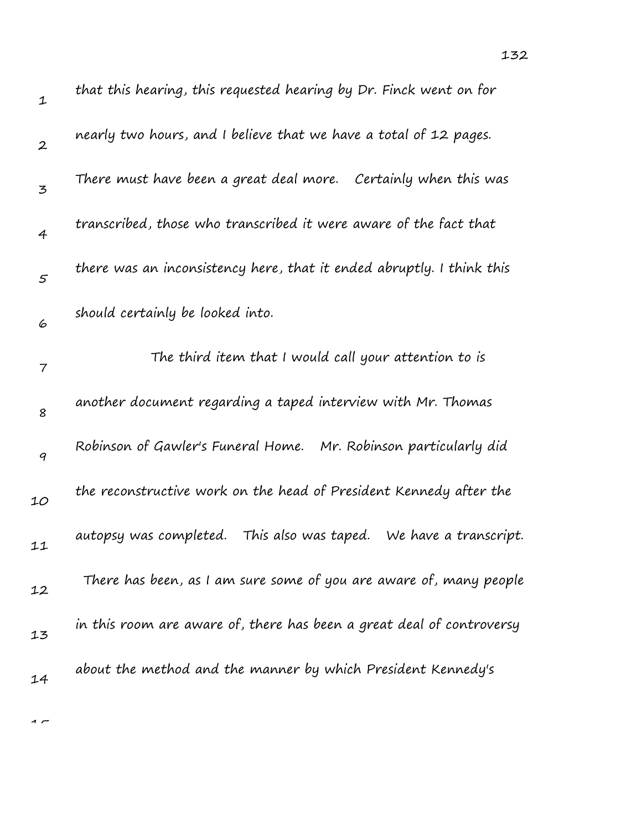| $\mathbf 1$      | that this hearing, this requested hearing by Dr. Finck went on for      |
|------------------|-------------------------------------------------------------------------|
| $\boldsymbol{2}$ | nearly two hours, and I believe that we have a total of 12 pages.       |
| 3                | There must have been a great deal more. Certainly when this was         |
| $\overline{4}$   | transcribed, those who transcribed it were aware of the fact that       |
| $\varsigma$      | there was an inconsistency here, that it ended abruptly. I think this   |
| 6                | should certainly be looked into.                                        |
| $\overline{7}$   | The third item that I would call your attention to is                   |
| 8                | another document regarding a taped interview with Mr. Thomas            |
| $\boldsymbol{q}$ | Robinson of Gawler's Funeral Home. Mr. Robinson particularly did        |
| 10               | the reconstructive work on the head of President Kennedy after the      |
| 11               | This also was taped.<br>autopsy was completed.<br>We have a transcript. |
| 12               | There has been, as I am sure some of you are aware of, many people      |
| 13               | in this room are aware of, there has been a great deal of controversy   |
| 14               | about the method and the manner by which President Kennedy's            |

132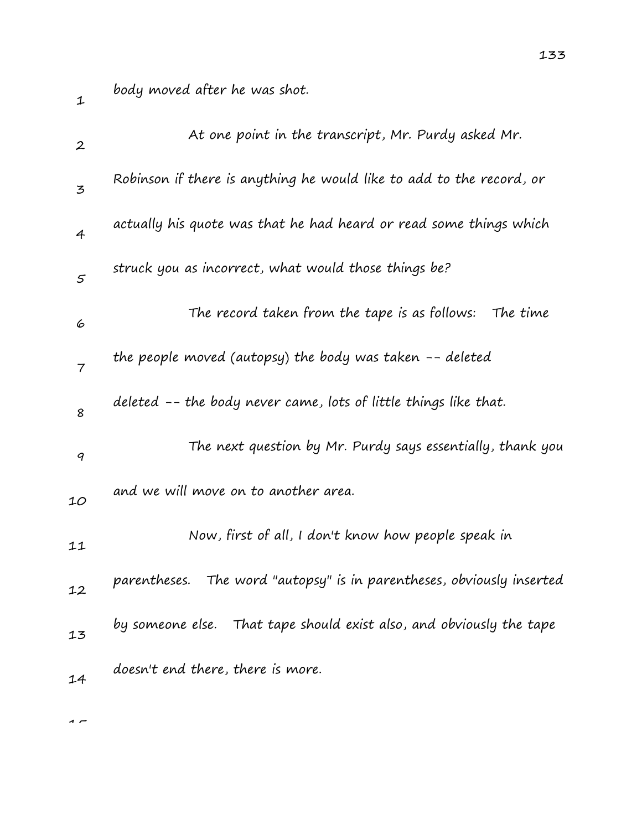body moved after he was shot.

| $\boldsymbol{2}$ | At one point in the transcript, Mr. Purdy asked Mr.                      |
|------------------|--------------------------------------------------------------------------|
| 3                | Robinson if there is anything he would like to add to the record, or     |
| $\overline{4}$   | actually his quote was that he had heard or read some things which       |
| $\mathfrak{s}$   | struck you as incorrect, what would those things be?                     |
| 6                | The record taken from the tape is as follows:<br>The time                |
| $\overline{7}$   | the people moved (autopsy) the body was taken $-$ - deleted              |
| 8                | deleted -- the body never came, lots of little things like that.         |
| 9                | The next question by Mr. Purdy says essentially, thank you               |
| 10               | and we will move on to another area.                                     |
| 11               | Now, first of all, I don't know how people speak in                      |
| 12               | The word "autopsy" is in parentheses, obviously inserted<br>parentheses. |
| 13               | by someone else. That tape should exist also, and obviously the tape     |
| 14               | doesn't end there, there is more.                                        |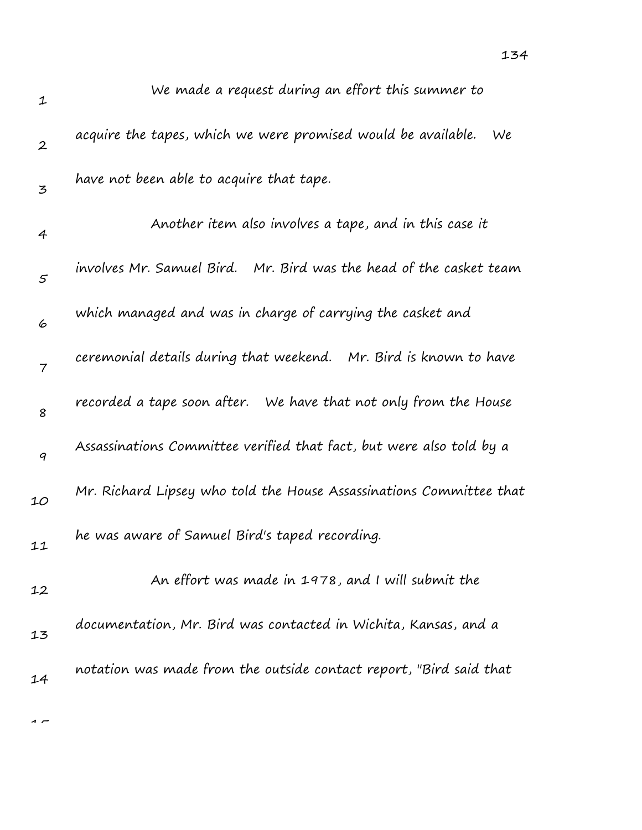| $\mathbf 1$      | We made a request during an effort this summer to                     |
|------------------|-----------------------------------------------------------------------|
| $\boldsymbol{2}$ | acquire the tapes, which we were promised would be available.<br>We   |
| 3                | have not been able to acquire that tape.                              |
| 4                | Another item also involves a tape, and in this case it                |
| $\varsigma$      | involves Mr. Samuel Bird.    Mr. Bird was the head of the casket team |
| 6                | which managed and was in charge of carrying the casket and            |
| $\overline{7}$   | ceremonial details during that weekend. Mr. Bird is known to have     |
| 8                | recorded a tape soon after. We have that not only from the House      |
| 9                | Assassinations Committee verified that fact, but were also told by a  |
| 10               | Mr. Richard Lipsey who told the House Assassinations Committee that   |
| 11               | he was aware of Samuel Bird's taped recording.                        |
| 12               | An effort was made in 1978, and I will submit the                     |
| 13               | documentation, Mr. Bird was contacted in Wichita, Kansas, and a       |
| 14               | notation was made from the outside contact report, "Bird said that    |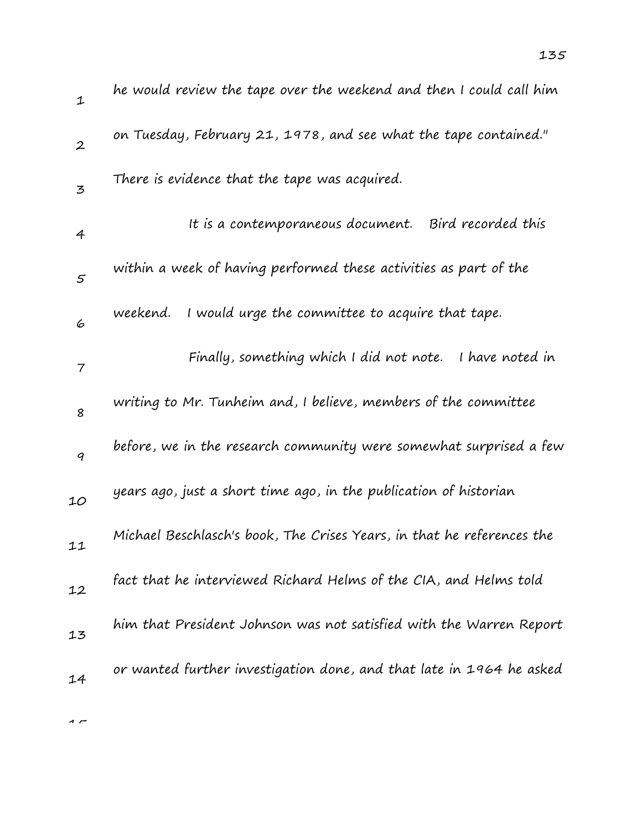| $\mathbf 1$      | he would review the tape over the weekend and then I could call him    |
|------------------|------------------------------------------------------------------------|
| $\boldsymbol{2}$ | on Tuesday, February 21, 1978, and see what the tape contained."       |
| $\mathbf{z}$     | There is evidence that the tape was acquired.                          |
| 4                | It is a contemporaneous document. Bird recorded this                   |
| $\varsigma$      | within a week of having performed these activities as part of the      |
| 6                | I would urge the committee to acquire that tape.<br>weekend.           |
| 7                | Finally, something which I did not note. I have noted in               |
| 8                | writing to Mr. Tunheim and, I believe, members of the committee        |
| 9                | before, we in the research community were somewhat surprised a few     |
| 10               | years ago, just a short time ago, in the publication of historian      |
| 11               | Michael Beschlasch's book, The Crises Years, in that he references the |
| 12               | fact that he interviewed Richard Helms of the CIA, and Helms told      |
| 13               | him that President Johnson was not satisfied with the Warren Report    |
| 14               | or wanted further investigation done, and that late in 1964 he asked   |
|                  |                                                                        |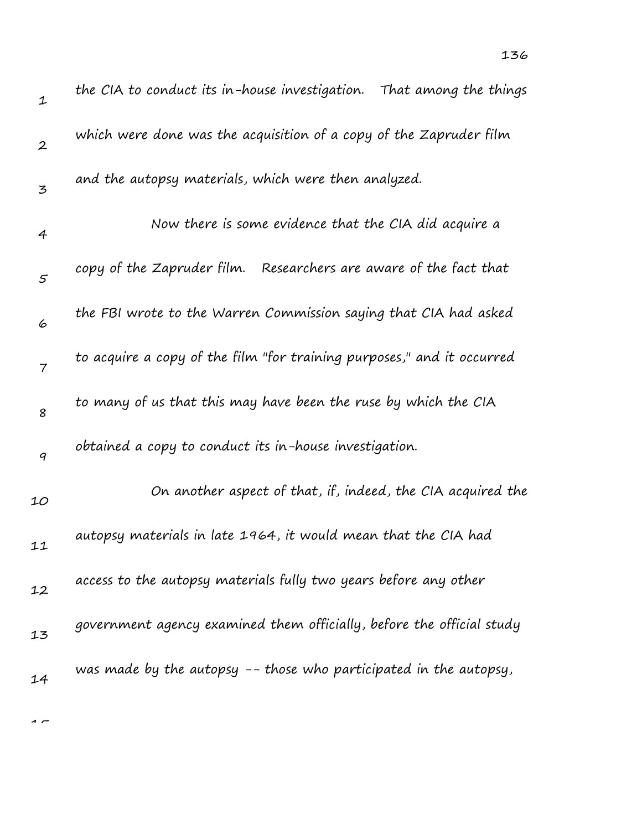| $\mathbf 1$      | the CIA to conduct its in-house investigation.  That among the things  |
|------------------|------------------------------------------------------------------------|
| $\boldsymbol{2}$ | which were done was the acquisition of a copy of the Zapruder film     |
| 3                | and the autopsy materials, which were then analyzed.                   |
| 4                | Now there is some evidence that the CIA did acquire a                  |
| $\mathcal{S}$    | copy of the Zapruder film. Researchers are aware of the fact that      |
| 6                | the FBI wrote to the Warren Commission saying that CIA had asked       |
| $\overline{7}$   | to acquire a copy of the film "for training purposes," and it occurred |
| 8                | to many of us that this may have been the ruse by which the CIA        |
| 9                | obtained a copy to conduct its in-house investigation.                 |
| 10               | On another aspect of that, if, indeed, the CIA acquired the            |
| 11               | autopsy materials in late 1964, it would mean that the CIA had         |
| 12               | access to the autopsy materials fully two years before any other       |
| 13               | government agency examined them officially, before the official study  |
| 14               | was made by the autopsy -- those who participated in the autopsy,      |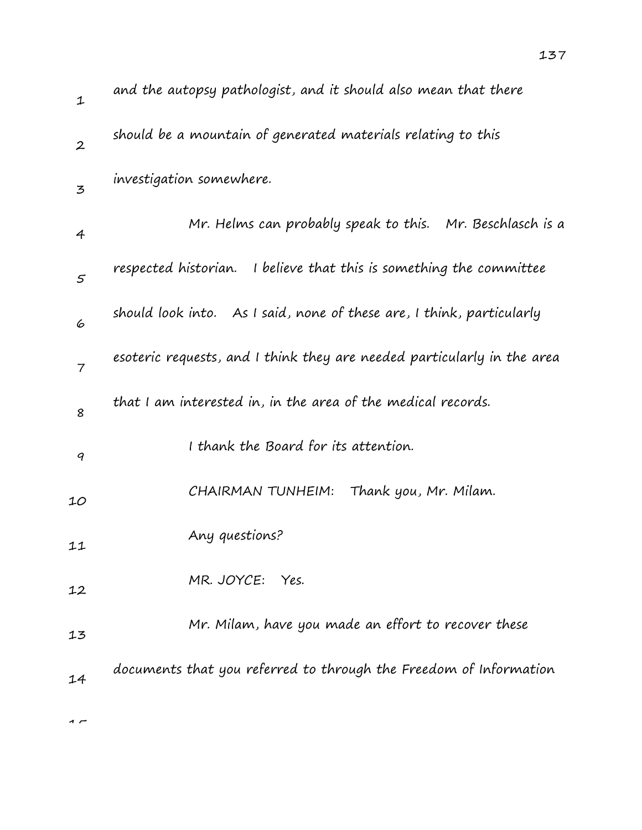| $\mathbf 1$      | and the autopsy pathologist, and it should also mean that there         |
|------------------|-------------------------------------------------------------------------|
| $\boldsymbol{2}$ | should be a mountain of generated materials relating to this            |
| 3                | investigation somewhere.                                                |
| 4                | Mr. Helms can probably speak to this. Mr. Beschlasch is a               |
| 5                | respected historian. I believe that this is something the committee     |
| 6                | should look into. As I said, none of these are, I think, particularly   |
| $\overline{7}$   | esoteric requests, and I think they are needed particularly in the area |
| 8                | that I am interested in, in the area of the medical records.            |
| 9                | I thank the Board for its attention.                                    |
| 10               | Thank you, Mr. Milam.<br>CHAIRMAN TUNHEIM:                              |
| 11               | Any questions?                                                          |
| 12               | MR. JOYCE:<br>Yes.                                                      |
| 13               | Mr. Milam, have you made an effort to recover these                     |
| 14               | documents that you referred to through the Freedom of Information       |
|                  |                                                                         |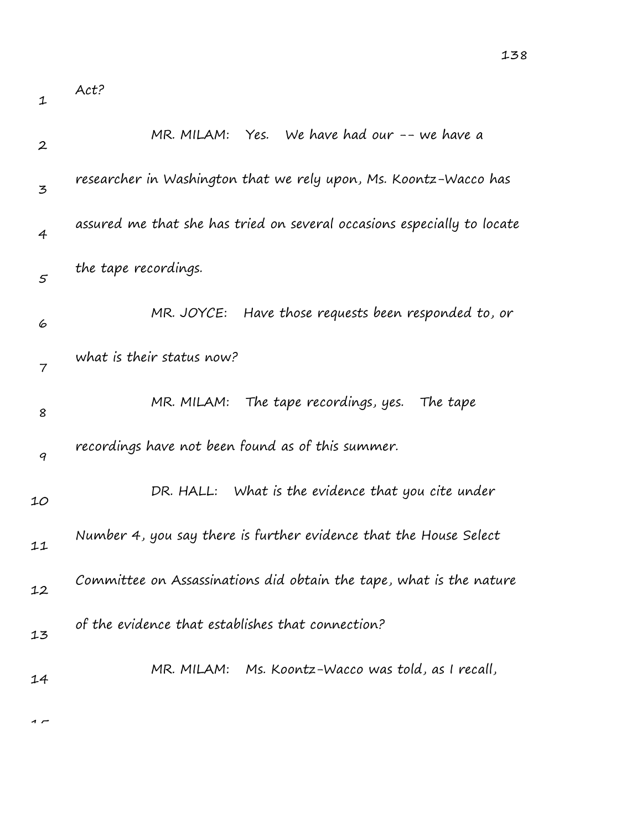1

| $\boldsymbol{2}$ | MR. MILAM: Yes. We have had our -- we have a                            |
|------------------|-------------------------------------------------------------------------|
| 3                | researcher in Washington that we rely upon, Ms. Koontz-Wacco has        |
| $\overline{4}$   | assured me that she has tried on several occasions especially to locate |
| $\mathfrak{s}$   | the tape recordings.                                                    |
| 6                | MR. JOYCE: Have those requests been responded to, or                    |
| $\overline{7}$   | what is their status now?                                               |
| 8                | MR. MILAM: The tape recordings, yes. The tape                           |
| 9                | recordings have not been found as of this summer.                       |
| 10               | DR. HALL: What is the evidence that you cite under                      |
| 11               | Number 4, you say there is further evidence that the House Select       |
| 12               | Committee on Assassinations did obtain the tape, what is the nature     |
| 13               | of the evidence that establishes that connection?                       |
| 14               | MR. MILAM: Ms. Koontz-Wacco was told, as I recall,                      |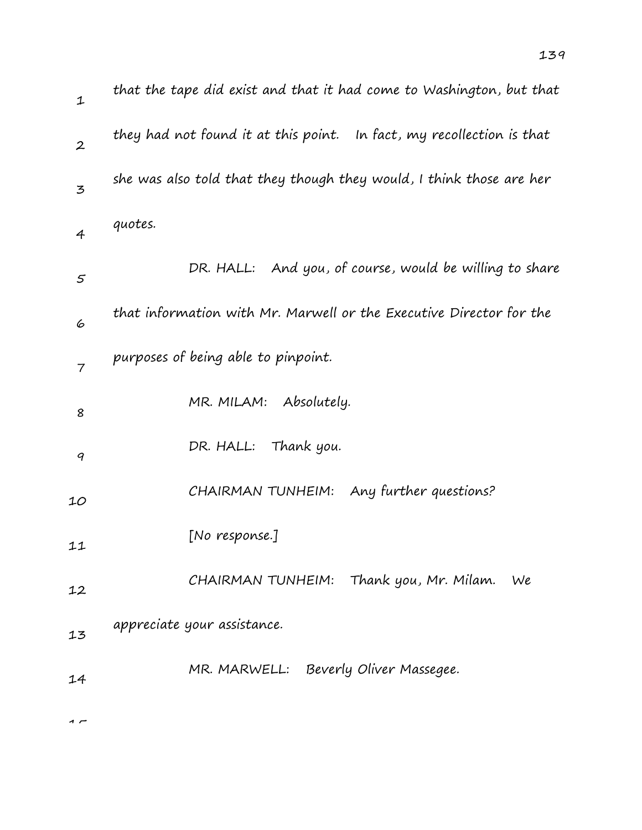| $\mathbf{1}$     | that the tape did exist and that it had come to Washington, but that  |
|------------------|-----------------------------------------------------------------------|
| $\boldsymbol{2}$ | they had not found it at this point. In fact, my recollection is that |
| $\overline{5}$   | she was also told that they though they would, I think those are her  |
| $\overline{4}$   | quotes.                                                               |
| $\varsigma$      | DR. HALL: And you, of course, would be willing to share               |
| 6                | that information with Mr. Marwell or the Executive Director for the   |
| $\overline{7}$   | purposes of being able to pinpoint.                                   |
| 8                | MR. MILAM: Absolutely.                                                |
| 9                | DR. HALL: Thank you.                                                  |
| 10               | Any further questions?<br>CHAIRMAN TUNHEIM:                           |
| 11               | [No response.]                                                        |
| 12               | CHAIRMAN TUNHEIM: Thank you, Mr. Milam.<br>We                         |
| 13               | appreciate your assistance.                                           |
| 14               | MR. MARWELL: Beverly Oliver Massegee.                                 |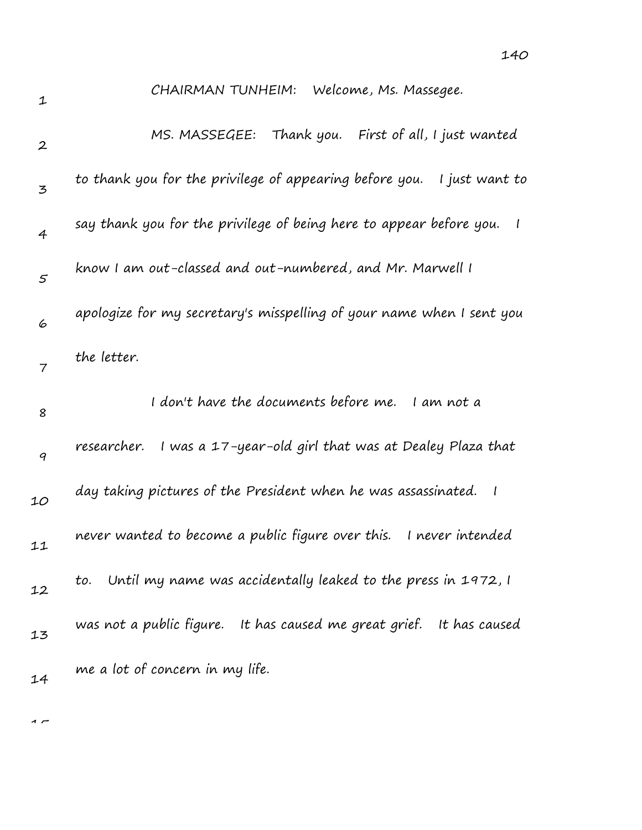140

| 1                | CHAIRMAN TUNHEIM: Welcome, Ms. Massegee.                                                        |
|------------------|-------------------------------------------------------------------------------------------------|
| $\boldsymbol{2}$ | MS. MASSEGEE: Thank you. First of all, I just wanted                                            |
| 3                | to thank you for the privilege of appearing before you.   I just want to                        |
| $\overline{4}$   | say thank you for the privilege of being here to appear before you.<br>$\overline{\phantom{a}}$ |
| $\mathcal{S}$    | know I am out-classed and out-numbered, and Mr. Marwell I                                       |
| 6                | apologize for my secretary's misspelling of your name when I sent you                           |
| 7                | the letter.                                                                                     |
|                  |                                                                                                 |
| 8                | I don't have the documents before me. I am not a                                                |
| 9                | I was a 17-year-old girl that was at Dealey Plaza that<br>researcher.                           |
| 10               | day taking pictures of the President when he was assassinated.<br>$\overline{\phantom{a}}$      |
| 11               | never wanted to become a public figure over this.<br>I never intended                           |
| 12               | Until my name was accidentally leaked to the press in 1972, I<br>to.                            |
| 13               | was not a public figure. It has caused me great grief. It has caused                            |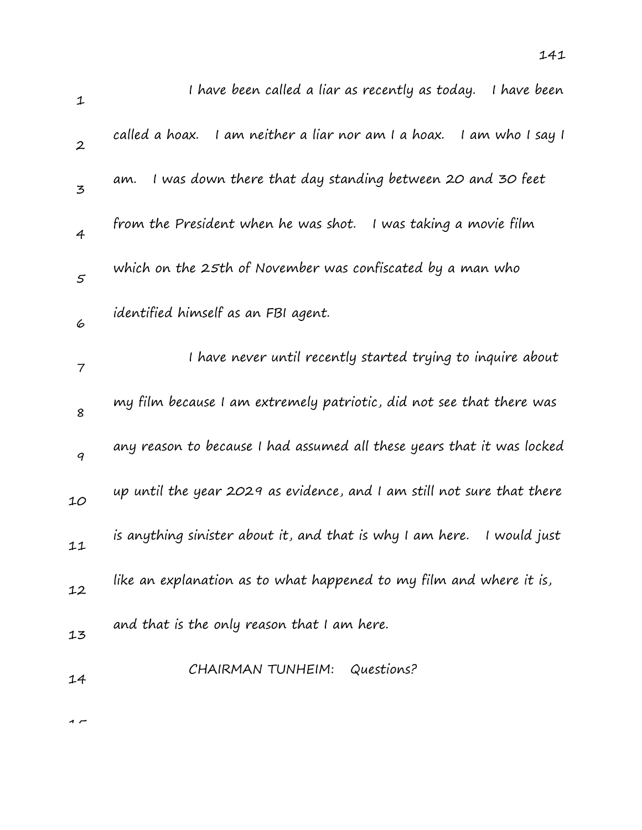| $\mathbf{1}$     | I have been called a liar as recently as today.<br>I have been             |
|------------------|----------------------------------------------------------------------------|
| $\boldsymbol{2}$ | called a hoax.<br>I am neither a liar nor am I a hoax.<br>I am who I say I |
| 3                | I was down there that day standing between 20 and 30 feet<br>am.           |
| $\overline{4}$   | from the President when he was shot.<br>I was taking a movie film          |
| $\mathcal{S}$    | which on the 25th of November was confiscated by a man who                 |
| 6                | identified himself as an FBI agent.                                        |
| 7                | I have never until recently started trying to inquire about                |
| 8                | my film because I am extremely patriotic, did not see that there was       |
| 9                | any reason to because I had assumed all these years that it was locked     |
| 10               | up until the year 2029 as evidence, and I am still not sure that there     |
| 11               | is anything sinister about it, and that is why I am here.<br>I would just  |
| 12               | like an explanation as to what happened to my film and where it is,        |
| 13               | and that is the only reason that I am here.                                |
| 14               | Questions?<br>CHAIRMAN TUNHEIM:                                            |
|                  |                                                                            |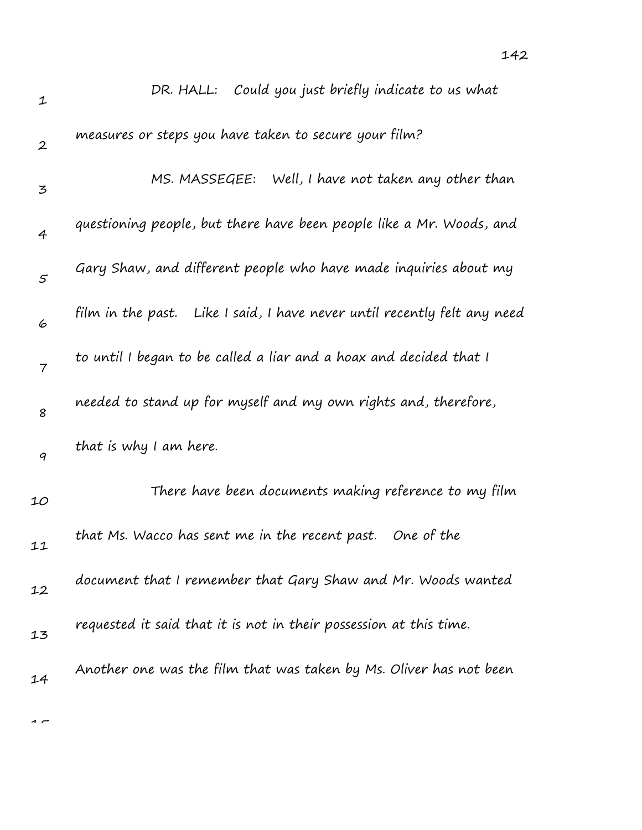| 1                | DR. HALL: Could you just briefly indicate to us what                     |
|------------------|--------------------------------------------------------------------------|
| $\boldsymbol{2}$ | measures or steps you have taken to secure your film?                    |
| 3                | MS. MASSEGEE: Well, I have not taken any other than                      |
| 4                | questioning people, but there have been people like a Mr. Woods, and     |
| 5                | Gary Shaw, and different people who have made inquiries about my         |
| 6                | film in the past. Like I said, I have never until recently felt any need |
| $\overline{7}$   | to until I began to be called a liar and a hoax and decided that I       |
| 8                | needed to stand up for myself and my own rights and, therefore,          |
| 9                | that is why I am here.                                                   |
| 10               | There have been documents making reference to my film                    |
| 11               | that Ms. Wacco has sent me in the recent past. One of the                |
| 12               | document that I remember that Gary Shaw and Mr. Woods wanted             |
| 13               | requested it said that it is not in their possession at this time.       |
| 14               | Another one was the film that was taken by Ms. Oliver has not been       |
|                  |                                                                          |

 $\overline{1}$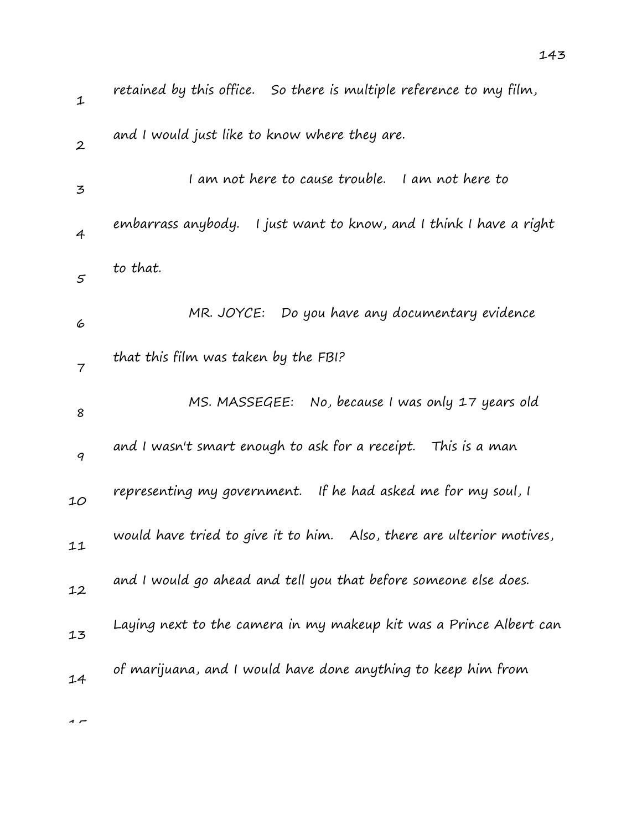| $\mathbf{1}$     | retained by this office. So there is multiple reference to my film,   |
|------------------|-----------------------------------------------------------------------|
| $\boldsymbol{2}$ | and I would just like to know where they are.                         |
| 3                | I am not here to cause trouble. I am not here to                      |
| 4                | embarrass anybody. I just want to know, and I think I have a right    |
| 5                | to that.                                                              |
| 6                | MR. JOYCE: Do you have any documentary evidence                       |
| 7                | that this film was taken by the FBI?                                  |
| 8                | MS. MASSEGEE: No, because I was only 17 years old                     |
| 9                | and I wasn't smart enough to ask for a receipt. This is a man         |
| 10               | representing my government. If he had asked me for my soul, I         |
| 11               | would have tried to give it to him. Also, there are ulterior motives, |
| 12               | and I would go ahead and tell you that before someone else does.      |
| 13               | Laying next to the camera in my makeup kit was a Prince Albert can    |
| 14               | of marijuana, and I would have done anything to keep him from         |
|                  |                                                                       |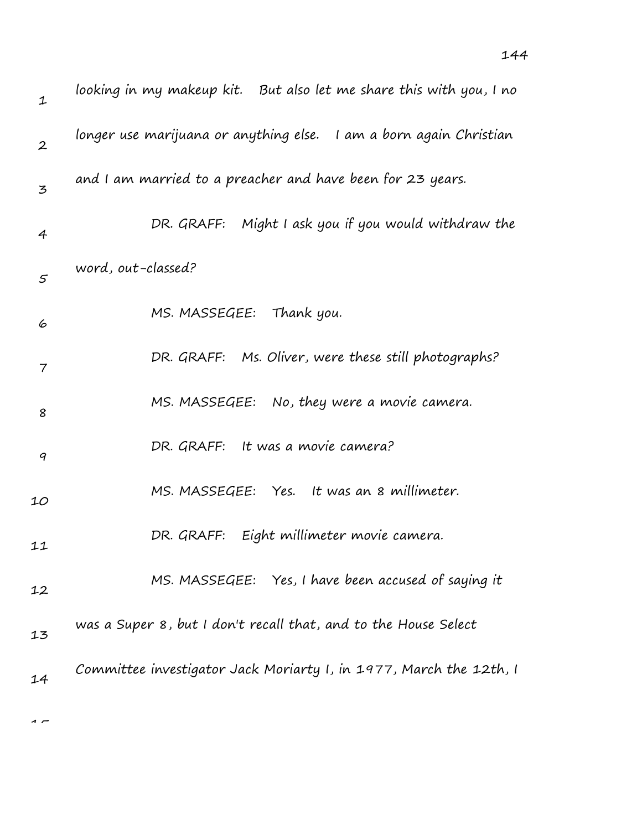| $\mathbf{1}$   | looking in my makeup kit.   But also let me share this with you, I no |
|----------------|-----------------------------------------------------------------------|
| $\overline{2}$ | longer use marijuana or anything else. I am a born again Christian    |
| 3              | and I am married to a preacher and have been for 23 years.            |
| $\overline{4}$ | DR. GRAFF: Might I ask you if you would withdraw the                  |
| 5              | word, out-classed?                                                    |
| 6              | MS. MASSEGEE: Thank you.                                              |
| 7              | DR. GRAFF: Ms. Oliver, were these still photographs?                  |
| 8              | MS. MASSEGEE: No, they were a movie camera.                           |
| 9              | DR. GRAFF: It was a movie camera?                                     |
| 10             | MS. MASSEGEE: Yes. It was an 8 millimeter.                            |
| 11             | DR. GRAFF: Eight millimeter movie camera.                             |
| 12             | MS. MASSEGEE: Yes, I have been accused of saying it                   |
| 13             | was a Super 8, but I don't recall that, and to the House Select       |
| 14             | Committee investigator Jack Moriarty I, in 1977, March the 12th, I    |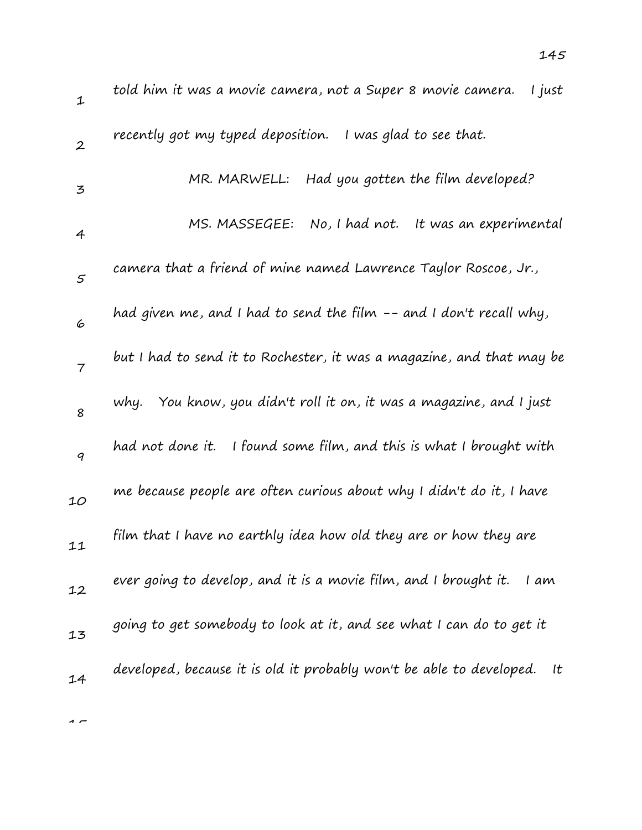| $\mathbf{1}$             | told him it was a movie camera, not a Super 8 movie camera.<br>I just      |
|--------------------------|----------------------------------------------------------------------------|
| $\boldsymbol{2}$         | recently got my typed deposition. I was glad to see that.                  |
| 3                        | MR. MARWELL: Had you gotten the film developed?                            |
| 4                        | MS. MASSEGEE:<br>No, I had not.<br>It was an experimental                  |
| $\varsigma$              | camera that a friend of mine named Lawrence Taylor Roscoe, Jr.,            |
| 6                        | had given me, and I had to send the film -- and I don't recall why,        |
| $\overline{\phantom{a}}$ | but I had to send it to Rochester, it was a magazine, and that may be      |
| 8                        | why. You know, you didn't roll it on, it was a magazine, and I just        |
| 9                        | had not done it. I found some film, and this is what I brought with        |
| 10                       | me because people are often curious about why I didn't do it, I have       |
| 11                       | film that I have no earthly idea how old they are or how they are          |
| 12                       | ever going to develop, and it is a movie film, and I brought it.<br>l am   |
| 13                       | going to get somebody to look at it, and see what I can do to get it       |
| 14                       | developed, because it is old it probably won't be able to developed.<br>It |
|                          |                                                                            |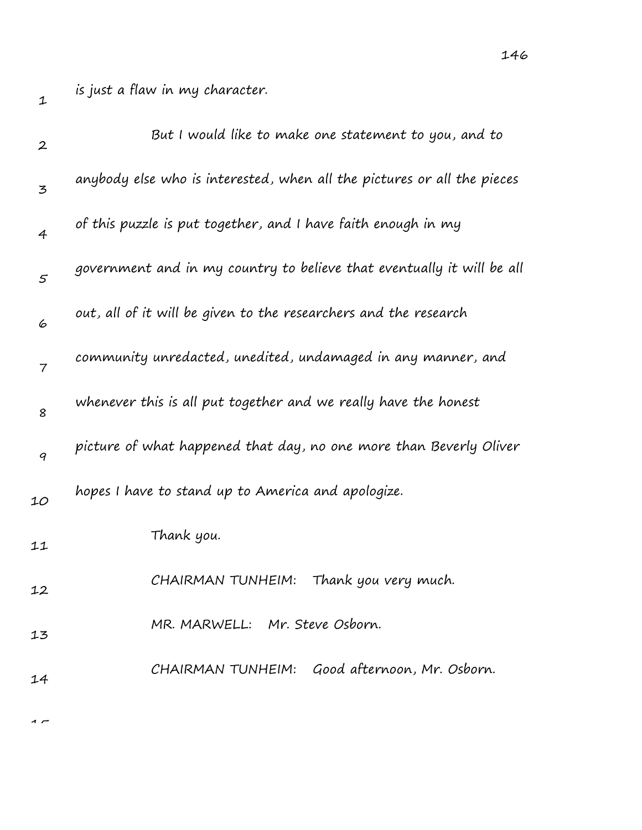is just a flaw in my character.

| $\boldsymbol{2}$ | But I would like to make one statement to you, and to                   |
|------------------|-------------------------------------------------------------------------|
| 3                | anybody else who is interested, when all the pictures or all the pieces |
| 4                | of this puzzle is put together, and I have faith enough in my           |
| $\mathcal{S}$    | government and in my country to believe that eventually it will be all  |
| 6                | out, all of it will be given to the researchers and the research        |
| 7                | community unredacted, unedited, undamaged in any manner, and            |
| 8                | whenever this is all put together and we really have the honest         |
| 9                | picture of what happened that day, no one more than Beverly Oliver      |
| 10               | hopes I have to stand up to America and apologize.                      |
| 11               | Thank you.                                                              |
| 12               | Thank you very much.<br>CHAIRMAN TUNHEIM:                               |
| 13               | MR. MARWELL: Mr. Steve Osborn.                                          |
| 14               | CHAIRMAN TUNHEIM: Good afternoon, Mr. Osborn.                           |
|                  |                                                                         |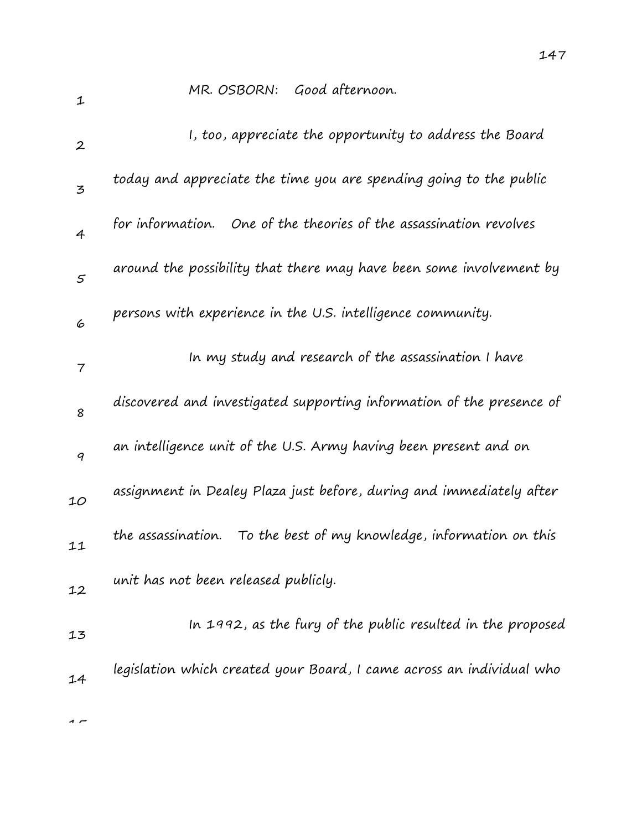MR. OSBORN: Good afternoon.

| $\boldsymbol{2}$ | I, too, appreciate the opportunity to address the Board                |
|------------------|------------------------------------------------------------------------|
| $\mathbf{z}$     | today and appreciate the time you are spending going to the public     |
| $\overline{4}$   | for information. One of the theories of the assassination revolves     |
| $\mathcal{S}$    | around the possibility that there may have been some involvement by    |
| 6                | persons with experience in the U.S. intelligence community.            |
| 7                | In my study and research of the assassination I have                   |
| 8                | discovered and investigated supporting information of the presence of  |
| 9                | an intelligence unit of the U.S. Army having been present and on       |
| 10               | assignment in Dealey Plaza just before, during and immediately after   |
| 11               | the assassination.<br>To the best of my knowledge, information on this |
| 12               | unit has not been released publicly.                                   |
| 13               | In 1992, as the fury of the public resulted in the proposed            |
| 14               | legislation which created your Board, I came across an individual who  |
|                  |                                                                        |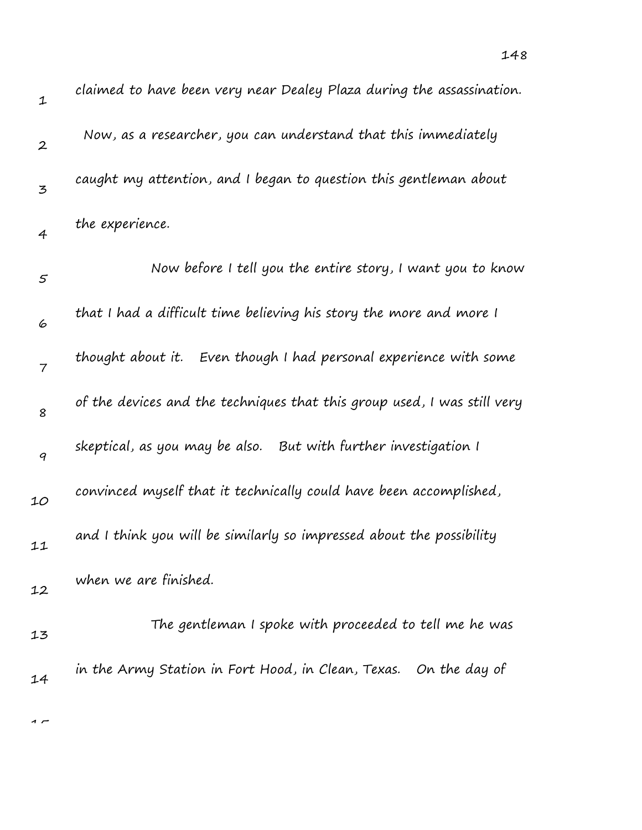| $\mathbf 1$      | claimed to have been very near Dealey Plaza during the assassination.    |
|------------------|--------------------------------------------------------------------------|
| $\boldsymbol{2}$ | Now, as a researcher, you can understand that this immediately           |
| 3                | caught my attention, and I began to question this gentleman about        |
| 4                | the experience.                                                          |
| $\mathfrak{s}$   | Now before I tell you the entire story, I want you to know               |
| 6                | that I had a difficult time believing his story the more and more I      |
| 7                | thought about it. Even though I had personal experience with some        |
| 8                | of the devices and the techniques that this group used, I was still very |
| 9                | skeptical, as you may be also. But with further investigation I          |
| 10               | convinced myself that it technically could have been accomplished,       |
| 11               | and I think you will be similarly so impressed about the possibility     |
| 12               | when we are finished.                                                    |
| 13               | The gentleman I spoke with proceeded to tell me he was                   |
| 14               | in the Army Station in Fort Hood, in Clean, Texas. On the day of         |
|                  |                                                                          |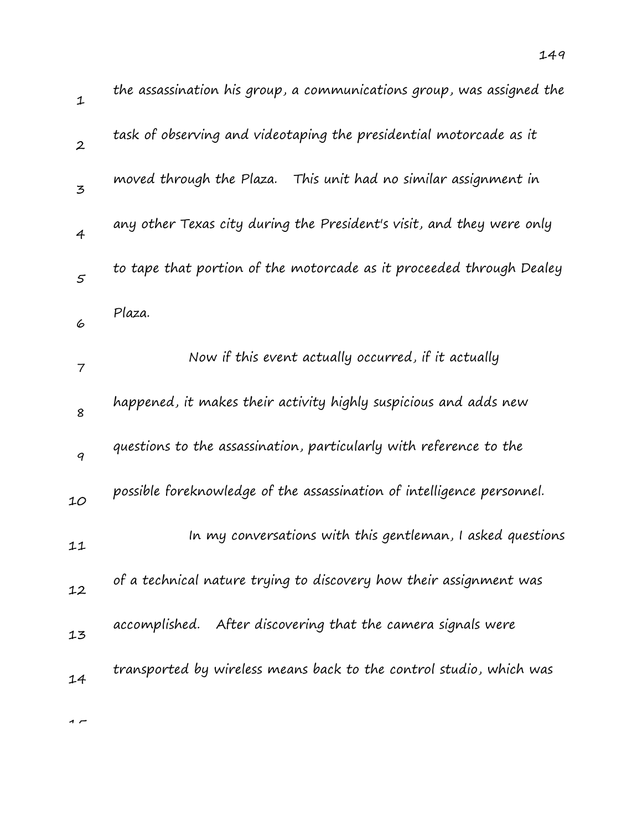| $\mathbf 1$      | the assassination his group, a communications group, was assigned the  |
|------------------|------------------------------------------------------------------------|
| $\boldsymbol{2}$ | task of observing and videotaping the presidential motorcade as it     |
| 3                | moved through the Plaza. This unit had no similar assignment in        |
| $\overline{4}$   | any other Texas city during the President's visit, and they were only  |
| $\varsigma$      | to tape that portion of the motorcade as it proceeded through Dealey   |
| 6                | Plaza.                                                                 |
| $\overline{7}$   | Now if this event actually occurred, if it actually                    |
| 8                | happened, it makes their activity highly suspicious and adds new       |
| 9                | questions to the assassination, particularly with reference to the     |
| 10               | possible foreknowledge of the assassination of intelligence personnel. |
| 11               | In my conversations with this gentleman, I asked questions             |
| 12               | of a technical nature trying to discovery how their assignment was     |
| 13               | accomplished. After discovering that the camera signals were           |
| 14               | transported by wireless means back to the control studio, which was    |
|                  |                                                                        |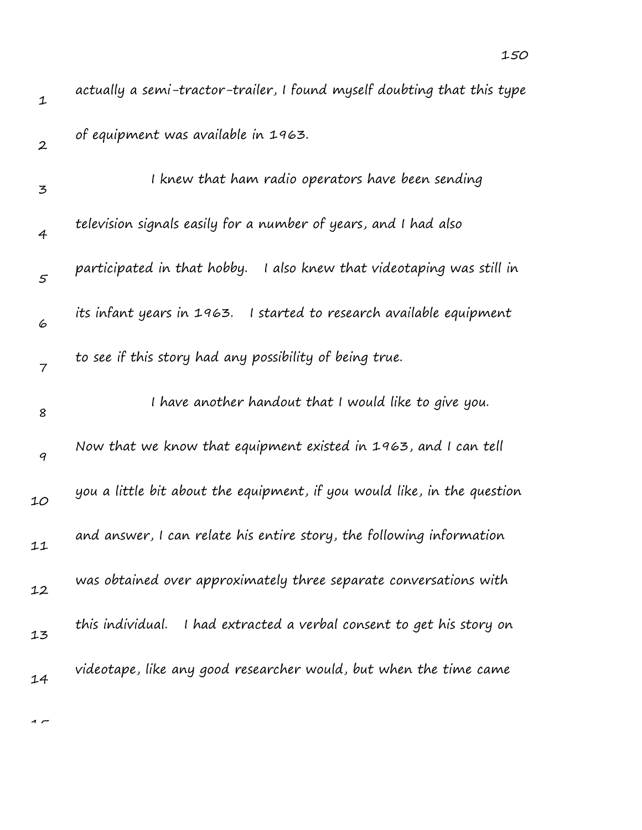| $\mathbf 1$      | actually a semi-tractor-trailer, I found myself doubting that this type  |
|------------------|--------------------------------------------------------------------------|
| $\boldsymbol{2}$ | of equipment was available in 1963.                                      |
| 3                | I knew that ham radio operators have been sending                        |
| 4                | television signals easily for a number of years, and I had also          |
| $\mathfrak{s}$   | participated in that hobby. I also knew that videotaping was still in    |
| 6                | its infant years in 1963. I started to research available equipment      |
| 7                | to see if this story had any possibility of being true.                  |
| 8                | I have another handout that I would like to give you.                    |
| $\boldsymbol{q}$ | Now that we know that equipment existed in 1963, and I can tell          |
| 10               | you a little bit about the equipment, if you would like, in the question |
|                  |                                                                          |
| 11               | and answer, I can relate his entire story, the following information     |
| 12               | was obtained over approximately three separate conversations with        |
| 13               | this individual.<br>I had extracted a verbal consent to get his story on |
| 14               | videotape, like any good researcher would, but when the time came        |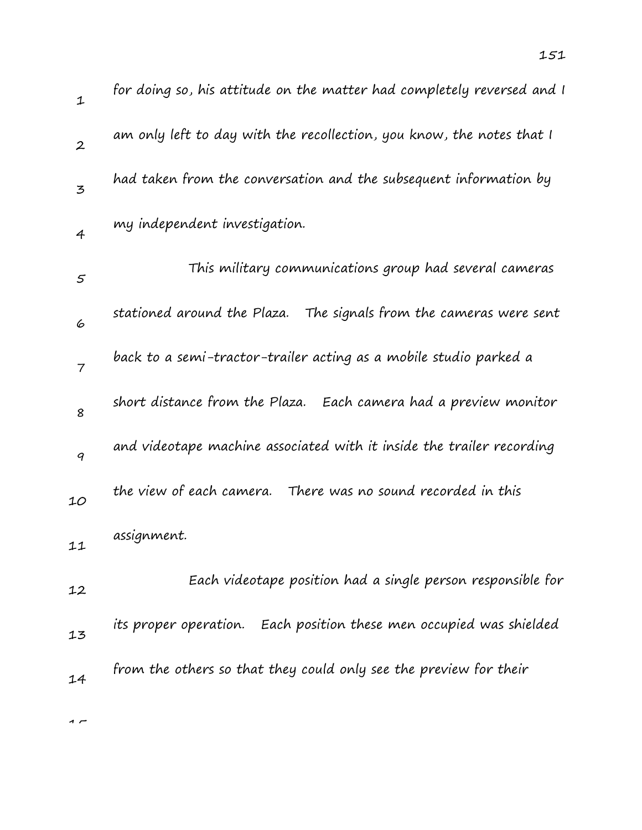| $\mathbf 1$      | for doing so, his attitude on the matter had completely reversed and I |
|------------------|------------------------------------------------------------------------|
| $\boldsymbol{2}$ | am only left to day with the recollection, you know, the notes that I  |
| 3                | had taken from the conversation and the subsequent information by      |
| 4                | my independent investigation.                                          |
| $\varsigma$      | This military communications group had several cameras                 |
| 6                | stationed around the Plaza. The signals from the cameras were sent     |
| 7                | back to a semi-tractor-trailer acting as a mobile studio parked a      |
| 8                | short distance from the Plaza. Each camera had a preview monitor       |
| 9                | and videotape machine associated with it inside the trailer recording  |
| 10               | the view of each camera.<br>There was no sound recorded in this        |
| 11               | assignment.                                                            |
| 12               | Each videotape position had a single person responsible for            |
| 13               | its proper operation. Each position these men occupied was shielded    |
| 14               | from the others so that they could only see the preview for their      |
| $\sim$           |                                                                        |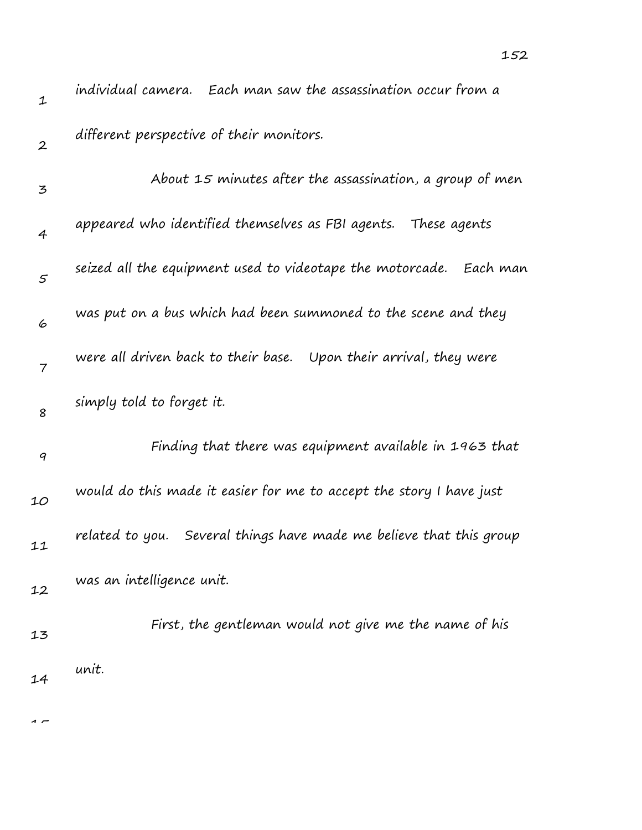| $\mathbf 1$      | individual camera. Each man saw the assassination occur from a         |
|------------------|------------------------------------------------------------------------|
| $\boldsymbol{2}$ | different perspective of their monitors.                               |
| 3                | About 15 minutes after the assassination, a group of men               |
| 4                | appeared who identified themselves as FBI agents.<br>These agents      |
| $\mathfrak{s}$   | seized all the equipment used to videotape the motorcade.<br>Each man  |
| 6                | was put on a bus which had been summoned to the scene and they         |
| $\overline{7}$   | were all driven back to their base.<br>Upon their arrival, they were   |
| 8                | simply told to forget it.                                              |
| 9                | Finding that there was equipment available in 1963 that                |
| 10               | would do this made it easier for me to accept the story I have just    |
| 11               | related to you.<br>Several things have made me believe that this group |
| 12               | was an intelligence unit.                                              |
| 13               | First, the gentleman would not give me the name of his                 |
| 14               | unit.                                                                  |

152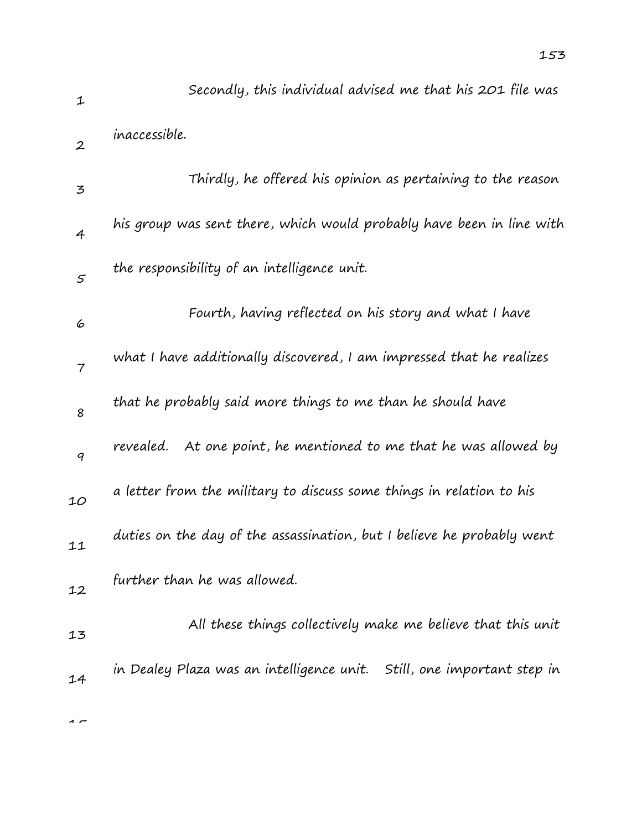1 2 3 4 5 6 7 8 9 10 11 12 13 Secondly, this individual advised me that his 201 file was inaccessible. Thirdly, he offered his opinion as pertaining to the reason his group was sent there, which would probably have been in line with the responsibility of an intelligence unit. Fourth, having reflected on his story and what I have what I have additionally discovered, I am impressed that he realizes that he probably said more things to me than he should have revealed. At one point, he mentioned to me that he was allowed by a letter from the military to discuss some things in relation to his duties on the day of the assassination, but I believe he probably went further than he was allowed. All these things collectively make me believe that this unit in Dealey Plaza was an intelligence unit. Still, one important step in

 $\sim$ 

14

153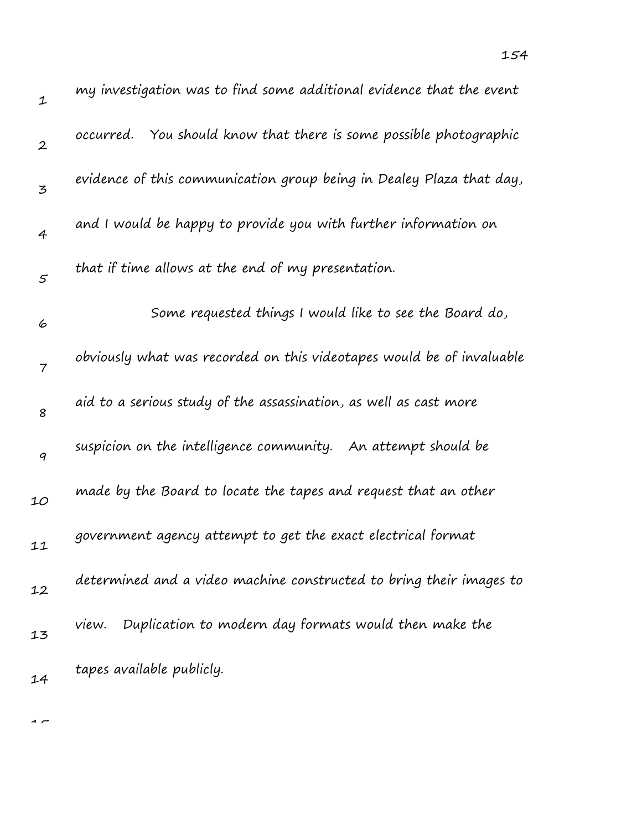| $\mathbf 1$      | my investigation was to find some additional evidence that the event  |
|------------------|-----------------------------------------------------------------------|
| $\boldsymbol{2}$ | occurred. You should know that there is some possible photographic    |
| 3                | evidence of this communication group being in Dealey Plaza that day,  |
| 4                | and I would be happy to provide you with further information on       |
| 5                | that if time allows at the end of my presentation.                    |
| 6                | Some requested things I would like to see the Board do,               |
| 7                | obviously what was recorded on this videotapes would be of invaluable |
| 8                | aid to a serious study of the assassination, as well as cast more     |
| 9                | suspicion on the intelligence community. An attempt should be         |
| 10               | made by the Board to locate the tapes and request that an other       |
| 11               | government agency attempt to get the exact electrical format          |
| 12               | determined and a video machine constructed to bring their images to   |
| 13               | Duplication to modern day formats would then make the<br>view.        |
| 14               | tapes available publicly.                                             |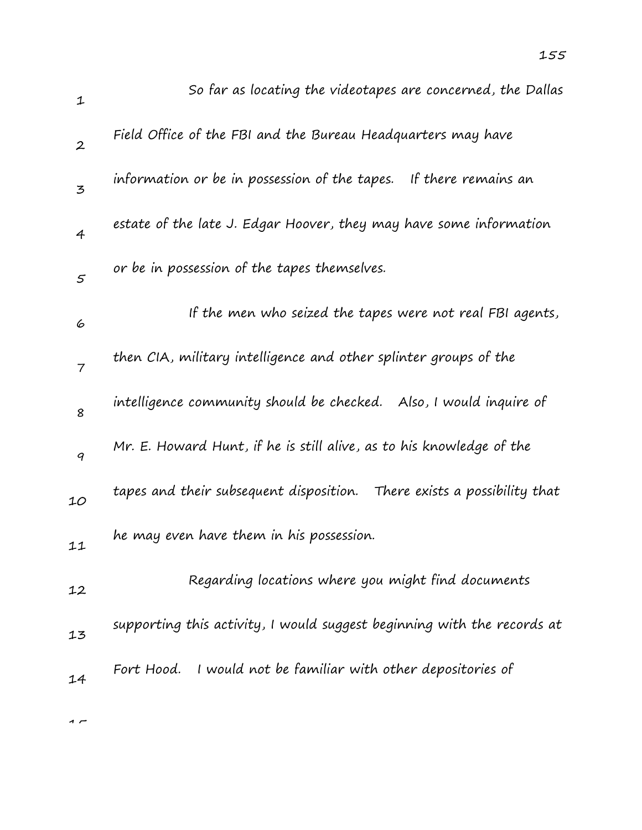| $\mathbf{1}$   | So far as locating the videotapes are concerned, the Dallas             |
|----------------|-------------------------------------------------------------------------|
| $\overline{2}$ | Field Office of the FBI and the Bureau Headquarters may have            |
| 3              | information or be in possession of the tapes. If there remains an       |
| $\overline{4}$ | estate of the late J. Edgar Hoover, they may have some information      |
| 5              | or be in possession of the tapes themselves.                            |
| 6              | If the men who seized the tapes were not real FBI agents,               |
| $\overline{7}$ | then CIA, military intelligence and other splinter groups of the        |
| 8              | intelligence community should be checked. Also, I would inquire of      |
| 9              | Mr. E. Howard Hunt, if he is still alive, as to his knowledge of the    |
| 10             | tapes and their subsequent disposition. There exists a possibility that |
| 11             | he may even have them in his possession.                                |
| 12             | Regarding locations where you might find documents                      |
| 13             | supporting this activity, I would suggest beginning with the records at |
| 14             | Fort Hood. I would not be familiar with other depositories of           |
|                |                                                                         |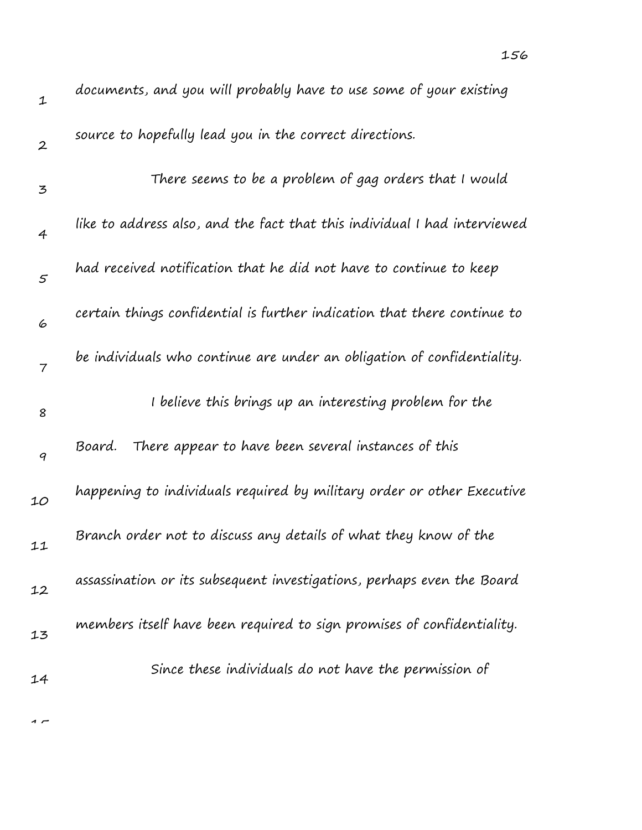| $\mathbf 1$    | documents, and you will probably have to use some of your existing        |
|----------------|---------------------------------------------------------------------------|
| $\overline{2}$ | source to hopefully lead you in the correct directions.                   |
| 3              | There seems to be a problem of gag orders that I would                    |
| $\overline{4}$ | like to address also, and the fact that this individual I had interviewed |
| $\varsigma$    | had received notification that he did not have to continue to keep        |
| 6              | certain things confidential is further indication that there continue to  |
| $\overline{7}$ | be individuals who continue are under an obligation of confidentiality.   |
| 8              | I believe this brings up an interesting problem for the                   |
| 9              | There appear to have been several instances of this<br>Board.             |
| 10             | happening to individuals required by military order or other Executive    |
| 11             | Branch order not to discuss any details of what they know of the          |
| 12             | assassination or its subsequent investigations, perhaps even the Board    |
| 13             | members itself have been required to sign promises of confidentiality.    |
|                | Since these individuals do not have the permission of                     |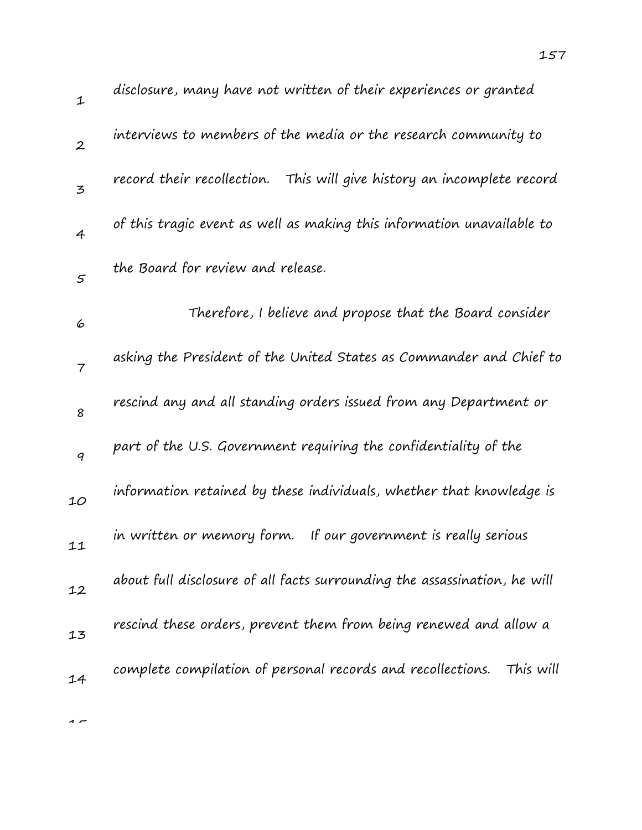| $\mathbf 1$      | disclosure, many have not written of their experiences or granted         |
|------------------|---------------------------------------------------------------------------|
| $\boldsymbol{2}$ | interviews to members of the media or the research community to           |
| 3                | record their recollection. This will give history an incomplete record    |
| $\overline{4}$   | of this tragic event as well as making this information unavailable to    |
| 5                | the Board for review and release.                                         |
| 6                | Therefore, I believe and propose that the Board consider                  |
| $\overline{7}$   | asking the President of the United States as Commander and Chief to       |
| 8                | rescind any and all standing orders issued from any Department or         |
| 9                | part of the U.S. Government requiring the confidentiality of the          |
| 10               | information retained by these individuals, whether that knowledge is      |
| 11               | in written or memory form. If our government is really serious            |
| 12               | about full disclosure of all facts surrounding the assassination, he will |
| 13               | rescind these orders, prevent them from being renewed and allow a         |
| 14               | complete compilation of personal records and recollections.<br>This will  |
|                  |                                                                           |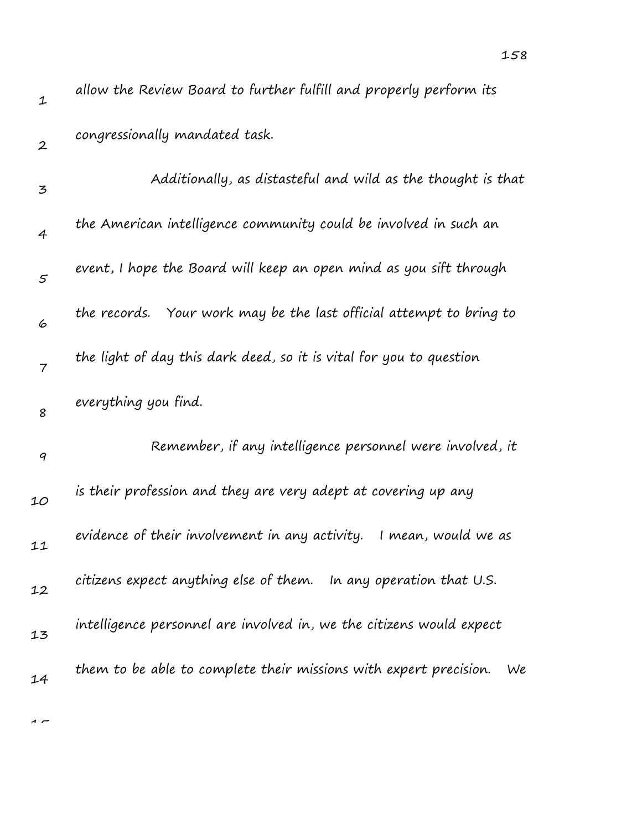| $\mathbf{1}$     | allow the Review Board to further fulfill and properly perform its      |
|------------------|-------------------------------------------------------------------------|
| $\boldsymbol{2}$ | congressionally mandated task.                                          |
| $\mathbf{z}$     | Additionally, as distasteful and wild as the thought is that            |
| $\overline{4}$   | the American intelligence community could be involved in such an        |
| $\mathfrak{s}$   | event, I hope the Board will keep an open mind as you sift through      |
| 6                | the records. Your work may be the last official attempt to bring to     |
| $\overline{7}$   | the light of day this dark deed, so it is vital for you to question     |
| 8                | everything you find.                                                    |
| 9                | Remember, if any intelligence personnel were involved, it               |
| 10               | is their profession and they are very adept at covering up any          |
| 11               | evidence of their involvement in any activity.<br>I mean, would we as   |
| 12               | citizens expect anything else of them. In any operation that U.S.       |
| 13               | intelligence personnel are involved in, we the citizens would expect    |
| 14               | them to be able to complete their missions with expert precision.<br>We |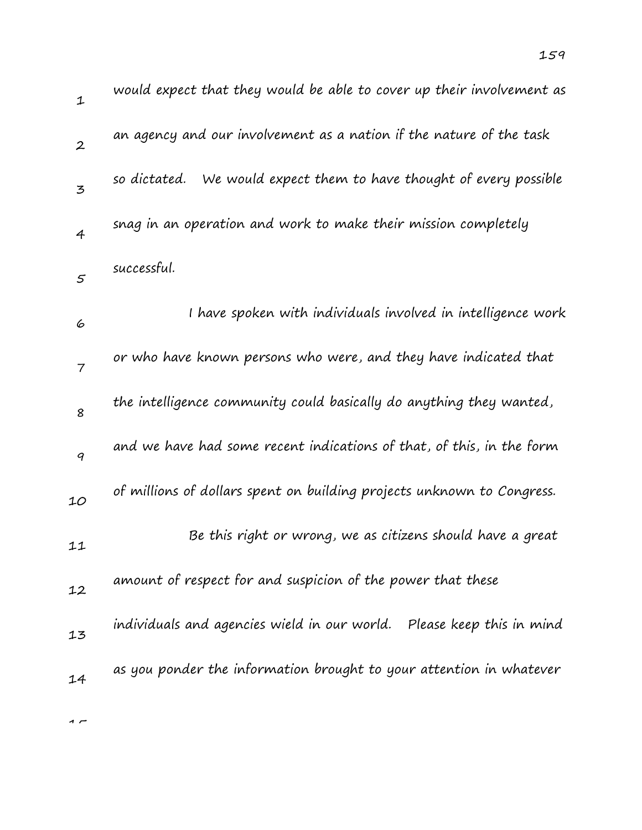| $\mathbf 1$      | would expect that they would be able to cover up their involvement as  |
|------------------|------------------------------------------------------------------------|
| $\boldsymbol{2}$ | an agency and our involvement as a nation if the nature of the task    |
| 3                | so dictated. We would expect them to have thought of every possible    |
| $\overline{4}$   | snag in an operation and work to make their mission completely         |
| 5                | successful.                                                            |
| 6                | I have spoken with individuals involved in intelligence work           |
| $\overline{7}$   | or who have known persons who were, and they have indicated that       |
| 8                | the intelligence community could basically do anything they wanted,    |
| 9                | and we have had some recent indications of that, of this, in the form  |
| 10               | of millions of dollars spent on building projects unknown to Congress. |
| 11               | Be this right or wrong, we as citizens should have a great             |
| 12               | amount of respect for and suspicion of the power that these            |
| 13               | individuals and agencies wield in our world. Please keep this in mind  |
| 14               | as you ponder the information brought to your attention in whatever    |
|                  |                                                                        |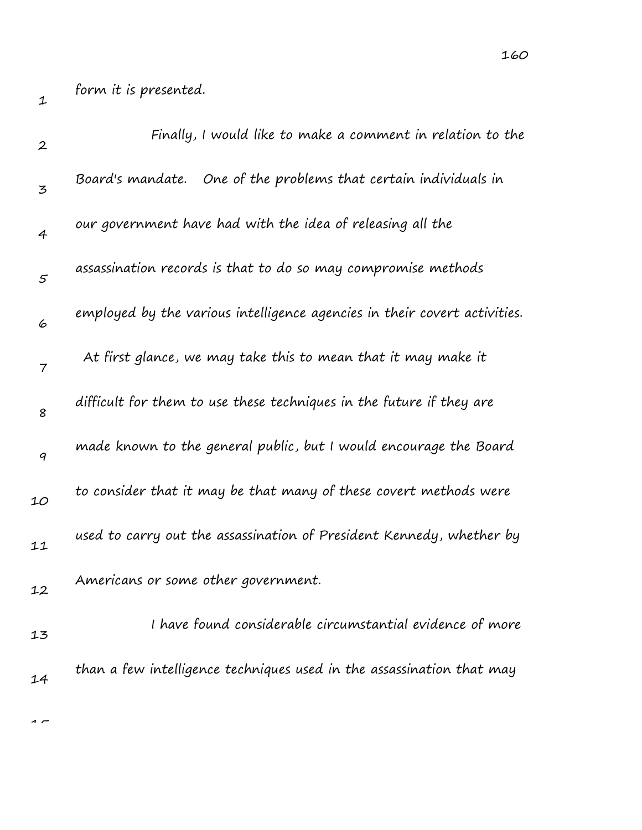| $\boldsymbol{2}$ | Finally, I would like to make a comment in relation to the                |
|------------------|---------------------------------------------------------------------------|
| 3                | Board's mandate. One of the problems that certain individuals in          |
| $\overline{4}$   | our government have had with the idea of releasing all the                |
| $\varsigma$      | assassination records is that to do so may compromise methods             |
| 6                | employed by the various intelligence agencies in their covert activities. |
| 7                | At first glance, we may take this to mean that it may make it             |
| 8                | difficult for them to use these techniques in the future if they are      |
| $\boldsymbol{q}$ | made known to the general public, but I would encourage the Board         |
| 10               | to consider that it may be that many of these covert methods were         |
| 11               | used to carry out the assassination of President Kennedy, whether by      |
| 12               | Americans or some other government.                                       |
| 13               | I have found considerable circumstantial evidence of more                 |
| 14               | than a few intelligence techniques used in the assassination that may     |
|                  |                                                                           |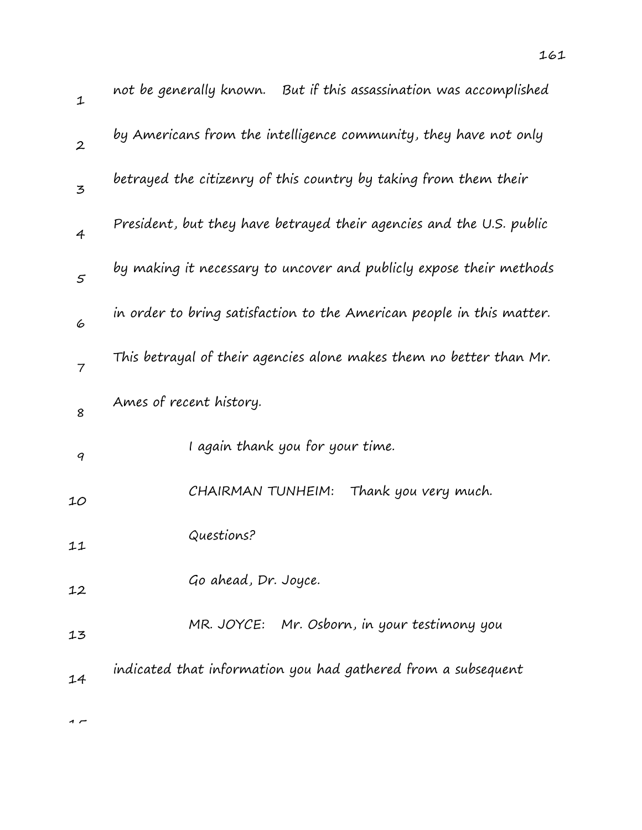| not be generally known. | But if this assassination was accomplished                       |
|-------------------------|------------------------------------------------------------------|
|                         | by Americans from the intelligence community, they have not only |

161

| $\boldsymbol{2}$ | by Americans from the intelligence community, they have not only      |
|------------------|-----------------------------------------------------------------------|
| 3                | betrayed the citizenry of this country by taking from them their      |
| 4                | President, but they have betrayed their agencies and the U.S. public  |
| $\varsigma$      | by making it necessary to uncover and publicly expose their methods   |
| 6                | in order to bring satisfaction to the American people in this matter. |
| $\overline{7}$   | This betrayal of their agencies alone makes them no better than Mr.   |
| 8                | Ames of recent history.                                               |
| 9                | I again thank you for your time.                                      |
| 10               | CHAIRMAN TUNHEIM:<br>Thank you very much.                             |
| 11               | Questions?                                                            |
| 12               | Go ahead, Dr. Joyce.                                                  |
| 13               | MR. JOYCE: Mr. Osborn, in your testimony you                          |
| 14               | indicated that information you had gathered from a subsequent         |
|                  |                                                                       |

 $\sim$ 

1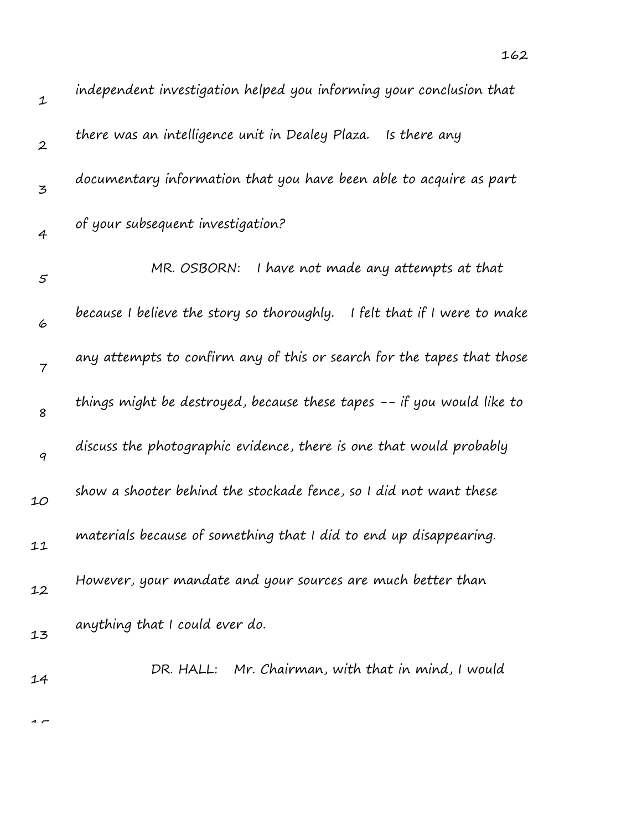| $\mathbf 1$      | independent investigation helped you informing your conclusion that         |
|------------------|-----------------------------------------------------------------------------|
| $\boldsymbol{2}$ | there was an intelligence unit in Dealey Plaza. Is there any                |
| 3                | documentary information that you have been able to acquire as part          |
| $\overline{4}$   | of your subsequent investigation?                                           |
| $\varsigma$      | I have not made any attempts at that<br>MR. OSBORN:                         |
| 6                | because I believe the story so thoroughly.<br>I felt that if I were to make |
| $\overline{7}$   | any attempts to confirm any of this or search for the tapes that those      |
| 8                | things might be destroyed, because these tapes -- if you would like to      |
| 9                | discuss the photographic evidence, there is one that would probably         |
| 10               | show a shooter behind the stockade fence, so I did not want these           |
| 11               | materials because of something that I did to end up disappearing.           |
| 12               | However, your mandate and your sources are much better than                 |
| 13               | anything that I could ever do.                                              |
| 14               | DR. HALL: Mr. Chairman, with that in mind, I would                          |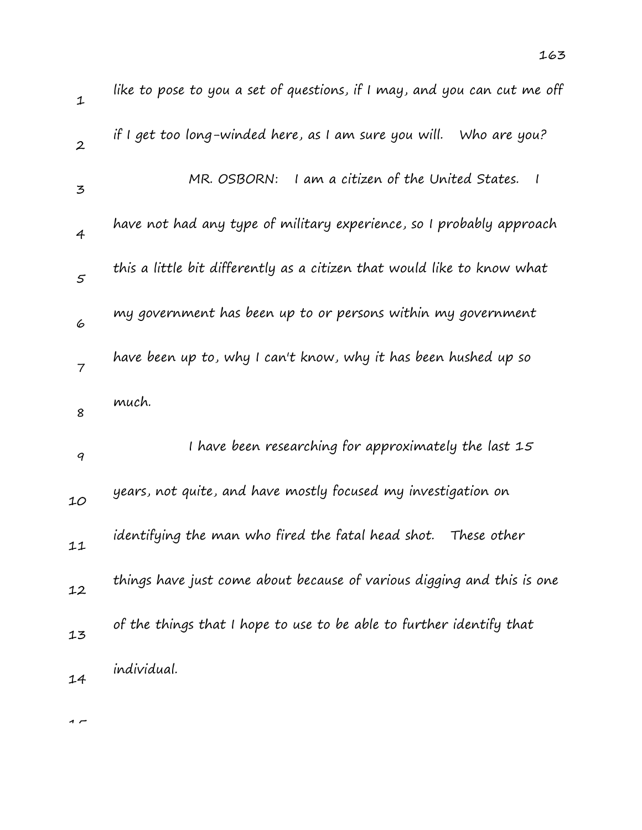| $\mathbf 1$      | like to pose to you a set of questions, if I may, and you can cut me off |
|------------------|--------------------------------------------------------------------------|
| $\boldsymbol{2}$ | if I get too long-winded here, as I am sure you will. Who are you?       |
| 3                | I am a citizen of the United States.<br>MR. OSBORN:<br>$\mathcal{I}$     |
| 4                | have not had any type of military experience, so I probably approach     |
| 5                | this a little bit differently as a citizen that would like to know what  |
| 6                | my government has been up to or persons within my government             |
| $\overline{7}$   | have been up to, why I can't know, why it has been hushed up so          |
| 8                | much.                                                                    |
| 9                | I have been researching for approximately the last 15                    |
| 10               | years, not quite, and have mostly focused my investigation on            |
| 11               | identifying the man who fired the fatal head shot.<br>These other        |
| 12               | things have just come about because of various digging and this is one   |
|                  |                                                                          |
| 13               | of the things that I hope to use to be able to further identify that     |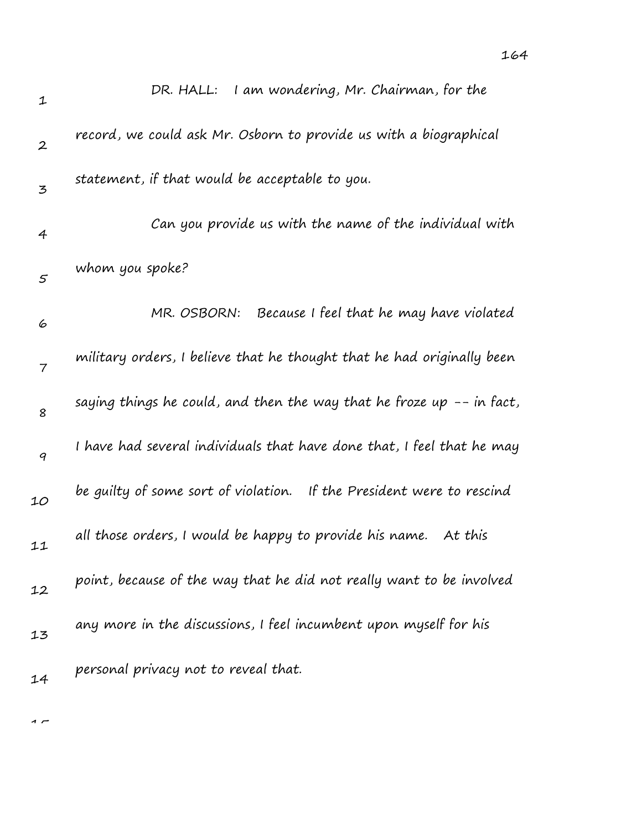| $\mathbf 1$    | DR. HALL: I am wondering, Mr. Chairman, for the                        |
|----------------|------------------------------------------------------------------------|
| $\overline{2}$ | record, we could ask Mr. Osborn to provide us with a biographical      |
| 3              | statement, if that would be acceptable to you.                         |
| 4              | Can you provide us with the name of the individual with                |
| $\varsigma$    | whom you spoke?                                                        |
| 6              | MR. OSBORN:<br>Because I feel that he may have violated                |
| 7              | military orders, I believe that he thought that he had originally been |
| 8              | saying things he could, and then the way that he froze up -- in fact,  |
| 9              | I have had several individuals that have done that, I feel that he may |
| 10             | be guilty of some sort of violation. If the President were to rescind  |
| 11             | all those orders, I would be happy to provide his name. At this        |
| 12             | point, because of the way that he did not really want to be involved   |
| 13             | any more in the discussions, I feel incumbent upon myself for his      |
| 14             | personal privacy not to reveal that.                                   |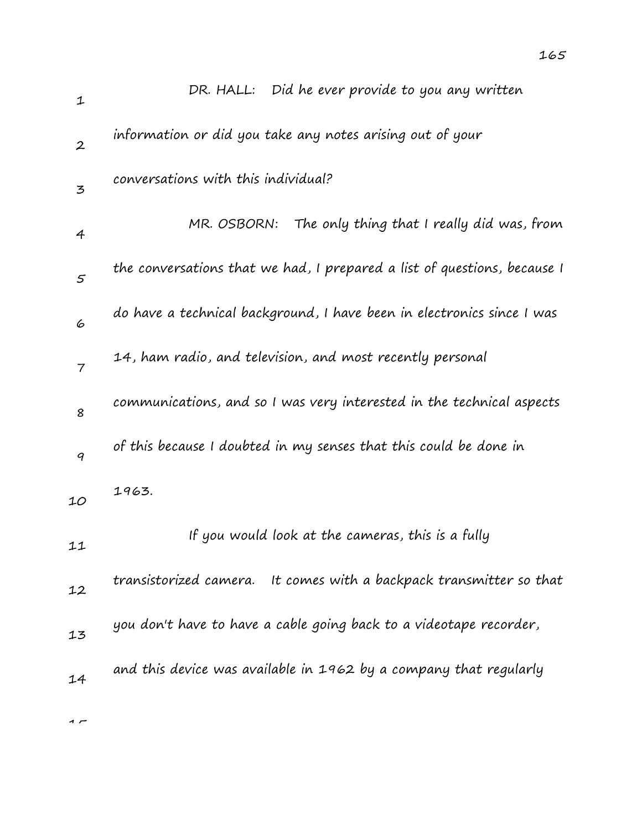| DR. HALL: Did he ever provide to you any written                         |
|--------------------------------------------------------------------------|
| information or did you take any notes arising out of your                |
| conversations with this individual?                                      |
| MR. OSBORN: The only thing that I really did was, from                   |
| the conversations that we had, I prepared a list of questions, because I |
| do have a technical background, I have been in electronics since I was   |
| 14, ham radio, and television, and most recently personal                |
|                                                                          |

8 9 10 11 communications, and so I was very interested in the technical aspects of this because I doubted in my senses that this could be done in 1963. If you would look at the cameras, this is a fully

12 13 14 transistorized camera. It comes with a backpack transmitter so that you don't have to have a cable going back to a videotape recorder, and this device was available in 1962 by a company that regularly

 $\sim$ 

1

2

3

4

5

6

7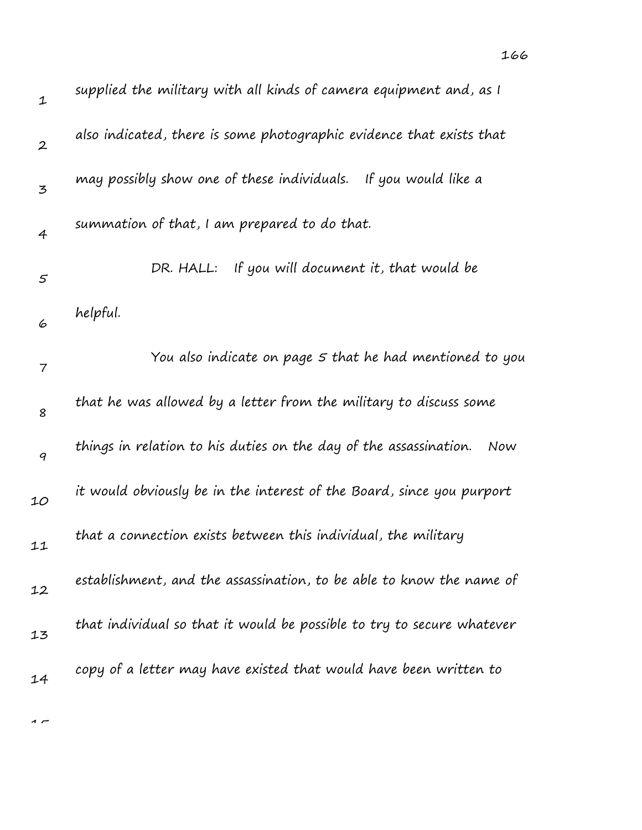| $\mathbf 1$      | supplied the military with all kinds of camera equipment and, as I       |
|------------------|--------------------------------------------------------------------------|
| $\boldsymbol{2}$ | also indicated, there is some photographic evidence that exists that     |
| 3                | may possibly show one of these individuals. If you would like a          |
| $\overline{4}$   | summation of that, I am prepared to do that.                             |
| $\varsigma$      | If you will document it, that would be<br>DR. HALL:                      |
| 6                | helpful.                                                                 |
| $\overline{7}$   | You also indicate on page 5 that he had mentioned to you                 |
| 8                | that he was allowed by a letter from the military to discuss some        |
| 9                | things in relation to his duties on the day of the assassination.<br>Now |
| 10               | it would obviously be in the interest of the Board, since you purport    |
| 11               | that a connection exists between this individual, the military           |
| 12               | establishment, and the assassination, to be able to know the name of     |
| 13               | that individual so that it would be possible to try to secure whatever   |
| 14               | copy of a letter may have existed that would have been written to        |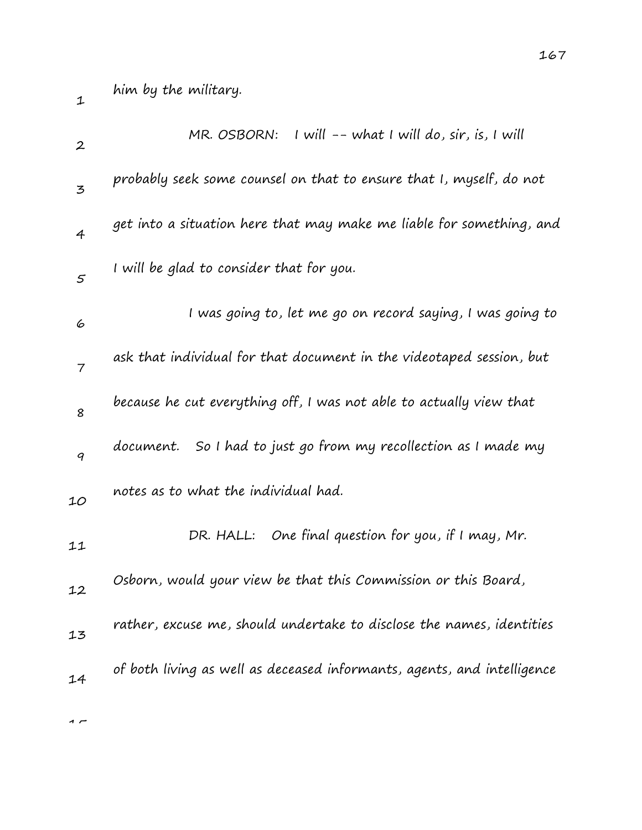1

| $\boldsymbol{2}$ | $MR.$ OSBORN: I will $--$ what I will do, sir, is, I will               |
|------------------|-------------------------------------------------------------------------|
| 3                | probably seek some counsel on that to ensure that I, myself, do not     |
| $\overline{4}$   | get into a situation here that may make me liable for something, and    |
| $\mathfrak{s}$   | I will be glad to consider that for you.                                |
| 6                | I was going to, let me go on record saying, I was going to              |
| $\overline{7}$   | ask that individual for that document in the videotaped session, but    |
| 8                | because he cut everything off, I was not able to actually view that     |
| 9                | document. So I had to just go from my recollection as I made my         |
| 10               | notes as to what the individual had.                                    |
| 11               | DR. HALL: One final question for you, if I may, Mr.                     |
| 12               | Osborn, would your view be that this Commission or this Board,          |
| 13               | rather, excuse me, should undertake to disclose the names, identities   |
| 14               | of both living as well as deceased informants, agents, and intelligence |
|                  |                                                                         |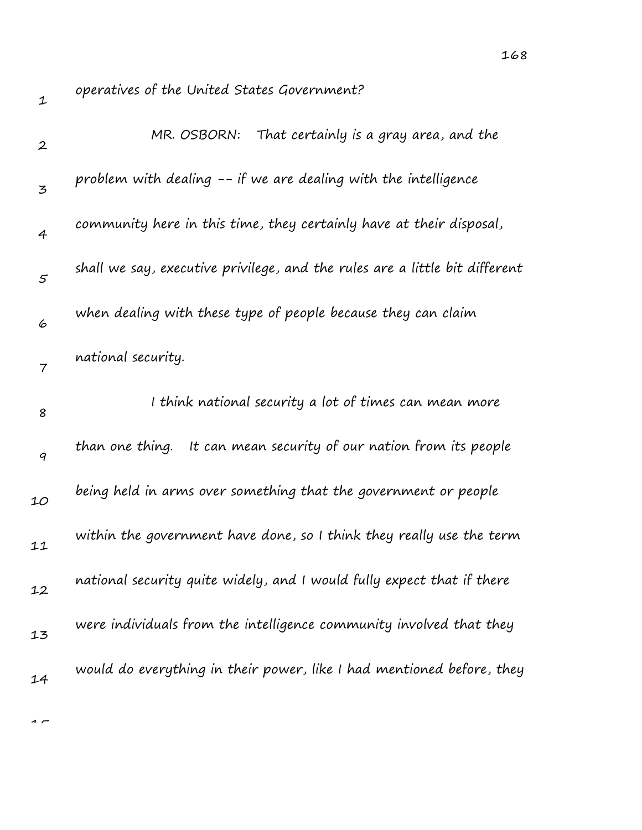| $\mathbf 1$      | operatives of the United States Government?                                 |
|------------------|-----------------------------------------------------------------------------|
| $\boldsymbol{2}$ | That certainly is a gray area, and the<br>MR. OSBORN:                       |
| 3                | problem with dealing -- if we are dealing with the intelligence             |
| $\overline{4}$   | community here in this time, they certainly have at their disposal,         |
| $\mathfrak{s}$   | shall we say, executive privilege, and the rules are a little bit different |
| 6                | when dealing with these type of people because they can claim               |
| 7                | national security.                                                          |
| 8                | I think national security a lot of times can mean more                      |
| $\boldsymbol{q}$ | than one thing. It can mean security of our nation from its people          |
| 10               | being held in arms over something that the government or people             |
| 11               | within the government have done, so I think they really use the term        |
| 12               | national security quite widely, and I would fully expect that if there      |
| 13               | were individuals from the intelligence community involved that they         |
|                  |                                                                             |
| 14               | would do everything in their power, like I had mentioned before, they       |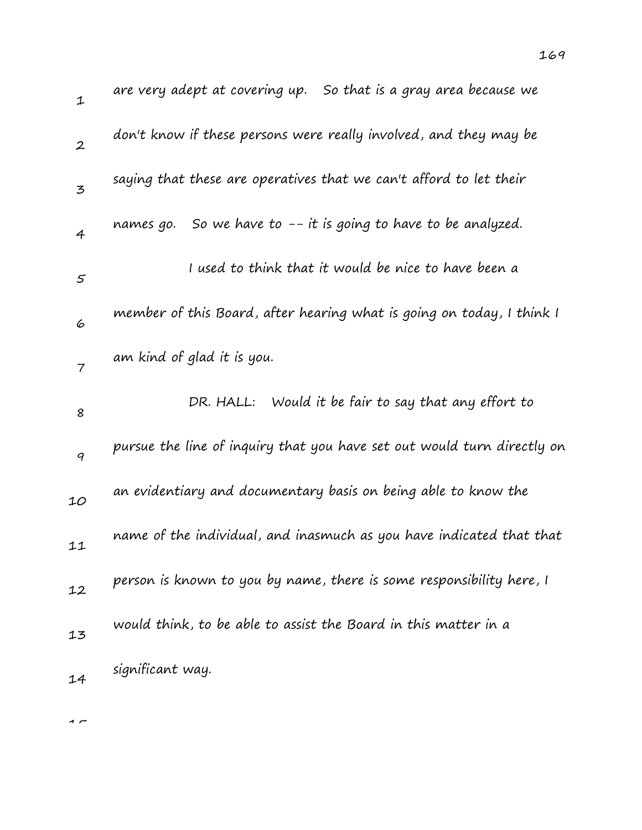|                            | are very adept at covering up. So that is a gray area because we        |
|----------------------------|-------------------------------------------------------------------------|
|                            | don't know if these persons were really involved, and they may be       |
|                            | saying that these are operatives that we can't afford to let their      |
|                            | names go. So we have to $-$ - it is going to have to be analyzed.       |
|                            | I used to think that it would be nice to have been a                    |
|                            | member of this Board, after hearing what is going on today, I think I   |
| am kind of glad it is you. |                                                                         |
|                            | DR. HALL: Would it be fair to say that any effort to                    |
|                            | pursue the line of inquiry that you have set out would turn directly on |

10 an evidentiary and documentary basis on being able to know the

- 11 name of the individual, and inasmuch as you have indicated that that
- 12 person is known to you by name, there is some responsibility here, I
- 13 would think, to be able to assist the Board in this matter in a
- 14 significant way.

 $\sim$ 

1

2

3

4

5

6

7

8

9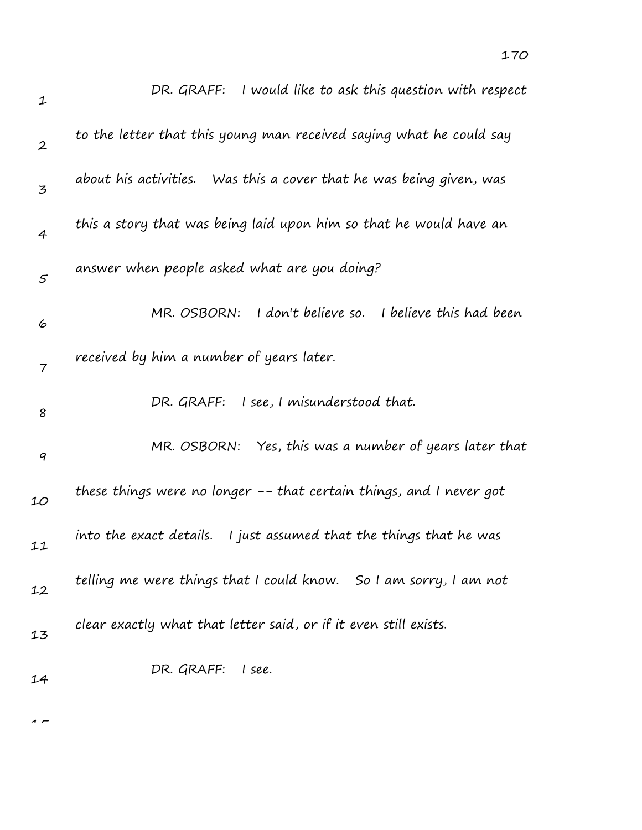| $\mathbf 1$      | DR. GRAFF: I would like to ask this question with respect             |
|------------------|-----------------------------------------------------------------------|
| $\boldsymbol{2}$ | to the letter that this young man received saying what he could say   |
| 3                | about his activities. Was this a cover that he was being given, was   |
| $\overline{4}$   | this a story that was being laid upon him so that he would have an    |
| $\varsigma$      | answer when people asked what are you doing?                          |
| 6                | I don't believe so. I believe this had been<br>MR. OSBORN:            |
| 7                | received by him a number of years later.                              |
| 8                | DR. GRAFF: I see, I misunderstood that.                               |
| $\boldsymbol{q}$ | MR. OSBORN: Yes, this was a number of years later that                |
| 10               | these things were no longer -- that certain things, and I never got   |
| 11               | into the exact details.<br>I just assumed that the things that he was |
| 12               | telling me were things that I could know. So I am sorry, I am not     |
| 13               | clear exactly what that letter said, or if it even still exists.      |
| 14               | DR. GRAFF: I see.                                                     |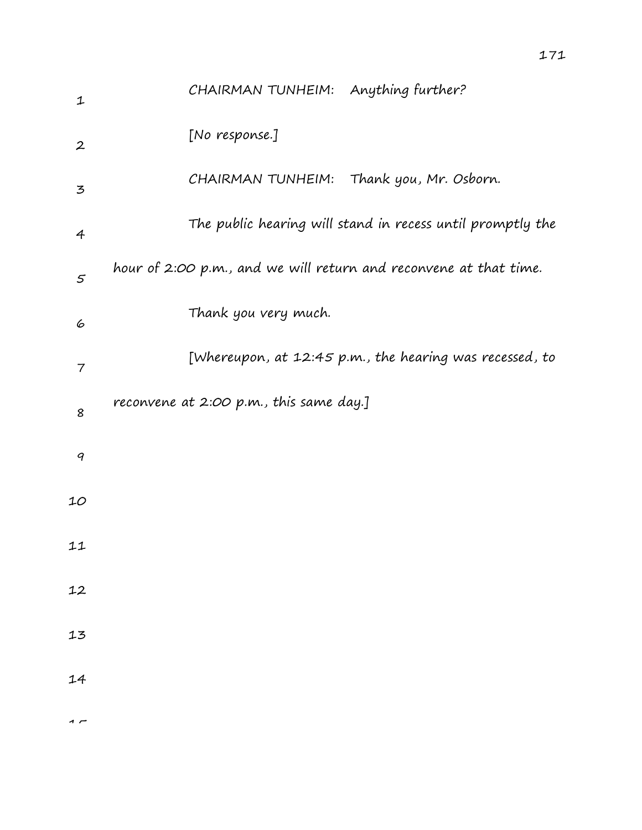| $\mathbf{1}$     | CHAIRMAN TUNHEIM: Anything further?                               |
|------------------|-------------------------------------------------------------------|
| $\boldsymbol{2}$ | [No response.]                                                    |
| 3                | CHAIRMAN TUNHEIM: Thank you, Mr. Osborn.                          |
| $\overline{4}$   | The public hearing will stand in recess until promptly the        |
| $\varsigma$      | hour of 2:00 p.m., and we will return and reconvene at that time. |
| 6                | Thank you very much.                                              |
| 7                | [Whereupon, at 12:45 p.m., the hearing was recessed, to           |
| 8                | reconvene at 2:00 p.m., this same day.]                           |
| 9                |                                                                   |
| 10               |                                                                   |
| 11               |                                                                   |
| 12               |                                                                   |
| 13               |                                                                   |
| 14               |                                                                   |
| $\overline{ }$   |                                                                   |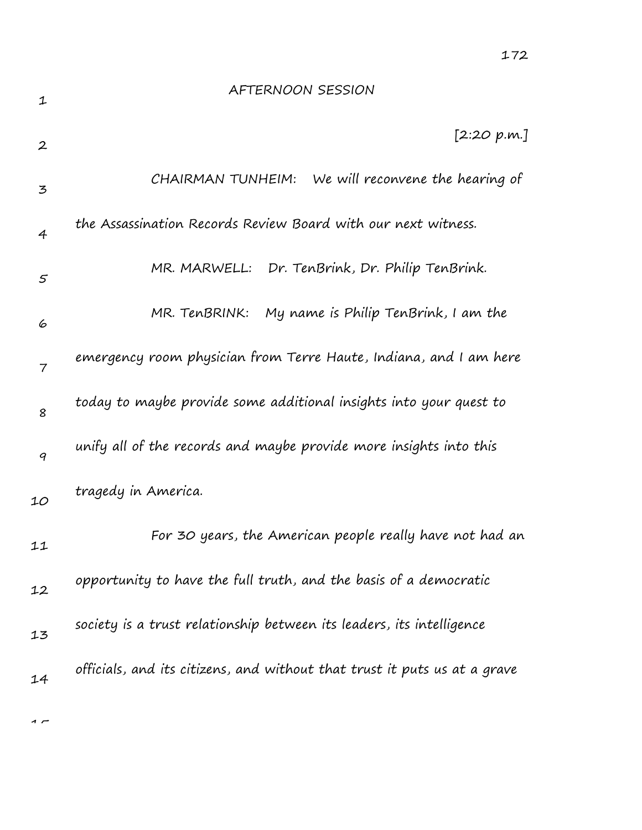| 1                | AFTERNOON SESSION                                                         |
|------------------|---------------------------------------------------------------------------|
| $\boldsymbol{2}$ | [2:20 p.m.]                                                               |
| 3                | We will reconvene the hearing of<br>CHAIRMAN TUNHEIM:                     |
| 4                | the Assassination Records Review Board with our next witness.             |
| 5                | MR. MARWELL: Dr. TenBrink, Dr. Philip TenBrink.                           |
| 6                | MR. TenBRINK: My name is Philip TenBrink, I am the                        |
| $\overline{7}$   | emergency room physician from Terre Haute, Indiana, and I am here         |
| 8                | today to maybe provide some additional insights into your quest to        |
| 9                | unify all of the records and maybe provide more insights into this        |
| 10               | tragedy in America.                                                       |
| 11               | For 30 years, the American people really have not had an                  |
| 12               | opportunity to have the full truth, and the basis of a democratic         |
| 13               | society is a trust relationship between its leaders, its intelligence     |
| 14               | officials, and its citizens, and without that trust it puts us at a grave |
|                  |                                                                           |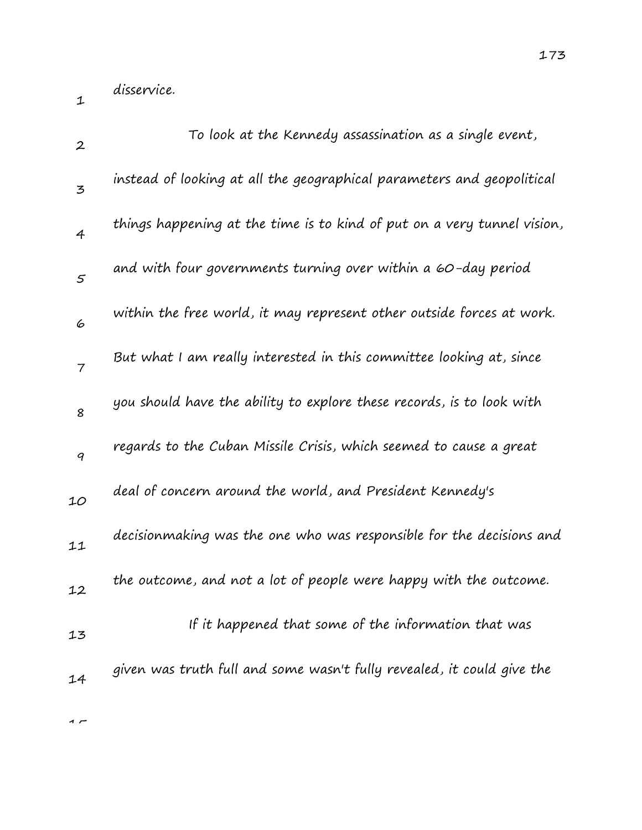disservice.

1

| $\boldsymbol{2}$ | To look at the Kennedy assassination as a single event,                 |
|------------------|-------------------------------------------------------------------------|
| 3                | instead of looking at all the geographical parameters and geopolitical  |
| $\overline{4}$   | things happening at the time is to kind of put on a very tunnel vision, |
| 5                | and with four governments turning over within a 60-day period           |
| 6                | within the free world, it may represent other outside forces at work.   |
| $\overline{7}$   | But what I am really interested in this committee looking at, since     |
| 8                | you should have the ability to explore these records, is to look with   |
| 9                | regards to the Cuban Missile Crisis, which seemed to cause a great      |
| 10               | deal of concern around the world, and President Kennedy's               |
| 11               | decisionmaking was the one who was responsible for the decisions and    |
| 12               | the outcome, and not a lot of people were happy with the outcome.       |
| 13               | If it happened that some of the information that was                    |
| 14               | given was truth full and some wasn't fully revealed, it could give the  |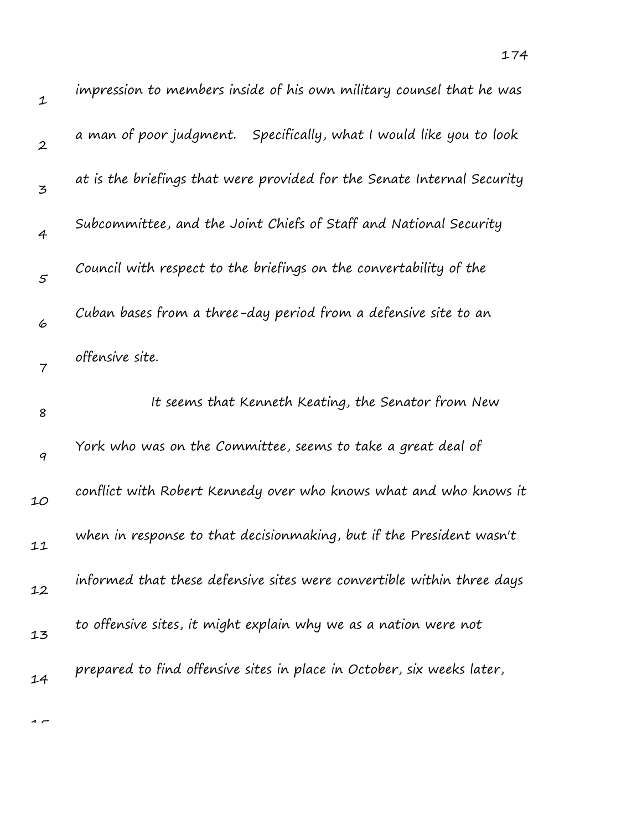| impression to members inside of his own military counsel that he was    |
|-------------------------------------------------------------------------|
| a man of poor judgment. Specifically, what I would like you to look     |
| at is the briefings that were provided for the Senate Internal Security |
|                                                                         |

3 4 5 6 7 8 9 10 11 12 13 at is the briefings that were provided for the Senate Internal Security Subcommittee, and the Joint Chiefs of Staff and National Security Council with respect to the briefings on the convertability of the Cuban bases from a three-day period from a defensive site to an offensive site. It seems that Kenneth Keating, the Senator from New York who was on the Committee, seems to take a great deal of conflict with Robert Kennedy over who knows what and who knows it when in response to that decisionmaking, but if the President wasn't informed that these defensive sites were convertible within three days to offensive sites, it might explain why we as a nation were not

14 prepared to find offensive sites in place in October, six weeks later,

 $\overline{1}$ 

1

2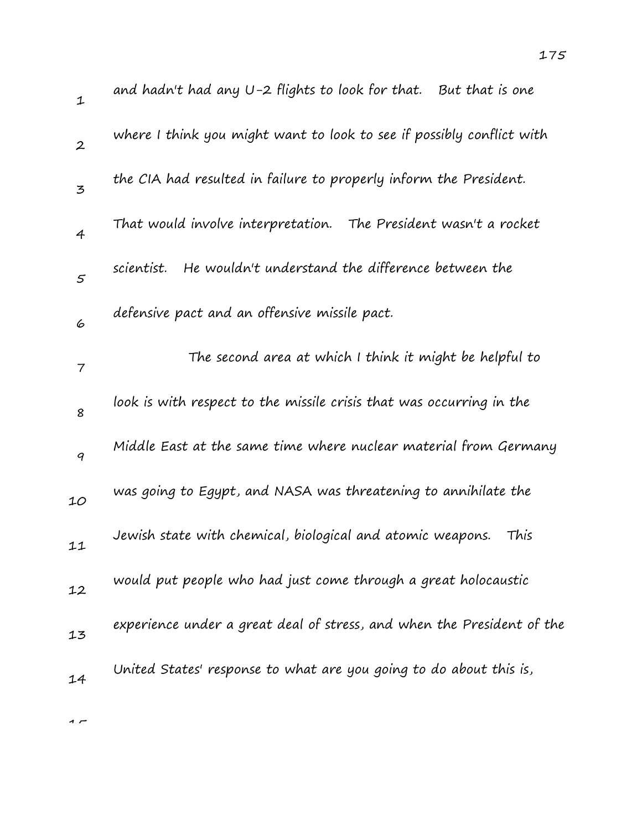| $\mathbf 1$      | and hadn't had any U-2 flights to look for that. $\,$ But that is one  |
|------------------|------------------------------------------------------------------------|
| $\boldsymbol{2}$ | where I think you might want to look to see if possibly conflict with  |
| $\overline{5}$   | the CIA had resulted in failure to properly inform the President.      |
| $\overline{4}$   | That would involve interpretation. The President wasn't a rocket       |
| $\mathfrak{s}$   | He wouldn't understand the difference between the<br>scientist.        |
| 6                | defensive pact and an offensive missile pact.                          |
| 7                | The second area at which I think it might be helpful to                |
| 8                | look is with respect to the missile crisis that was occurring in the   |
| $\boldsymbol{q}$ | Middle East at the same time where nuclear material from Germany       |
| 10               | was going to Egypt, and NASA was threatening to annihilate the         |
| 11               | Jewish state with chemical, biological and atomic weapons.<br>This     |
| 12               | would put people who had just come through a great holocaustic         |
| 13               | experience under a great deal of stress, and when the President of the |
| 14               | United States' response to what are you going to do about this is,     |
|                  |                                                                        |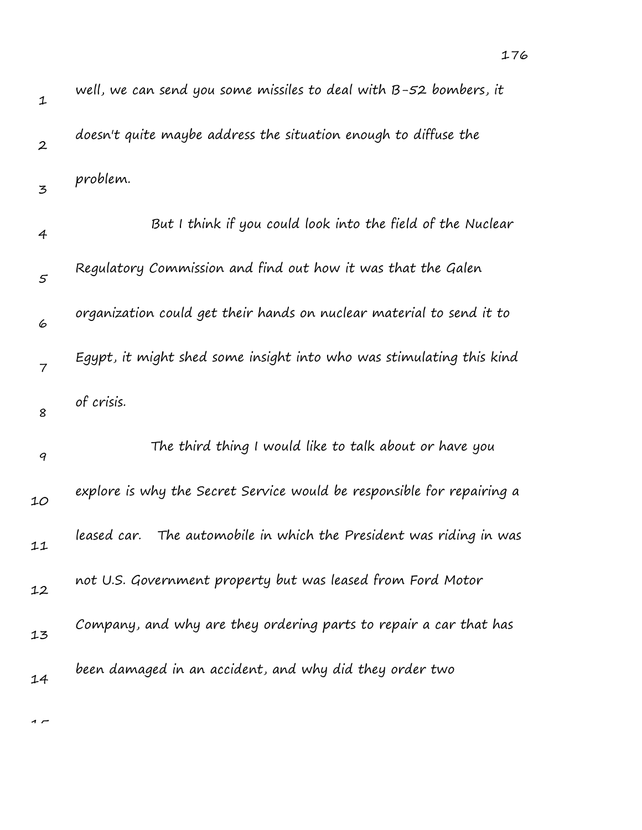| $\mathbf 1$      | well, we can send you some missiles to deal with $B$ -52 bombers, it   |
|------------------|------------------------------------------------------------------------|
| $\boldsymbol{2}$ | doesn't quite maybe address the situation enough to diffuse the        |
| 3                | problem.                                                               |
| $\overline{4}$   | But I think if you could look into the field of the Nuclear            |
| $\mathfrak{s}$   | Regulatory Commission and find out how it was that the Galen           |
| 6                | organization could get their hands on nuclear material to send it to   |
| $\overline{7}$   | Egypt, it might shed some insight into who was stimulating this kind   |
| 8                | of crisis.                                                             |
| $\boldsymbol{q}$ | The third thing I would like to talk about or have you                 |
| 10               | explore is why the Secret Service would be responsible for repairing a |
| 11               | The automobile in which the President was riding in was<br>leased car. |
| 12               | not U.S. Government property but was leased from Ford Motor            |
| 13               | Company, and why are they ordering parts to repair a car that has      |
| 14               | been damaged in an accident, and why did they order two                |
|                  |                                                                        |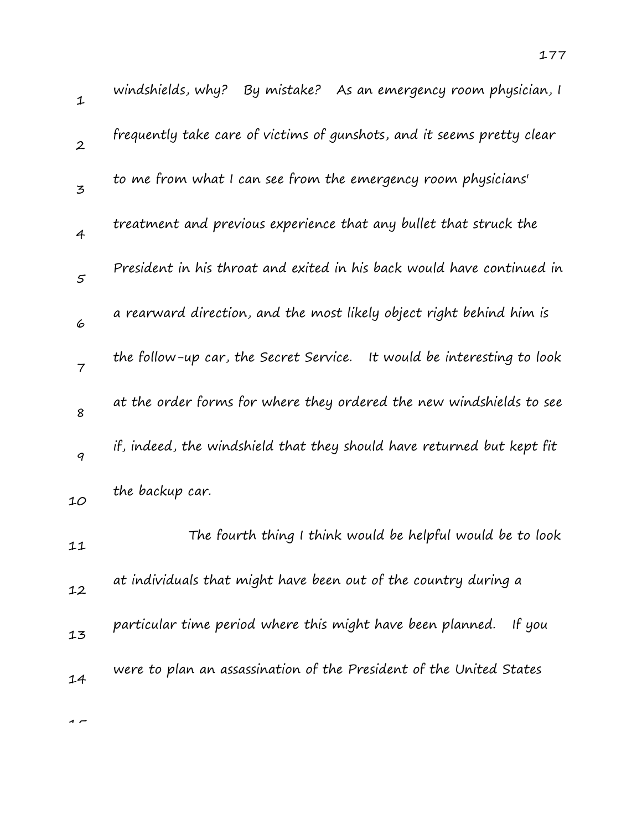| $\mathbf{1}$   | windshields, why? By mistake? As an emergency room physician, I           |
|----------------|---------------------------------------------------------------------------|
| $\overline{2}$ | frequently take care of victims of gunshots, and it seems pretty clear    |
| $\overline{5}$ | to me from what I can see from the emergency room physicians'             |
| $\overline{4}$ | treatment and previous experience that any bullet that struck the         |
| $\mathfrak{s}$ | President in his throat and exited in his back would have continued in    |
| 6              | a rearward direction, and the most likely object right behind him is      |
| $\overline{7}$ | the follow-up car, the Secret Service.<br>It would be interesting to look |
| 8              | at the order forms for where they ordered the new windshields to see      |
| 9              | if, indeed, the windshield that they should have returned but kept fit    |
| 10             | the backup car.                                                           |
| 11             | The fourth thing I think would be helpful would be to look                |
| 12             | at individuals that might have been out of the country during a           |
| 13             | particular time period where this might have been planned.<br>If you      |
| 14             | were to plan an assassination of the President of the United States       |
|                |                                                                           |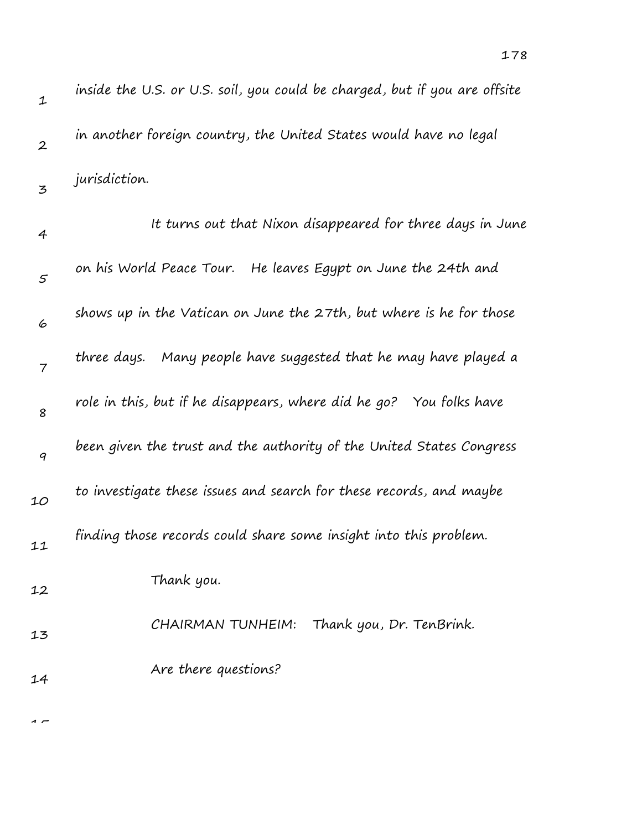| $\mathbf 1$      | inside the U.S. or U.S. soil, you could be charged, but if you are offsite |
|------------------|----------------------------------------------------------------------------|
| $\boldsymbol{2}$ | in another foreign country, the United States would have no legal          |
| 3                | jurisdiction.                                                              |
| 4                | It turns out that Nixon disappeared for three days in June                 |
| $\mathfrak{s}$   | on his World Peace Tour.<br>He leaves Egypt on June the 24th and           |
| 6                | shows up in the Vatican on June the 27th, but where is he for those        |
| $\overline{7}$   | three days.   Many people have suggested that he may have played a         |
| 8                | role in this, but if he disappears, where did he go? You folks have        |
| 9                | been given the trust and the authority of the United States Congress       |
| 10               | to investigate these issues and search for these records, and maybe        |
| 11               | finding those records could share some insight into this problem.          |
| 12               | Thank you.                                                                 |
| 13               | CHAIRMAN TUNHEIM:<br>Thank you, Dr. TenBrink.                              |
| 14               | Are there questions?                                                       |
|                  |                                                                            |

178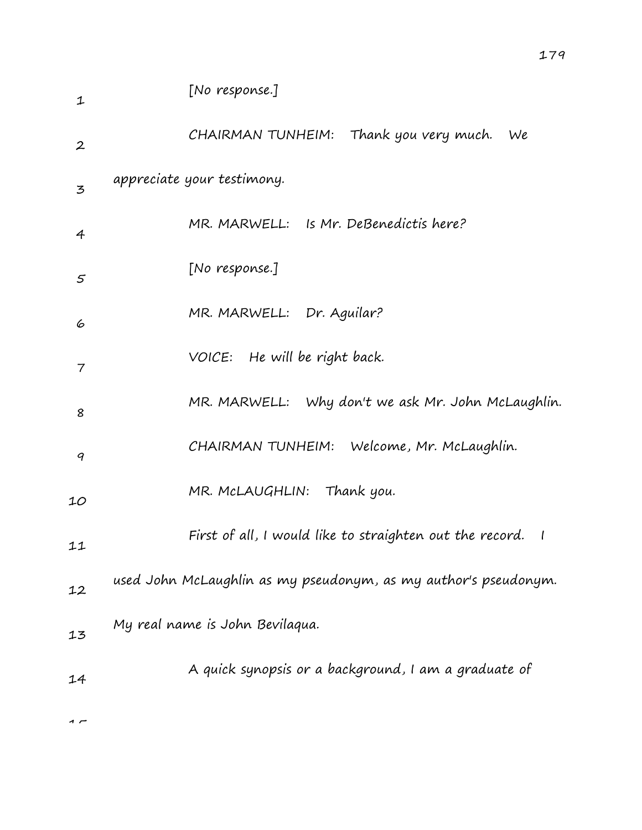| 1                | [No response.]                                                  |
|------------------|-----------------------------------------------------------------|
| $\boldsymbol{2}$ | CHAIRMAN TUNHEIM: Thank you very much.<br>We                    |
| $\mathbf{z}$     | appreciate your testimony.                                      |
| 4                | MR. MARWELL: Is Mr. DeBenedictis here?                          |
| 5                | [No response.]                                                  |
| 6                | MR. MARWELL: Dr. Aguilar?                                       |
| 7                | VOICE: He will be right back.                                   |
| 8                | MR. MARWELL: Why don't we ask Mr. John McLaughlin.              |
| 9                | CHAIRMAN TUNHEIM: Welcome, Mr. McLaughlin.                      |
| 10               | MR. McLAUGHLIN: Thank you.                                      |
| 11               | First of all, I would like to straighten out the record. I      |
| 12               | used John McLaughlin as my pseudonym, as my author's pseudonym. |
| 13               | My real name is John Bevilaqua.                                 |
| 14               | A quick synopsis or a background, I am a graduate of            |
|                  |                                                                 |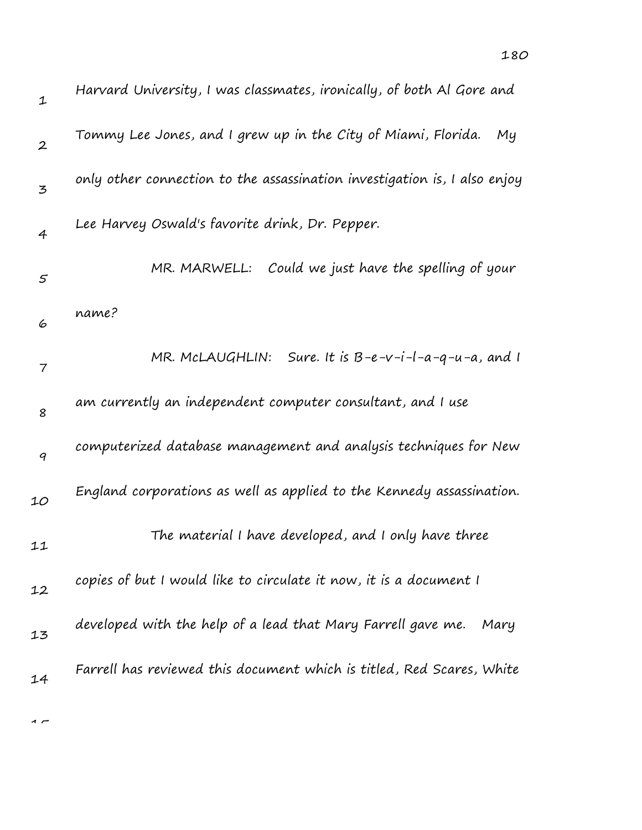| $\mathbf 1$      | Harvard University, I was classmates, ironically, of both Al Gore and     |
|------------------|---------------------------------------------------------------------------|
| $\boldsymbol{2}$ | Tommy Lee Jones, and I grew up in the City of Miami, Florida.<br>My       |
| 3                | only other connection to the assassination investigation is, I also enjoy |
| $\overline{4}$   | Lee Harvey Oswald's favorite drink, Dr. Pepper.                           |
| $\varsigma$      | Could we just have the spelling of your<br>MR. MARWELL:                   |
| 6                | name?                                                                     |
| 7                | Sure. It is $B-e-v-i-l-a-q-u-a$ , and I<br>MR. MCLAUGHLIN:                |
| 8                | am currently an independent computer consultant, and I use                |
| 9                | computerized database management and analysis techniques for New          |
| 10               | England corporations as well as applied to the Kennedy assassination.     |
| 11               | The material I have developed, and I only have three                      |
| 12               | copies of but I would like to circulate it now, it is a document I        |
| 13               | developed with the help of a lead that Mary Farrell gave me.<br>Mary      |
| 14               | Farrell has reviewed this document which is titled, Red Scares, White     |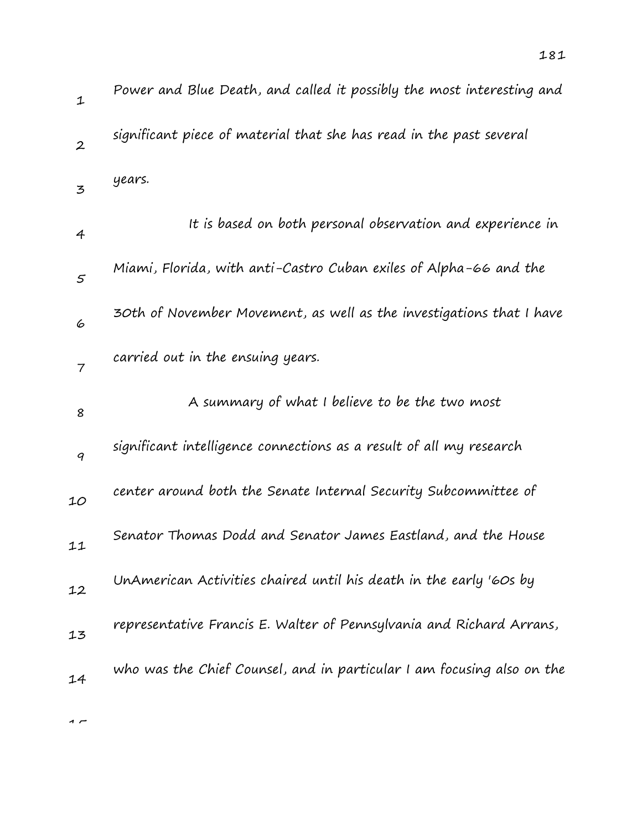| $\mathbf{1}$     | Power and Blue Death, and called it possibly the most interesting and  |
|------------------|------------------------------------------------------------------------|
| $\boldsymbol{2}$ | significant piece of material that she has read in the past several    |
| $\mathbf{z}$     | years.                                                                 |
| 4                | It is based on both personal observation and experience in             |
| $\varsigma$      | Miami, Florida, with anti-Castro Cuban exiles of Alpha-66 and the      |
| 6                | 30th of November Movement, as well as the investigations that I have   |
| $\overline{7}$   | carried out in the ensuing years.                                      |
| 8                | A summary of what I believe to be the two most                         |
| 9                | significant intelligence connections as a result of all my research    |
| 10               | center around both the Senate Internal Security Subcommittee of        |
| 11               | Senator Thomas Dodd and Senator James Eastland, and the House          |
| 12               | UnAmerican Activities chaired until his death in the early '60s by     |
| 13               | representative Francis E. Walter of Pennsylvania and Richard Arrans,   |
| 14               | who was the Chief Counsel, and in particular I am focusing also on the |
|                  |                                                                        |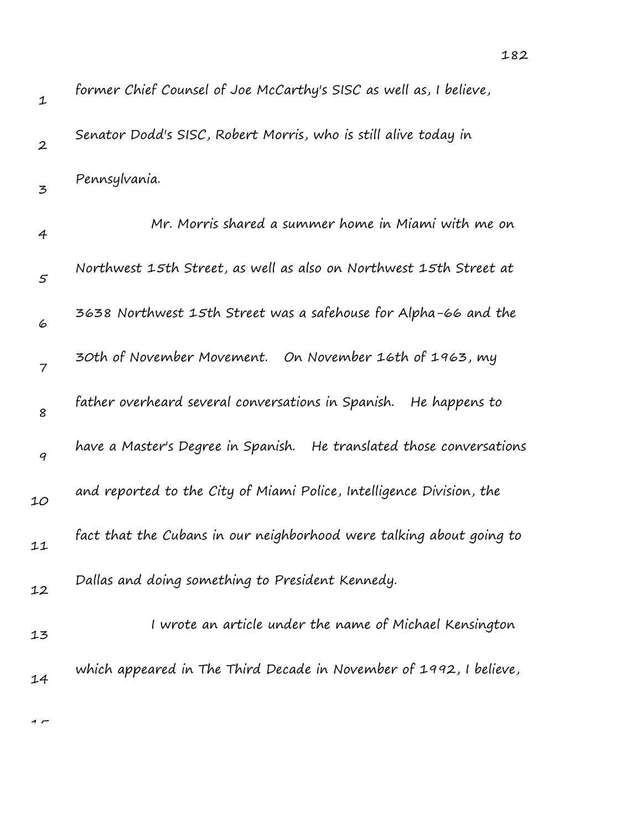| 1                | former Chief Counsel of Joe McCarthy's SISC as well as, I believe,   |
|------------------|----------------------------------------------------------------------|
| $\boldsymbol{2}$ | Senator Dodd's SISC, Robert Morris, who is still alive today in      |
| 3                | Pennsylvania.                                                        |
| 4                | Mr. Morris shared a summer home in Miami with me on                  |
| $\varsigma$      | Northwest 15th Street, as well as also on Northwest 15th Street at   |
| 6                | 3638 Northwest 15th Street was a safehouse for Alpha-66 and the      |
| 7                | 30th of November Movement. On November 16th of 1963, my              |
| 8                | father overheard several conversations in Spanish.<br>He happens to  |
| 9                | have a Master's Degree in Spanish. He translated those conversations |
| 10               | and reported to the City of Miami Police, Intelligence Division, the |
| 11               | fact that the Cubans in our neighborhood were talking about going to |
| 12               | Dallas and doing something to President Kennedy.                     |
| 13               | I wrote an article under the name of Michael Kensington              |
| 14               | which appeared in The Third Decade in November of 1992, I believe,   |
|                  |                                                                      |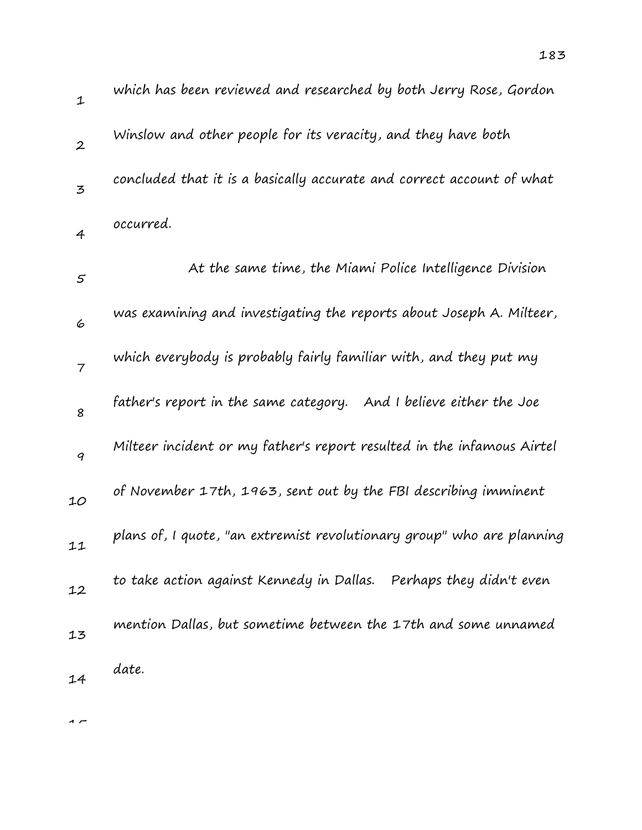| $\mathbf 1$              | which has been reviewed and researched by both Jerry Rose, Gordon      |
|--------------------------|------------------------------------------------------------------------|
| $\boldsymbol{2}$         | Winslow and other people for its veracity, and they have both          |
| 3                        | concluded that it is a basically accurate and correct account of what  |
| $\overline{4}$           | occurred.                                                              |
| 5                        | At the same time, the Miami Police Intelligence Division               |
| 6                        | was examining and investigating the reports about Joseph A. Milteer,   |
| $\overline{\mathcal{I}}$ | which everybody is probably fairly familiar with, and they put my      |
| 8                        | father's report in the same category. And I believe either the Joe     |
| 9                        | Milteer incident or my father's report resulted in the infamous Airtel |
| 10                       | of November 17th, 1963, sent out by the FBI describing imminent        |
| 11                       | plans of, I quote, "an extremist revolutionary group" who are planning |
| 12                       | to take action against Kennedy in Dallas. Perhaps they didn't even     |
| 13                       | mention Dallas, but sometime between the 17th and some unnamed         |
| 14                       | date.                                                                  |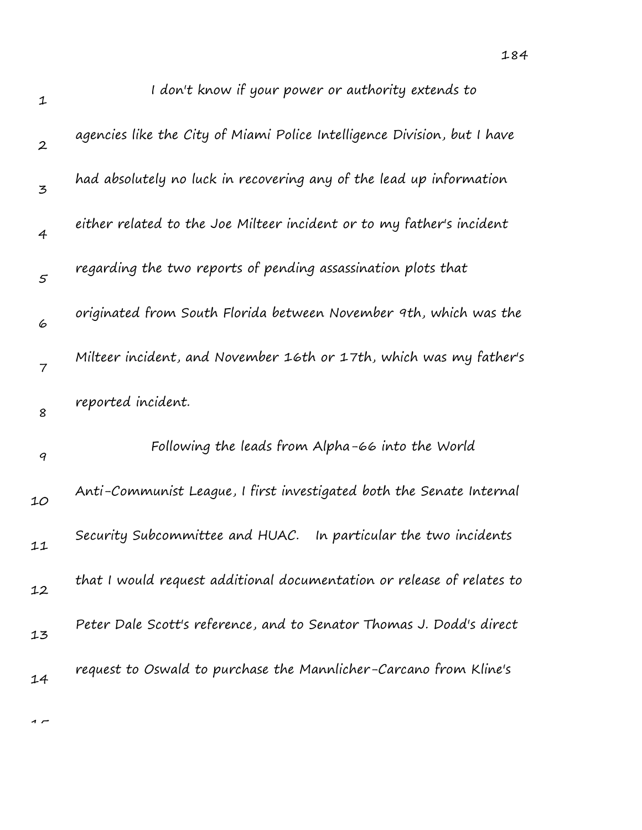| $\mathbf 1$      | I don't know if your power or authority extends to                       |
|------------------|--------------------------------------------------------------------------|
| $\boldsymbol{2}$ | agencies like the City of Miami Police Intelligence Division, but I have |
| 3                | had absolutely no luck in recovering any of the lead up information      |
| $\overline{4}$   | either related to the Joe Milteer incident or to my father's incident    |
| 5                | regarding the two reports of pending assassination plots that            |
| 6                | originated from South Florida between November 9th, which was the        |
| $\overline{7}$   | Milteer incident, and November 16th or 17th, which was my father's       |
| 8                | reported incident.                                                       |
| $\boldsymbol{q}$ | Following the leads from Alpha-66 into the World                         |
| 10               | Anti-Communist League, I first investigated both the Senate Internal     |
| 11               | Security Subcommittee and HUAC.<br>In particular the two incidents       |
| 12               | that I would request additional documentation or release of relates to   |
| 13               | Peter Dale Scott's reference, and to Senator Thomas J. Dodd's direct     |
| 14               | request to Oswald to purchase the Mannlicher-Carcano from Kline's        |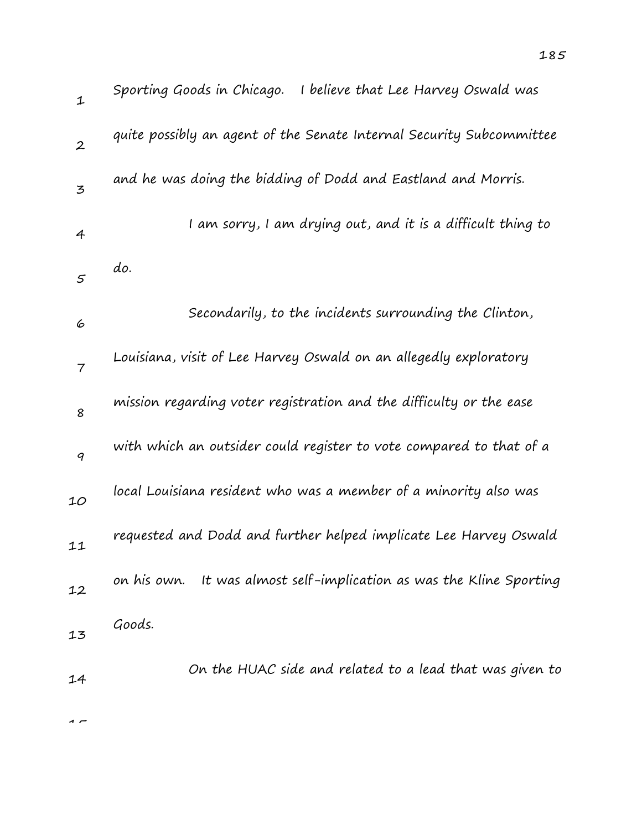| $\mathbf 1$    | Sporting Goods in Chicago. I believe that Lee Harvey Oswald was      |
|----------------|----------------------------------------------------------------------|
| $\overline{2}$ | quite possibly an agent of the Senate Internal Security Subcommittee |
| 3              | and he was doing the bidding of Dodd and Eastland and Morris.        |
| 4              | I am sorry, I am drying out, and it is a difficult thing to          |
| 5              | do.                                                                  |
| 6              | Secondarily, to the incidents surrounding the Clinton,               |
| $\overline{7}$ | Louisiana, visit of Lee Harvey Oswald on an allegedly exploratory    |
| 8              | mission regarding voter registration and the difficulty or the ease  |
| 9              | with which an outsider could register to vote compared to that of a  |
| 10             | local Louisiana resident who was a member of a minority also was     |
| 11             | requested and Dodd and further helped implicate Lee Harvey Oswald    |
| 12             | on his own. It was almost self-implication as was the Kline Sporting |
| 13             | Goods.                                                               |
| 14             | On the HUAC side and related to a lead that was given to             |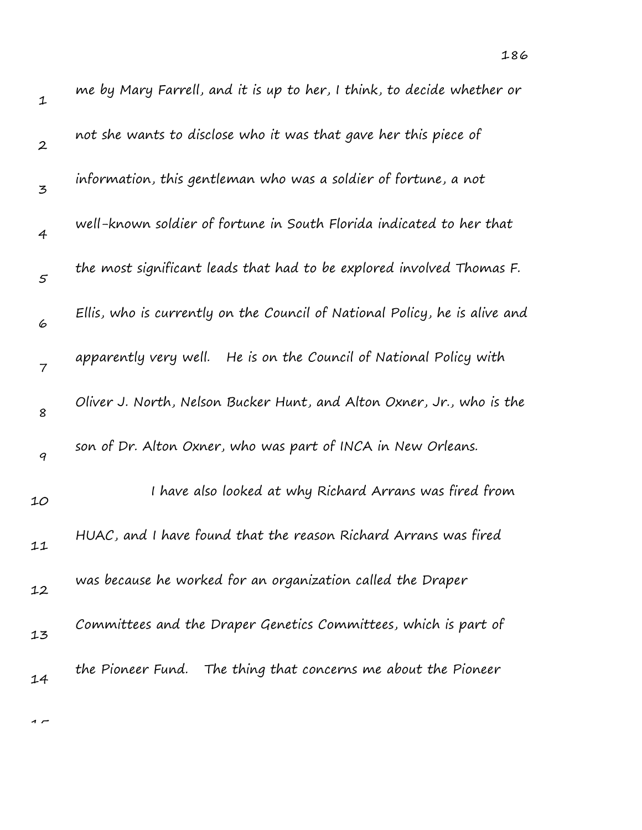| $\mathbf 1$      | me by Mary Farrell, and it is up to her, I think, to decide whether or     |
|------------------|----------------------------------------------------------------------------|
| $\boldsymbol{2}$ | not she wants to disclose who it was that gave her this piece of           |
| 3                | information, this gentleman who was a soldier of fortune, a not            |
| $\overline{4}$   | well-known soldier of fortune in South Florida indicated to her that       |
| $\mathfrak{s}$   | the most significant leads that had to be explored involved Thomas F.      |
| 6                | Ellis, who is currently on the Council of National Policy, he is alive and |
| $\overline{7}$   | He is on the Council of National Policy with<br>apparently very well.      |
| 8                | Oliver J. North, Nelson Bucker Hunt, and Alton Oxner, Jr., who is the      |
| 9                | son of Dr. Alton Oxner, who was part of INCA in New Orleans.               |
| 10               | I have also looked at why Richard Arrans was fired from                    |
| 11               | HUAC, and I have found that the reason Richard Arrans was fired            |
| 12               | was because he worked for an organization called the Draper                |
| 13               | Committees and the Draper Genetics Committees, which is part of            |
| 14               | the Pioneer Fund. The thing that concerns me about the Pioneer             |

 $\overline{1}$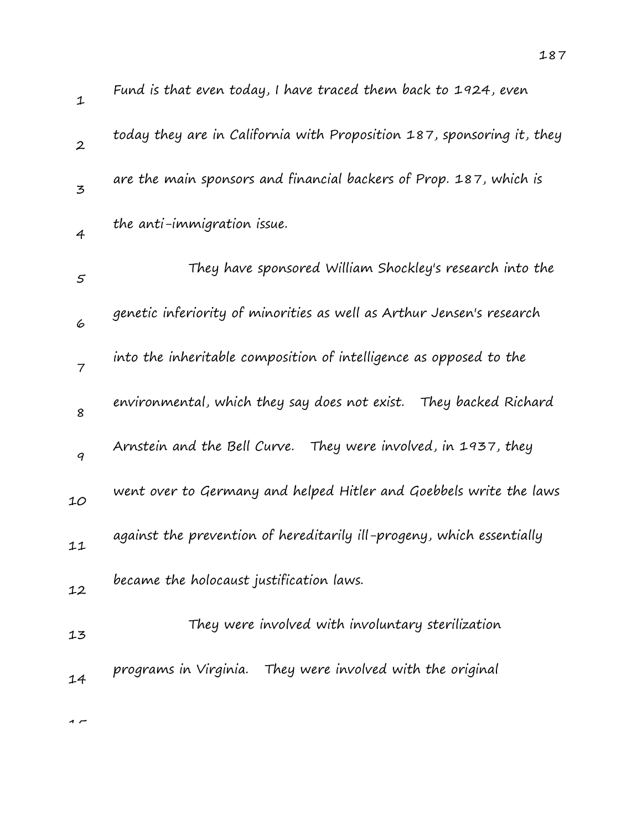| 1              | Fund is that even today, I have traced them back to 1924, even         |
|----------------|------------------------------------------------------------------------|
| $\overline{2}$ | today they are in California with Proposition 187, sponsoring it, they |
| 3              | are the main sponsors and financial backers of Prop. 187, which is     |
| $\overline{4}$ | the anti-immigration issue.                                            |
| 5              | They have sponsored William Shockley's research into the               |
| 6              | genetic inferiority of minorities as well as Arthur Jensen's research  |
| $\overline{7}$ | into the inheritable composition of intelligence as opposed to the     |
| 8              | environmental, which they say does not exist.    They backed Richard   |
| 9              | Arnstein and the Bell Curve. They were involved, in 1937, they         |
| 10             | went over to Germany and helped Hitler and Goebbels write the laws     |
| 11             | against the prevention of hereditarily ill-progeny, which essentially  |
| 12             | became the holocaust justification laws.                               |
| 13             | They were involved with involuntary sterilization                      |
| 14             | programs in Virginia. They were involved with the original             |
|                |                                                                        |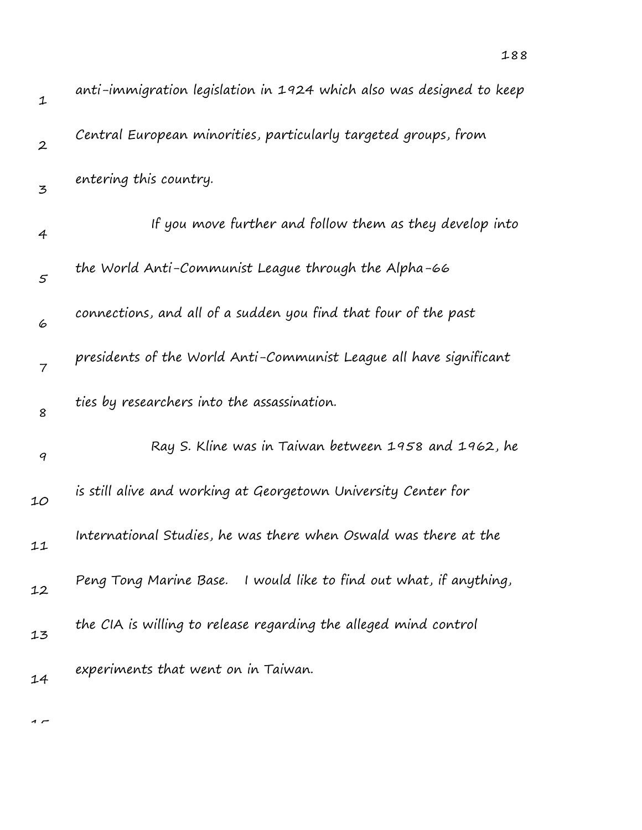| $\mathbf 1$      | anti-immigration legislation in 1924 which also was designed to keep |
|------------------|----------------------------------------------------------------------|
| $\boldsymbol{2}$ | Central European minorities, particularly targeted groups, from      |
| 3                | entering this country.                                               |
| 4                | If you move further and follow them as they develop into             |
| 5                | the World Anti-Communist League through the Alpha-66                 |
| 6                | connections, and all of a sudden you find that four of the past      |
| $\overline{7}$   | presidents of the World Anti-Communist League all have significant   |
| 8                | ties by researchers into the assassination.                          |
| 9                | Ray S. Kline was in Taiwan between 1958 and 1962, he                 |
| 10               | is still alive and working at Georgetown University Center for       |
| 11               | International Studies, he was there when Oswald was there at the     |
| 12               | Peng Tong Marine Base. I would like to find out what, if anything,   |
| 13               | the CIA is willing to release regarding the alleged mind control     |
| 14               | experiments that went on in Taiwan.                                  |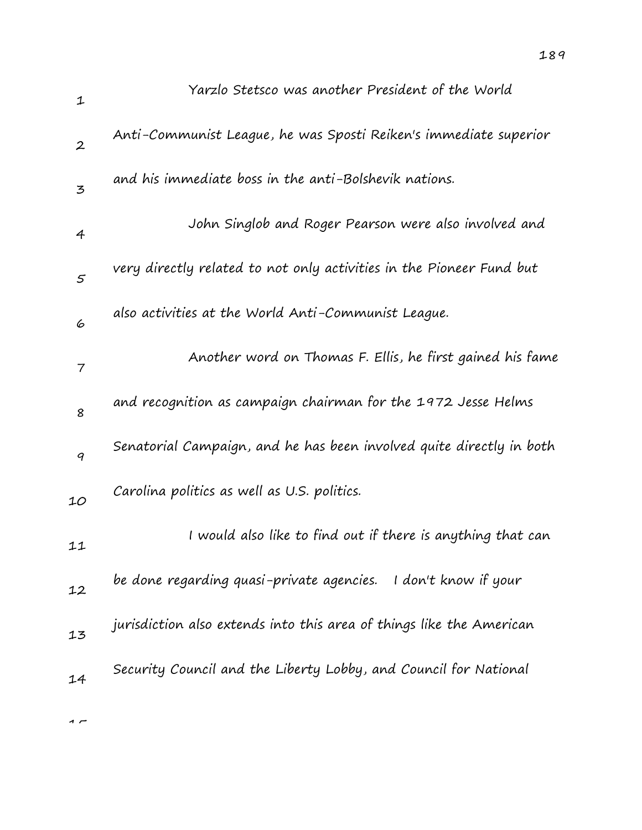| $\mathbf 1$    | Yarzlo Stetsco was another President of the World                    |
|----------------|----------------------------------------------------------------------|
| $\overline{2}$ | Anti-Communist League, he was Sposti Reiken's immediate superior     |
| 3              | and his immediate boss in the anti-Bolshevik nations.                |
| $\overline{4}$ | John Singlob and Roger Pearson were also involved and                |
| 5              | very directly related to not only activities in the Pioneer Fund but |
| 6              | also activities at the World Anti-Communist League.                  |
| $\overline{7}$ | Another word on Thomas F. Ellis, he first gained his fame            |
| 8              | and recognition as campaign chairman for the 1972 Jesse Helms        |
| 9              | Senatorial Campaign, and he has been involved quite directly in both |
| 10             | Carolina politics as well as U.S. politics.                          |
| 11             | I would also like to find out if there is anything that can          |
| 12             | be done regarding quasi-private agencies. I don't know if your       |
| 13             | jurisdiction also extends into this area of things like the American |
| 14             | Security Council and the Liberty Lobby, and Council for National     |
|                |                                                                      |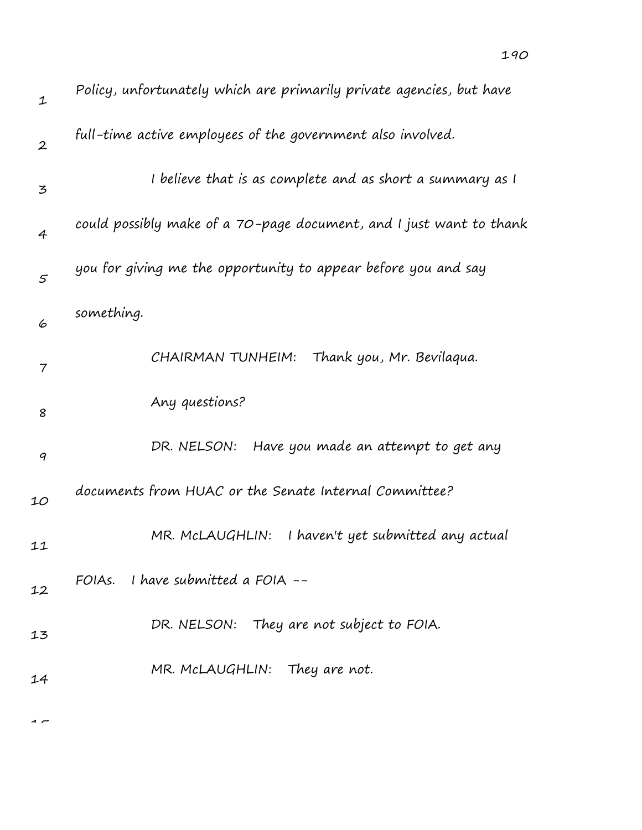| $\mathbf 1$              | Policy, unfortunately which are primarily private agencies, but have |
|--------------------------|----------------------------------------------------------------------|
| $\boldsymbol{2}$         | full-time active employees of the government also involved.          |
| 3                        | I believe that is as complete and as short a summary as I            |
| $\overline{4}$           | could possibly make of a 70-page document, and I just want to thank  |
| $\mathfrak{s}$           | you for giving me the opportunity to appear before you and say       |
| 6                        | something.                                                           |
| $\overline{\phantom{a}}$ | CHAIRMAN TUNHEIM:<br>Thank you, Mr. Bevilaqua.                       |
| 8                        | Any questions?                                                       |
| 9                        | DR. NELSON: Have you made an attempt to get any                      |
| 10                       | documents from HUAC or the Senate Internal Committee?                |
| 11                       | I haven't yet submitted any actual<br>MR. MCLAUGHLIN:                |
| 12                       | FOIAs. I have submitted a FOIA $-$                                   |
| 13                       | DR. NELSON: They are not subject to FOIA.                            |
| 14                       | MR. McLAUGHLIN: They are not.                                        |
|                          |                                                                      |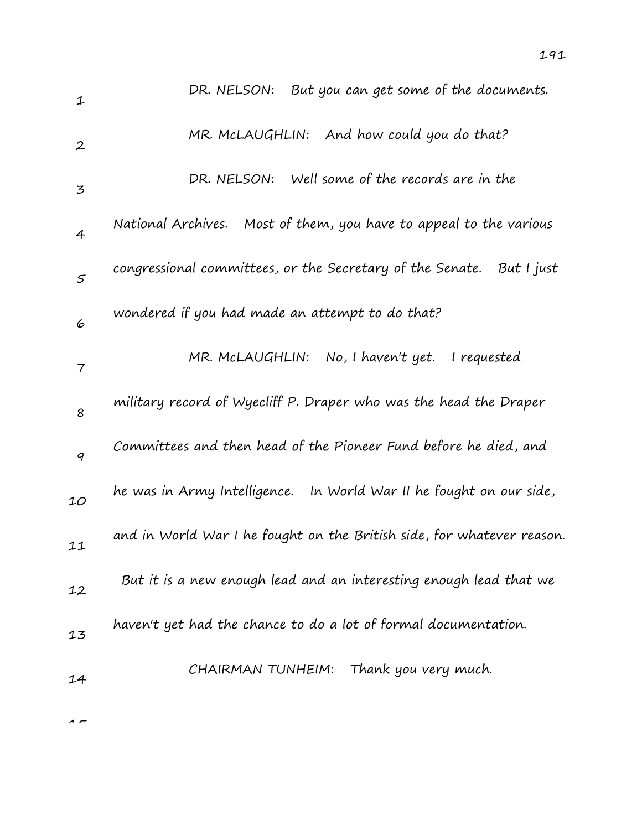| 1                | But you can get some of the documents.<br>DR. NELSON:                  |
|------------------|------------------------------------------------------------------------|
| $\boldsymbol{2}$ | MR. McLAUGHLIN: And how could you do that?                             |
| 3                | Well some of the records are in the<br>DR. NELSON:                     |
| $\overline{4}$   | National Archives.<br>Most of them, you have to appeal to the various  |
| $\varsigma$      | congressional committees, or the Secretary of the Senate. But I just   |
| 6                | wondered if you had made an attempt to do that?                        |
| 7                | MR. MCLAUGHLIN:<br>No, I haven't yet. I requested                      |
| 8                | military record of Wyecliff P. Draper who was the head the Draper      |
| 9                | Committees and then head of the Pioneer Fund before he died, and       |
| 10               | he was in Army Intelligence. In World War II he fought on our side,    |
| 11               | and in World War I he fought on the British side, for whatever reason. |
| 12               | But it is a new enough lead and an interesting enough lead that we     |
| 13               | haven't yet had the chance to do a lot of formal documentation.        |
| 14               | CHAIRMAN TUNHEIM: Thank you very much.                                 |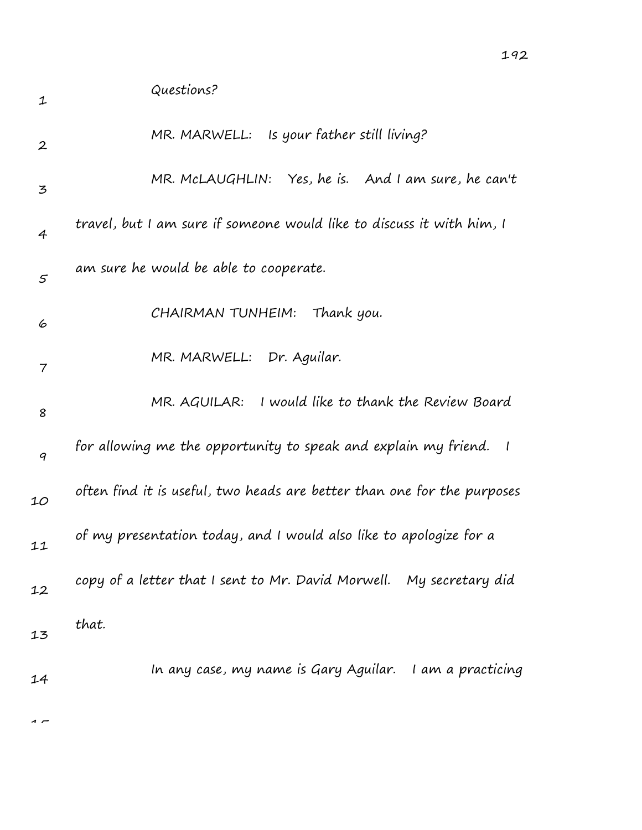| $\mathbf 1$      | Questions?                                                              |
|------------------|-------------------------------------------------------------------------|
| $\boldsymbol{2}$ | MR. MARWELL: Is your father still living?                               |
| 3                | MR. McLAUGHLIN: Yes, he is. And I am sure, he can't                     |
| $\overline{4}$   | travel, but I am sure if someone would like to discuss it with him, I   |
| 5                | am sure he would be able to cooperate.                                  |
| 6                | Thank you.<br>CHAIRMAN TUNHEIM:                                         |
| 7                | MR. MARWELL: Dr. Aguilar.                                               |
| 8                | MR. AGUILAR: I would like to thank the Review Board                     |
| 9                | for allowing me the opportunity to speak and explain my friend. I       |
| 10               | often find it is useful, two heads are better than one for the purposes |
| 11               | of my presentation today, and I would also like to apologize for a      |
| 12               | copy of a letter that I sent to Mr. David Morwell. My secretary did     |
| 13               | that.                                                                   |
| 14               | In any case, my name is Gary Aguilar. I am a practicing                 |
|                  |                                                                         |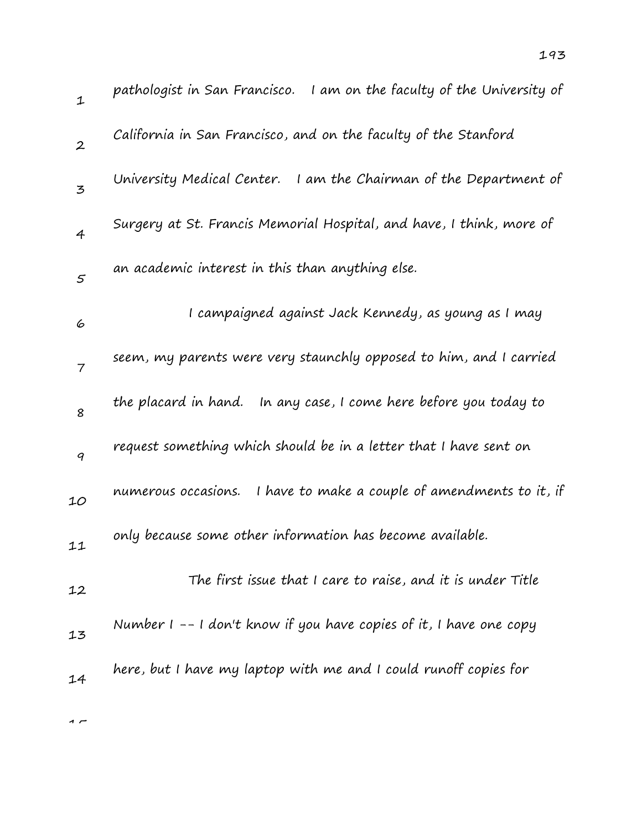| $\mathbf{1}$   | pathologist in San Francisco. I am on the faculty of the University of |
|----------------|------------------------------------------------------------------------|
| $\overline{2}$ | California in San Francisco, and on the faculty of the Stanford        |
| 3              | University Medical Center.<br>I am the Chairman of the Department of   |
| $\overline{4}$ | Surgery at St. Francis Memorial Hospital, and have, I think, more of   |
| 5              | an academic interest in this than anything else.                       |
| 6              | I campaigned against Jack Kennedy, as young as I may                   |
| $\overline{7}$ | seem, my parents were very staunchly opposed to him, and I carried     |
| 8              | the placard in hand.<br>In any case, I come here before you today to   |
| 9              | request something which should be in a letter that I have sent on      |
| 10             | I have to make a couple of amendments to it, if<br>numerous occasions. |
| 11             | only because some other information has become available.              |
| 12             | The first issue that I care to raise, and it is under Title            |
| 13             | Number $1 - - 1$ don't know if you have copies of it, I have one copy  |
| 14             | here, but I have my laptop with me and I could runoff copies for       |
|                |                                                                        |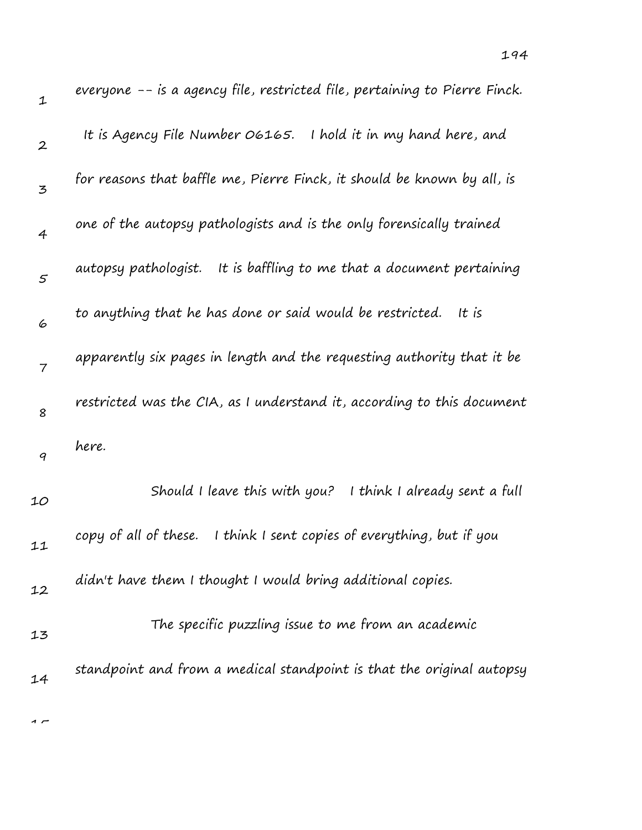| 1                | everyone -- is a agency file, restricted file, pertaining to Pierre Finck. |
|------------------|----------------------------------------------------------------------------|
| $\boldsymbol{2}$ | It is Agency File Number O6165. I hold it in my hand here, and             |
| 3                | for reasons that baffle me, Pierre Finck, it should be known by all, is    |
| 4                | one of the autopsy pathologists and is the only forensically trained       |
| $\mathfrak{s}$   | It is baffling to me that a document pertaining<br>autopsy pathologist.    |
| 6                | to anything that he has done or said would be restricted.<br>It is         |
| 7                | apparently six pages in length and the requesting authority that it be     |
| 8                | restricted was the CIA, as I understand it, according to this document     |
| 9                | here.                                                                      |
| 10               | I think I already sent a full<br>Should I leave this with you?             |
| 11               | copy of all of these.<br>I think I sent copies of everything, but if you   |
| 12               | didn't have them I thought I would bring additional copies.                |
| 13               | The specific puzzling issue to me from an academic                         |
| 14               | standpoint and from a medical standpoint is that the original autopsy      |
|                  |                                                                            |

 $\overline{1}$ 

194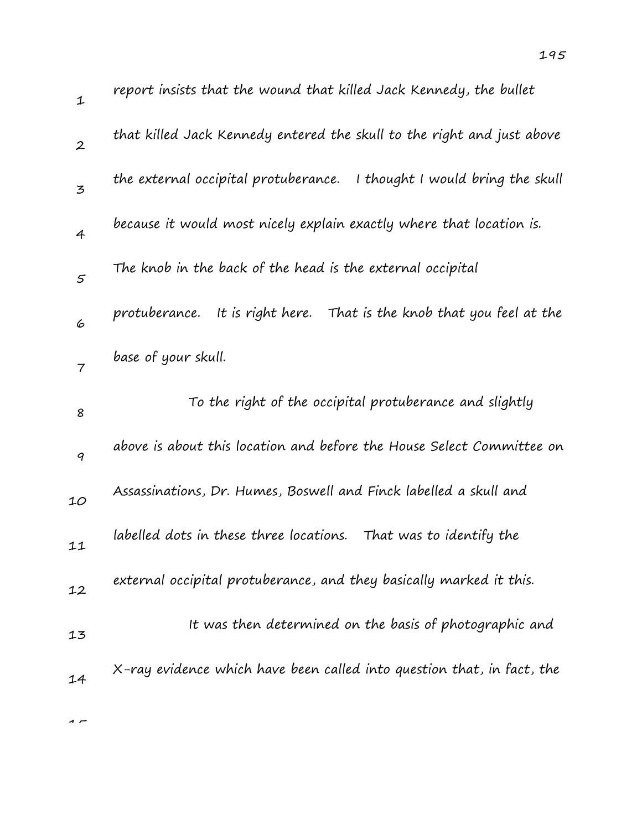| $\mathbf 1$    | report insists that the wound that killed Jack Kennedy, the bullet       |
|----------------|--------------------------------------------------------------------------|
| $\overline{2}$ | that killed Jack Kennedy entered the skull to the right and just above   |
| 3              | the external occipital protuberance. I thought I would bring the skull   |
| 4              | because it would most nicely explain exactly where that location is.     |
| $\mathcal{F}$  | The knob in the back of the head is the external occipital               |
| 6              | protuberance.<br>It is right here. That is the knob that you feel at the |
| $\overline{7}$ | base of your skull.                                                      |
| 8              | To the right of the occipital protuberance and slightly                  |
| 9              | above is about this location and before the House Select Committee on    |
| 10             | Assassinations, Dr. Humes, Boswell and Finck labelled a skull and        |
|                |                                                                          |
| 11             | labelled dots in these three locations.<br>That was to identify the      |
| 12             | external occipital protuberance, and they basically marked it this.      |
| 13             | It was then determined on the basis of photographic and                  |

14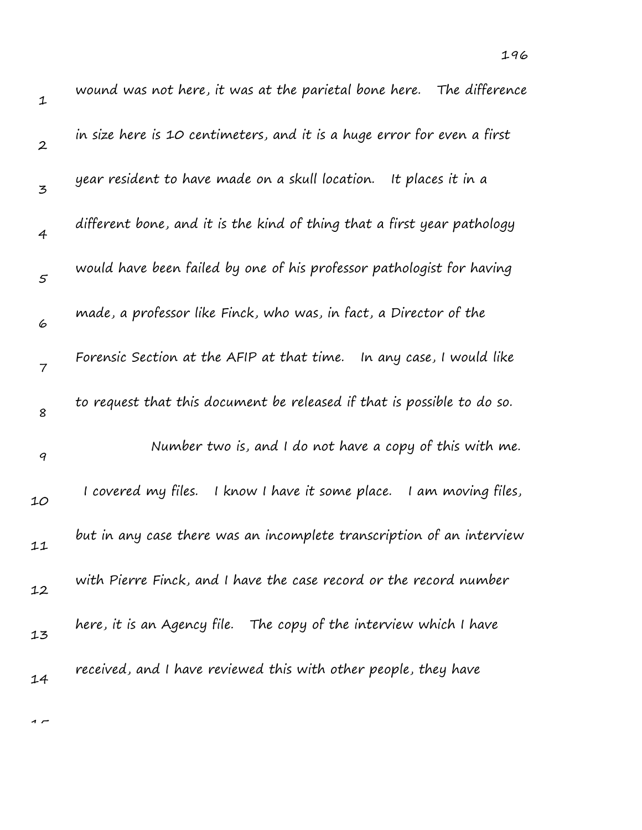| 1                | wound was not here, it was at the parietal bone here. The difference      |
|------------------|---------------------------------------------------------------------------|
| $\boldsymbol{2}$ | in size here is 10 centimeters, and it is a huge error for even a first   |
| 3                | year resident to have made on a skull location.<br>It places it in a      |
| $\overline{4}$   | different bone, and it is the kind of thing that a first year pathology   |
| $\mathfrak{s}$   | would have been failed by one of his professor pathologist for having     |
| 6                | made, a professor like Finck, who was, in fact, a Director of the         |
| $\overline{7}$   | Forensic Section at the AFIP at that time. In any case, I would like      |
| 8                | to request that this document be released if that is possible to do so.   |
| 9                | Number two is, and I do not have a copy of this with me.                  |
| 10               | I covered my files.<br>I know I have it some place.<br>I am moving files, |
| 11               | but in any case there was an incomplete transcription of an interview     |
| 12               | with Pierre Finck, and I have the case record or the record number        |
| 13               | here, it is an Agency file.    The copy of the interview which I have     |
| 14               | received, and I have reviewed this with other people, they have           |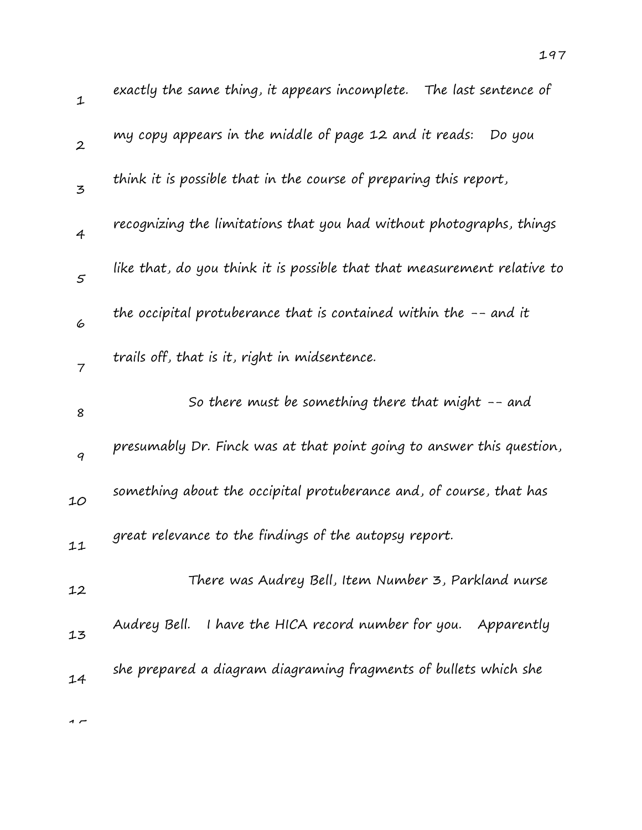| $\mathbf 1$              | exactly the same thing, it appears incomplete.  The last sentence of     |
|--------------------------|--------------------------------------------------------------------------|
| $\mathbf{2}$             | my copy appears in the middle of page 12 and it reads: Do you            |
| 3                        | think it is possible that in the course of preparing this report,        |
| $\overline{4}$           | recognizing the limitations that you had without photographs, things     |
| $\mathcal{S}$            | like that, do you think it is possible that that measurement relative to |
| 6                        | the occipital protuberance that is contained within the $-$ - and it     |
| $\overline{\mathcal{I}}$ | trails off, that is it, right in midsentence.                            |
| 8                        | So there must be something there that might $-$ and                      |
| 9                        | presumably Dr. Finck was at that point going to answer this question,    |
| 10                       | something about the occipital protuberance and, of course, that has      |
| 11                       | great relevance to the findings of the autopsy report.                   |
| 12                       | There was Audrey Bell, Item Number 3, Parkland nurse                     |
| 13                       | Audrey Bell.<br>I have the HICA record number for you. Apparently        |
| 14                       | she prepared a diagram diagraming fragments of bullets which she         |
|                          |                                                                          |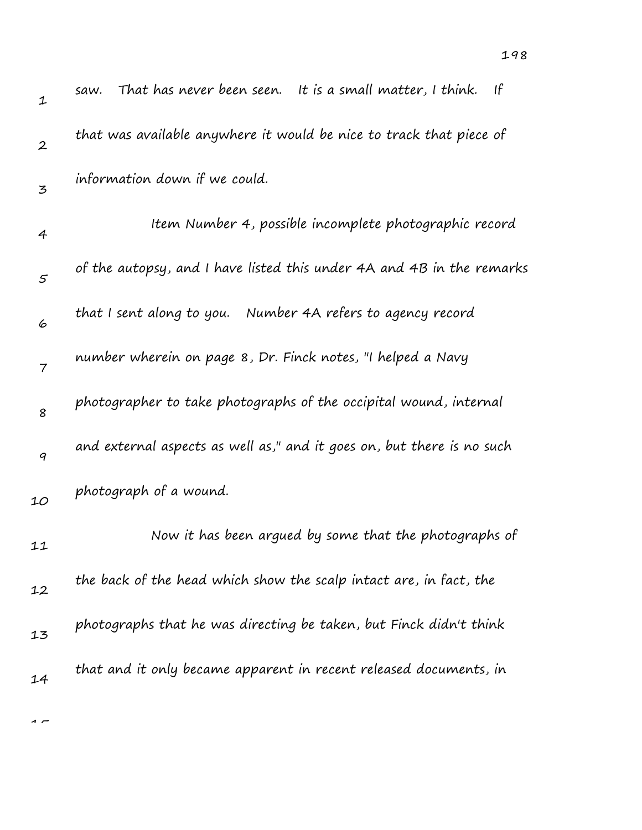| $\mathbf 1$      | -lf<br>That has never been seen. It is a small matter, I think.<br>saw. |
|------------------|-------------------------------------------------------------------------|
| $\boldsymbol{2}$ | that was available anywhere it would be nice to track that piece of     |
| 3                | information down if we could.                                           |
| 4                | Item Number 4, possible incomplete photographic record                  |
| $\varsigma$      | of the autopsy, and I have listed this under 4A and 4B in the remarks   |
| 6                | that I sent along to you. Number 4A refers to agency record             |
| $\overline{7}$   | number wherein on page 8, Dr. Finck notes, "I helped a Navy             |
| 8                | photographer to take photographs of the occipital wound, internal       |
| 9                | and external aspects as well as," and it goes on, but there is no such  |
| 10               | photograph of a wound.                                                  |
| 11               | Now it has been argued by some that the photographs of                  |
| 12               | the back of the head which show the scalp intact are, in fact, the      |
| 13               | photographs that he was directing be taken, but Finck didn't think      |
| 14               | that and it only became apparent in recent released documents, in       |
|                  |                                                                         |

198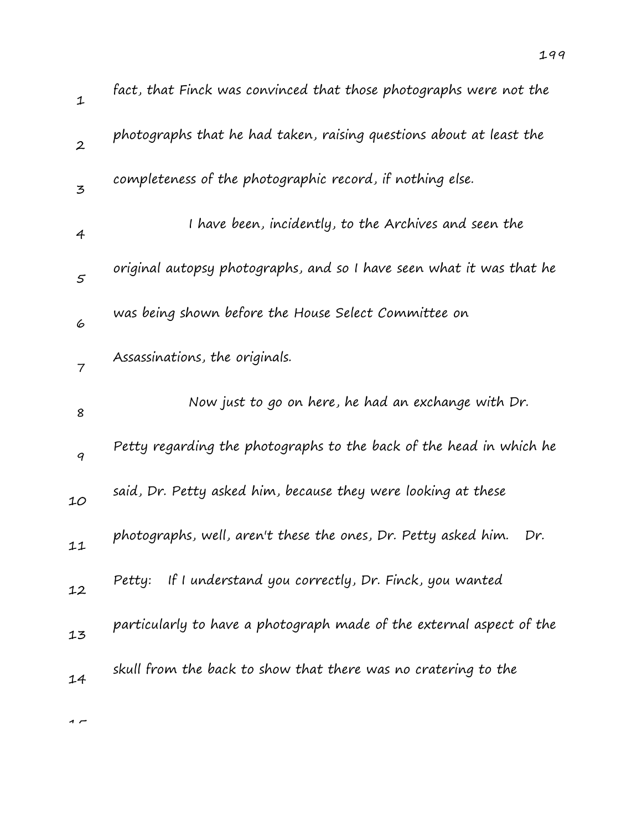| $\mathbf{1}$     | fact, that Finck was convinced that those photographs were not the    |
|------------------|-----------------------------------------------------------------------|
| $\boldsymbol{2}$ | photographs that he had taken, raising questions about at least the   |
| $\overline{5}$   | completeness of the photographic record, if nothing else.             |
| 4                | I have been, incidently, to the Archives and seen the                 |
| 5                | original autopsy photographs, and so I have seen what it was that he  |
| 6                | was being shown before the House Select Committee on                  |
| $\overline{7}$   | Assassinations, the originals.                                        |
| 8                | Now just to go on here, he had an exchange with Dr.                   |
| 9                | Petty regarding the photographs to the back of the head in which he   |
| 10               | said, Dr. Petty asked him, because they were looking at these         |
| 11               | photographs, well, aren't these the ones, Dr. Petty asked him.<br>Dr. |
| 12               | Petty: If I understand you correctly, Dr. Finck, you wanted           |
| 13               | particularly to have a photograph made of the external aspect of the  |
| 14               | skull from the back to show that there was no cratering to the        |
|                  |                                                                       |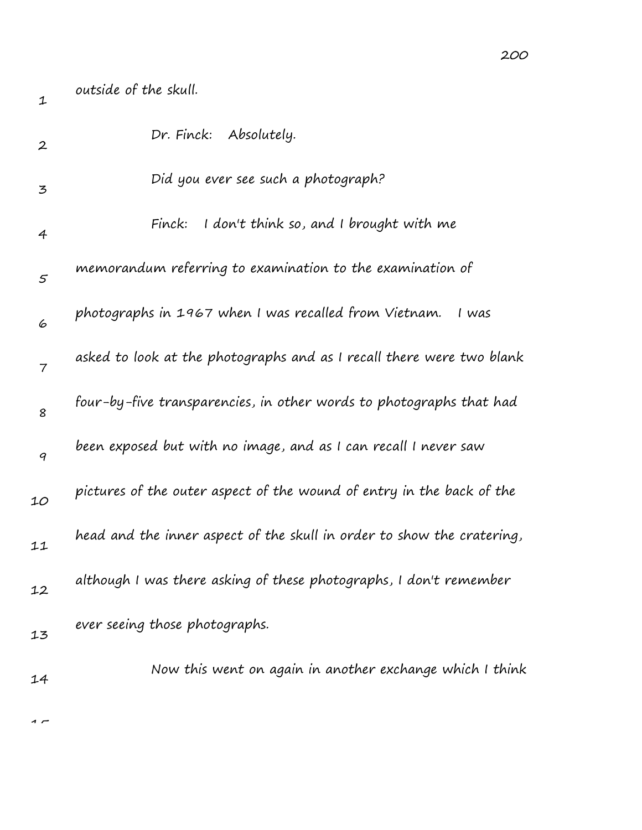| $\mathbf 1$      | outside of the skull.                                                  |
|------------------|------------------------------------------------------------------------|
| $\boldsymbol{2}$ | Dr. Finck: Absolutely.                                                 |
| 3                | Did you ever see such a photograph?                                    |
| 4                | I don't think so, and I brought with me<br>Finck:                      |
| $\varsigma$      | memorandum referring to examination to the examination of              |
| 6                | photographs in 1967 when I was recalled from Vietnam.<br>I was         |
| $\overline{7}$   | asked to look at the photographs and as I recall there were two blank  |
| 8                | four-by-five transparencies, in other words to photographs that had    |
| 9                | been exposed but with no image, and as I can recall I never saw        |
| 10               | pictures of the outer aspect of the wound of entry in the back of the  |
| 11               | head and the inner aspect of the skull in order to show the cratering, |
| 12               | although I was there asking of these photographs, I don't remember     |
| 13               | ever seeing those photographs.                                         |
| 14               | Now this went on again in another exchange which I think               |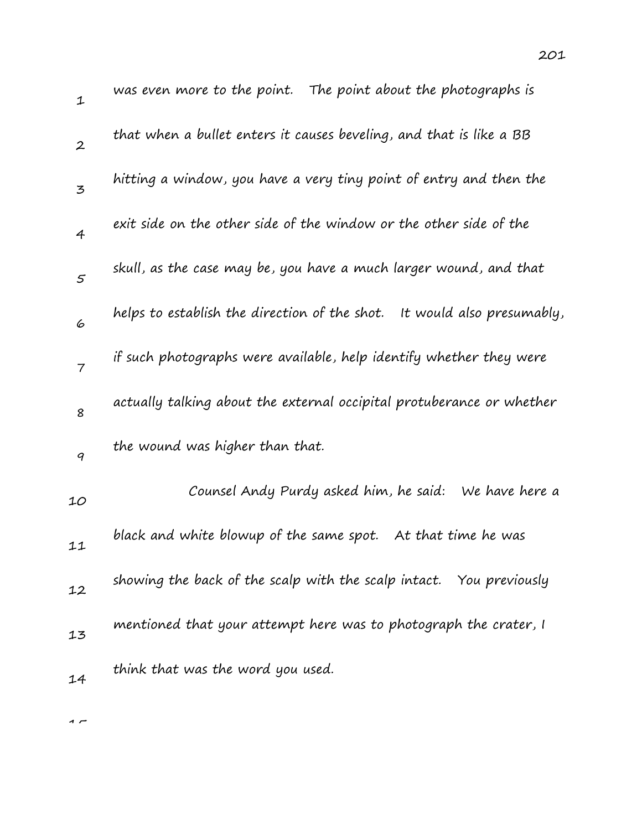| $\mathbf 1$      | was even more to the point. The point about the photographs is             |
|------------------|----------------------------------------------------------------------------|
| $\boldsymbol{2}$ | that when a bullet enters it causes beveling, and that is like a BB        |
| 3                | hitting a window, you have a very tiny point of entry and then the         |
| $\overline{4}$   | exit side on the other side of the window or the other side of the         |
| 5                | skull, as the case may be, you have a much larger wound, and that          |
| 6                | helps to establish the direction of the shot.<br>It would also presumably, |
| $\overline{7}$   | if such photographs were available, help identify whether they were        |
| 8                | actually talking about the external occipital protuberance or whether      |
| 9                | the wound was higher than that.                                            |
| 10               | Counsel Andy Purdy asked him, he said:<br>We have here a                   |
| 11               | black and white blowup of the same spot.<br>At that time he was            |
| 12               | showing the back of the scalp with the scalp intact. You previously        |
| 13               | mentioned that your attempt here was to photograph the crater, I           |
| 14               | think that was the word you used.                                          |

 $\overline{1}$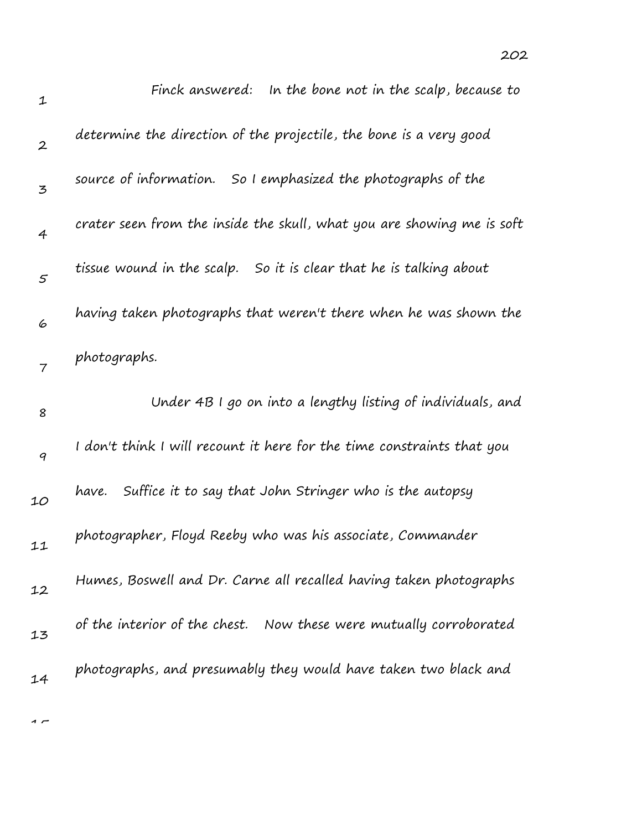| $\mathbf 1$      | Finck answered: In the bone not in the scalp, because to               |
|------------------|------------------------------------------------------------------------|
| $\boldsymbol{2}$ | determine the direction of the projectile, the bone is a very good     |
| 3                | source of information. So I emphasized the photographs of the          |
| $\overline{4}$   | crater seen from the inside the skull, what you are showing me is soft |
| $\mathcal{S}$    | tissue wound in the scalp. So it is clear that he is talking about     |
| 6                | having taken photographs that weren't there when he was shown the      |
| $\overline{7}$   | photographs.                                                           |
| 8                | Under 4B I go on into a lengthy listing of individuals, and            |
| 9                | I don't think I will recount it here for the time constraints that you |
| 10               | Suffice it to say that John Stringer who is the autopsy<br>have.       |
| 11               | photographer, Floyd Reeby who was his associate, Commander             |
| 12               | Humes, Boswell and Dr. Carne all recalled having taken photographs     |
| 13               | of the interior of the chest. Now these were mutually corroborated     |
|                  |                                                                        |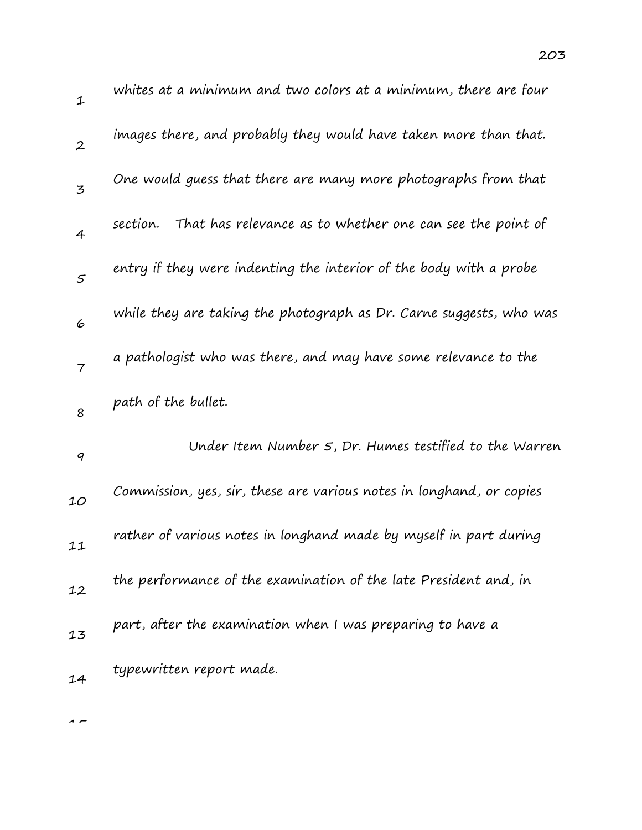| 1                | whites at a minimum and two colors at a minimum, there are four       |
|------------------|-----------------------------------------------------------------------|
| $\boldsymbol{2}$ | images there, and probably they would have taken more than that.      |
| 3                | One would guess that there are many more photographs from that        |
| $\overline{4}$   | That has relevance as to whether one can see the point of<br>section. |
| 5                | entry if they were indenting the interior of the body with a probe    |
| 6                | while they are taking the photograph as Dr. Carne suggests, who was   |
| $\overline{7}$   | a pathologist who was there, and may have some relevance to the       |
| 8                | path of the bullet.                                                   |
| $\boldsymbol{q}$ | Under Item Number 5, Dr. Humes testified to the Warren                |
| 10               | Commission, yes, sir, these are various notes in longhand, or copies  |
| 11               | rather of various notes in longhand made by myself in part during     |
| 12               | the performance of the examination of the late President and, in      |
| 13               | part, after the examination when I was preparing to have a            |
| 14               | typewritten report made.                                              |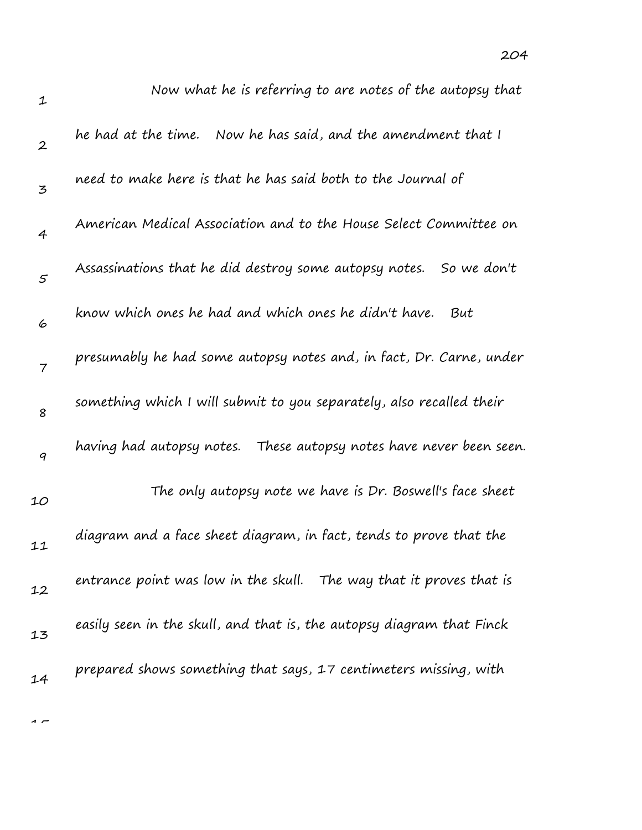| 1                | Now what he is referring to are notes of the autopsy that              |
|------------------|------------------------------------------------------------------------|
| $\boldsymbol{2}$ | he had at the time.   Now he has said, and the amendment that I        |
| 3                | need to make here is that he has said both to the Journal of           |
| $\overline{4}$   | American Medical Association and to the House Select Committee on      |
| $\mathcal{S}$    | Assassinations that he did destroy some autopsy notes.<br>So we don't  |
| 6                | know which ones he had and which ones he didn't have.<br>But           |
| $\overline{7}$   | presumably he had some autopsy notes and, in fact, Dr. Carne, under    |
| 8                | something which I will submit to you separately, also recalled their   |
| 9                | having had autopsy notes. These autopsy notes have never been seen.    |
| 10               | The only autopsy note we have is Dr. Boswell's face sheet              |
| 11               | diagram and a face sheet diagram, in fact, tends to prove that the     |
| 12               | entrance point was low in the skull.<br>The way that it proves that is |
| 13               | easily seen in the skull, and that is, the autopsy diagram that Finck  |
| 14               | prepared shows something that says, 17 centimeters missing, with       |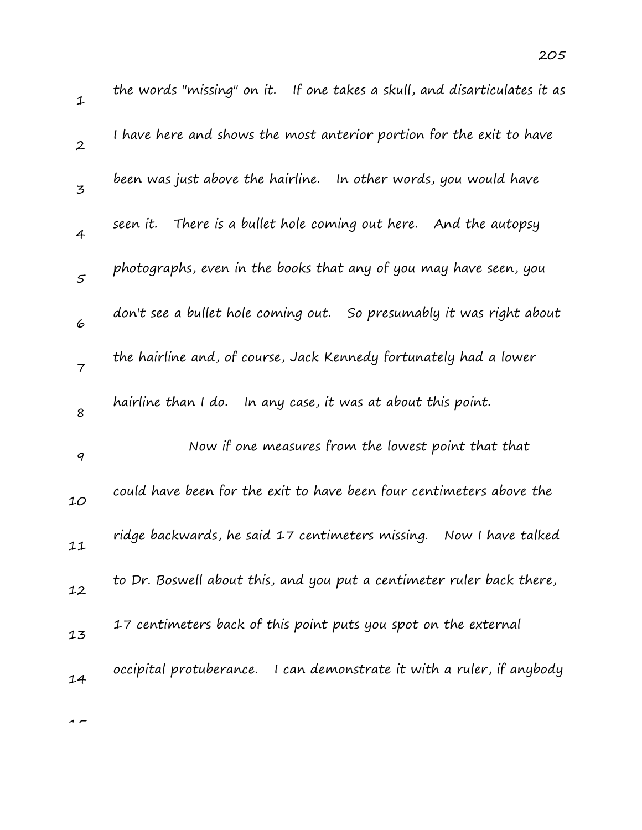| 1                        | the words "missing" on it. If one takes a skull, and disarticulates it as |
|--------------------------|---------------------------------------------------------------------------|
| $\boldsymbol{2}$         | I have here and shows the most anterior portion for the exit to have      |
| 3                        | been was just above the hairline. In other words, you would have          |
| $\overline{4}$           | There is a bullet hole coming out here. And the autopsy<br>seen it.       |
| $\mathfrak{s}$           | photographs, even in the books that any of you may have seen, you         |
| 6                        | don't see a bullet hole coming out. So presumably it was right about      |
| $\overline{\phantom{a}}$ | the hairline and, of course, Jack Kennedy fortunately had a lower         |
| 8                        | hairline than I do.<br>In any case, it was at about this point.           |
| 9                        | Now if one measures from the lowest point that that                       |
| 10                       | could have been for the exit to have been four centimeters above the      |
| 11                       | ridge backwards, he said 17 centimeters missing.<br>Now I have talked     |
| 12                       | to Dr. Boswell about this, and you put a centimeter ruler back there,     |
| 13                       | 17 centimeters back of this point puts you spot on the external           |
| 14                       | occipital protuberance. I can demonstrate it with a ruler, if anybody     |
|                          |                                                                           |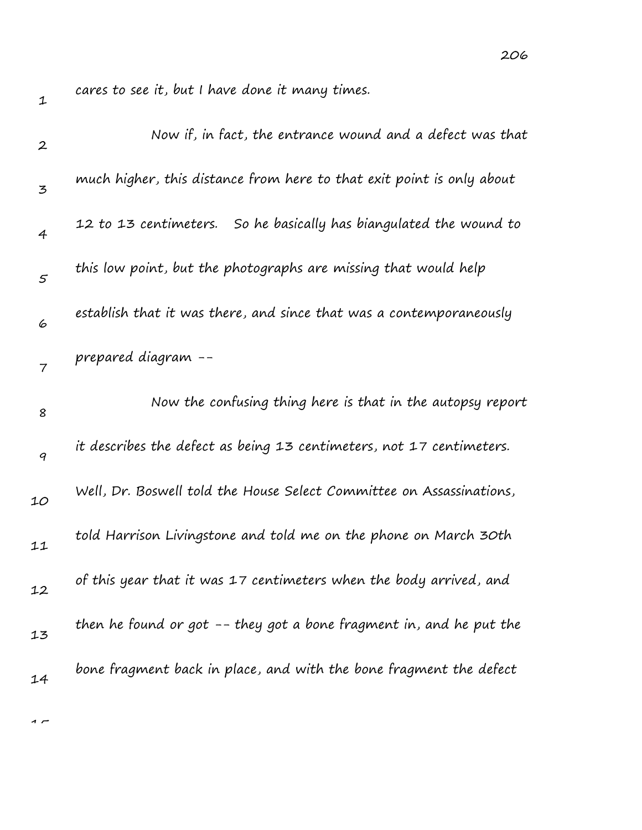206

| $\mathbf{2}$   | Now if, in fact, the entrance wound and a defect was that             |
|----------------|-----------------------------------------------------------------------|
| 3              | much higher, this distance from here to that exit point is only about |
| 4              | So he basically has biangulated the wound to<br>12 to 13 centimeters. |
| $\mathcal{S}$  | this low point, but the photographs are missing that would help       |
| 6              | establish that it was there, and since that was a contemporaneously   |
| $\overline{7}$ | prepared diagram --                                                   |
| 8              | Now the confusing thing here is that in the autopsy report            |
| 9              | it describes the defect as being 13 centimeters, not 17 centimeters.  |
| 10             | Well, Dr. Boswell told the House Select Committee on Assassinations,  |
| 11             | told Harrison Livingstone and told me on the phone on March 30th      |
| 12             | of this year that it was 17 centimeters when the body arrived, and    |
| 13             | then he found or got -- they got a bone fragment in, and he put the   |
| 14             | bone fragment back in place, and with the bone fragment the defect    |

 $\rightarrow$ 

1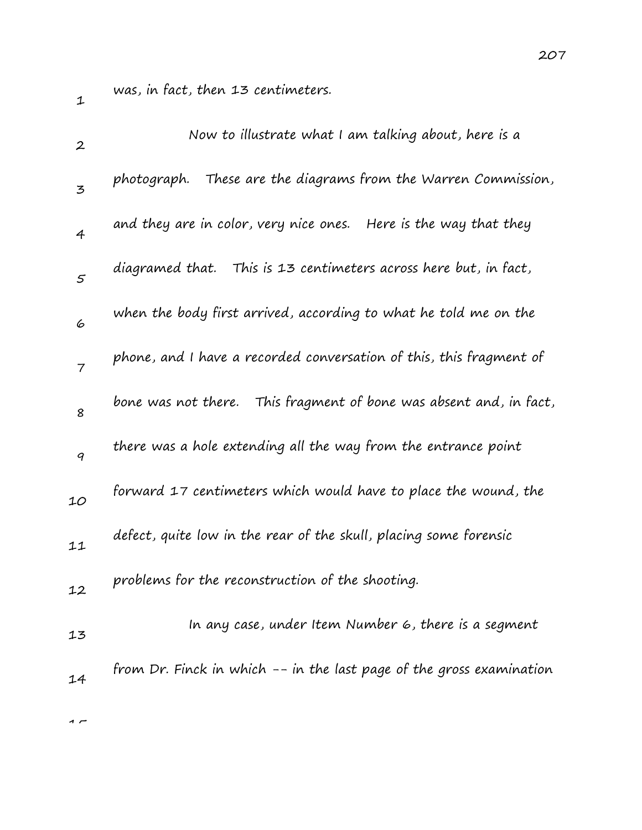1

was, in fact, then 13 centimeters.

| $\boldsymbol{2}$ | Now to illustrate what I am talking about, here is a                 |
|------------------|----------------------------------------------------------------------|
| 3                | These are the diagrams from the Warren Commission,<br>photograph.    |
| $\overline{4}$   | and they are in color, very nice ones.  Here is the way that they    |
| 5                | diagramed that. This is 13 centimeters across here but, in fact,     |
| 6                | when the body first arrived, according to what he told me on the     |
| $\overline{7}$   | phone, and I have a recorded conversation of this, this fragment of  |
| 8                | bone was not there. This fragment of bone was absent and, in fact,   |
| 9                | there was a hole extending all the way from the entrance point       |
| 10               | forward 17 centimeters which would have to place the wound, the      |
| 11               | defect, quite low in the rear of the skull, placing some forensic    |
| 12               | problems for the reconstruction of the shooting.                     |
| 13               | In any case, under Item Number 6, there is a segment                 |
| 14               | from Dr. Finck in which -- in the last page of the gross examination |
| 1 r              |                                                                      |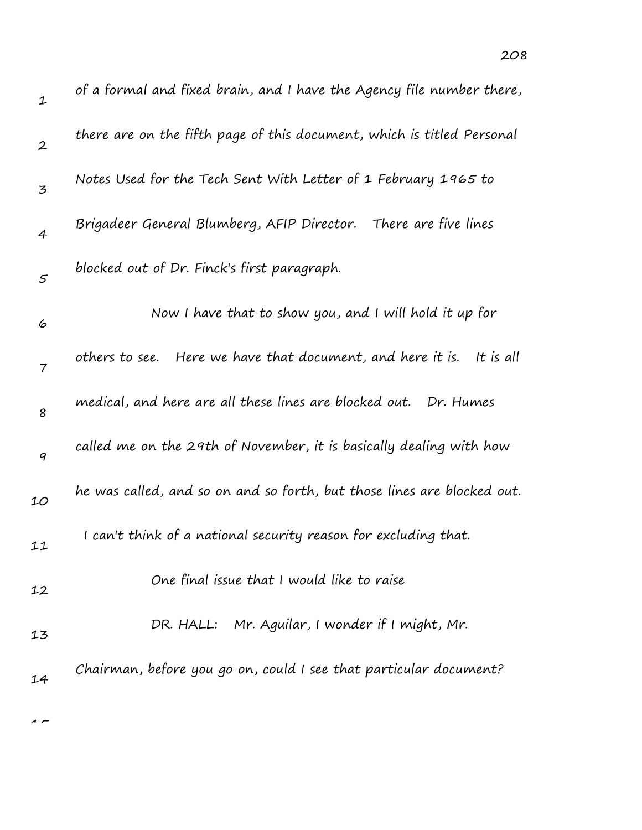| $\mathbf{1}$     | of a formal and fixed brain, and I have the Agency file number there,      |
|------------------|----------------------------------------------------------------------------|
| $\boldsymbol{2}$ | there are on the fifth page of this document, which is titled Personal     |
| 3                | Notes Used for the Tech Sent With Letter of 1 February 1965 to             |
| $\overline{4}$   | Brigadeer General Blumberg, AFIP Director. There are five lines            |
| $\mathfrak{s}$   | blocked out of Dr. Finck's first paragraph.                                |
| 6                | Now I have that to show you, and I will hold it up for                     |
| 7                | Here we have that document, and here it is.<br>It is all<br>others to see. |
| 8                | medical, and here are all these lines are blocked out.<br>Dr. Humes        |
| 9                | called me on the 29th of November, it is basically dealing with how        |
| 10               | he was called, and so on and so forth, but those lines are blocked out.    |
| 11               | I can't think of a national security reason for excluding that.            |
| 12               | One final issue that I would like to raise                                 |
| 13               | DR. HALL: Mr. Aguilar, I wonder if I might, Mr.                            |
| 14               | Chairman, before you go on, could I see that particular document?          |

 $\overline{1}$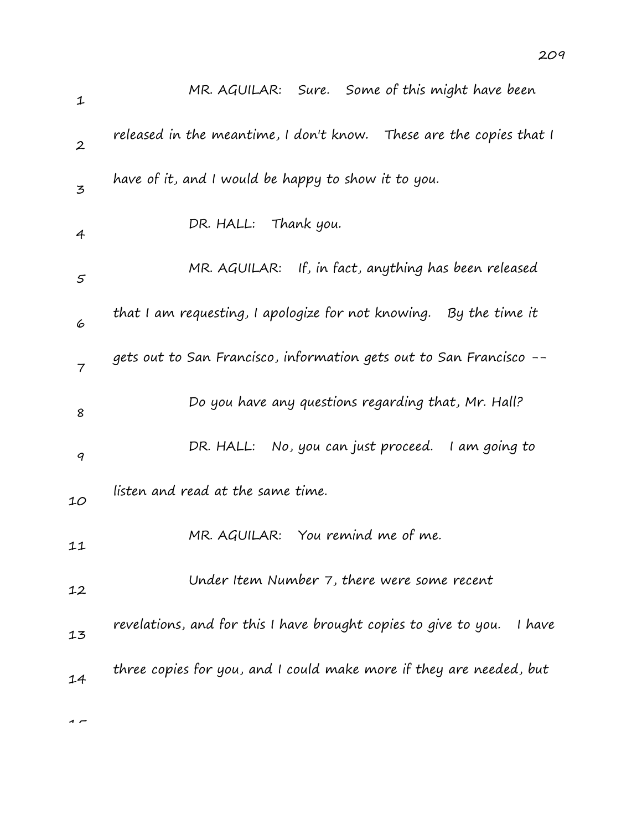| $\mathbf{1}$     | MR. AGUILAR: Sure. Some of this might have been                           |
|------------------|---------------------------------------------------------------------------|
| $\boldsymbol{2}$ | released in the meantime, I don't know. These are the copies that I       |
| 3                | have of it, and I would be happy to show it to you.                       |
| 4                | DR. HALL: Thank you.                                                      |
| 5                | MR. AGUILAR: If, in fact, anything has been released                      |
| 6                | that I am requesting, I apologize for not knowing. By the time it         |
| $\overline{7}$   | gets out to San Francisco, information gets out to San Francisco --       |
| 8                | Do you have any questions regarding that, Mr. Hall?                       |
| 9                | DR. HALL: No, you can just proceed. I am going to                         |
| 10               | listen and read at the same time.                                         |
| 11               | MR. AGUILAR: You remind me of me.                                         |
| 12               | Under Item Number 7, there were some recent                               |
| 13               | revelations, and for this I have brought copies to give to you.<br>I have |
| 14               | three copies for you, and I could make more if they are needed, but       |
|                  |                                                                           |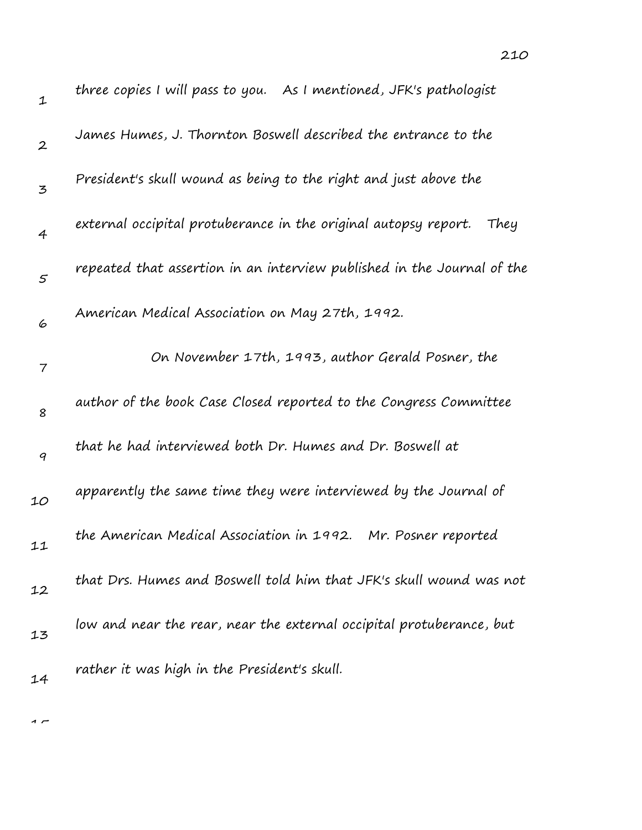| $\mathbf 1$      | three copies I will pass to you. As I mentioned, JFK's pathologist      |
|------------------|-------------------------------------------------------------------------|
| $\boldsymbol{2}$ | James Humes, J. Thornton Boswell described the entrance to the          |
| 3                | President's skull wound as being to the right and just above the        |
| 4                | external occipital protuberance in the original autopsy report.<br>They |
| $\varsigma$      | repeated that assertion in an interview published in the Journal of the |
| 6                | American Medical Association on May 27th, 1992.                         |
| $\overline{7}$   | On November 17th, 1993, author Gerald Posner, the                       |
| 8                | author of the book Case Closed reported to the Congress Committee       |
| 9                | that he had interviewed both Dr. Humes and Dr. Boswell at               |
| 10               | apparently the same time they were interviewed by the Journal of        |
| 11               | the American Medical Association in 1992. Mr. Posner reported           |
| 12               | that Drs. Humes and Boswell told him that JFK's skull wound was not     |
| 13               | low and near the rear, near the external occipital protuberance, but    |
| 14               | rather it was high in the President's skull.                            |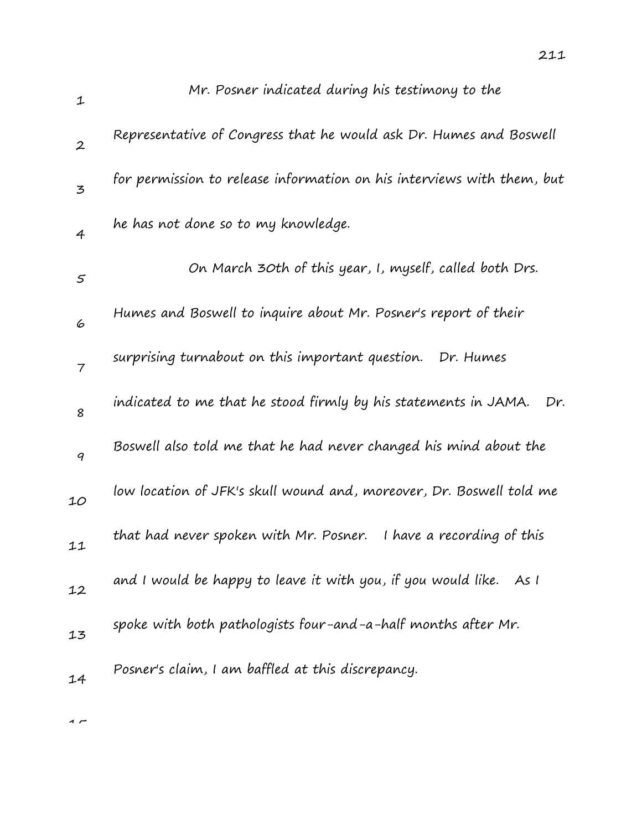| $\mathbf 1$              | Mr. Posner indicated during his testimony to the                       |
|--------------------------|------------------------------------------------------------------------|
| $\boldsymbol{2}$         | Representative of Congress that he would ask Dr. Humes and Boswell     |
| 3                        | for permission to release information on his interviews with them, but |
| $\overline{4}$           | he has not done so to my knowledge.                                    |
| $\varsigma$              | On March 30th of this year, I, myself, called both Drs.                |
| 6                        | Humes and Boswell to inquire about Mr. Posner's report of their        |
| $\overline{\mathcal{I}}$ | surprising turnabout on this important question. Dr. Humes             |
| 8                        | indicated to me that he stood firmly by his statements in JAMA.<br>Dr. |
| 9                        | Boswell also told me that he had never changed his mind about the      |
| 10                       | low location of JFK's skull wound and, moreover, Dr. Boswell told me   |
| 11                       | that had never spoken with Mr. Posner. I have a recording of this      |
| 12                       | and I would be happy to leave it with you, if you would like. As I     |
| 13                       | spoke with both pathologists four-and-a-half months after Mr.          |
| 14                       | Posner's claim, I am baffled at this discrepancy.                      |
|                          |                                                                        |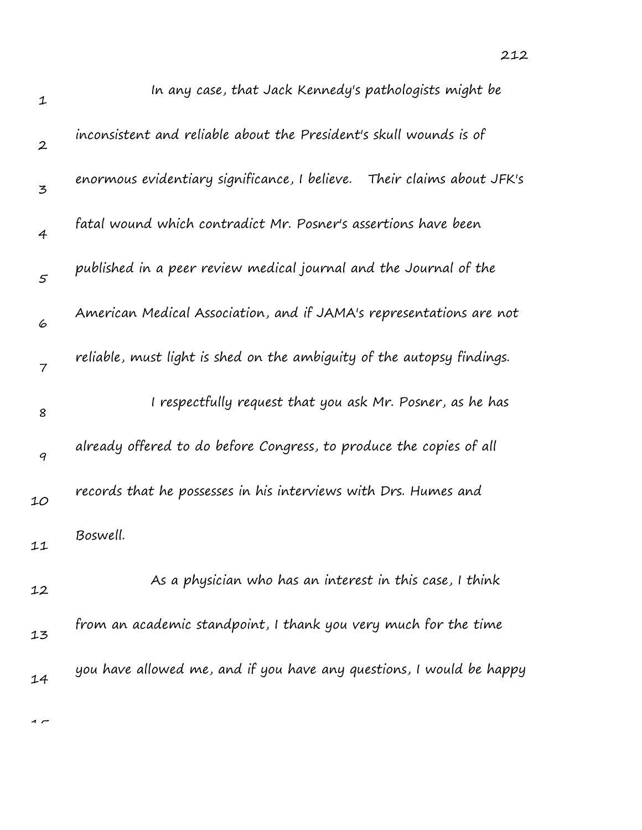| $\mathbf 1$      | In any case, that Jack Kennedy's pathologists might be                 |
|------------------|------------------------------------------------------------------------|
| $\boldsymbol{2}$ | inconsistent and reliable about the President's skull wounds is of     |
| 3                | enormous evidentiary significance, I believe. Their claims about JFK's |
| $\overline{4}$   | fatal wound which contradict Mr. Posner's assertions have been         |
| $\mathfrak{s}$   | published in a peer review medical journal and the Journal of the      |
| 6                | American Medical Association, and if JAMA's representations are not    |
| $\overline{7}$   | reliable, must light is shed on the ambiguity of the autopsy findings. |
| 8                | I respectfully request that you ask Mr. Posner, as he has              |
| 9                | already offered to do before Congress, to produce the copies of all    |
| 10               | records that he possesses in his interviews with Drs. Humes and        |
| 11               | Boswell.                                                               |
| 12               | As a physician who has an interest in this case, I think               |
| 13               | from an academic standpoint, I thank you very much for the time        |
| 14               | you have allowed me, and if you have any questions, I would be happy   |
|                  |                                                                        |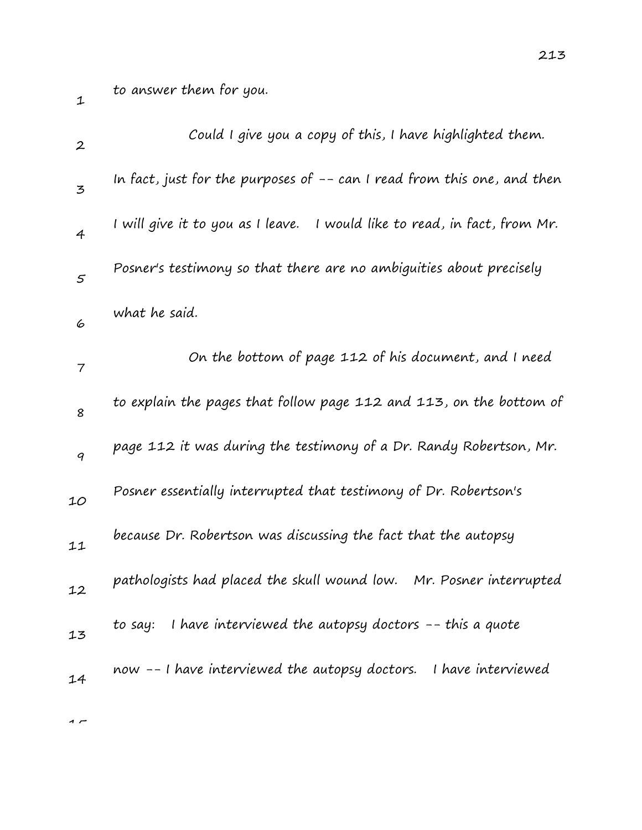to answer them for you.

| $\boldsymbol{2}$         | Could I give you a copy of this, I have highlighted them.                 |
|--------------------------|---------------------------------------------------------------------------|
| 3                        | In fact, just for the purposes of -- can I read from this one, and then   |
| $\overline{4}$           | I will give it to you as I leave. I would like to read, in fact, from Mr. |
| $\varsigma$              | Posner's testimony so that there are no ambiguities about precisely       |
| 6                        | what he said.                                                             |
| $\overline{\phantom{a}}$ | On the bottom of page 112 of his document, and I need                     |
| 8                        | to explain the pages that follow page 112 and 113, on the bottom of       |
| 9                        | page 112 it was during the testimony of a Dr. Randy Robertson, Mr.        |
| 10                       | Posner essentially interrupted that testimony of Dr. Robertson's          |
| 11                       | because Dr. Robertson was discussing the fact that the autopsy            |
| 12                       | pathologists had placed the skull wound low.<br>Mr. Posner interrupted    |
| 13                       | to say: I have interviewed the autopsy doctors -- this a quote            |
| 14                       | now -- I have interviewed the autopsy doctors. I have interviewed         |
|                          |                                                                           |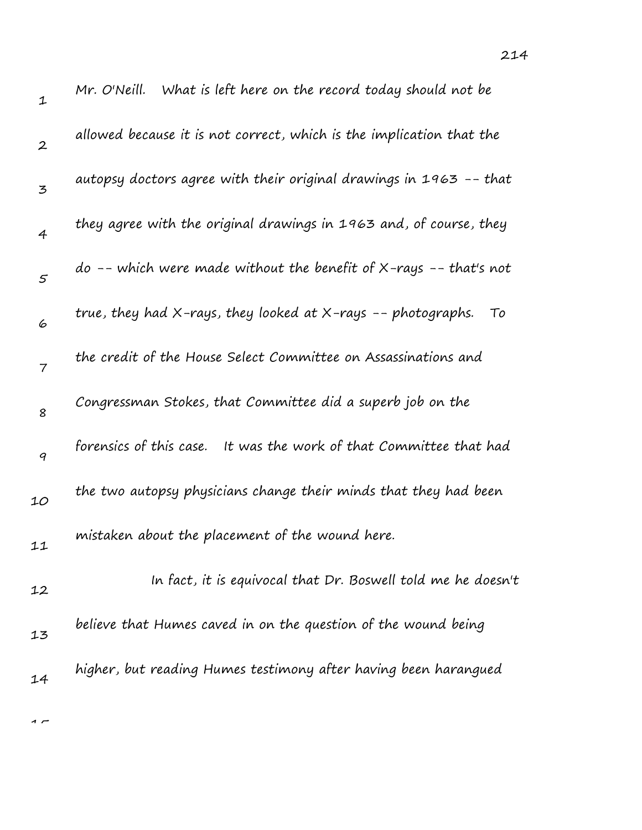| $\mathbf 1$      | Mr. O'Neill. What is left here on the record today should not be      |
|------------------|-----------------------------------------------------------------------|
| $\boldsymbol{2}$ | allowed because it is not correct, which is the implication that the  |
| 3                | autopsy doctors agree with their original drawings in 1963 -- that    |
| $\overline{4}$   | they agree with the original drawings in 1963 and, of course, they    |
| $\mathfrak{s}$   | do -- which were made without the benefit of $X$ -rays -- that's not  |
| 6                | true, they had X-rays, they looked at X-rays -- photographs.<br>To    |
| $\overline{7}$   | the credit of the House Select Committee on Assassinations and        |
| 8                | Congressman Stokes, that Committee did a superb job on the            |
| 9                | forensics of this case.<br>It was the work of that Committee that had |
| 10               | the two autopsy physicians change their minds that they had been      |
| 11               | mistaken about the placement of the wound here.                       |
| 12               | In fact, it is equivocal that Dr. Boswell told me he doesn't          |
| 13               | believe that Humes caved in on the question of the wound being        |
| 14               | higher, but reading Humes testimony after having been harangued       |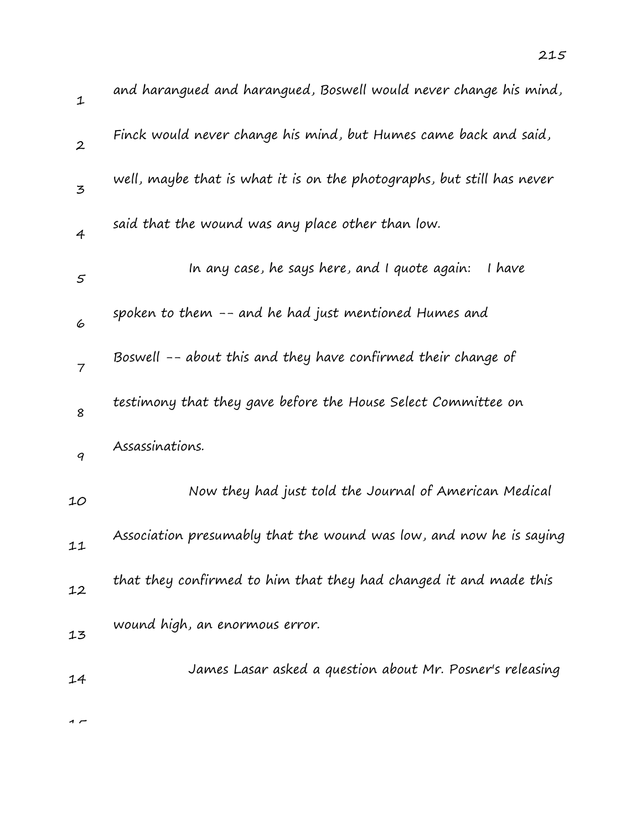| $\mathbf 1$      | and harangued and harangued, Boswell would never change his mind,      |
|------------------|------------------------------------------------------------------------|
| $\boldsymbol{2}$ | Finck would never change his mind, but Humes came back and said,       |
| 3                | well, maybe that is what it is on the photographs, but still has never |
| $\overline{4}$   | said that the wound was any place other than low.                      |
| $\varsigma$      | In any case, he says here, and I quote again:<br>I have                |
| 6                | spoken to them -- and he had just mentioned Humes and                  |
| $\overline{7}$   | Boswell -- about this and they have confirmed their change of          |
| 8                | testimony that they gave before the House Select Committee on          |
| 9                | Assassinations.                                                        |
| 10               | Now they had just told the Journal of American Medical                 |
| 11               | Association presumably that the wound was low, and now he is saying    |
| 12               | that they confirmed to him that they had changed it and made this      |
| 13               | wound high, an enormous error.                                         |
| 14               | James Lasar asked a question about Mr. Posner's releasing              |
|                  |                                                                        |

 $\overline{1}$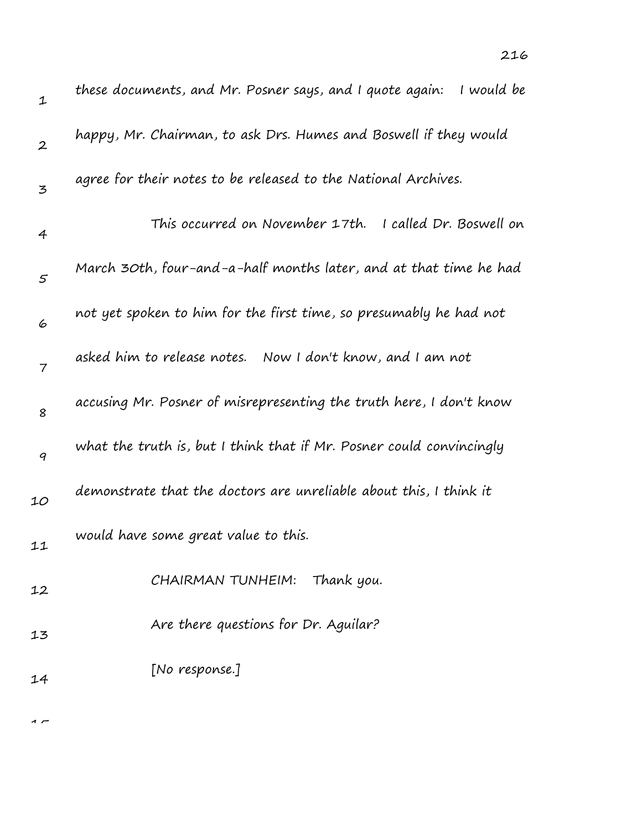| $\mathbf 1$      | I would be<br>these documents, and Mr. Posner says, and I quote again: |
|------------------|------------------------------------------------------------------------|
| $\boldsymbol{2}$ | happy, Mr. Chairman, to ask Drs. Humes and Boswell if they would       |
| 3                | agree for their notes to be released to the National Archives.         |
| 4                | This occurred on November 17th.<br>I called Dr. Boswell on             |
| $\varsigma$      | March 30th, four-and-a-half months later, and at that time he had      |
| 6                | not yet spoken to him for the first time, so presumably he had not     |
| 7                | asked him to release notes. Now I don't know, and I am not             |
| 8                | accusing Mr. Posner of misrepresenting the truth here, I don't know    |
| 9                | what the truth is, but I think that if Mr. Posner could convincingly   |
| 10               | demonstrate that the doctors are unreliable about this, I think it     |
| 11               | would have some great value to this.                                   |
| 12               | CHAIRMAN TUNHEIM: Thank you.                                           |
| 13               | Are there questions for Dr. Aguilar?                                   |
| 14               | [No response.]                                                         |
|                  |                                                                        |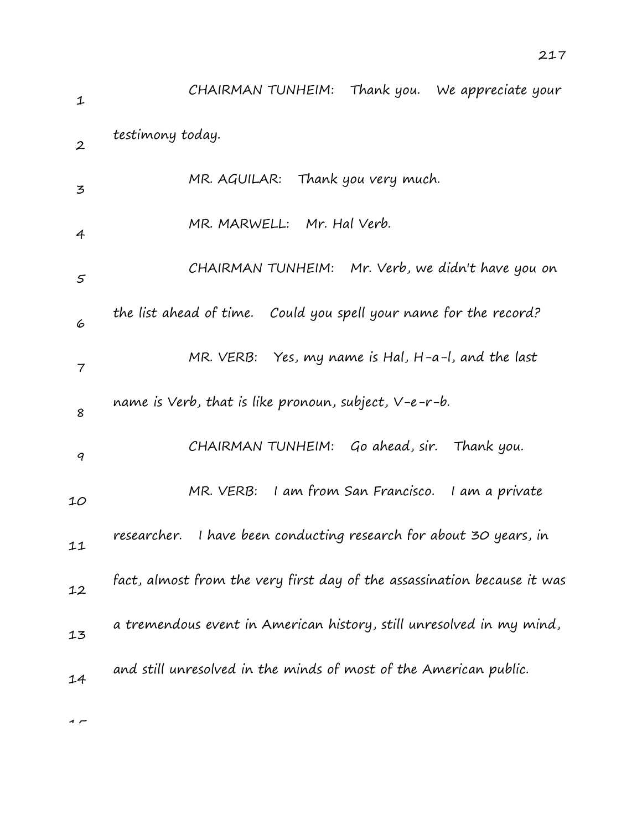1 2 3 4 5 6 7 8 9 10 11 12 13 14 CHAIRMAN TUNHEIM: Thank you. We appreciate your testimony today. MR. AGUILAR: Thank you very much. MR. MARWELL: Mr. Hal Verb. CHAIRMAN TUNHEIM: Mr. Verb, we didn't have you on the list ahead of time. Could you spell your name for the record? MR. VERB: Yes, my name is Hal, H-a-l, and the last name is Verb, that is like pronoun, subject, V-e-r-b. CHAIRMAN TUNHEIM: Go ahead, sir. Thank you. MR. VERB: I am from San Francisco. I am a private researcher. I have been conducting research for about 30 years, in fact, almost from the very first day of the assassination because it was a tremendous event in American history, still unresolved in my mind, and still unresolved in the minds of most of the American public.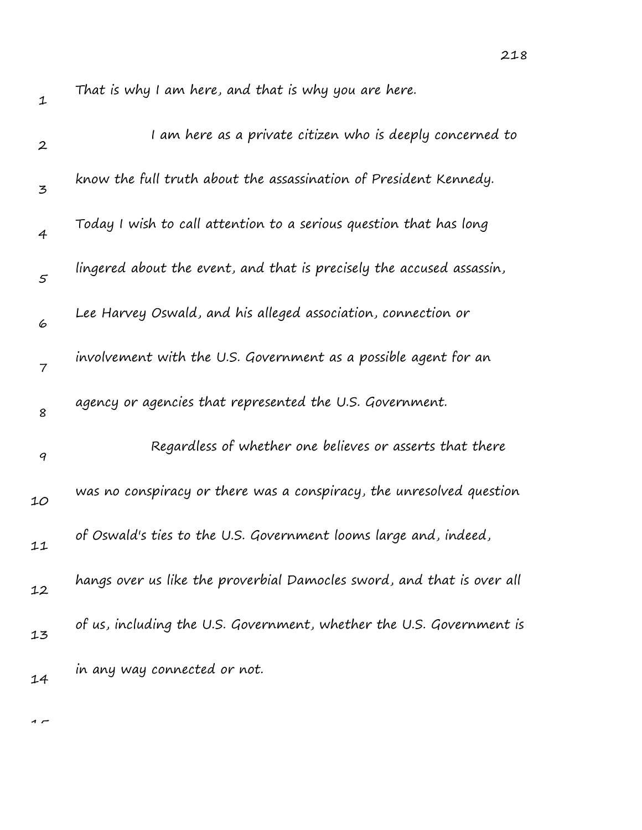| $\boldsymbol{2}$ | I am here as a private citizen who is deeply concerned to              |
|------------------|------------------------------------------------------------------------|
| 3                | know the full truth about the assassination of President Kennedy.      |
| 4                | Today I wish to call attention to a serious question that has long     |
| $\mathfrak{s}$   | lingered about the event, and that is precisely the accused assassin,  |
| 6                | Lee Harvey Oswald, and his alleged association, connection or          |
| $\overline{7}$   | involvement with the U.S. Government as a possible agent for an        |
| 8                | agency or agencies that represented the U.S. Government.               |
| 9                | Regardless of whether one believes or asserts that there               |
| 10               | was no conspiracy or there was a conspiracy, the unresolved question   |
| 11               | of Oswald's ties to the U.S. Government looms large and, indeed,       |
| 12               | hangs over us like the proverbial Damocles sword, and that is over all |
| 13               | of us, including the U.S. Government, whether the U.S. Government is   |
| 14               | in any way connected or not.                                           |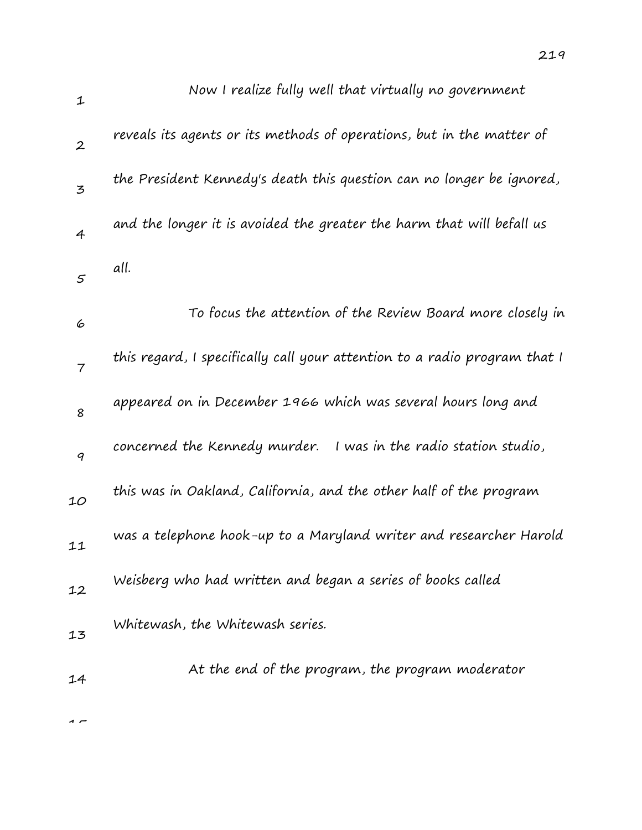| $\mathbf{1}$     | Now I realize fully well that virtually no government                     |
|------------------|---------------------------------------------------------------------------|
| $\boldsymbol{2}$ | reveals its agents or its methods of operations, but in the matter of     |
| $\mathbf{z}$     | the President Kennedy's death this question can no longer be ignored,     |
| $\overline{4}$   | and the longer it is avoided the greater the harm that will befall us     |
| 5                | all.                                                                      |
| 6                | To focus the attention of the Review Board more closely in                |
| $\overline{7}$   | this regard, I specifically call your attention to a radio program that I |
| 8                | appeared on in December 1966 which was several hours long and             |
| 9                | concerned the Kennedy murder.<br>I was in the radio station studio,       |
| 10               | this was in Oakland, California, and the other half of the program        |
| 11               | was a telephone hook-up to a Maryland writer and researcher Harold        |
| 12               | Weisberg who had written and began a series of books called               |
| 13               | Whitewash, the Whitewash series.                                          |
| 14               | At the end of the program, the program moderator                          |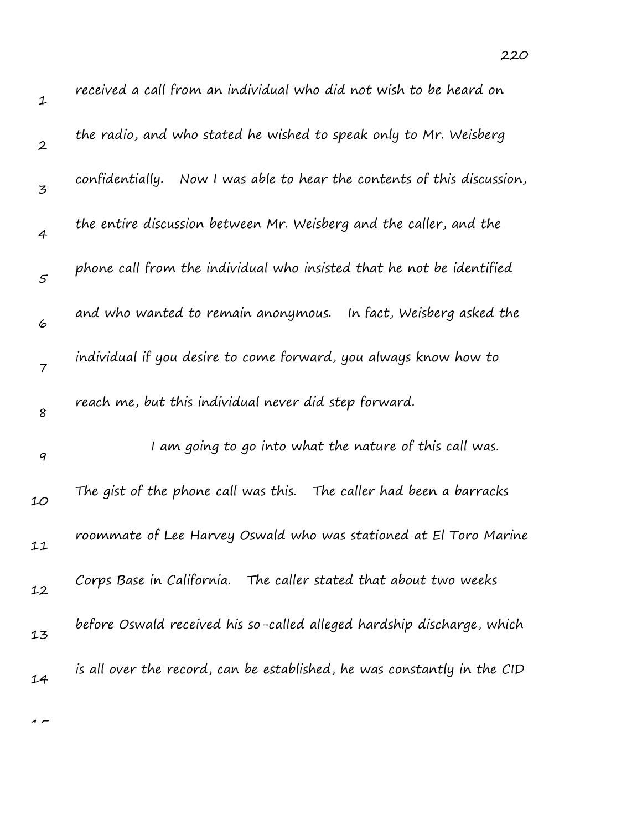| $\mathbf 1$      | received a call from an individual who did not wish to be heard on         |
|------------------|----------------------------------------------------------------------------|
| $\boldsymbol{2}$ | the radio, and who stated he wished to speak only to Mr. Weisberg          |
| 3                | confidentially.<br>Now I was able to hear the contents of this discussion, |
| 4                | the entire discussion between Mr. Weisberg and the caller, and the         |
| $\mathfrak{s}$   | phone call from the individual who insisted that he not be identified      |
| 6                | and who wanted to remain anonymous. In fact, Weisberg asked the            |
| 7                | individual if you desire to come forward, you always know how to           |
| 8                | reach me, but this individual never did step forward.                      |
| $\boldsymbol{q}$ | I am going to go into what the nature of this call was.                    |
| 10               | The gist of the phone call was this. The caller had been a barracks        |
| 11               | roommate of Lee Harvey Oswald who was stationed at El Toro Marine          |
| 12               | Corps Base in California. The caller stated that about two weeks           |
| 13               | before Oswald received his so-called alleged hardship discharge, which     |
| 14               | is all over the record, can be established, he was constantly in the CID   |
|                  |                                                                            |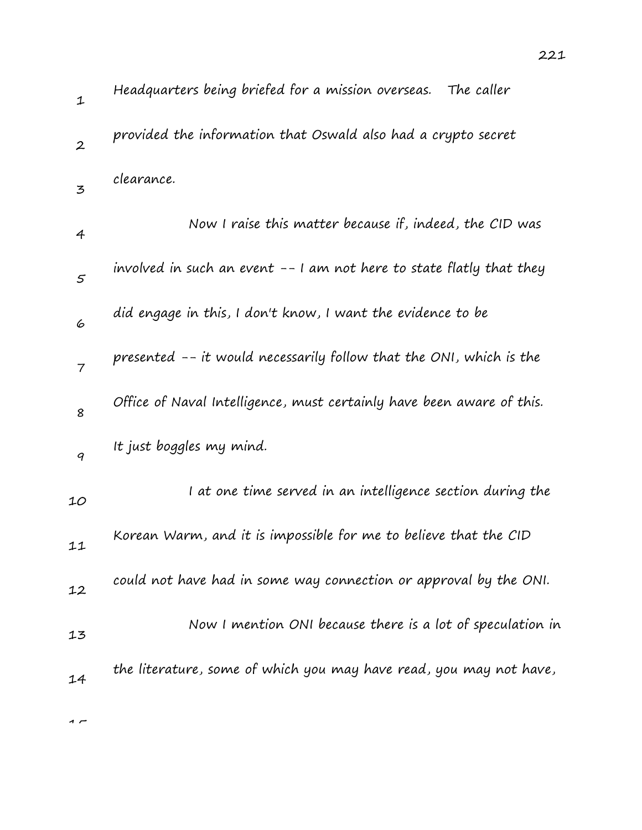| $\mathbf{1}$     | Headquarters being briefed for a mission overseas. The caller         |
|------------------|-----------------------------------------------------------------------|
| $\boldsymbol{2}$ | provided the information that Oswald also had a crypto secret         |
| $\overline{5}$   | clearance.                                                            |
| 4                | Now I raise this matter because if, indeed, the CID was               |
| $\varsigma$      | involved in such an event -- I am not here to state flatly that they  |
| 6                | did engage in this, I don't know, I want the evidence to be           |
| $\overline{7}$   | presented -- it would necessarily follow that the ONI, which is the   |
| 8                | Office of Naval Intelligence, must certainly have been aware of this. |
| 9                | It just boggles my mind.                                              |
| 10               | I at one time served in an intelligence section during the            |
| 11               | Korean Warm, and it is impossible for me to believe that the CID      |
| 12               | could not have had in some way connection or approval by the ONI.     |
| 13               | Now I mention ONI because there is a lot of speculation in            |
| 14               | the literature, some of which you may have read, you may not have,    |
|                  |                                                                       |

221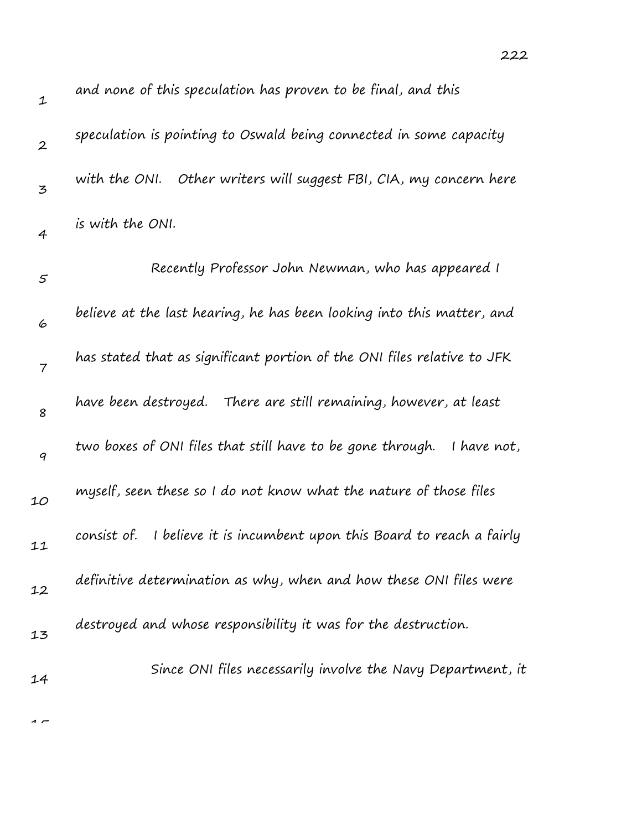| $\mathbf 1$      | and none of this speculation has proven to be final, and this              |
|------------------|----------------------------------------------------------------------------|
| $\boldsymbol{2}$ | speculation is pointing to Oswald being connected in some capacity         |
| 3                | with the ONI. Other writers will suggest FBI, CIA, my concern here         |
| 4                | is with the ONI.                                                           |
| 5                | Recently Professor John Newman, who has appeared I                         |
| 6                | believe at the last hearing, he has been looking into this matter, and     |
| $\overline{7}$   | has stated that as significant portion of the ONI files relative to JFK    |
| 8                | have been destroyed. There are still remaining, however, at least          |
| $\boldsymbol{q}$ | two boxes of ONI files that still have to be gone through.<br>I have not,  |
| 10               | myself, seen these so I do not know what the nature of those files         |
| 11               | I believe it is incumbent upon this Board to reach a fairly<br>consist of. |
| 12               | definitive determination as why, when and how these ONI files were         |
| 13               | destroyed and whose responsibility it was for the destruction.             |
| 14               | Since ONI files necessarily involve the Navy Department, it                |
|                  |                                                                            |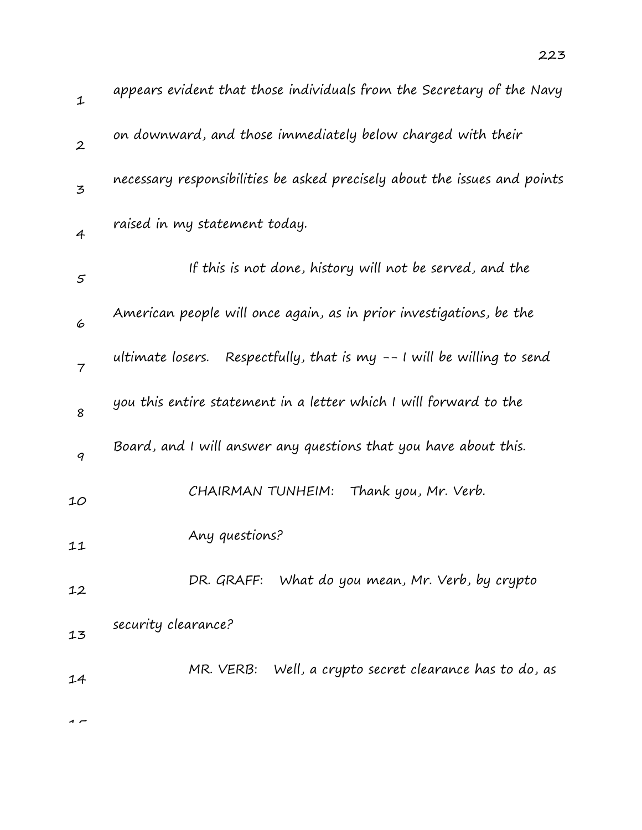| 1                | appears evident that those individuals from the Secretary of the Navy     |
|------------------|---------------------------------------------------------------------------|
| $\boldsymbol{2}$ | on downward, and those immediately below charged with their               |
| 3                | necessary responsibilities be asked precisely about the issues and points |
| 4                | raised in my statement today.                                             |
| $\varsigma$      | If this is not done, history will not be served, and the                  |
| 6                | American people will once again, as in prior investigations, be the       |
| 7                | ultimate losers. Respectfully, that is my $-1$ will be willing to send    |
| 8                | you this entire statement in a letter which I will forward to the         |
| 9                | Board, and I will answer any questions that you have about this.          |
| 10               | CHAIRMAN TUNHEIM:<br>Thank you, Mr. Verb.                                 |
| 11               | Any questions?                                                            |
| 12               | DR. GRAFF: What do you mean, Mr. Verb, by crypto                          |
| 13               | security clearance?                                                       |
| 14               | MR. VERB: Well, a crypto secret clearance has to do, as                   |
|                  |                                                                           |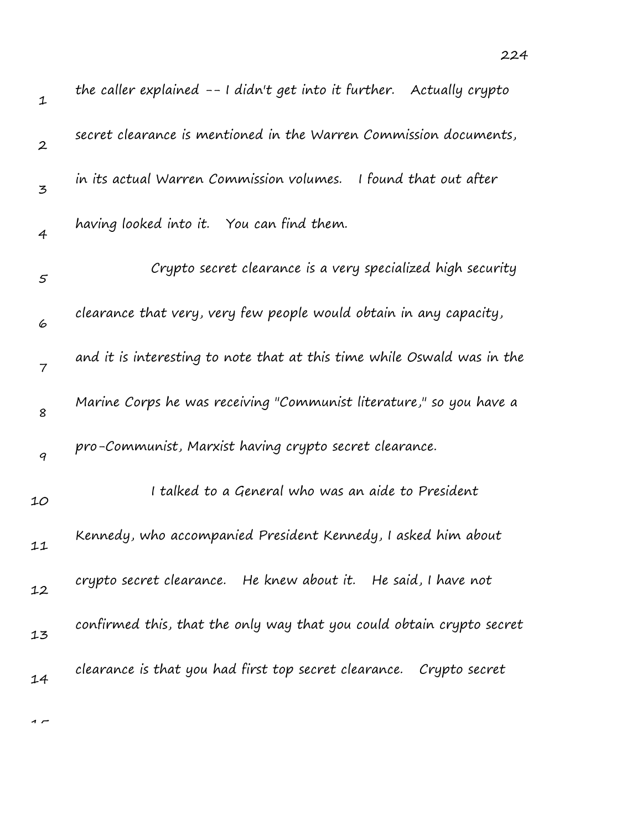| $\mathbf 1$    | the caller explained $-1$ didn't get into it further. Actually crypto   |
|----------------|-------------------------------------------------------------------------|
| $\overline{2}$ | secret clearance is mentioned in the Warren Commission documents,       |
| 3              | in its actual Warren Commission volumes. I found that out after         |
| $\overline{4}$ | having looked into it. You can find them.                               |
| 5              | Crypto secret clearance is a very specialized high security             |
| 6              | clearance that very, very few people would obtain in any capacity,      |
| $\overline{7}$ | and it is interesting to note that at this time while Oswald was in the |
| 8              | Marine Corps he was receiving "Communist literature," so you have a     |
| 9              | pro-Communist, Marxist having crypto secret clearance.                  |
| 10             | I talked to a General who was an aide to President                      |
| 11             | Kennedy, who accompanied President Kennedy, I asked him about           |
| 12             | crypto secret clearance. He knew about it. He said, I have not          |
| 13             | confirmed this, that the only way that you could obtain crypto secret   |
| 14             | clearance is that you had first top secret clearance.  Crypto secret    |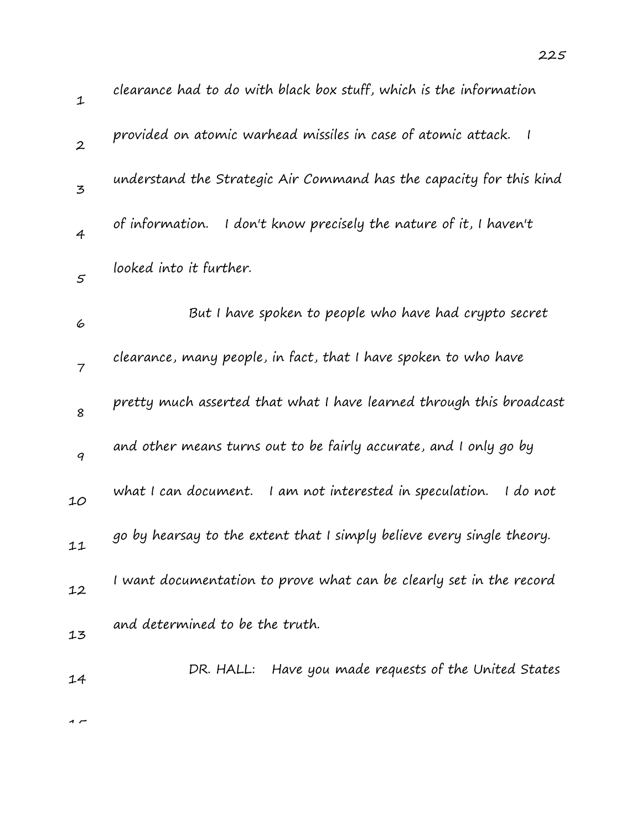| $\mathbf 1$      | clearance had to do with black box stuff, which is the information                        |
|------------------|-------------------------------------------------------------------------------------------|
| $\boldsymbol{2}$ | provided on atomic warhead missiles in case of atomic attack.<br>$\overline{\phantom{a}}$ |
| 3                | understand the Strategic Air Command has the capacity for this kind                       |
| $\overline{4}$   | of information.<br>I don't know precisely the nature of it, I haven't                     |
| $\mathfrak{s}$   | looked into it further.                                                                   |
| 6                | But I have spoken to people who have had crypto secret                                    |
| $\overline{7}$   | clearance, many people, in fact, that I have spoken to who have                           |
| 8                | pretty much asserted that what I have learned through this broadcast                      |
| 9                | and other means turns out to be fairly accurate, and I only go by                         |
| 10               | what I can document.<br>I am not interested in speculation.<br>I do not                   |
| 11               | go by hearsay to the extent that I simply believe every single theory.                    |
| 12               | I want documentation to prove what can be clearly set in the record                       |
| 13               | and determined to be the truth.                                                           |
| 14               | DR. HALL: Have you made requests of the United States                                     |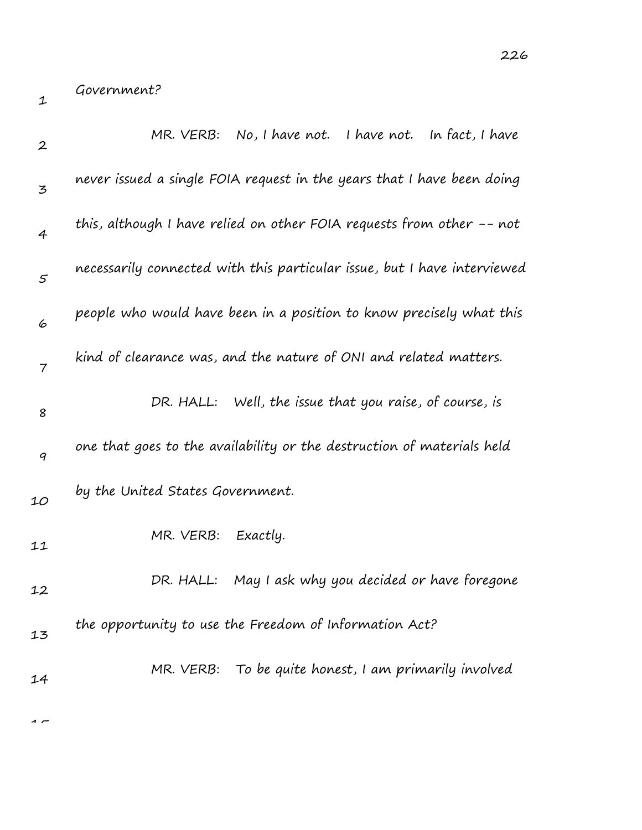1

| $\boldsymbol{2}$ | MR. VERB: No, I have not. I have not. In fact, I have                    |
|------------------|--------------------------------------------------------------------------|
| 3                | never issued a single FOIA request in the years that I have been doing   |
| 4                | this, although I have relied on other FOIA requests from other -- not    |
| $\varsigma$      | necessarily connected with this particular issue, but I have interviewed |
| 6                | people who would have been in a position to know precisely what this     |
| $\overline{7}$   | kind of clearance was, and the nature of ONI and related matters.        |
| 8                | DR. HALL: Well, the issue that you raise, of course, is                  |
| 9                | one that goes to the availability or the destruction of materials held   |
| 10               | by the United States Government.                                         |
| 11               | MR. VERB:<br>Exactly.                                                    |
| 12               | May I ask why you decided or have foregone<br>DR. HALL:                  |
| 13               | the opportunity to use the Freedom of Information Act?                   |
| 14               | MR. VERB: To be quite honest, I am primarily involved                    |
|                  |                                                                          |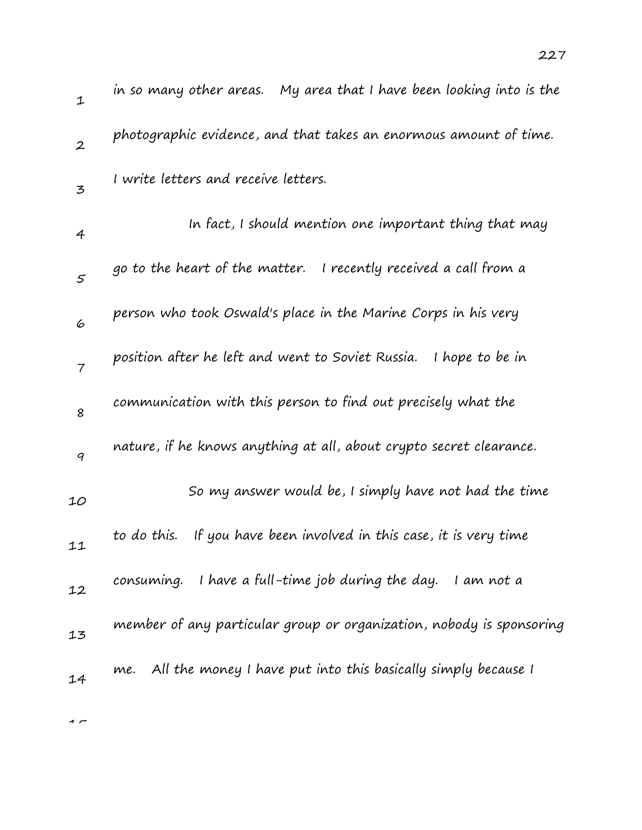| in so many other areas.    My area that I have been looking into is the |
|-------------------------------------------------------------------------|
| photographic evidence, and that takes an enormous amount of time.       |
| I write letters and receive letters.                                    |
| In fact, I should mention one important thing that may                  |
| go to the heart of the matter. I recently received a call from a        |
| person who took Oswald's place in the Marine Corps in his very          |
| position after he left and went to Soviet Russia. I hope to be in       |
| communication with this person to find out precisely what the           |
| nature, if he knows anything at all, about crypto secret clearance.     |
| So my answer would be, I simply have not had the time                   |
| If you have been involved in this case, it is very time<br>to do this.  |
| I have a full-time job during the day.<br>consuming.<br>I am not a      |
| member of any particular group or organization, nobody is sponsoring    |
| All the money I have put into this basically simply because I<br>me.    |
|                                                                         |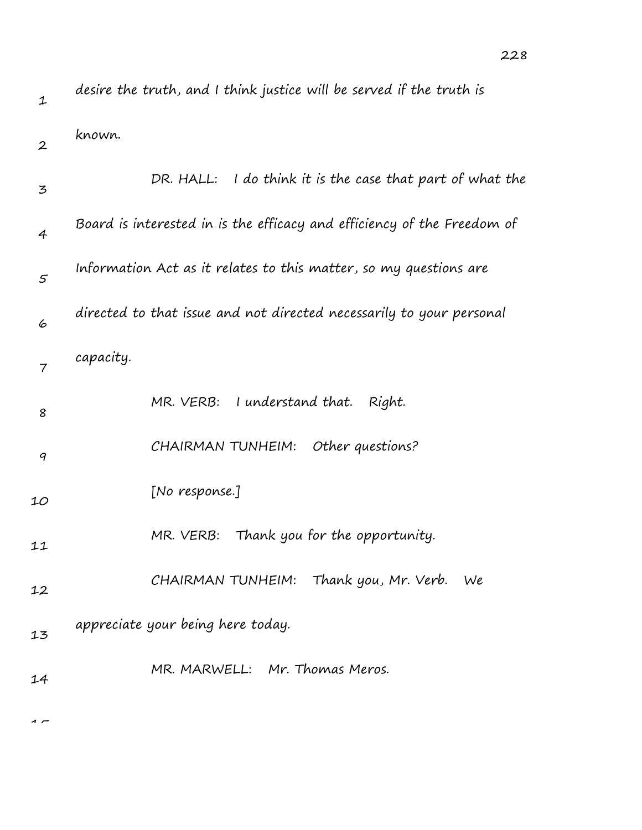| $\mathbf 1$      | desire the truth, and I think justice will be served if the truth is    |
|------------------|-------------------------------------------------------------------------|
| $\boldsymbol{2}$ | known.                                                                  |
| 3                | DR. HALL: I do think it is the case that part of what the               |
| $\overline{4}$   | Board is interested in is the efficacy and efficiency of the Freedom of |
| 5                | Information Act as it relates to this matter, so my questions are       |
| 6                | directed to that issue and not directed necessarily to your personal    |
| $\overline{7}$   | capacity.                                                               |
| 8                | MR. VERB: I understand that.<br>Right.                                  |
| 9                | CHAIRMAN TUNHEIM:<br>Other questions?                                   |
| 10               | [No response.]                                                          |
| 11               | Thank you for the opportunity.<br>MR. VERB:                             |
| 12               | CHAIRMAN TUNHEIM: Thank you, Mr. Verb.<br>We                            |
| 13               | appreciate your being here today.                                       |
| 14               | MR. MARWELL: Mr. Thomas Meros.                                          |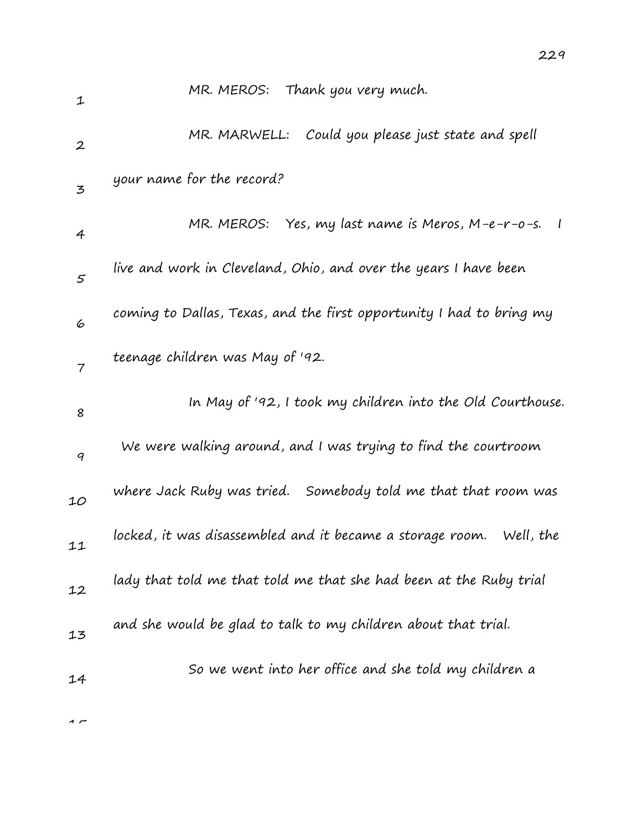| $\mathbf 1$      | MR. MEROS: Thank you very much.                                               |
|------------------|-------------------------------------------------------------------------------|
| $\boldsymbol{2}$ | MR. MARWELL: Could you please just state and spell                            |
| 3                | your name for the record?                                                     |
| $\overline{4}$   | MR. MEROS: Yes, my last name is Meros, M-e-r-o-s.<br>$\overline{\phantom{a}}$ |
| $\mathfrak{s}$   | live and work in Cleveland, Ohio, and over the years I have been              |
| 6                | coming to Dallas, Texas, and the first opportunity I had to bring my          |
| $\overline{7}$   | teenage children was May of '92.                                              |
| 8                | In May of '92, I took my children into the Old Courthouse.                    |
| 9                | We were walking around, and I was trying to find the courtroom                |
| 10               | where Jack Ruby was tried. Somebody told me that that room was                |
| 11               | locked, it was disassembled and it became a storage room.<br>Well, the        |
| 12               | lady that told me that told me that she had been at the Ruby trial            |
| 13               | and she would be glad to talk to my children about that trial.                |
| 14               | So we went into her office and she told my children a                         |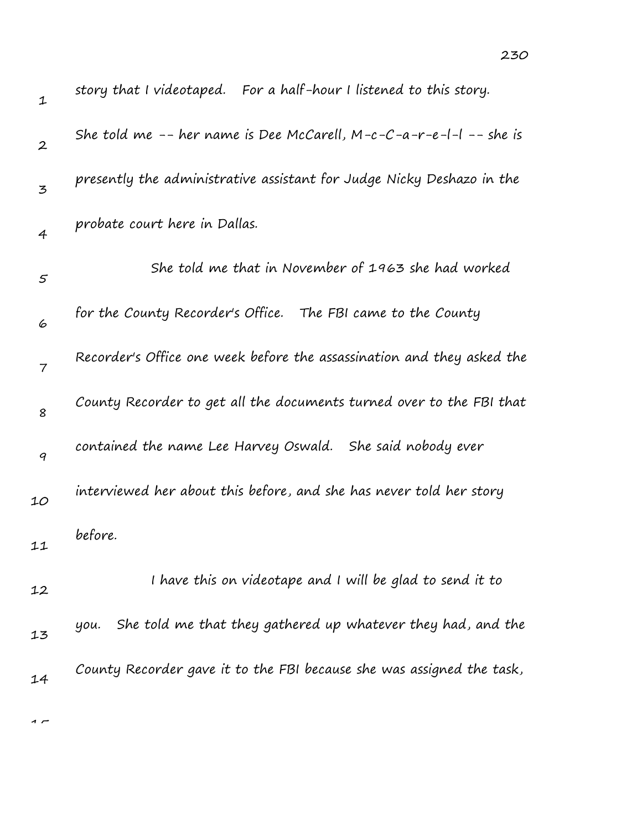| $\mathbf{1}$     | story that I videotaped. For a half-hour I listened to this story.     |
|------------------|------------------------------------------------------------------------|
| $\boldsymbol{2}$ | She told me -- her name is Dee McCarell, $M-c-C-a-r-e-l-1$ -- she is   |
| 3                | presently the administrative assistant for Judge Nicky Deshazo in the  |
| 4                | probate court here in Dallas.                                          |
| 5                | She told me that in November of 1963 she had worked                    |
| 6                | for the County Recorder's Office. The FBI came to the County           |
| 7                | Recorder's Office one week before the assassination and they asked the |
| 8                | County Recorder to get all the documents turned over to the FBI that   |
| 9                | contained the name Lee Harvey Oswald. She said nobody ever             |
| 10               | interviewed her about this before, and she has never told her story    |
| 11               | before.                                                                |
| 12               | I have this on videotape and I will be glad to send it to              |
| 13               | She told me that they gathered up whatever they had, and the<br>уои.   |
| 14               | County Recorder gave it to the FBI because she was assigned the task,  |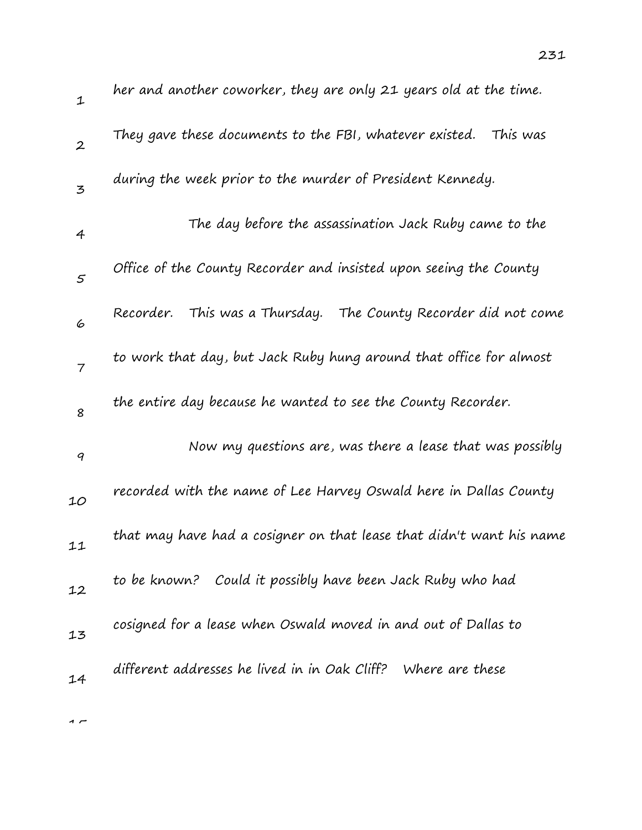| $\mathbf 1$              | her and another coworker, they are only 21 years old at the time.    |
|--------------------------|----------------------------------------------------------------------|
| $\boldsymbol{2}$         | They gave these documents to the FBI, whatever existed. This was     |
| 3                        | during the week prior to the murder of President Kennedy.            |
| 4                        | The day before the assassination Jack Ruby came to the               |
| 5                        | Office of the County Recorder and insisted upon seeing the County    |
| 6                        | Recorder. This was a Thursday. The County Recorder did not come      |
| $\overline{\phantom{a}}$ | to work that day, but Jack Ruby hung around that office for almost   |
| 8                        | the entire day because he wanted to see the County Recorder.         |
| 9                        | Now my questions are, was there a lease that was possibly            |
| 10                       | recorded with the name of Lee Harvey Oswald here in Dallas County    |
| 11                       | that may have had a cosigner on that lease that didn't want his name |
| 12                       | to be known? Could it possibly have been Jack Ruby who had           |
| 13                       | cosigned for a lease when Oswald moved in and out of Dallas to       |
| 14                       | different addresses he lived in in Oak Cliff? Where are these        |
|                          |                                                                      |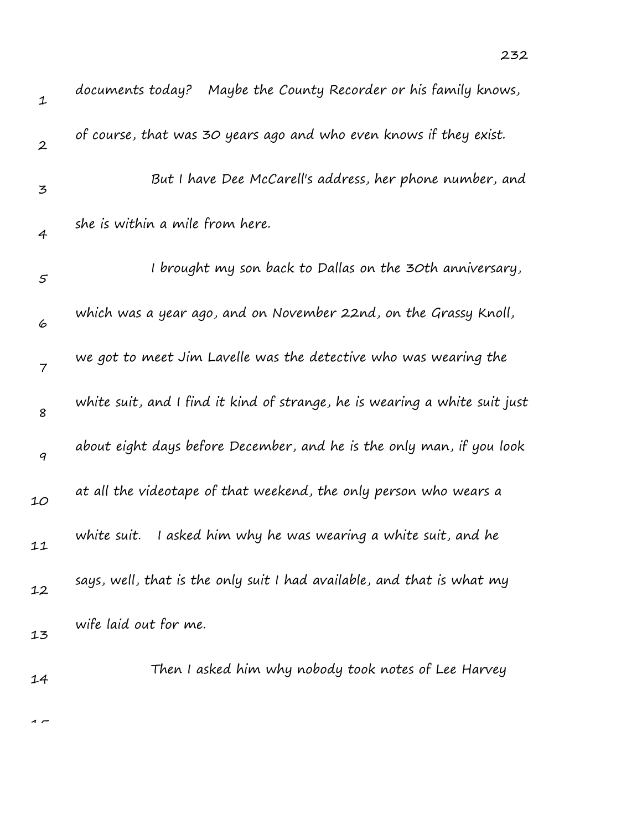| $\mathbf{1}$     | documents today? Maybe the County Recorder or his family knows,            |
|------------------|----------------------------------------------------------------------------|
| $\boldsymbol{2}$ | of course, that was 30 years ago and who even knows if they exist.         |
| 3                | But I have Dee McCarell's address, her phone number, and                   |
| 4                | she is within a mile from here.                                            |
| $\varsigma$      | I brought my son back to Dallas on the 30th anniversary,                   |
| 6                | which was a year ago, and on November 22nd, on the Grassy Knoll,           |
| $\overline{7}$   | we got to meet Jim Lavelle was the detective who was wearing the           |
| 8                | white suit, and I find it kind of strange, he is wearing a white suit just |
| 9                | about eight days before December, and he is the only man, if you look      |
| 10               | at all the videotape of that weekend, the only person who wears a          |
| 11               | white suit.<br>I asked him why he was wearing a white suit, and he         |
| 12               | says, well, that is the only suit I had available, and that is what my     |
| 13               | wife laid out for me.                                                      |
| 14               | Then I asked him why nobody took notes of Lee Harvey                       |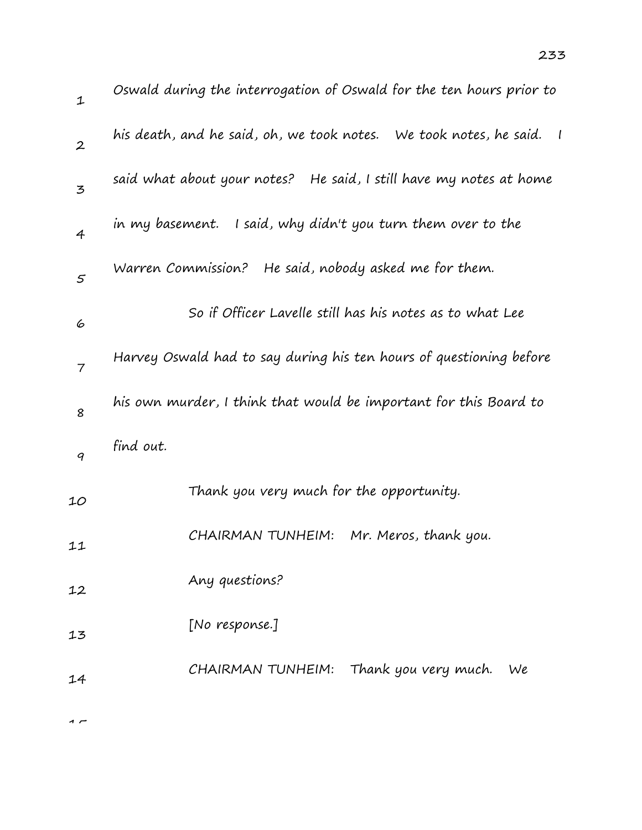| $\mathbf 1$      | Oswald during the interrogation of Oswald for the ten hours prior to      |
|------------------|---------------------------------------------------------------------------|
| $\boldsymbol{2}$ | his death, and he said, oh, we took notes.   We took notes, he said.    I |
| 3                | said what about your notes? He said, I still have my notes at home        |
| $\overline{4}$   | in my basement. I said, why didn't you turn them over to the              |
| $\varsigma$      | Warren Commission? He said, nobody asked me for them.                     |
| 6                | So if Officer Lavelle still has his notes as to what Lee                  |
| $\overline{7}$   | Harvey Oswald had to say during his ten hours of questioning before       |
| 8                | his own murder, I think that would be important for this Board to         |
| 9                | find out.                                                                 |
| 10               | Thank you very much for the opportunity.                                  |
| 11               | CHAIRMAN TUNHEIM:<br>Mr. Meros, thank you.                                |
| 12               | Any questions?                                                            |
| 13               | [No response.]                                                            |
| 14               | CHAIRMAN TUNHEIM: Thank you very much.<br>We                              |
|                  |                                                                           |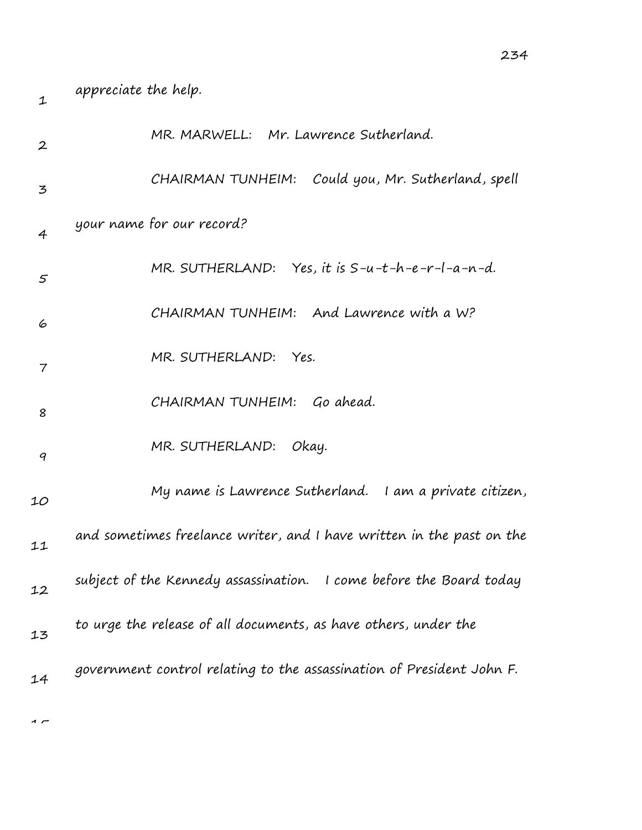| 1                | appreciate the help.                                                  |
|------------------|-----------------------------------------------------------------------|
| $\boldsymbol{2}$ | MR. MARWELL: Mr. Lawrence Sutherland.                                 |
| $\mathbf{z}$     | CHAIRMAN TUNHEIM:<br>Could you, Mr. Sutherland, spell                 |
| 4                | your name for our record?                                             |
| 5                | MR. SUTHERLAND: Yes, it is $S-u-t-h-e-r-l-a-n-d$ .                    |
| 6                | CHAIRMAN TUNHEIM: And Lawrence with a W?                              |
| $\overline{7}$   | MR. SUTHERLAND: Yes.                                                  |
| 8                | CHAIRMAN TUNHEIM: Go ahead.                                           |
| 9                | MR. SUTHERLAND: Okay.                                                 |
| 10               | My name is Lawrence Sutherland. I am a private citizen,               |
| 11               | and sometimes freelance writer, and I have written in the past on the |
| 12               | subject of the Kennedy assassination. I come before the Board today   |
| 13               | to urge the release of all documents, as have others, under the       |
| 14               | government control relating to the assassination of President John F. |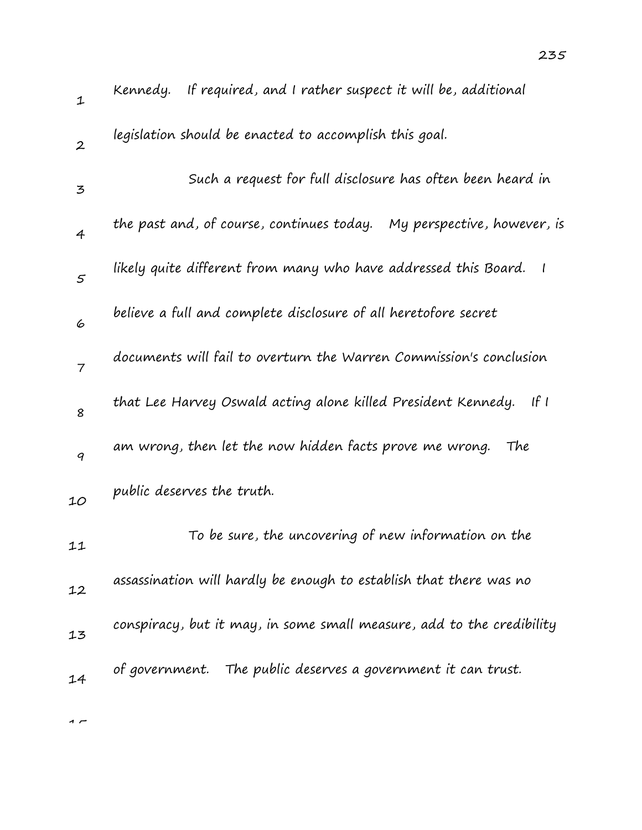| $\mathbf 1$      | Kennedy. If required, and I rather suspect it will be, additional                |
|------------------|----------------------------------------------------------------------------------|
| $\boldsymbol{2}$ | legislation should be enacted to accomplish this goal.                           |
| 3                | Such a request for full disclosure has often been heard in                       |
| 4                | the past and, of course, continues today. My perspective, however, is            |
| $\mathcal{S}$    | likely quite different from many who have addressed this Board.<br>$\frac{1}{2}$ |
| 6                | believe a full and complete disclosure of all heretofore secret                  |
| $\overline{7}$   | documents will fail to overturn the Warren Commission's conclusion               |
| 8                | that Lee Harvey Oswald acting alone killed President Kennedy. If I               |
| 9                | am wrong, then let the now hidden facts prove me wrong.<br>The                   |
| 10               | public deserves the truth.                                                       |
| 11               | To be sure, the uncovering of new information on the                             |
| 12               | assassination will hardly be enough to establish that there was no               |
| 13               | conspiracy, but it may, in some small measure, add to the credibility            |
| 14               | of government. The public deserves a government it can trust.                    |
|                  |                                                                                  |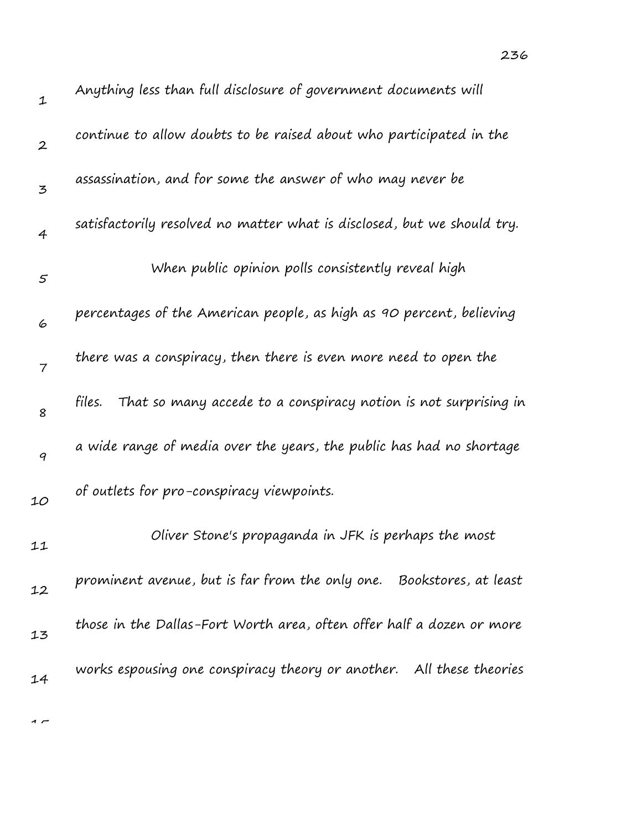| $\mathbf 1$      | Anything less than full disclosure of government documents will           |
|------------------|---------------------------------------------------------------------------|
| $\boldsymbol{2}$ | continue to allow doubts to be raised about who participated in the       |
| 3                | assassination, and for some the answer of who may never be                |
| 4                | satisfactorily resolved no matter what is disclosed, but we should try.   |
| $\varsigma$      | When public opinion polls consistently reveal high                        |
| 6                | percentages of the American people, as high as 90 percent, believing      |
| $\overline{7}$   | there was a conspiracy, then there is even more need to open the          |
| 8                | That so many accede to a conspiracy notion is not surprising in<br>files. |
| 9                | a wide range of media over the years, the public has had no shortage      |
| 10               | of outlets for pro-conspiracy viewpoints.                                 |
| 11               | Oliver Stone's propaganda in JFK is perhaps the most                      |
| 12               | prominent avenue, but is far from the only one. Bookstores, at least      |
| 13               | those in the Dallas-Fort Worth area, often offer half a dozen or more     |
| 14               | works espousing one conspiracy theory or another. All these theories      |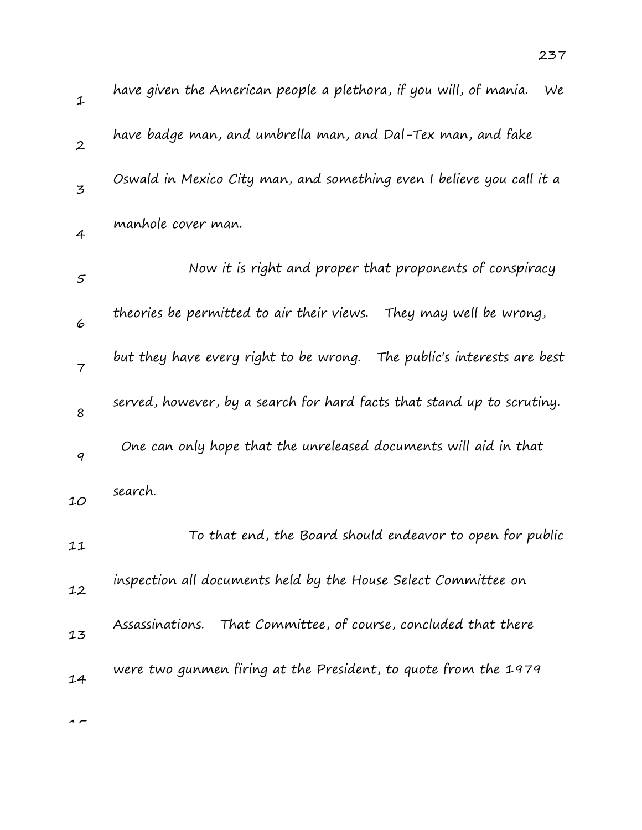| $\mathbf{1}$   | have given the American people a plethora, if you will, of mania.<br>We |
|----------------|-------------------------------------------------------------------------|
| $\overline{2}$ | have badge man, and umbrella man, and Dal-Tex man, and fake             |
| 3              | Oswald in Mexico City man, and something even I believe you call it a   |
| $\overline{4}$ | manhole cover man.                                                      |
| $\varsigma$    | Now it is right and proper that proponents of conspiracy                |
| 6              | theories be permitted to air their views.<br>They may well be wrong,    |
| $\overline{7}$ | but they have every right to be wrong. The public's interests are best  |
| 8              | served, however, by a search for hard facts that stand up to scrutiny.  |
| 9              | One can only hope that the unreleased documents will aid in that        |
| 10             | search.                                                                 |
| 11             | To that end, the Board should endeavor to open for public               |
| 12             | inspection all documents held by the House Select Committee on          |
| 13             | Assassinations. That Committee, of course, concluded that there         |
| 14             | were two gunmen firing at the President, to quote from the 1979         |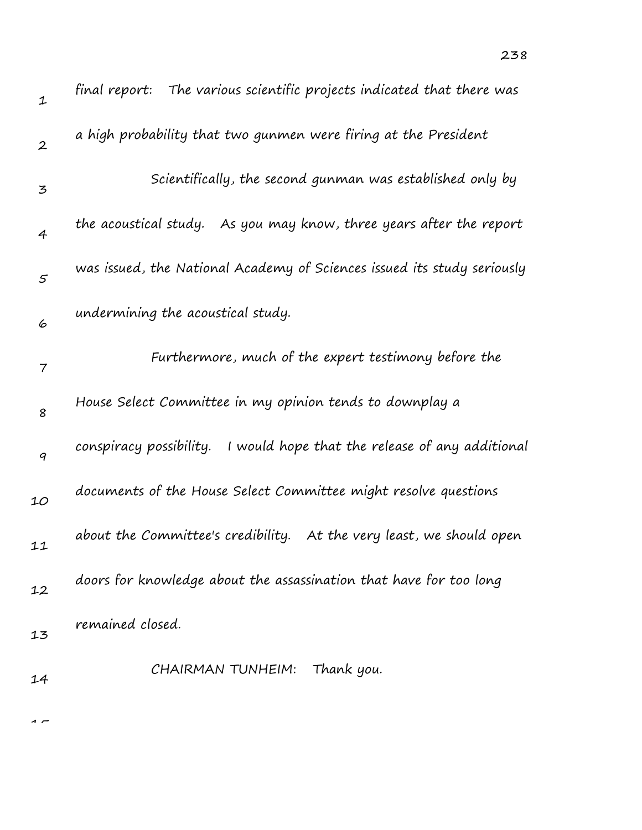| $\mathbf 1$      | The various scientific projects indicated that there was<br>final report: |
|------------------|---------------------------------------------------------------------------|
| $\boldsymbol{2}$ | a high probability that two gunmen were firing at the President           |
| 3                | Scientifically, the second gunman was established only by                 |
| $\overline{4}$   | the acoustical study. As you may know, three years after the report       |
| $\varsigma$      | was issued, the National Academy of Sciences issued its study seriously   |
| 6                | undermining the acoustical study.                                         |
| 7                | Furthermore, much of the expert testimony before the                      |
| 8                | House Select Committee in my opinion tends to downplay a                  |
| 9                | conspiracy possibility. I would hope that the release of any additional   |
| 10               | documents of the House Select Committee might resolve questions           |
| 11               | about the Committee's credibility. At the very least, we should open      |
| 12               | doors for knowledge about the assassination that have for too long        |
| 13               | remained closed.                                                          |
| 14               | Thank you.<br>CHAIRMAN TUNHEIM:                                           |
|                  |                                                                           |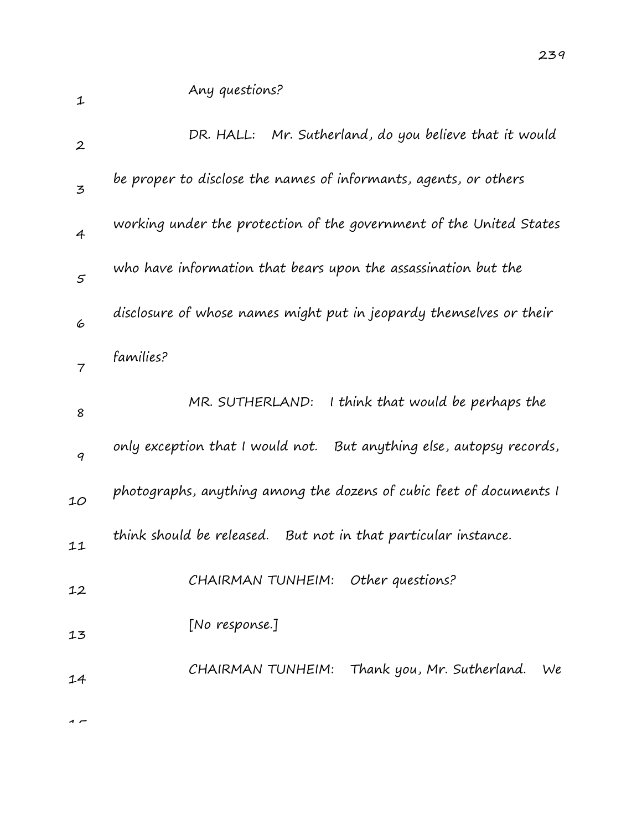| $\mathbf{1}$     | Any questions?                                                       |
|------------------|----------------------------------------------------------------------|
| $\boldsymbol{2}$ | DR. HALL: Mr. Sutherland, do you believe that it would               |
| 3                | be proper to disclose the names of informants, agents, or others     |
| $\overline{4}$   | working under the protection of the government of the United States  |
| 5                | who have information that bears upon the assassination but the       |
| 6                | disclosure of whose names might put in jeopardy themselves or their  |
| 7                | families?                                                            |
| 8                | MR. SUTHERLAND:<br>I think that would be perhaps the                 |
| 9                | only exception that I would not. But anything else, autopsy records, |
| 10               | photographs, anything among the dozens of cubic feet of documents I  |
| 11               | think should be released.<br>But not in that particular instance.    |
| 12               | CHAIRMAN TUNHEIM: Other questions?                                   |
| 13               | [No response.]                                                       |
| 14               | CHAIRMAN TUNHEIM: Thank you, Mr. Sutherland.<br>We                   |
|                  |                                                                      |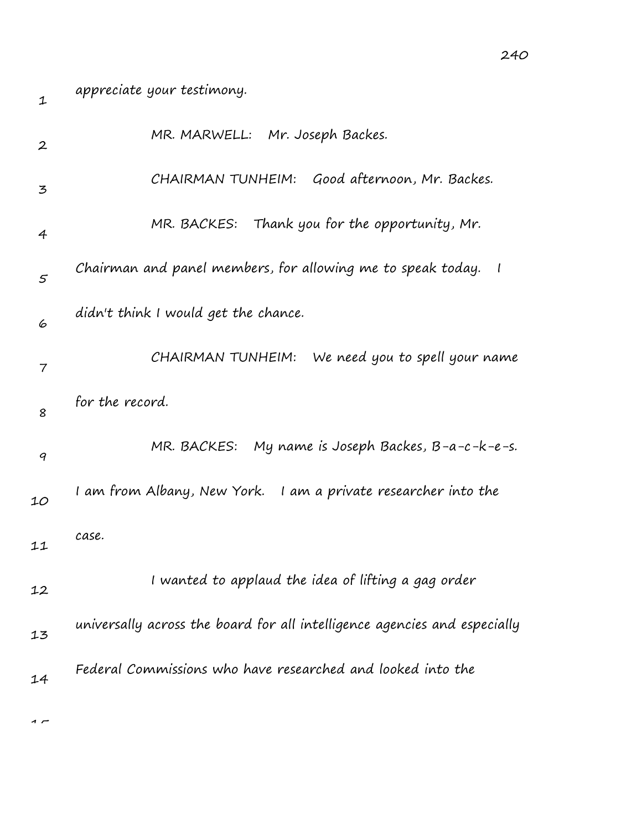| appreciate your testimony.                                                |
|---------------------------------------------------------------------------|
| MR. MARWELL: Mr. Joseph Backes.                                           |
| CHAIRMAN TUNHEIM: Good afternoon, Mr. Backes.                             |
| MR. BACKES: Thank you for the opportunity, Mr.                            |
| Chairman and panel members, for allowing me to speak today.               |
| didn't think I would get the chance.                                      |
| CHAIRMAN TUNHEIM: We need you to spell your name                          |
| for the record.                                                           |
| MR. BACKES: My name is Joseph Backes, B-a-c-k-e-s.                        |
| I am from Albany, New York. I am a private researcher into the            |
| case.                                                                     |
| I wanted to applaud the idea of lifting a gag order                       |
| universally across the board for all intelligence agencies and especially |
| Federal Commissions who have researched and looked into the               |
|                                                                           |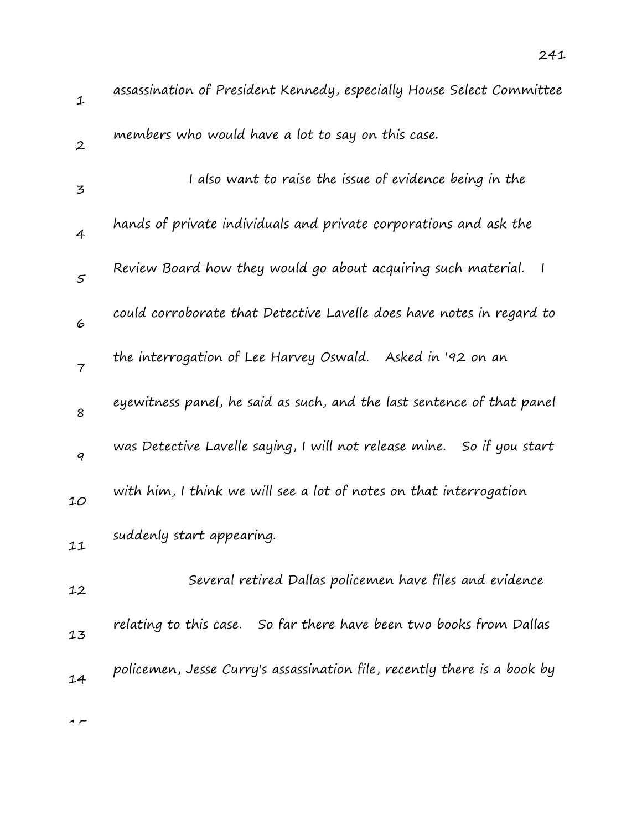| 1                        | assassination of President Kennedy, especially House Select Committee           |
|--------------------------|---------------------------------------------------------------------------------|
| $\boldsymbol{2}$         | members who would have a lot to say on this case.                               |
| 3                        | I also want to raise the issue of evidence being in the                         |
| $\overline{4}$           | hands of private individuals and private corporations and ask the               |
| $\varsigma$              | Review Board how they would go about acquiring such material.<br>$\overline{1}$ |
| 6                        | could corroborate that Detective Lavelle does have notes in regard to           |
| $\overline{\phantom{a}}$ | the interrogation of Lee Harvey Oswald. Asked in '92 on an                      |
| 8                        | eyewitness panel, he said as such, and the last sentence of that panel          |
| 9                        | was Detective Lavelle saying, I will not release mine.  So if you start         |
| 10                       | with him, I think we will see a lot of notes on that interrogation              |
| 11                       | suddenly start appearing.                                                       |
| 12                       | Several retired Dallas policemen have files and evidence                        |
| 13                       | relating to this case. So far there have been two books from Dallas             |
| 14                       | policemen, Jesse Curry's assassination file, recently there is a book by        |
|                          |                                                                                 |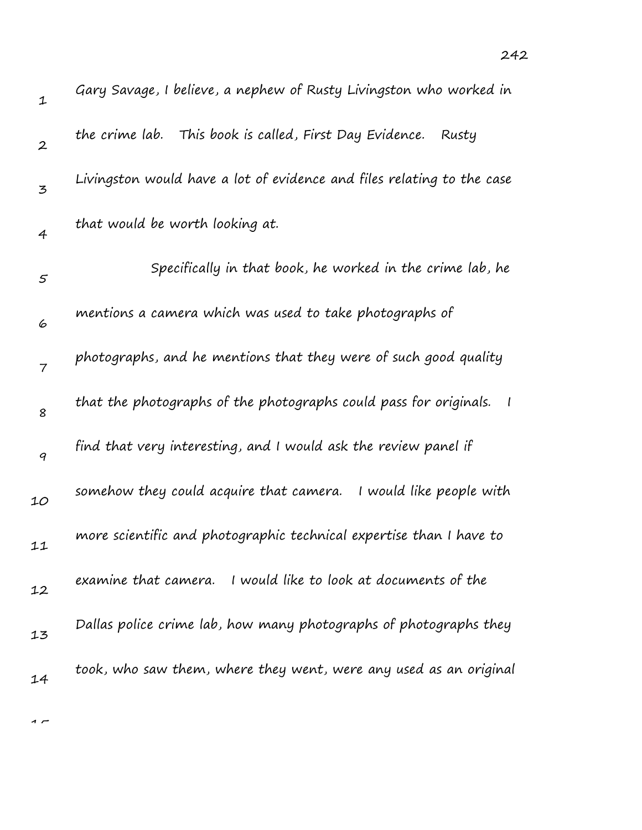| $\mathbf 1$    | Gary Savage, I believe, a nephew of Rusty Livingston who worked in                  |
|----------------|-------------------------------------------------------------------------------------|
| $\overline{2}$ | the crime lab. This book is called, First Day Evidence.<br>Rusty                    |
| 3              | Livingston would have a lot of evidence and files relating to the case              |
| $\overline{4}$ | that would be worth looking at.                                                     |
| 5              | Specifically in that book, he worked in the crime lab, he                           |
| 6              | mentions a camera which was used to take photographs of                             |
| $\overline{7}$ | photographs, and he mentions that they were of such good quality                    |
| 8              | that the photographs of the photographs could pass for originals.<br>$\overline{1}$ |
| 9              | find that very interesting, and I would ask the review panel if                     |
| 10             | somehow they could acquire that camera.<br>I would like people with                 |
| 11             | more scientific and photographic technical expertise than I have to                 |
| 12             | examine that camera. I would like to look at documents of the                       |
| 13             | Dallas police crime lab, how many photographs of photographs they                   |
| 14             | took, who saw them, where they went, were any used as an original                   |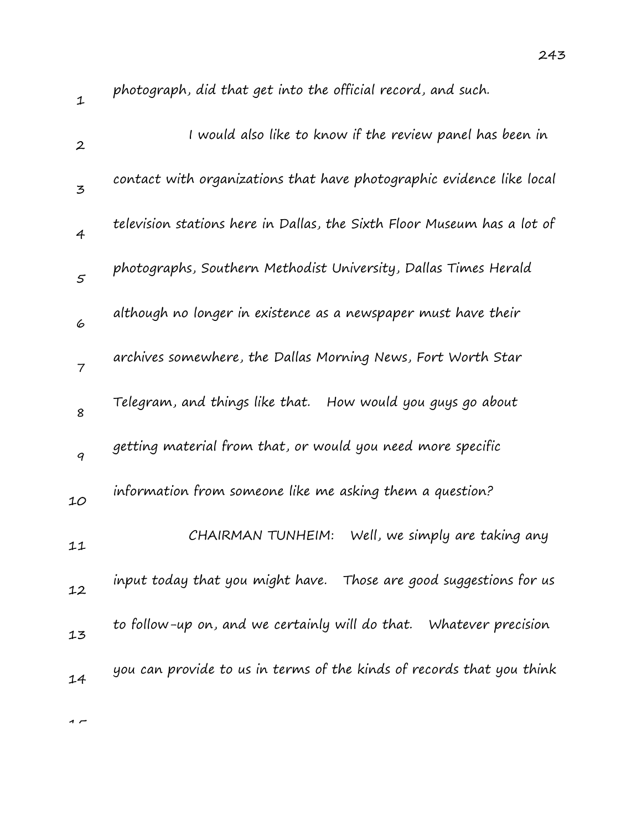| photograph, did that get into the official record, and such.            |
|-------------------------------------------------------------------------|
| I would also like to know if the review panel has been in               |
| contact with organizations that have photographic evidence like local   |
| television stations here in Dallas, the Sixth Floor Museum has a lot of |
| photographs, Southern Methodist University, Dallas Times Herald         |
| although no longer in existence as a newspaper must have their          |
| archives somewhere, the Dallas Morning News, Fort Worth Star            |
| Telegram, and things like that. How would you guys go about             |
| getting material from that, or would you need more specific             |
| information from someone like me asking them a question?                |
| Well, we simply are taking any<br>CHAIRMAN TUNHEIM:                     |
| input today that you might have. Those are good suggestions for us      |
| to follow-up on, and we certainly will do that. Whatever precision      |
| you can provide to us in terms of the kinds of records that you think   |
|                                                                         |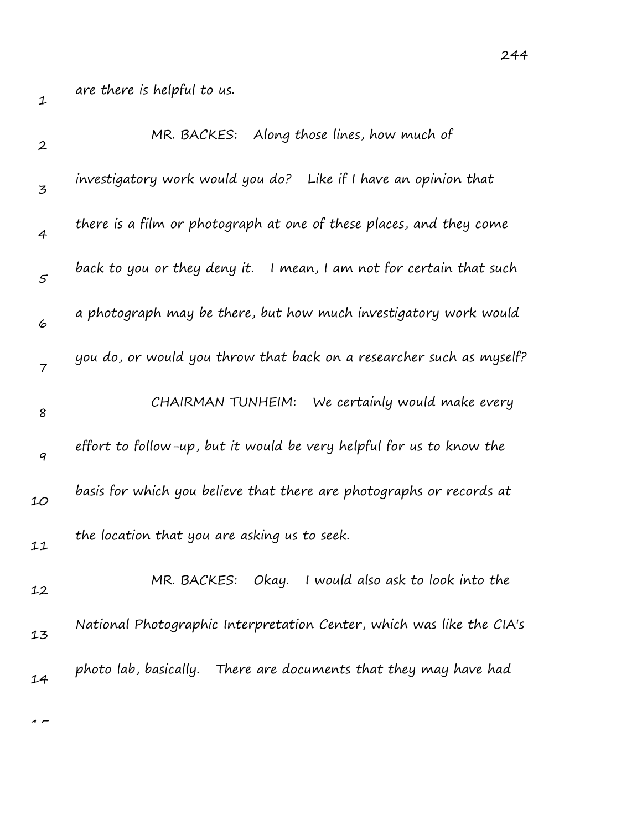are there is helpful to us.

| $\boldsymbol{2}$ | MR. BACKES: Along those lines, how much of                            |
|------------------|-----------------------------------------------------------------------|
| 3                | investigatory work would you do? Like if I have an opinion that       |
| $\overline{4}$   | there is a film or photograph at one of these places, and they come   |
| 5                | back to you or they deny it. I mean, I am not for certain that such   |
| 6                | a photograph may be there, but how much investigatory work would      |
| $\overline{7}$   | you do, or would you throw that back on a researcher such as myself?  |
| 8                | We certainly would make every<br>CHAIRMAN TUNHEIM:                    |
| 9                | effort to follow-up, but it would be very helpful for us to know the  |
| 10               | basis for which you believe that there are photographs or records at  |
| 11               | the location that you are asking us to seek.                          |
| 12               | I would also ask to look into the<br>MR. BACKES:<br>Okay.             |
| 13               | National Photographic Interpretation Center, which was like the CIA's |
| 14               | photo lab, basically. There are documents that they may have had      |
|                  |                                                                       |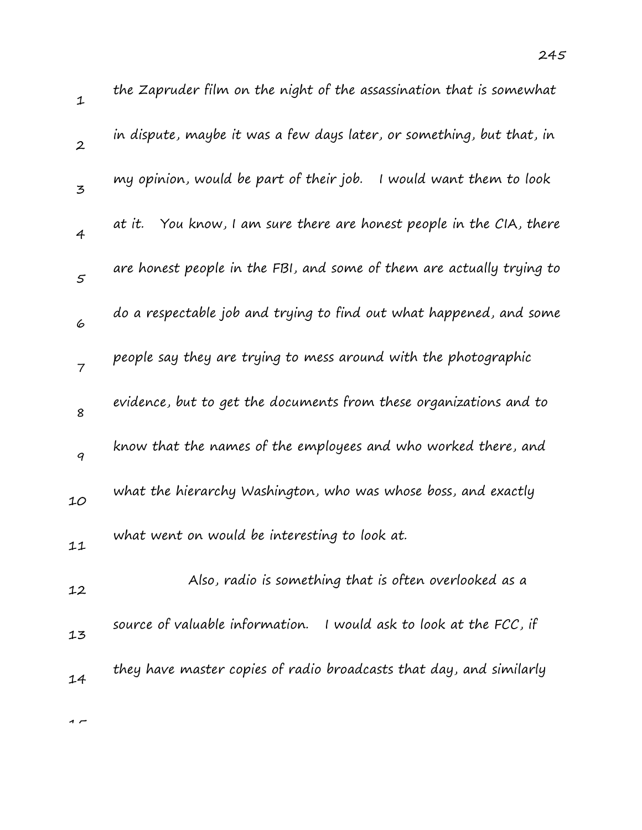| 1                | the Zapruder film on the night of the assassination that is somewhat  |
|------------------|-----------------------------------------------------------------------|
| $\boldsymbol{2}$ | in dispute, maybe it was a few days later, or something, but that, in |
| 3                | my opinion, would be part of their job.<br>I would want them to look  |
| $\overline{4}$   | at it. You know, I am sure there are honest people in the CIA, there  |
| 5                | are honest people in the FBI, and some of them are actually trying to |
| 6                | do a respectable job and trying to find out what happened, and some   |
| $\overline{7}$   | people say they are trying to mess around with the photographic       |
| 8                | evidence, but to get the documents from these organizations and to    |
| 9                | know that the names of the employees and who worked there, and        |
| 10               | what the hierarchy Washington, who was whose boss, and exactly        |
| 11               | what went on would be interesting to look at.                         |
| 12               | Also, radio is something that is often overlooked as a                |
| 13               | source of valuable information. I would ask to look at the FCC, if    |
| 14               | they have master copies of radio broadcasts that day, and similarly   |
|                  |                                                                       |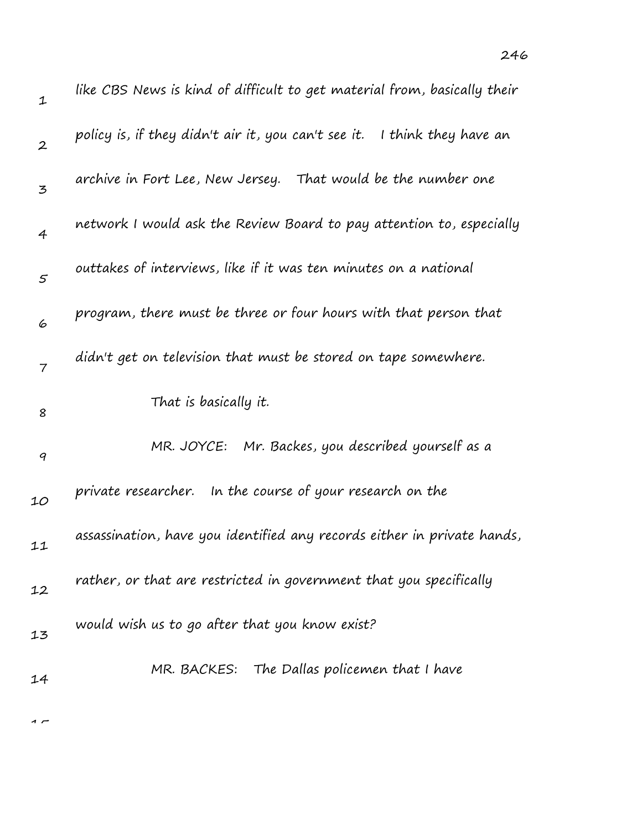| $\mathbf 1$      | like CBS News is kind of difficult to get material from, basically their    |
|------------------|-----------------------------------------------------------------------------|
| $\boldsymbol{2}$ | policy is, if they didn't air it, you can't see it.<br>I think they have an |
| 3                | archive in Fort Lee, New Jersey. That would be the number one               |
| $\overline{4}$   | network I would ask the Review Board to pay attention to, especially        |
| 5                | outtakes of interviews, like if it was ten minutes on a national            |
| 6                | program, there must be three or four hours with that person that            |
| 7                | didn't get on television that must be stored on tape somewhere.             |
| 8                | That is basically it.                                                       |
| 9                | MR. JOYCE: Mr. Backes, you described yourself as a                          |
| 10               | private researcher. In the course of your research on the                   |
| 11               | assassination, have you identified any records either in private hands,     |
| 12               | rather, or that are restricted in government that you specifically          |
| 13               | would wish us to go after that you know exist?                              |
| 14               | MR. BACKES: The Dallas policemen that I have                                |
|                  |                                                                             |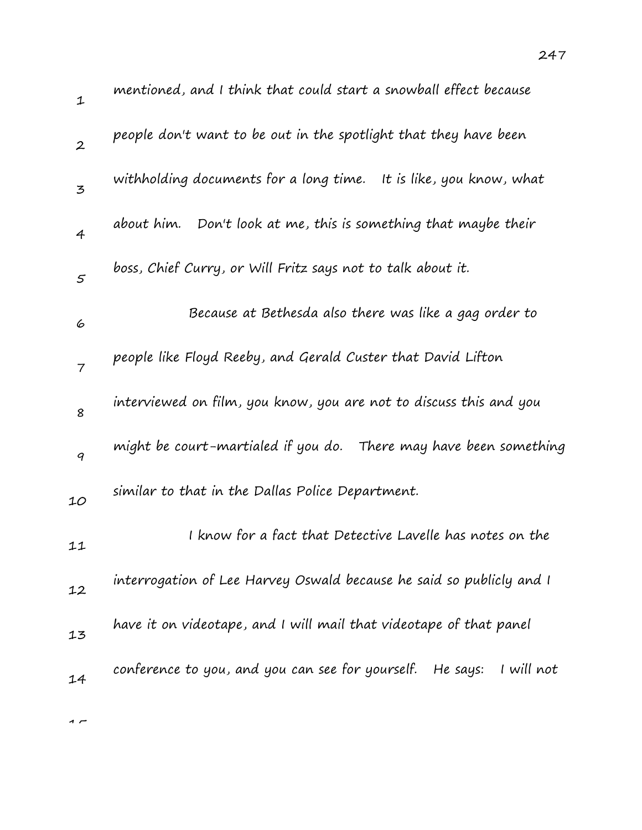| $\mathbf 1$      | mentioned, and I think that could start a snowball effect because          |
|------------------|----------------------------------------------------------------------------|
| $\boldsymbol{2}$ | people don't want to be out in the spotlight that they have been           |
| 3                | withholding documents for a long time. It is like, you know, what          |
| $\overline{4}$   | about him. Don't look at me, this is something that maybe their            |
| 5                | boss, Chief Curry, or Will Fritz says not to talk about it.                |
| 6                | Because at Bethesda also there was like a gag order to                     |
| $\overline{7}$   | people like Floyd Reeby, and Gerald Custer that David Lifton               |
| 8                | interviewed on film, you know, you are not to discuss this and you         |
| 9                | might be court-martialed if you do. There may have been something          |
| 10               | similar to that in the Dallas Police Department.                           |
| 11               | I know for a fact that Detective Lavelle has notes on the                  |
| 12               | interrogation of Lee Harvey Oswald because he said so publicly and I       |
| 13               | have it on videotape, and I will mail that videotape of that panel         |
| 14               | conference to you, and you can see for yourself.<br>He says:<br>I will not |
|                  |                                                                            |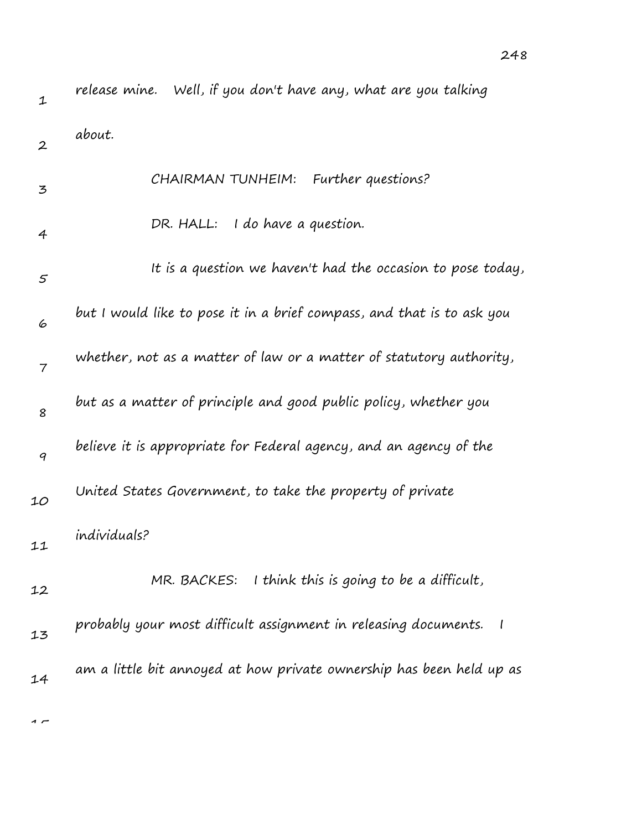| 1                | release mine. Well, if you don't have any, what are you talking        |
|------------------|------------------------------------------------------------------------|
| $\boldsymbol{2}$ | about.                                                                 |
| 3                | CHAIRMAN TUNHEIM: Further questions?                                   |
| $\overline{4}$   | DR. HALL: I do have a question.                                        |
| 5                | It is a question we haven't had the occasion to pose today,            |
| 6                | but I would like to pose it in a brief compass, and that is to ask you |
| $\overline{7}$   | whether, not as a matter of law or a matter of statutory authority,    |
| 8                | but as a matter of principle and good public policy, whether you       |
| 9                | believe it is appropriate for Federal agency, and an agency of the     |
| 10               | United States Government, to take the property of private              |
| 11               | individuals?                                                           |
| 12               | MR. BACKES: I think this is going to be a difficult,                   |
| 13               | probably your most difficult assignment in releasing documents. I      |
| 14               | am a little bit annoyed at how private ownership has been held up as   |

248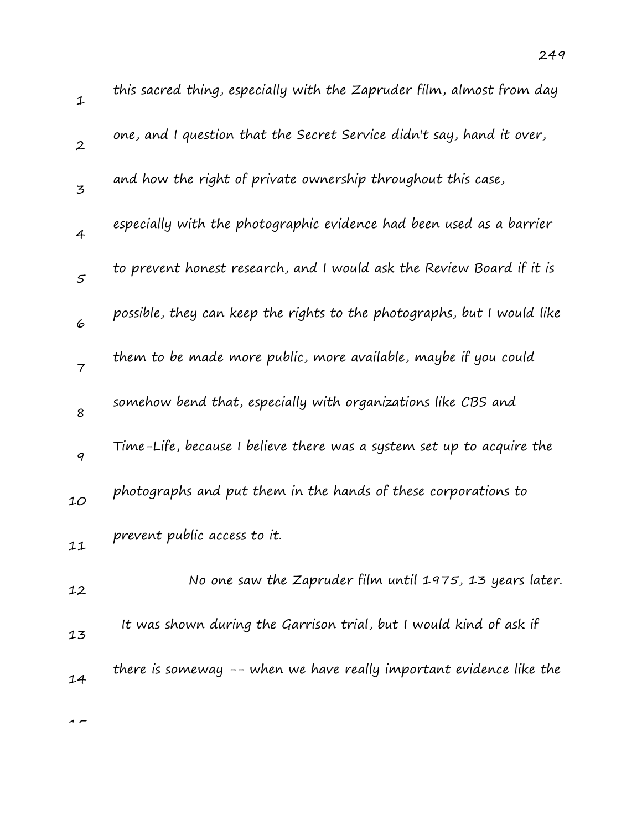| 1                | this sacred thing, especially with the Zapruder film, almost from day   |
|------------------|-------------------------------------------------------------------------|
| $\boldsymbol{2}$ | one, and I question that the Secret Service didn't say, hand it over,   |
| 3                | and how the right of private ownership throughout this case,            |
| $\overline{4}$   | especially with the photographic evidence had been used as a barrier    |
| 5                | to prevent honest research, and I would ask the Review Board if it is   |
| 6                | possible, they can keep the rights to the photographs, but I would like |
| $\overline{7}$   | them to be made more public, more available, maybe if you could         |
| 8                | somehow bend that, especially with organizations like CBS and           |
| 9                | Time-Life, because I believe there was a system set up to acquire the   |
| 10               | photographs and put them in the hands of these corporations to          |
| 11               | prevent public access to it.                                            |
| 12               | No one saw the Zapruder film until 1975, 13 years later.                |
| 13               | It was shown during the Garrison trial, but I would kind of ask if      |
| 14               | there is someway -- when we have really important evidence like the     |
|                  |                                                                         |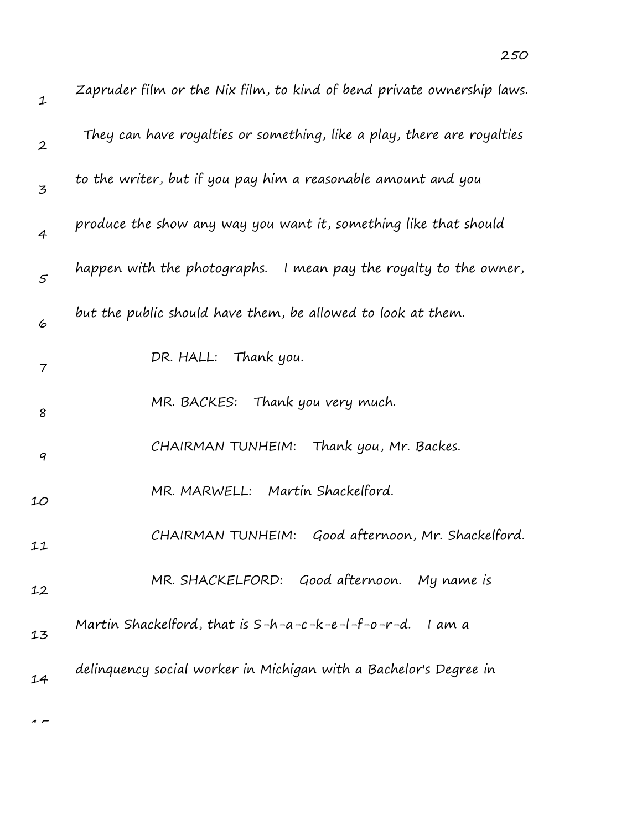| $\mathbf 1$      | Zapruder film or the Nix film, to kind of bend private ownership laws. |
|------------------|------------------------------------------------------------------------|
| $\boldsymbol{2}$ | They can have royalties or something, like a play, there are royalties |
| 3                | to the writer, but if you pay him a reasonable amount and you          |
| $\overline{4}$   | produce the show any way you want it, something like that should       |
| 5                | happen with the photographs. I mean pay the royalty to the owner,      |
| 6                | but the public should have them, be allowed to look at them.           |
| 7                | DR. HALL: Thank you.                                                   |
| 8                | MR. BACKES: Thank you very much.                                       |
| 9                | CHAIRMAN TUNHEIM:<br>Thank you, Mr. Backes.                            |
| 10               | MR. MARWELL: Martin Shackelford.                                       |
| 11               | CHAIRMAN TUNHEIM: Good afternoon, Mr. Shackelford.                     |
| 12               | MR. SHACKELFORD: Good afternoon. My name is                            |
| 13               | Martin Shackelford, that is $S-h-a-c-k-e-l-f-o-r-d.$ I am a            |
| 14               | delinguency social worker in Michigan with a Bachelor's Degree in      |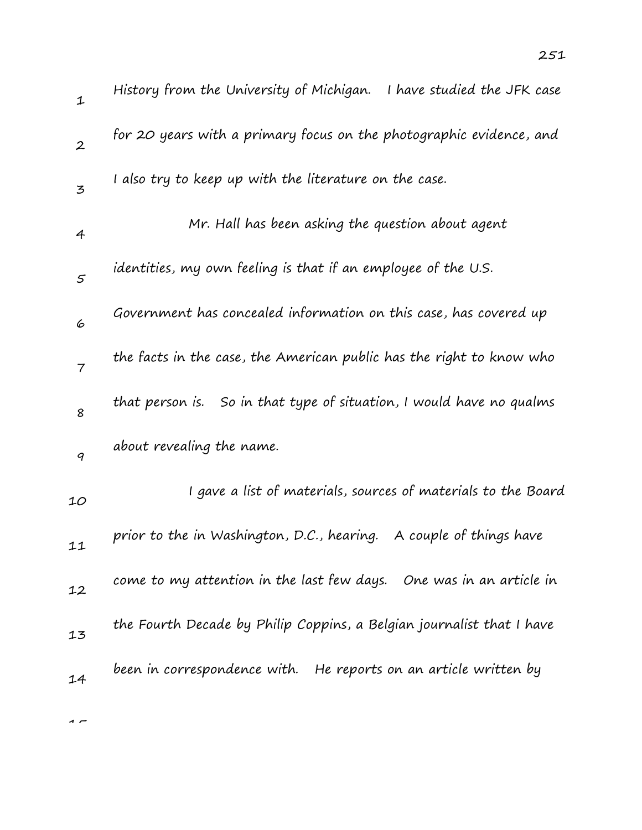| $\mathbf 1$      | History from the University of Michigan.<br>I have studied the JFK case |
|------------------|-------------------------------------------------------------------------|
| $\boldsymbol{2}$ | for 20 years with a primary focus on the photographic evidence, and     |
| 3                | I also try to keep up with the literature on the case.                  |
| 4                | Mr. Hall has been asking the question about agent                       |
| $\mathfrak{s}$   | identities, my own feeling is that if an employee of the U.S.           |
| 6                | Government has concealed information on this case, has covered up       |
| $\overline{7}$   | the facts in the case, the American public has the right to know who    |
| 8                | So in that type of situation, I would have no qualms<br>that person is. |
| 9                | about revealing the name.                                               |
| 10               | I gave a list of materials, sources of materials to the Board           |
| 11               | prior to the in Washington, D.C., hearing. A couple of things have      |
| 12               | come to my attention in the last few days. One was in an article in     |
| 13               | the Fourth Decade by Philip Coppins, a Belgian journalist that I have   |
|                  | been in correspondence with. He reports on an article written by        |

14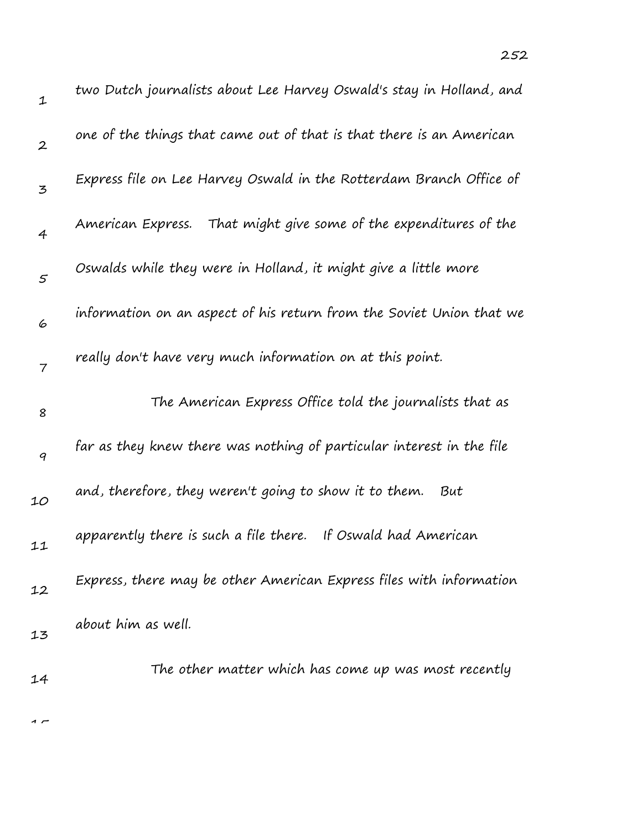| $\mathbf 1$      | two Dutch journalists about Lee Harvey Oswald's stay in Holland, and  |
|------------------|-----------------------------------------------------------------------|
| $\boldsymbol{2}$ | one of the things that came out of that is that there is an American  |
| 3                | Express file on Lee Harvey Oswald in the Rotterdam Branch Office of   |
| $\overline{4}$   | American Express. That might give some of the expenditures of the     |
| $\mathcal{S}$    | Oswalds while they were in Holland, it might give a little more       |
| 6                | information on an aspect of his return from the Soviet Union that we  |
| 7                | really don't have very much information on at this point.             |
| 8                | The American Express Office told the journalists that as              |
| 9                | far as they knew there was nothing of particular interest in the file |
|                  |                                                                       |
| 10               | and, therefore, they weren't going to show it to them.<br>But         |
| 11               | apparently there is such a file there. If Oswald had American         |
| 12               | Express, there may be other American Express files with information   |
| 13               | about him as well.                                                    |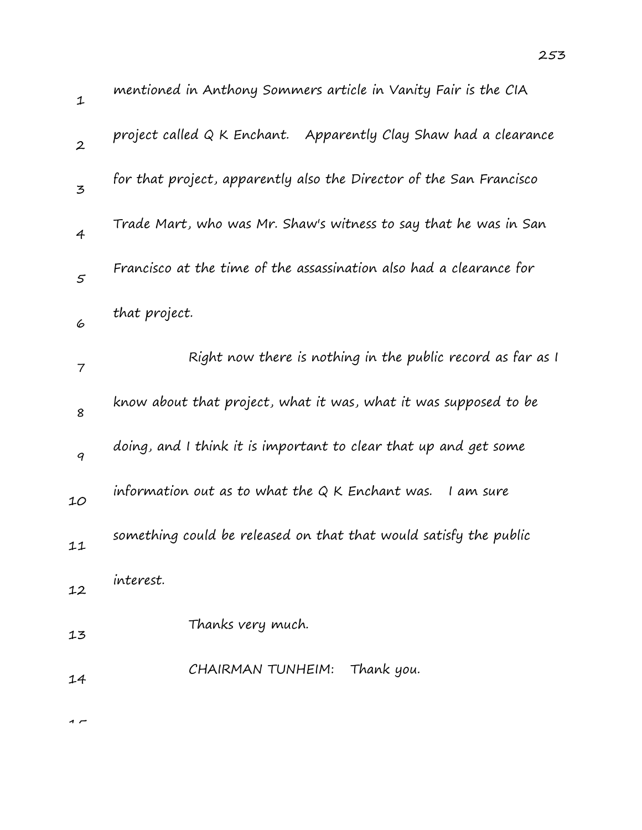| $\mathbf 1$      | mentioned in Anthony Sommers article in Vanity Fair is the CIA      |
|------------------|---------------------------------------------------------------------|
| $\boldsymbol{2}$ | project called Q K Enchant. Apparently Clay Shaw had a clearance    |
| 3                | for that project, apparently also the Director of the San Francisco |
| $\overline{4}$   | Trade Mart, who was Mr. Shaw's witness to say that he was in San    |
| $\mathfrak{s}$   | Francisco at the time of the assassination also had a clearance for |
| 6                | that project.                                                       |
| 7                | Right now there is nothing in the public record as far as I         |
| 8                | know about that project, what it was, what it was supposed to be    |
| $\boldsymbol{q}$ | doing, and I think it is important to clear that up and get some    |
| 10               | information out as to what the $Q$ K Enchant was.<br>I am sure      |
| 11               | something could be released on that that would satisfy the public   |
| 12               | interest.                                                           |
| 13               | Thanks very much.                                                   |
| 14               | CHAIRMAN TUNHEIM:<br>Thank you.                                     |
|                  |                                                                     |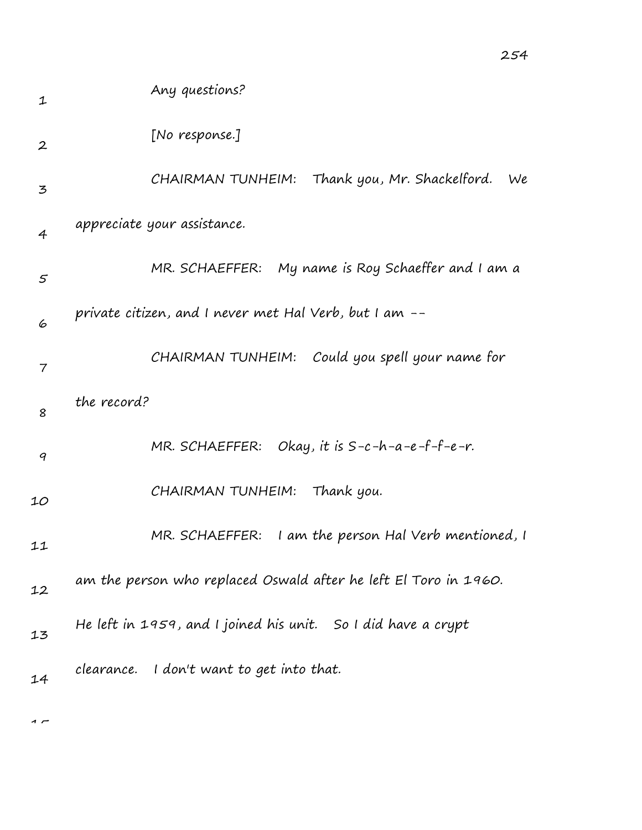| 1                 | Any questions?                                                   |
|-------------------|------------------------------------------------------------------|
| $\boldsymbol{2}$  | [No response.]                                                   |
| 3                 | Thank you, Mr. Shackelford.<br>CHAIRMAN TUNHEIM:<br>We           |
| $\overline{4}$    | appreciate your assistance.                                      |
| $\mathcal{F}_{0}$ | My name is Roy Schaeffer and I am a<br>MR. SCHAEFFER:            |
| 6                 | private citizen, and I never met Hal Verb, but I am --           |
| 7                 | Could you spell your name for<br>CHAIRMAN TUNHEIM:               |
| 8                 | the record?                                                      |
| 9                 | MR. SCHAEFFER: Okay, it is $S-c-h-a-e-f-e-r$ .                   |
| 10                | CHAIRMAN TUNHEIM:<br>Thank you.                                  |
| 11                | I am the person Hal Verb mentioned, I<br>MR. SCHAEFFER:          |
| 12                | am the person who replaced Oswald after he left El Toro in 1960. |
| 13                | He left in 1959, and I joined his unit. So I did have a crypt    |
| 14                | clearance. I don't want to get into that.                        |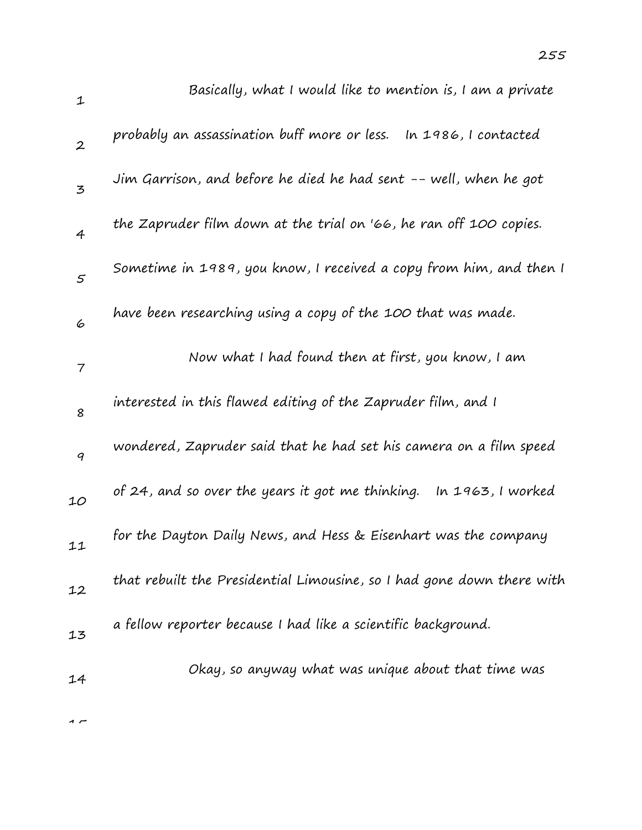| $\mathbf 1$      | Basically, what I would like to mention is, I am a private             |
|------------------|------------------------------------------------------------------------|
| $\boldsymbol{2}$ | probably an assassination buff more or less.<br>In 1986, I contacted   |
| $\overline{5}$   | Jim Garrison, and before he died he had sent -- well, when he got      |
| $\overline{4}$   | the Zapruder film down at the trial on '66, he ran off 100 copies.     |
| 5                | Sometime in 1989, you know, I received a copy from him, and then I     |
| 6                | have been researching using a copy of the 100 that was made.           |
| 7                | Now what I had found then at first, you know, I am                     |
| 8                | interested in this flawed editing of the Zapruder film, and I          |
| $\boldsymbol{q}$ | wondered, Zapruder said that he had set his camera on a film speed     |
| 10               | of 24, and so over the years it got me thinking. In 1963, I worked     |
| 11               | for the Dayton Daily News, and Hess & Eisenhart was the company        |
| 12               | that rebuilt the Presidential Limousine, so I had gone down there with |
| 13               | a fellow reporter because I had like a scientific background.          |
| 14               | Okay, so anyway what was unique about that time was                    |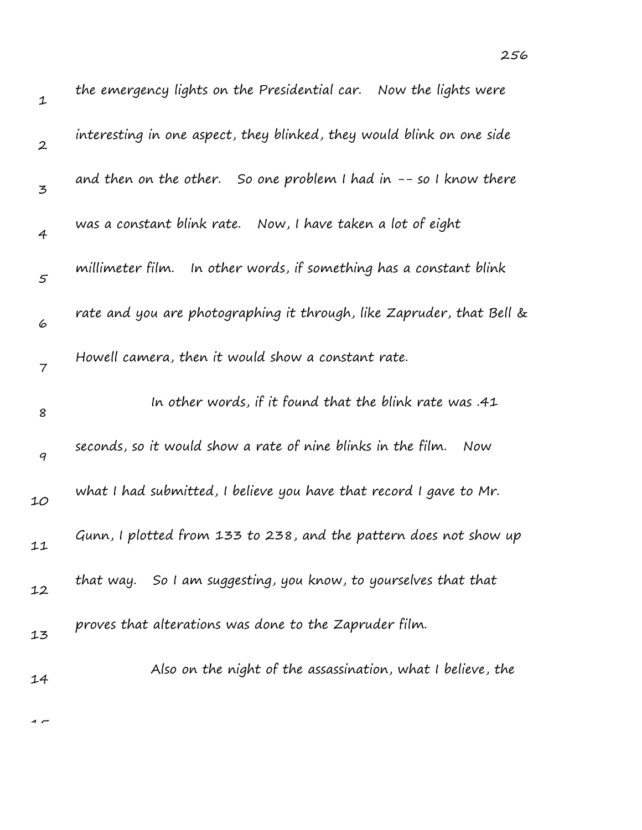| $\mathbf 1$      | the emergency lights on the Presidential car.  Now the lights were    |
|------------------|-----------------------------------------------------------------------|
| $\boldsymbol{2}$ | interesting in one aspect, they blinked, they would blink on one side |
| 3                | and then on the other. So one problem I had in $-$ - so I know there  |
| 4                | was a constant blink rate. Now, I have taken a lot of eight           |
| $\mathfrak{s}$   | millimeter film. In other words, if something has a constant blink    |
| 6                | rate and you are photographing it through, like Zapruder, that Bell & |
| 7                | Howell camera, then it would show a constant rate.                    |
| 8                | In other words, if it found that the blink rate was .41               |
| 9                | seconds, so it would show a rate of nine blinks in the film.<br>Now   |
| 10               | what I had submitted, I believe you have that record I gave to Mr.    |
| 11               | Gunn, I plotted from 133 to 238, and the pattern does not show up     |
| 12               | that way. So I am suggesting, you know, to yourselves that that       |
| 13               | proves that alterations was done to the Zapruder film.                |
| 14               | Also on the night of the assassination, what I believe, the           |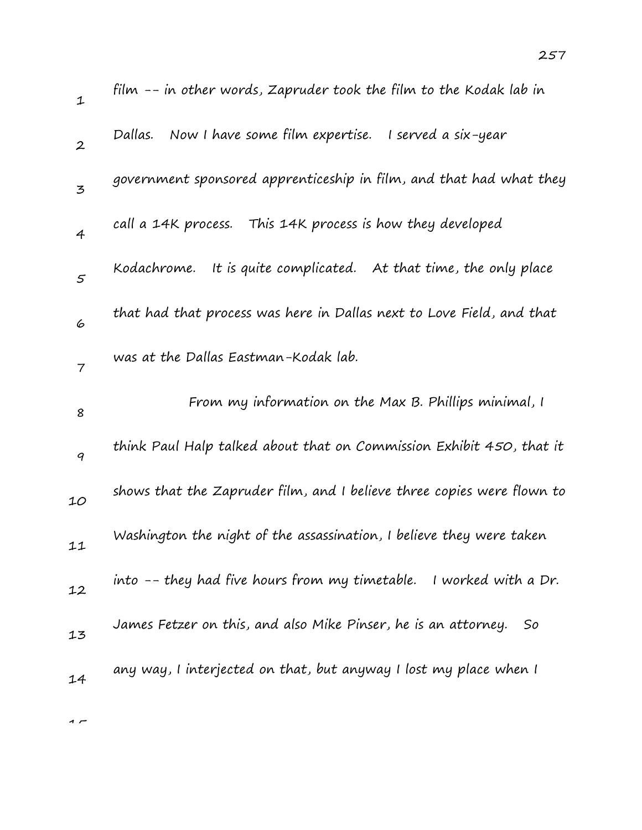| $\mathbf{1}$   | film -- in other words, Zapruder took the film to the Kodak lab in     |
|----------------|------------------------------------------------------------------------|
| $\mathbf{2}$   | Now I have some film expertise.<br>I served a six-year<br>Dallas.      |
| $\mathfrak{Z}$ | government sponsored apprenticeship in film, and that had what they    |
| $\overline{4}$ | call a 14K process. This 14K process is how they developed             |
| 5              | Kodachrome. It is quite complicated. At that time, the only place      |
| 6              | that had that process was here in Dallas next to Love Field, and that  |
| $\overline{7}$ | was at the Dallas Eastman-Kodak lab.                                   |
| 8              | From my information on the Max B. Phillips minimal, I                  |
| 9              | think Paul Halp talked about that on Commission Exhibit 450, that it   |
| 10             | shows that the Zapruder film, and I believe three copies were flown to |
| 11             | Washington the night of the assassination, I believe they were taken   |
| 12             | into -- they had five hours from my timetable. I worked with a Dr.     |
|                |                                                                        |
| 13             | James Fetzer on this, and also Mike Pinser, he is an attorney.<br>So   |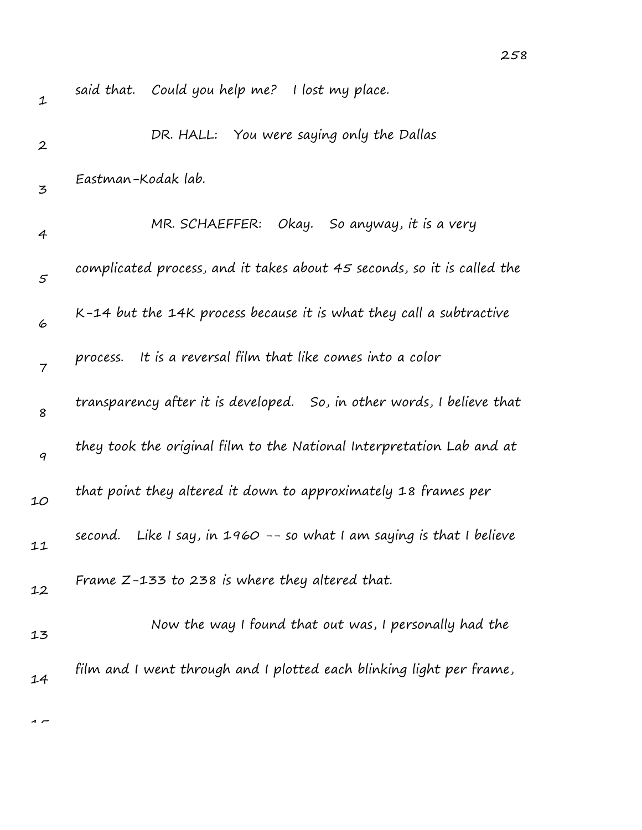| $\mathbf 1$      | said that. Could you help me? I lost my place.                           |
|------------------|--------------------------------------------------------------------------|
| $\boldsymbol{2}$ | DR. HALL: You were saying only the Dallas                                |
| 3                | Eastman-Kodak lab.                                                       |
| 4                | MR. SCHAEFFER: Okay. So anyway, it is a very                             |
| $\varsigma$      | complicated process, and it takes about 45 seconds, so it is called the  |
| 6                | K-14 but the 14K process because it is what they call a subtractive      |
| $\overline{7}$   | It is a reversal film that like comes into a color<br>process.           |
| 8                | transparency after it is developed. So, in other words, I believe that   |
| $\boldsymbol{q}$ | they took the original film to the National Interpretation Lab and at    |
| 10               | that point they altered it down to approximately 18 frames per           |
| 11               | Like I say, in $1960 - 50$ what I am saying is that I believe<br>second. |
| 12               | Frame $Z$ -133 to 238 is where they altered that.                        |
| 13               | Now the way I found that out was, I personally had the                   |
| 14               | film and I went through and I plotted each blinking light per frame,     |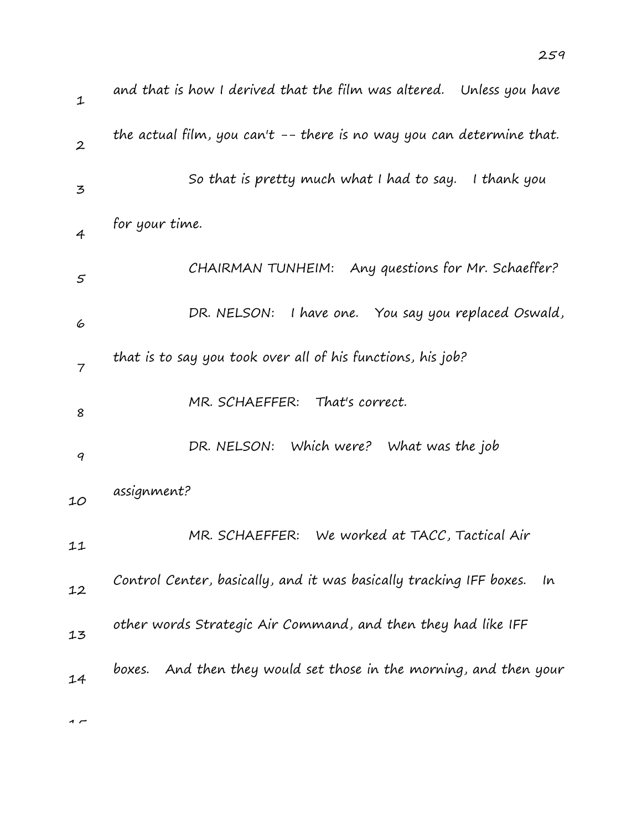| $\mathbf{1}$   | and that is how I derived that the film was altered.   Unless you have    |
|----------------|---------------------------------------------------------------------------|
| $\overline{2}$ | the actual film, you can't -- there is no way you can determine that.     |
| $\mathbf{z}$   | So that is pretty much what I had to say. I thank you                     |
| $\overline{4}$ | for your time.                                                            |
| $\varsigma$    | CHAIRMAN TUNHEIM: Any questions for Mr. Schaeffer?                        |
| 6              | I have one. You say you replaced Oswald,<br>DR. NELSON:                   |
| $\overline{7}$ | that is to say you took over all of his functions, his job?               |
| 8              | MR. SCHAEFFER: That's correct.                                            |
| 9              | DR. NELSON: Which were? What was the job                                  |
| 10             | assignment?                                                               |
| 11             | MR. SCHAEFFER: We worked at TACC, Tactical Air                            |
| 12             | Control Center, basically, and it was basically tracking IFF boxes.<br>In |
| 13             | other words Strategic Air Command, and then they had like IFF             |
| 14             | And then they would set those in the morning, and then your<br>boxes.     |
|                |                                                                           |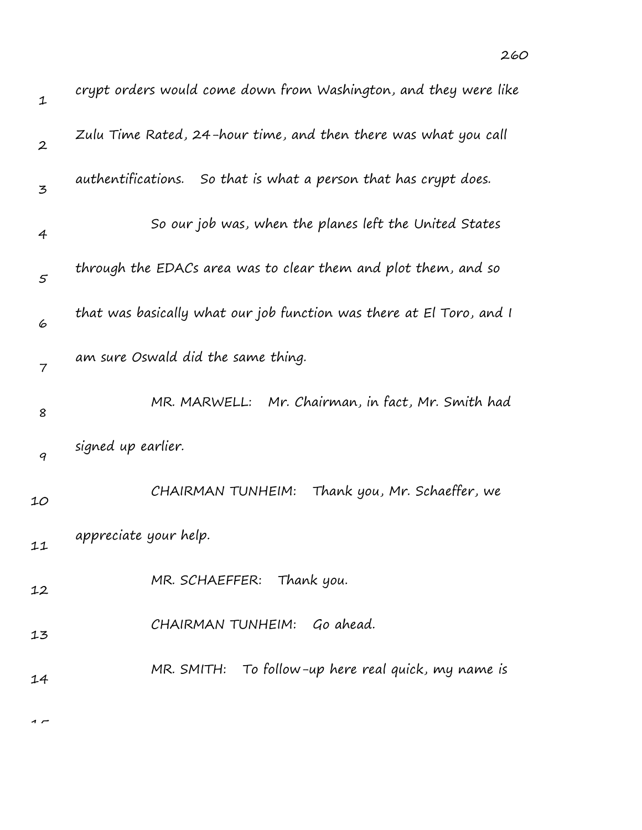| $\mathbf 1$      | crypt orders would come down from Washington, and they were like     |
|------------------|----------------------------------------------------------------------|
| $\boldsymbol{2}$ | Zulu Time Rated, 24-hour time, and then there was what you call      |
| 3                | authentifications. So that is what a person that has crypt does.     |
| 4                | So our job was, when the planes left the United States               |
| 5                | through the EDACs area was to clear them and plot them, and so       |
| 6                | that was basically what our job function was there at El Toro, and I |
| $\overline{7}$   | am sure Oswald did the same thing.                                   |
| 8                | MR. MARWELL:<br>Mr. Chairman, in fact, Mr. Smith had                 |
| 9                | signed up earlier.                                                   |
| 10               | CHAIRMAN TUNHEIM:<br>Thank you, Mr. Schaeffer, we                    |
| 11               | appreciate your help.                                                |
| 12               | MR. SCHAEFFER: Thank you.                                            |
| 13               | CHAIRMAN TUNHEIM: Go ahead.                                          |
| 14               | MR. SMITH: To follow-up here real quick, my name is                  |
|                  |                                                                      |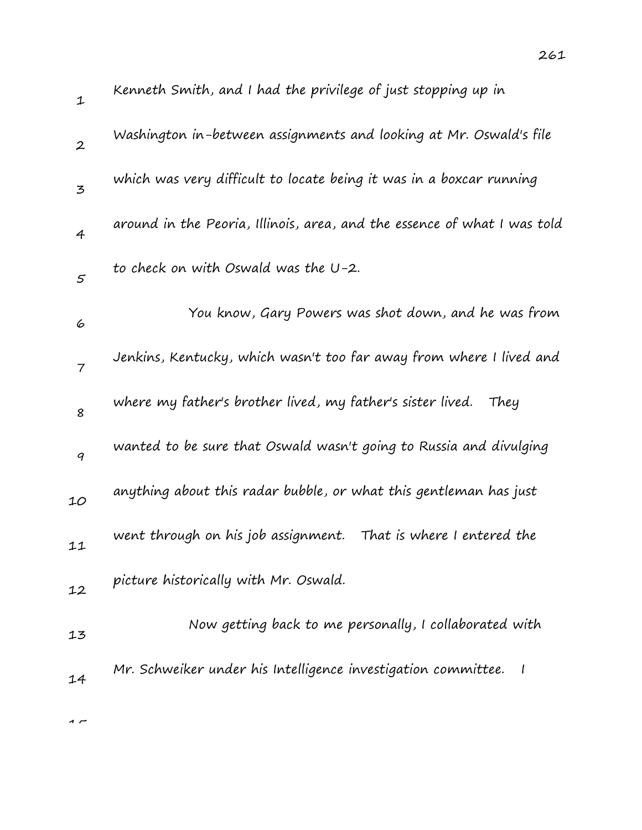| $\mathbf{1}$     | Kenneth Smith, and I had the privilege of just stopping up in            |
|------------------|--------------------------------------------------------------------------|
| $\boldsymbol{2}$ | Washington in-between assignments and looking at Mr. Oswald's file       |
| 3                | which was very difficult to locate being it was in a boxcar running      |
| 4                | around in the Peoria, Illinois, area, and the essence of what I was told |
| $\mathfrak{s}$   | to check on with Oswald was the U-2.                                     |
| 6                | You know, Gary Powers was shot down, and he was from                     |
| $\overline{7}$   | Jenkins, Kentucky, which wasn't too far away from where I lived and      |
| 8                | where my father's brother lived, my father's sister lived. They          |
| 9                | wanted to be sure that Oswald wasn't going to Russia and divulging       |
| 10               | anything about this radar bubble, or what this gentleman has just        |
| 11               | went through on his job assignment. That is where I entered the          |
| 12               | picture historically with Mr. Oswald.                                    |
| 13               | Now getting back to me personally, I collaborated with                   |
| 14               | Mr. Schweiker under his Intelligence investigation committee.            |
|                  |                                                                          |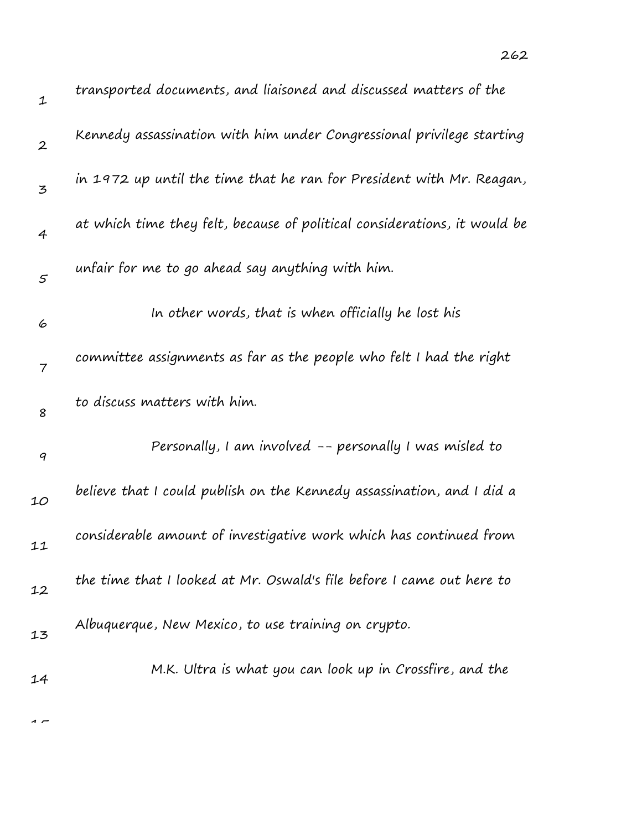| transported documents, and liaisoned and discussed matters of the         |
|---------------------------------------------------------------------------|
| Kennedy assassination with him under Congressional privilege starting     |
| in 1972 up until the time that he ran for President with Mr. Reagan,      |
| at which time they felt, because of political considerations, it would be |
|                                                                           |
|                                                                           |
| committee assignments as far as the people who felt I had the right       |
|                                                                           |
| Personally, I am involved -- personally I was misled to                   |
| believe that I could publish on the Kennedy assassination, and I did a    |
| considerable amount of investigative work which has continued from        |
| the time that I looked at Mr. Oswald's file before I came out here to     |
|                                                                           |
| M.K. Ultra is what you can look up in Crossfire, and the                  |
|                                                                           |

 $\overline{1}$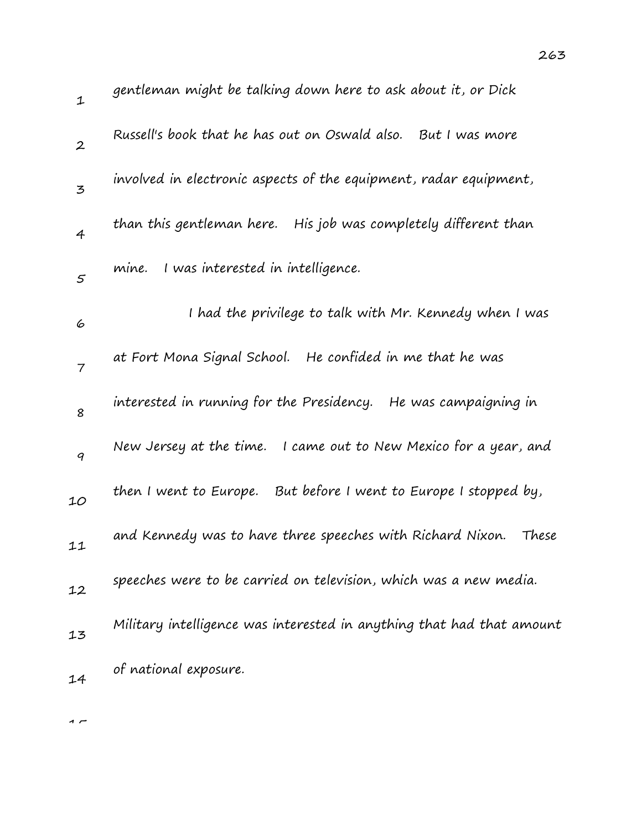| $\mathbf{1}$     | gentleman might be talking down here to ask about it, or Dick         |
|------------------|-----------------------------------------------------------------------|
| $\boldsymbol{2}$ | Russell's book that he has out on Oswald also.<br>But I was more      |
| 3                | involved in electronic aspects of the equipment, radar equipment,     |
| $\overline{4}$   | than this gentleman here. His job was completely different than       |
| 5                | I was interested in intelligence.<br>mine.                            |
| 6                | I had the privilege to talk with Mr. Kennedy when I was               |
| $\overline{7}$   | at Fort Mona Signal School. He confided in me that he was             |
| 8                | interested in running for the Presidency. He was campaigning in       |
| 9                | New Jersey at the time. I came out to New Mexico for a year, and      |
| 10               | then I went to Europe. But before I went to Europe I stopped by,      |
| 11               | and Kennedy was to have three speeches with Richard Nixon.<br>These   |
| 12               | speeches were to be carried on television, which was a new media.     |
| 13               | Military intelligence was interested in anything that had that amount |
| 14               | of national exposure.                                                 |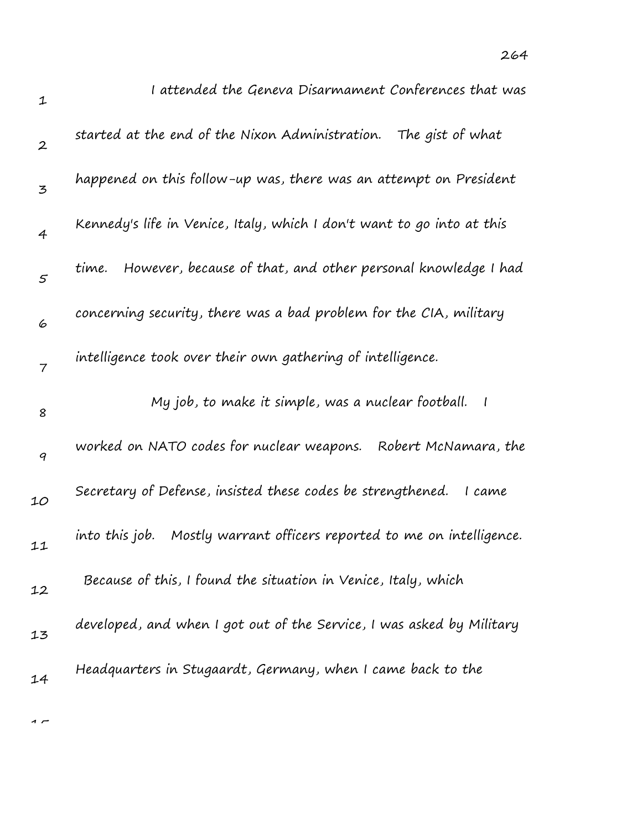| $\mathbf{1}$     | I attended the Geneva Disarmament Conferences that was                    |
|------------------|---------------------------------------------------------------------------|
| $\boldsymbol{2}$ | started at the end of the Nixon Administration. The gist of what          |
| 3                | happened on this follow-up was, there was an attempt on President         |
| $\overline{4}$   | Kennedy's life in Venice, Italy, which I don't want to go into at this    |
| $\mathfrak{s}$   | However, because of that, and other personal knowledge I had<br>time.     |
| 6                | concerning security, there was a bad problem for the CIA, military        |
| $\overline{7}$   | intelligence took over their own gathering of intelligence.               |
|                  |                                                                           |
| 8                | My job, to make it simple, was a nuclear football.                        |
| 9                | worked on NATO codes for nuclear weapons.<br>Robert McNamara, the         |
| 10               | Secretary of Defense, insisted these codes be strengthened.<br>I came     |
| 11               | Mostly warrant officers reported to me on intelligence.<br>into this job. |
| 12               | Because of this, I found the situation in Venice, Italy, which            |
| 13               | developed, and when I got out of the Service, I was asked by Military     |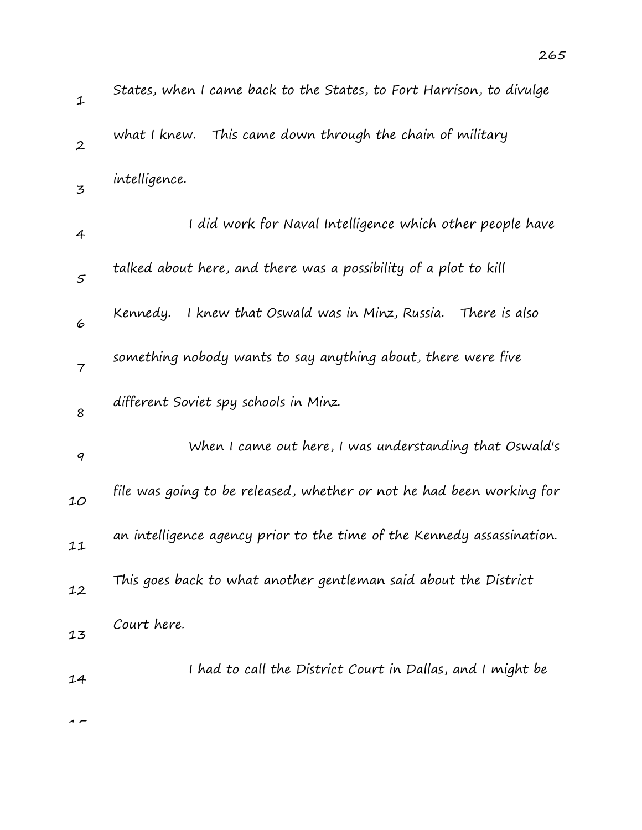| $\mathbf{1}$      | States, when I came back to the States, to Fort Harrison, to divulge   |
|-------------------|------------------------------------------------------------------------|
| $\boldsymbol{2}$  | This came down through the chain of military<br>what I knew.           |
| 3                 | intelligence.                                                          |
| 4                 | I did work for Naval Intelligence which other people have              |
| $\mathcal{F}_{0}$ | talked about here, and there was a possibility of a plot to kill       |
| 6                 | I knew that Oswald was in Minz, Russia. There is also<br>Kennedy.      |
| $\overline{7}$    | something nobody wants to say anything about, there were five          |
| 8                 | different Soviet spy schools in Minz.                                  |
| $\boldsymbol{q}$  | When I came out here, I was understanding that Oswald's                |
| 10                | file was going to be released, whether or not he had been working for  |
| 11                | an intelligence agency prior to the time of the Kennedy assassination. |
| 12                | This goes back to what another gentleman said about the District       |
| 13                | Court here.                                                            |
| 14                | I had to call the District Court in Dallas, and I might be             |
| 1 F               |                                                                        |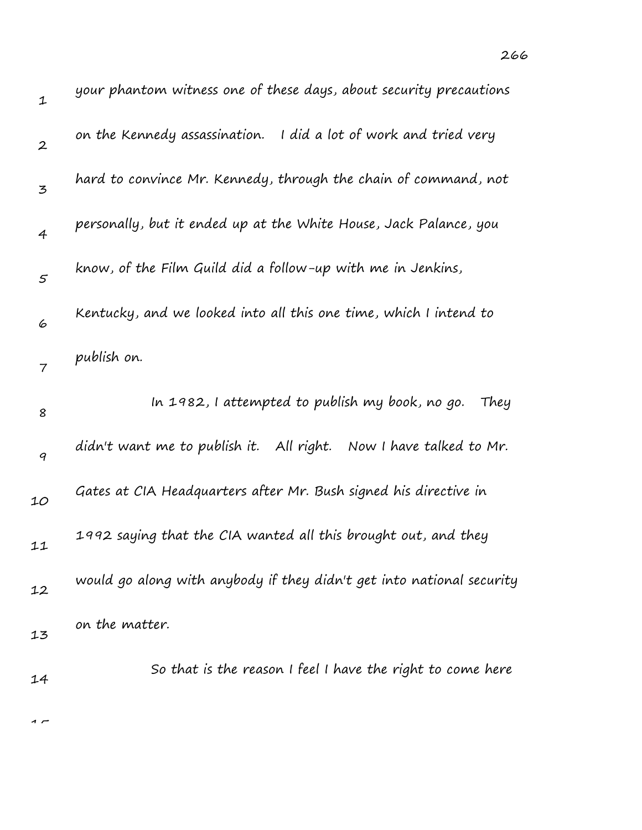| $\mathbf 1$      | your phantom witness one of these aays, about security precautions    |
|------------------|-----------------------------------------------------------------------|
| $\boldsymbol{2}$ | on the Kennedy assassination. I did a lot of work and tried very      |
| 3                | hard to convince Mr. Kennedy, through the chain of command, not       |
| $\overline{4}$   | personally, but it ended up at the White House, Jack Palance, you     |
| $\mathfrak{s}$   | know, of the Film Guild did a follow-up with me in Jenkins,           |
| 6                | Kentucky, and we looked into all this one time, which I intend to     |
| 7                | publish on.                                                           |
| 8                | In 1982, I attempted to publish my book, no go.<br>They               |
| 9                | didn't want me to publish it. All right. Now I have talked to Mr.     |
| 10               | Gates at CIA Headquarters after Mr. Bush signed his directive in      |
| 11               | 1992 saying that the CIA wanted all this brought out, and they        |
| 12               | would go along with anybody if they didn't get into national security |
| 13               | on the matter.                                                        |
| 14               | So that is the reason I feel I have the right to come here            |
|                  |                                                                       |

 $\overline{1}$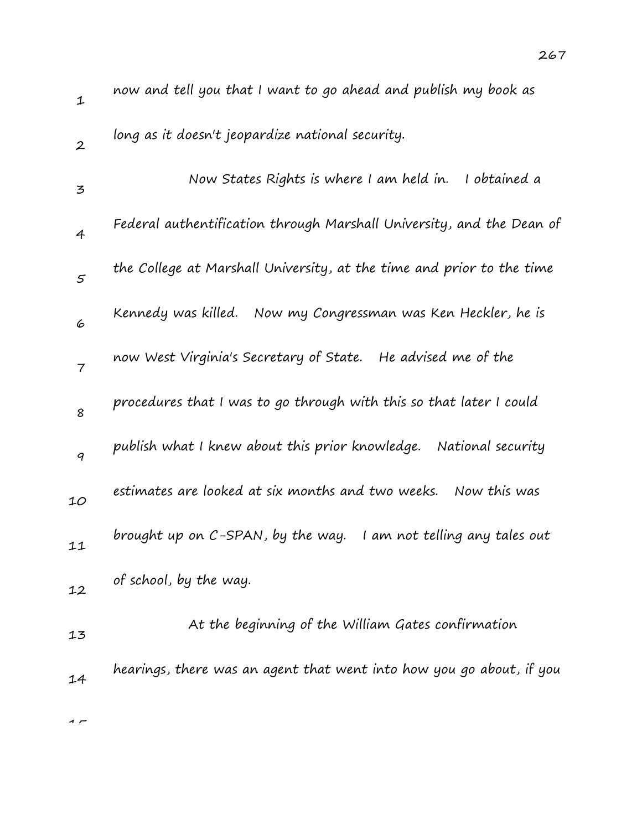| $\mathbf 1$      | now and tell you that I want to go ahead and publish my book as       |
|------------------|-----------------------------------------------------------------------|
| $\boldsymbol{2}$ | long as it doesn't jeopardize national security.                      |
| 3                | Now States Rights is where I am held in.<br>I obtained a              |
| 4                | Federal authentification through Marshall University, and the Dean of |
| 5                | the College at Marshall University, at the time and prior to the time |
| 6                | Kennedy was killed.   Now my Congressman was Ken Heckler, he is       |
| $\overline{7}$   | now West Virginia's Secretary of State. He advised me of the          |
| 8                | procedures that I was to go through with this so that later I could   |
| 9                | publish what I knew about this prior knowledge.<br>National security  |
| 10               | estimates are looked at six months and two weeks.<br>Now this was     |
| 11               | brought up on C-SPAN, by the way.<br>I am not telling any tales out   |
| 12               | of school, by the way.                                                |
| 13               | At the beginning of the William Gates confirmation                    |
| 14               | hearings, there was an agent that went into how you go about, if you  |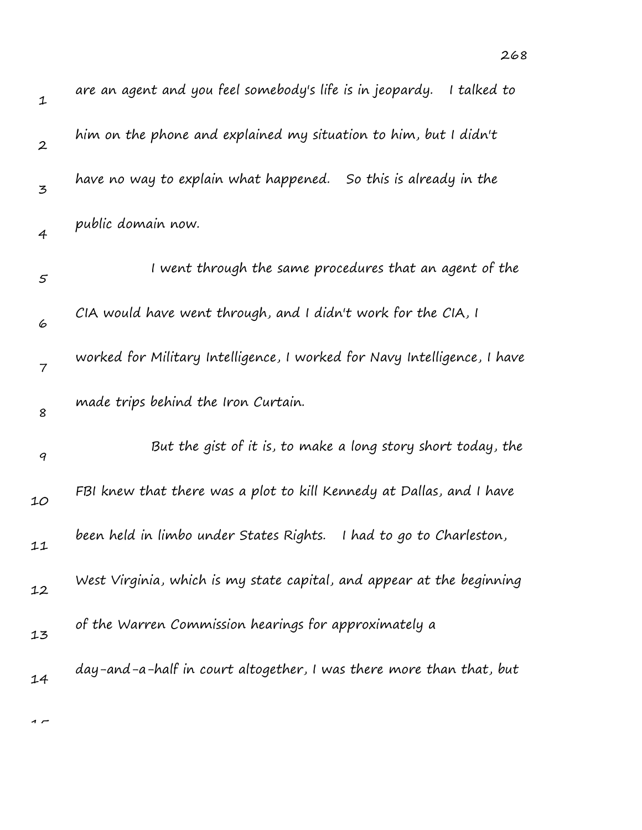| $\mathbf 1$    | are an agent and you feel somebody's life is in jeopardy.<br>I talked to |
|----------------|--------------------------------------------------------------------------|
| $\overline{2}$ | him on the phone and explained my situation to him, but I didn't         |
| 3              | have no way to explain what happened. So this is already in the          |
| $\overline{4}$ | public domain now.                                                       |
| $\varsigma$    | I went through the same procedures that an agent of the                  |
| 6              | CIA would have went through, and I didn't work for the CIA, I            |
| $\overline{7}$ | worked for Military Intelligence, I worked for Navy Intelligence, I have |
| 8              | made trips behind the Iron Curtain.                                      |
| 9              | But the gist of it is, to make a long story short today, the             |
| 10             | FBI knew that there was a plot to kill Kennedy at Dallas, and I have     |
| 11             | been held in limbo under States Rights.<br>I had to go to Charleston,    |
| 12             | West Virginia, which is my state capital, and appear at the beginning    |
| 13             | of the Warren Commission hearings for approximately a                    |
| 14             | day-and-a-half in court altogether, I was there more than that, but      |

 $\overline{1}$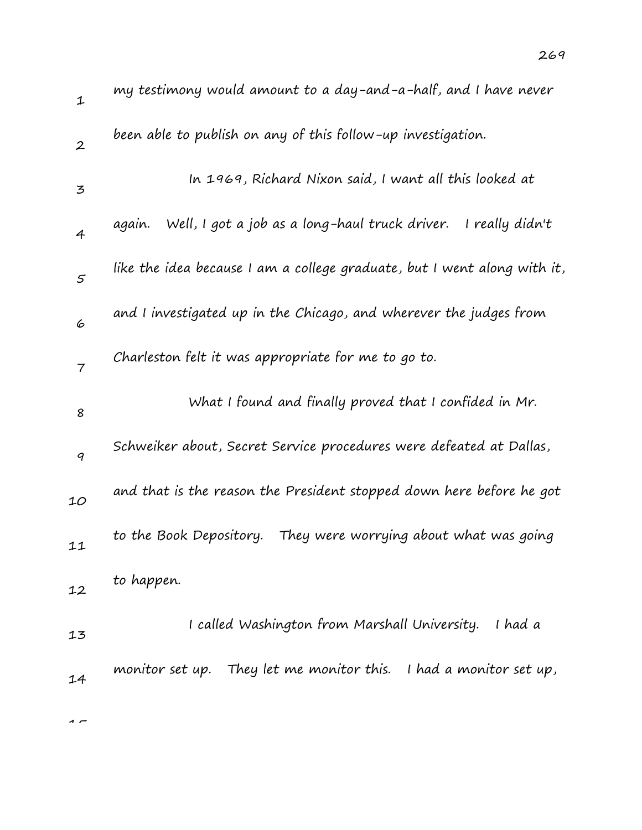| $\mathbf 1$      | my testimony would amount to a day-and-a-half, and I have never             |
|------------------|-----------------------------------------------------------------------------|
| $\boldsymbol{2}$ | been able to publish on any of this follow-up investigation.                |
| $\mathbf{z}$     | In 1969, Richard Nixon said, I want all this looked at                      |
| $\overline{4}$   | Well, I got a job as a long-haul truck driver.<br>I really didn't<br>aqain. |
| $\mathcal{F}$    | like the idea because I am a college graduate, but I went along with it,    |
| 6                | and I investigated up in the Chicago, and wherever the judges from          |
| $\overline{7}$   | Charleston felt it was appropriate for me to go to.                         |
| 8                | What I found and finally proved that I confided in Mr.                      |
| 9                | Schweiker about, Secret Service procedures were defeated at Dallas,         |
| 10               | and that is the reason the President stopped down here before he got        |
| 11               | to the Book Depository.<br>They were worrying about what was going          |
| 12               | to happen.                                                                  |
| 13               | I called Washington from Marshall University.<br>I had a                    |
| 14               | monitor set up. They let me monitor this. I had a monitor set up,           |
| $\sim$           |                                                                             |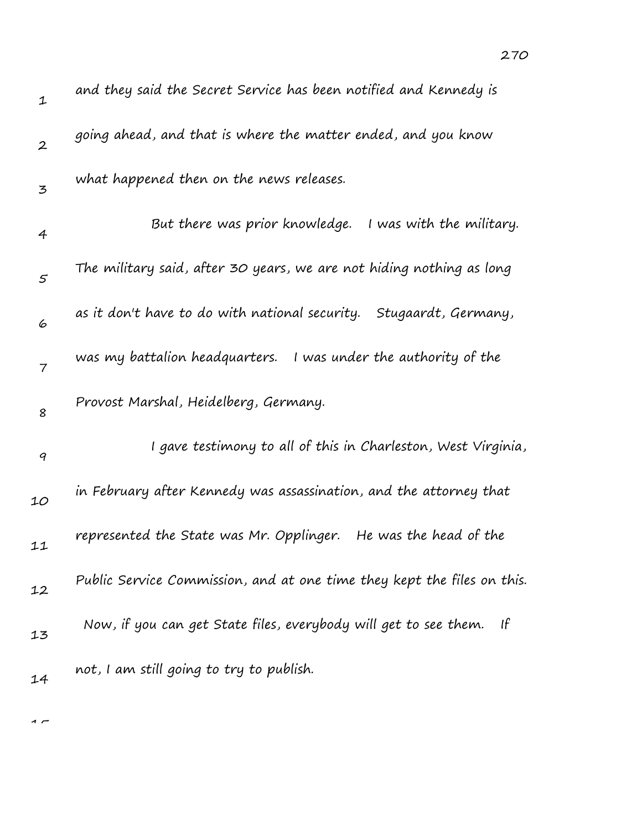| $\mathbf 1$      | and they said the Secret Service has been notified and Kennedy is                |
|------------------|----------------------------------------------------------------------------------|
| $\boldsymbol{2}$ | going ahead, and that is where the matter ended, and you know                    |
| 3                | what happened then on the news releases.                                         |
| 4                | But there was prior knowledge.<br>I was with the military.                       |
| $\varsigma$      | The military said, after 30 years, we are not hiding nothing as long             |
| 6                | as it don't have to do with national security. Stugaardt, Germany,               |
| $\overline{7}$   | was my battalion headquarters.<br>I was under the authority of the               |
| 8                | Provost Marshal, Heidelberg, Germany.                                            |
| 9                | I gave testimony to all of this in Charleston, West Virginia,                    |
| 10               | in February after Kennedy was assassination, and the attorney that               |
| 11               | represented the State was Mr. Opplinger.<br>He was the head of the               |
| 12               | Public Service Commission, and at one time they kept the files on this.          |
| 13               | Now, if you can get State files, everybody will get to see them.<br>$\mathsf{H}$ |
| 14               | not, I am still going to try to publish.                                         |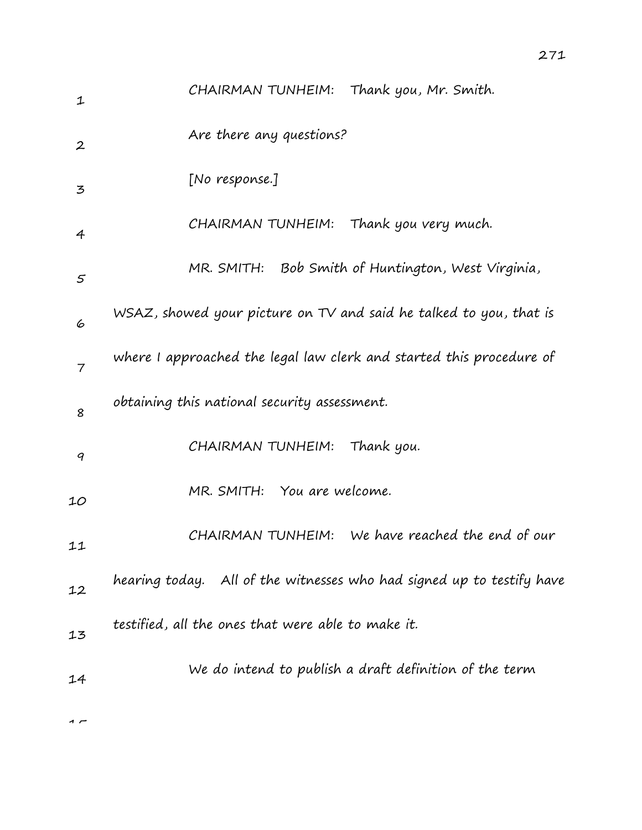| 1                | CHAIRMAN TUNHEIM: Thank you, Mr. Smith.                                   |
|------------------|---------------------------------------------------------------------------|
| $\boldsymbol{2}$ | Are there any questions?                                                  |
| 3                | [No response.]                                                            |
| $\overline{4}$   | CHAIRMAN TUNHEIM: Thank you very much.                                    |
| 5                | MR. SMITH: Bob Smith of Huntington, West Virginia,                        |
| 6                | WSAZ, showed your picture on TV and said he talked to you, that is        |
| $\overline{7}$   | where I approached the legal law clerk and started this procedure of      |
| 8                | obtaining this national security assessment.                              |
| 9                | CHAIRMAN TUNHEIM:<br>Thank you.                                           |
| 10               | MR. SMITH: You are welcome.                                               |
| 11               | CHAIRMAN TUNHEIM: We have reached the end of our                          |
| 12               | hearing today.     All of the witnesses who had signed up to testify have |
| 13               | testified, all the ones that were able to make it.                        |
| 14               | We do intend to publish a draft definition of the term                    |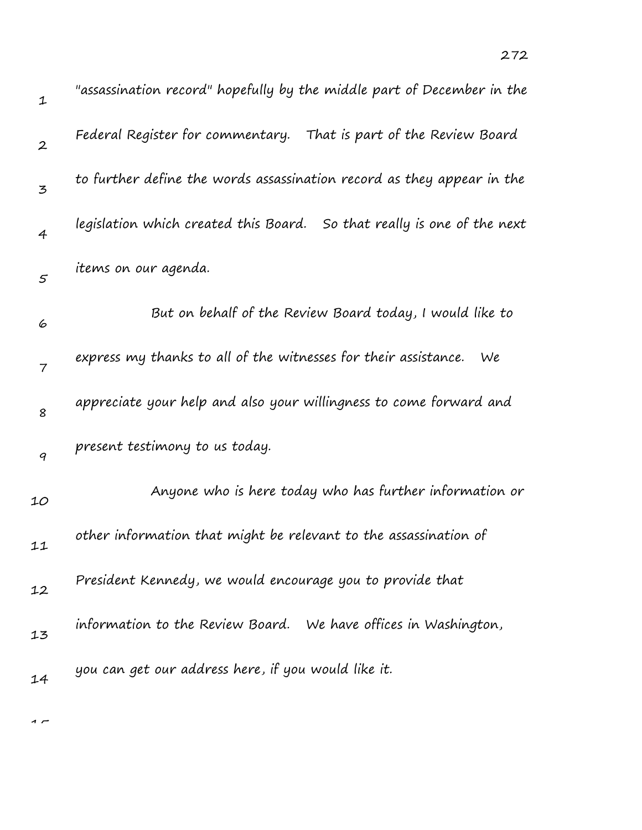| $\mathbf 1$      | "assassination record" hopefully by the middle part of December in the  |
|------------------|-------------------------------------------------------------------------|
| $\boldsymbol{2}$ | Federal Register for commentary. That is part of the Review Board       |
| 3                | to further define the words assassination record as they appear in the  |
| $\overline{4}$   | legislation which created this Board. So that really is one of the next |
| $\varsigma$      | items on our agenda.                                                    |
| 6                | But on behalf of the Review Board today, I would like to                |
| $\overline{7}$   | express my thanks to all of the witnesses for their assistance.<br>We   |
| 8                | appreciate your help and also your willingness to come forward and      |
| 9                | present testimony to us today.                                          |
| 10               | Anyone who is here today who has further information or                 |
| 11               | other information that might be relevant to the assassination of        |
| 12               | President Kennedy, we would encourage you to provide that               |
| 13               | information to the Review Board. We have offices in Washington,         |
| 14               | you can get our address here, if you would like it.                     |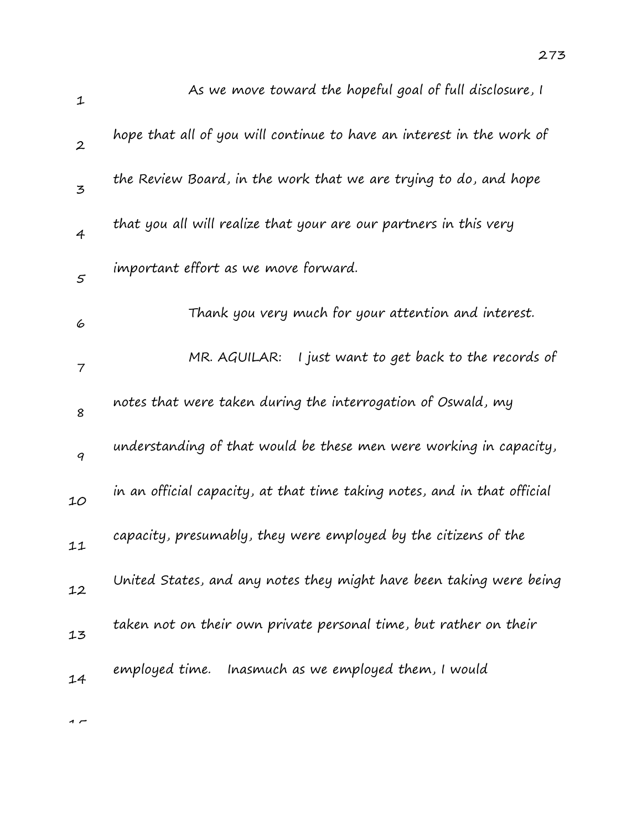| 1                |                                                                          |
|------------------|--------------------------------------------------------------------------|
| $\boldsymbol{2}$ | hope that all of you will continue to have an interest in the work of    |
| 3                | the Review Board, in the work that we are trying to do, and hope         |
| $\overline{4}$   | that you all will realize that your are our partners in this very        |
| $\mathfrak{s}$   | important effort as we move forward.                                     |
| 6                | Thank you very much for your attention and interest.                     |
| 7                | I just want to get back to the records of<br>MR. AGUILAR:                |
| 8                | notes that were taken during the interrogation of Oswald, my             |
| 9                | understanding of that would be these men were working in capacity,       |
| 10               | in an official capacity, at that time taking notes, and in that official |
| 11               | capacity, presumably, they were employed by the citizens of the          |
| 12               | United States, and any notes they might have been taking were being      |
| 13               | taken not on their own private personal time, but rather on their        |
| 14               | employed time. Inasmuch as we employed them, I would                     |
|                  |                                                                          |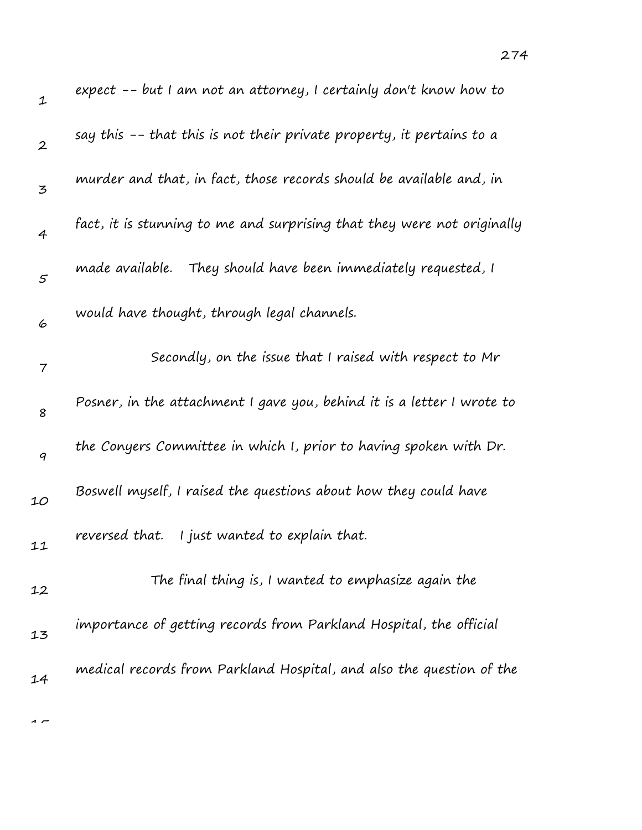| $\mathbf 1$      | expect -- but I am not an attorney, I certainly don't know how to       |
|------------------|-------------------------------------------------------------------------|
| $\boldsymbol{2}$ | say this -- that this is not their private property, it pertains to a   |
| 3                | murder and that, in fact, those records should be available and, in     |
| 4                | fact, it is stunning to me and surprising that they were not originally |
| $\mathfrak{s}$   | made available.<br>They should have been immediately requested, I       |
| 6                | would have thought, through legal channels.                             |
| 7                | Secondly, on the issue that I raised with respect to Mr                 |
| 8                | Posner, in the attachment I gave you, behind it is a letter I wrote to  |
| 9                | the Conyers Committee in which I, prior to having spoken with Dr.       |
| 10               | Boswell myself, I raised the questions about how they could have        |
| 11               | I just wanted to explain that.<br>reversed that.                        |
| 12               | The final thing is, I wanted to emphasize again the                     |
| 13               | importance of getting records from Parkland Hospital, the official      |
| 14               | medical records from Parkland Hospital, and also the question of the    |

274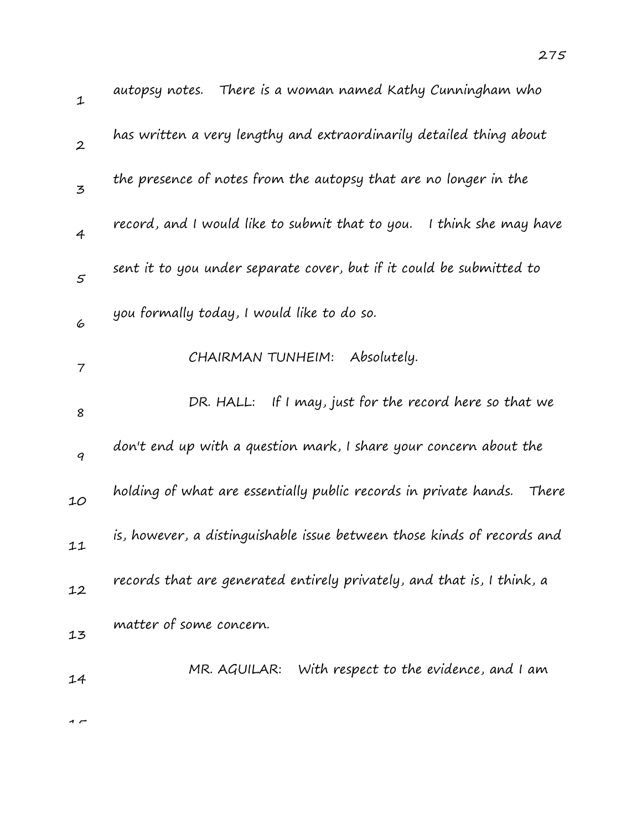| $\mathbf{1}$     | autopsy notes. There is a woman named Kathy Cunningham who              |
|------------------|-------------------------------------------------------------------------|
| $\boldsymbol{2}$ | has written a very lengthy and extraordinarily detailed thing about     |
| 3                | the presence of notes from the autopsy that are no longer in the        |
| $\overline{4}$   | record, and I would like to submit that to you.<br>I think she may have |
| $\mathfrak{s}$   | sent it to you under separate cover, but if it could be submitted to    |
| 6                | you formally today, I would like to do so.                              |
| 7                | CHAIRMAN TUNHEIM:<br>Absolutely.                                        |
| 8                | DR. HALL: If I may, just for the record here so that we                 |
| 9                | don't end up with a question mark, I share your concern about the       |
| 10               | holding of what are essentially public records in private hands. There  |
| 11               | is, however, a distinguishable issue between those kinds of records and |
| 12               | records that are generated entirely privately, and that is, I think, a  |
| 13               | matter of some concern.                                                 |
| 14               | With respect to the evidence, and I am<br>MR. AGUILAR:                  |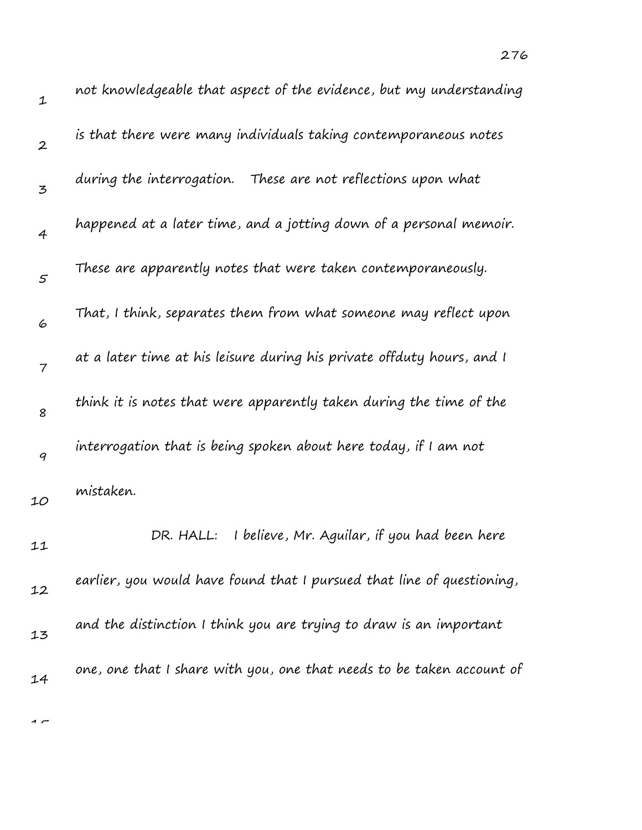| 1                | not knowledgeable that aspect of the evidence, but my understanding    |
|------------------|------------------------------------------------------------------------|
| $\boldsymbol{2}$ | is that there were many individuals taking contemporaneous notes       |
| 3                | during the interrogation. These are not reflections upon what          |
| 4                | happened at a later time, and a jotting down of a personal memoir.     |
| 5                | These are apparently notes that were taken contemporaneously.          |
| 6                | That, I think, separates them from what someone may reflect upon       |
| $\overline{7}$   | at a later time at his leisure during his private offduty hours, and I |
| 8                | think it is notes that were apparently taken during the time of the    |
| 9                | interrogation that is being spoken about here today, if I am not       |
| 10               | mistaken.                                                              |
| 11               | I believe, Mr. Aguilar, if you had been here<br>DR. HALL:              |
| 12               | earlier, you would have found that I pursued that line of questioning, |
| 13               | and the distinction I think you are trying to draw is an important     |
| 14               | one, one that I share with you, one that needs to be taken account of  |
|                  |                                                                        |